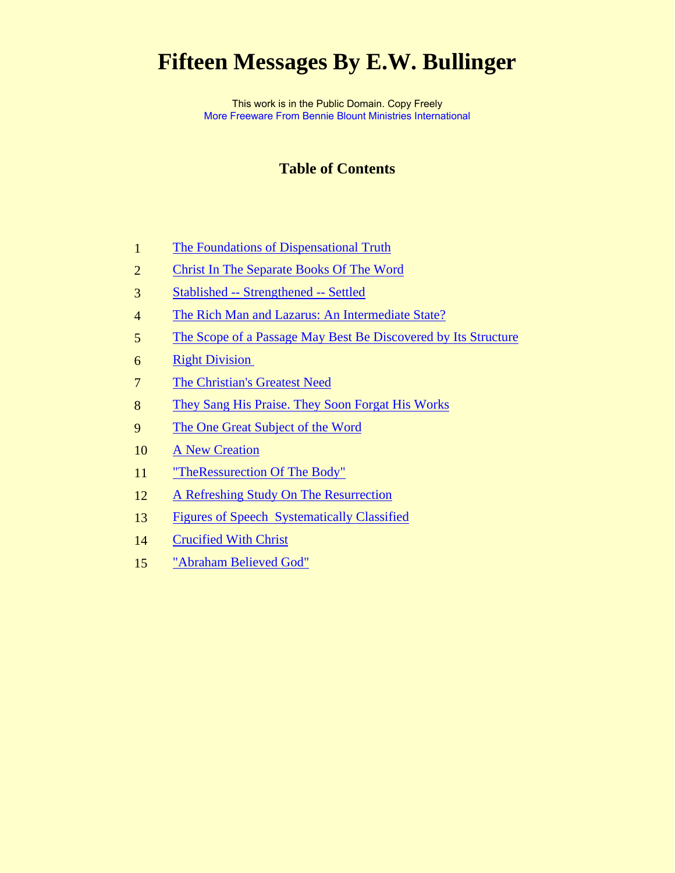# **Fifteen Messages By E.W. Bullinger**

This work is in the Public Domain. Copy Freely [More Freeware From Bennie Blount Ministries International](http://bennieblount.org/)

### **Table of Contents**

- [The Foundations of Dispensational Truth](#page-1-0)
- [Christ In The Separate Books Of The Word](#page-10-0)
- [Stablished -- Strengthened -- Settled](#page-15-0)
- [The Rich Man and Lazarus: An Intermediate State?](#page-19-0)
- [The Scope of a Passage May Best Be Discovered by Its Structure](#page-43-0)
- [Right Division](#page-60-0)
- [The Christian's Greatest Need](#page-63-0)
- [They Sang His Praise. They Soon Forgat His Works](#page-70-0)
- [The One Great Subject of the Word](#page-73-0)
- [A New Creation](#page-76-0)
- ["TheRessurection Of The Body"](#page-80-0)
- [A Refreshing Study On The Resurrection](#page-88-0)
- [Figures of Speech Systematically Classified](#page-91-0)
- [Crucified With Christ](#page-110-0)
- ["Abraham Believed God"](#page-115-0)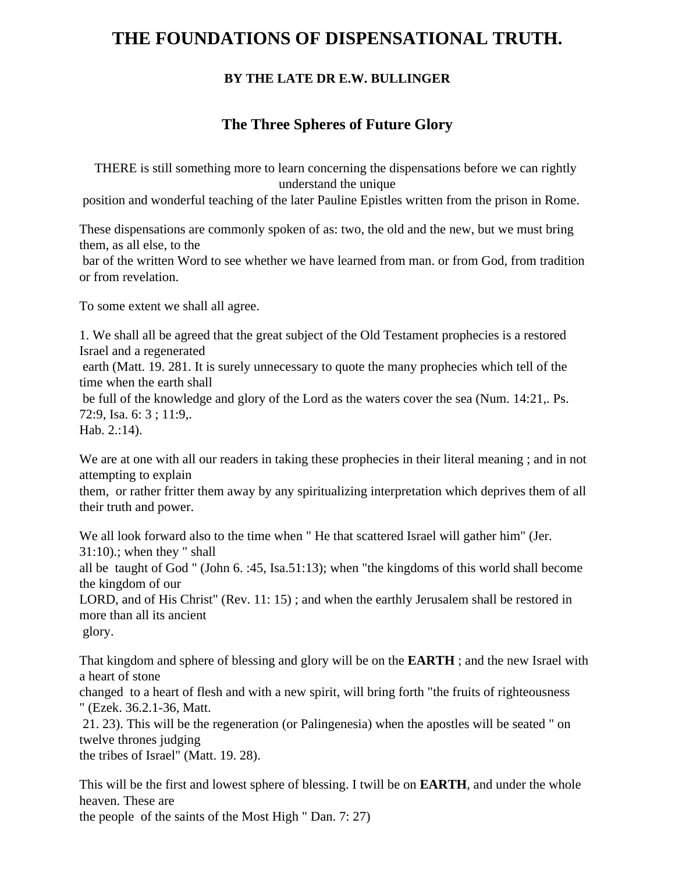## <span id="page-1-0"></span>**THE FOUNDATIONS OF DISPENSATIONAL TRUTH.**

### **BY THE LATE DR E.W. BULLINGER**

### **The Three Spheres of Future Glory**

THERE is still something more to learn concerning the dispensations before we can rightly understand the unique

position and wonderful teaching of the later Pauline Epistles written from the prison in Rome.

These dispensations are commonly spoken of as: two, the old and the new, but we must bring them, as all else, to the

 bar of the written Word to see whether we have learned from man. or from God, from tradition or from revelation.

To some extent we shall all agree.

1. We shall all be agreed that the great subject of the Old Testament prophecies is a restored Israel and a regenerated earth (Matt. 19. 281. It is surely unnecessary to quote the many prophecies which tell of the time when the earth shall be full of the knowledge and glory of the Lord as the waters cover the sea (Num. 14:21,. Ps. 72:9, Isa. 6: 3 ; 11:9,. Hab. 2.:14).

We are at one with all our readers in taking these prophecies in their literal meaning; and in not attempting to explain

them, or rather fritter them away by any spiritualizing interpretation which deprives them of all their truth and power.

We all look forward also to the time when " He that scattered Israel will gather him" (Jer. 31:10).; when they " shall all be taught of God " (John 6. :45, Isa.51:13); when "the kingdoms of this world shall become the kingdom of our LORD, and of His Christ" (Rev. 11: 15) ; and when the earthly Jerusalem shall be restored in more than all its ancient glory.

That kingdom and sphere of blessing and glory will be on the **EARTH** ; and the new Israel with a heart of stone

changed to a heart of flesh and with a new spirit, will bring forth "the fruits of righteousness " (Ezek. 36.2.1-36, Matt.

 21. 23). This will be the regeneration (or Palingenesia) when the apostles will be seated " on twelve thrones judging

the tribes of Israel" (Matt. 19. 28).

This will be the first and lowest sphere of blessing. I twill be on **EARTH**, and under the whole heaven. These are the people of the saints of the Most High " Dan. 7: 27)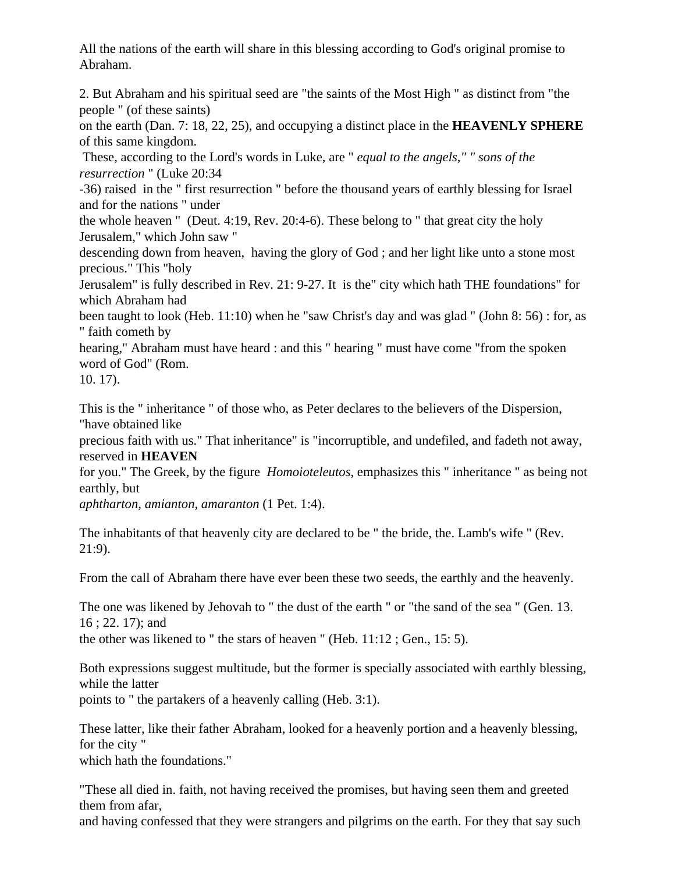All the nations of the earth will share in this blessing according to God's original promise to Abraham.

2. But Abraham and his spiritual seed are "the saints of the Most High " as distinct from "the people " (of these saints)

on the earth (Dan. 7: 18, 22, 25), and occupying a distinct place in the **HEAVENLY SPHERE** of this same kingdom.

 These, according to the Lord's words in Luke, are " *equal to the angels," " sons of the resurrection* " (Luke 20:34

-36) raised in the " first resurrection " before the thousand years of earthly blessing for Israel and for the nations " under

the whole heaven " (Deut. 4:19, Rev. 20:4-6). These belong to " that great city the holy Jerusalem," which John saw "

descending down from heaven, having the glory of God ; and her light like unto a stone most precious." This "holy

Jerusalem" is fully described in Rev. 21: 9-27. It is the" city which hath THE foundations" for which Abraham had

been taught to look (Heb. 11:10) when he "saw Christ's day and was glad " (John 8: 56) : for, as " faith cometh by

hearing," Abraham must have heard : and this " hearing " must have come "from the spoken word of God" (Rom.

10. 17).

This is the " inheritance " of those who, as Peter declares to the believers of the Dispersion, "have obtained like

precious faith with us." That inheritance" is "incorruptible, and undefiled, and fadeth not away, reserved in **HEAVEN**

for you." The Greek, by the figure *Homoioteleutos*, emphasizes this " inheritance " as being not earthly, but

*aphtharton, amianton, amaranton* (1 Pet. 1:4).

The inhabitants of that heavenly city are declared to be " the bride, the. Lamb's wife " (Rev. 21:9).

From the call of Abraham there have ever been these two seeds, the earthly and the heavenly.

The one was likened by Jehovah to " the dust of the earth " or "the sand of the sea " (Gen. 13. 16 ; 22. 17); and

the other was likened to " the stars of heaven " (Heb. 11:12 ; Gen., 15: 5).

Both expressions suggest multitude, but the former is specially associated with earthly blessing, while the latter

points to " the partakers of a heavenly calling (Heb. 3:1).

These latter, like their father Abraham, looked for a heavenly portion and a heavenly blessing, for the city " which hath the foundations."

"These all died in. faith, not having received the promises, but having seen them and greeted them from afar,

and having confessed that they were strangers and pilgrims on the earth. For they that say such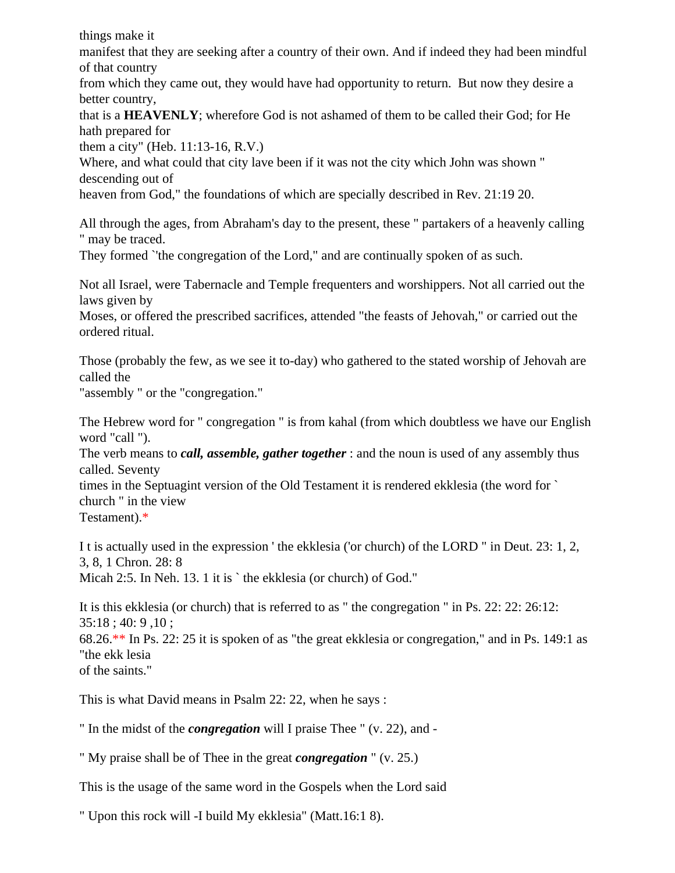things make it

manifest that they are seeking after a country of their own. And if indeed they had been mindful of that country

from which they came out, they would have had opportunity to return. But now they desire a better country,

that is a **HEAVENLY**; wherefore God is not ashamed of them to be called their God; for He hath prepared for

them a city" (Heb. 11:13-16, R.V.)

Where, and what could that city lave been if it was not the city which John was shown " descending out of

heaven from God," the foundations of which are specially described in Rev. 21:19 20.

All through the ages, from Abraham's day to the present, these " partakers of a heavenly calling " may be traced.

They formed `'the congregation of the Lord," and are continually spoken of as such.

Not all Israel, were Tabernacle and Temple frequenters and worshippers. Not all carried out the laws given by

Moses, or offered the prescribed sacrifices, attended "the feasts of Jehovah," or carried out the ordered ritual.

Those (probably the few, as we see it to-day) who gathered to the stated worship of Jehovah are called the

"assembly " or the "congregation."

The Hebrew word for " congregation " is from kahal (from which doubtless we have our English word "call ").

The verb means to *call, assemble, gather together* : and the noun is used of any assembly thus called. Seventy

times in the Septuagint version of the Old Testament it is rendered ekklesia (the word for ` church " in the view

Testament).\*

I t is actually used in the expression ' the ekklesia ('or church) of the LORD " in Deut. 23: 1, 2, 3, 8, 1 Chron. 28: 8 Micah 2:5. In Neh. 13. 1 it is `the ekklesia (or church) of God."

It is this ekklesia (or church) that is referred to as " the congregation " in Ps. 22: 22: 26:12: 35:18 ; 40: 9 ,10 ;

68.26.\*\* In Ps. 22: 25 it is spoken of as "the great ekklesia or congregation," and in Ps. 149:1 as "the ekk lesia

of the saints."

This is what David means in Psalm 22: 22, when he says :

" In the midst of the *congregation* will I praise Thee " (v. 22), and -

" My praise shall be of Thee in the great *congregation* " (v. 25.)

This is the usage of the same word in the Gospels when the Lord said

" Upon this rock will -I build My ekklesia" (Matt.16:1 8).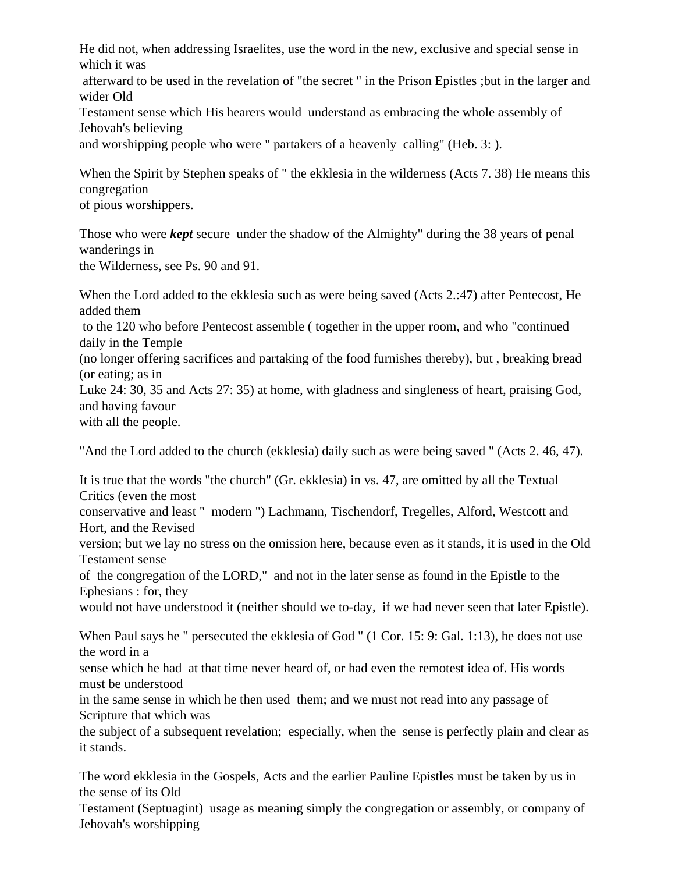He did not, when addressing Israelites, use the word in the new, exclusive and special sense in which it was

 afterward to be used in the revelation of "the secret " in the Prison Epistles ;but in the larger and wider Old

Testament sense which His hearers would understand as embracing the whole assembly of Jehovah's believing

and worshipping people who were " partakers of a heavenly calling" (Heb. 3: ).

When the Spirit by Stephen speaks of " the ekklesia in the wilderness (Acts 7. 38) He means this congregation

of pious worshippers.

Those who were *kept* secure under the shadow of the Almighty" during the 38 years of penal wanderings in the Wilderness, see Ps. 90 and 91.

When the Lord added to the ekklesia such as were being saved (Acts 2.:47) after Pentecost, He added them to the 120 who before Pentecost assemble ( together in the upper room, and who "continued daily in the Temple (no longer offering sacrifices and partaking of the food furnishes thereby), but , breaking bread (or eating; as in Luke 24: 30, 35 and Acts 27: 35) at home, with gladness and singleness of heart, praising God, and having favour with all the people.

"And the Lord added to the church (ekklesia) daily such as were being saved " (Acts 2. 46, 47).

It is true that the words "the church" (Gr. ekklesia) in vs. 47, are omitted by all the Textual Critics (even the most

conservative and least " modern ") Lachmann, Tischendorf, Tregelles, Alford, Westcott and Hort, and the Revised

version; but we lay no stress on the omission here, because even as it stands, it is used in the Old Testament sense

of the congregation of the LORD," and not in the later sense as found in the Epistle to the Ephesians : for, they

would not have understood it (neither should we to-day, if we had never seen that later Epistle).

When Paul says he " persecuted the ekklesia of God " (1 Cor. 15: 9: Gal. 1:13), he does not use the word in a

sense which he had at that time never heard of, or had even the remotest idea of. His words must be understood

in the same sense in which he then used them; and we must not read into any passage of Scripture that which was

the subject of a subsequent revelation; especially, when the sense is perfectly plain and clear as it stands.

The word ekklesia in the Gospels, Acts and the earlier Pauline Epistles must be taken by us in the sense of its Old

Testament (Septuagint) usage as meaning simply the congregation or assembly, or company of Jehovah's worshipping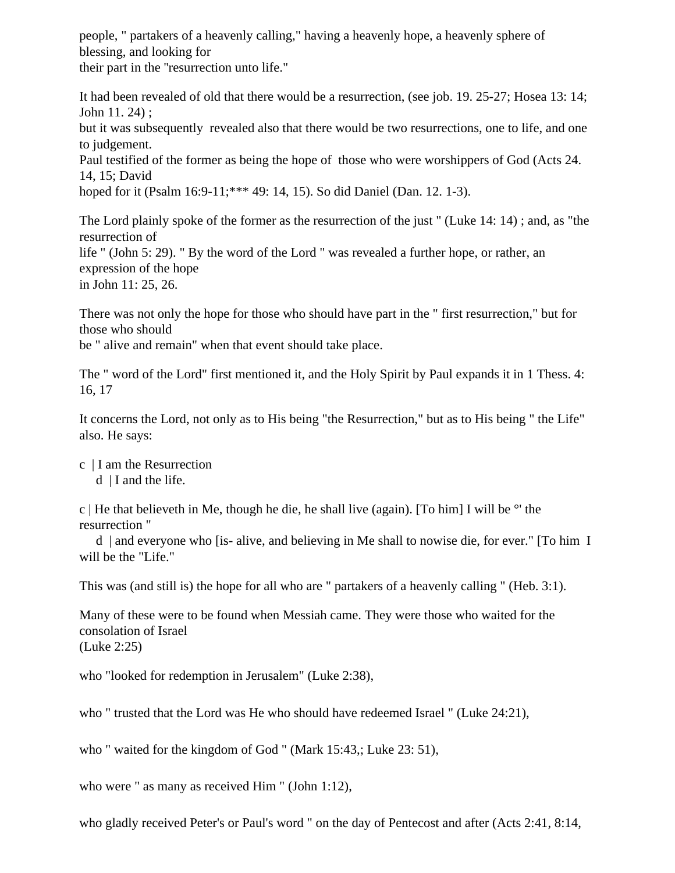people, " partakers of a heavenly calling," having a heavenly hope, a heavenly sphere of blessing, and looking for their part in the ''resurrection unto life."

It had been revealed of old that there would be a resurrection, (see job. 19. 25-27; Hosea 13: 14; John 11. 24) ; but it was subsequently revealed also that there would be two resurrections, one to life, and one to judgement. Paul testified of the former as being the hope of those who were worshippers of God (Acts 24. 14, 15; David hoped for it (Psalm 16:9-11;\*\*\* 49: 14, 15). So did Daniel (Dan. 12. 1-3).

The Lord plainly spoke of the former as the resurrection of the just " (Luke 14: 14) ; and, as "the resurrection of life " (John 5: 29). " By the word of the Lord " was revealed a further hope, or rather, an expression of the hope in John 11: 25, 26.

There was not only the hope for those who should have part in the " first resurrection," but for those who should

be " alive and remain" when that event should take place.

The " word of the Lord" first mentioned it, and the Holy Spirit by Paul expands it in 1 Thess. 4: 16, 17

It concerns the Lord, not only as to His being "the Resurrection," but as to His being " the Life" also. He says:

- c | I am the Resurrection
	- $d \mid I$  and the life.

c | He that believeth in Me, though he die, he shall live (again). [To him] I will be  $\circ$ ' the resurrection "

 d | and everyone who [is- alive, and believing in Me shall to nowise die, for ever." [To him I will be the "Life."

This was (and still is) the hope for all who are " partakers of a heavenly calling " (Heb. 3:1).

Many of these were to be found when Messiah came. They were those who waited for the consolation of Israel (Luke 2:25)

who "looked for redemption in Jerusalem" (Luke 2:38),

who " trusted that the Lord was He who should have redeemed Israel " (Luke 24:21),

who " waited for the kingdom of God " (Mark 15:43,; Luke 23: 51),

who were " as many as received Him " (John 1:12),

who gladly received Peter's or Paul's word " on the day of Pentecost and after (Acts 2:41, 8:14,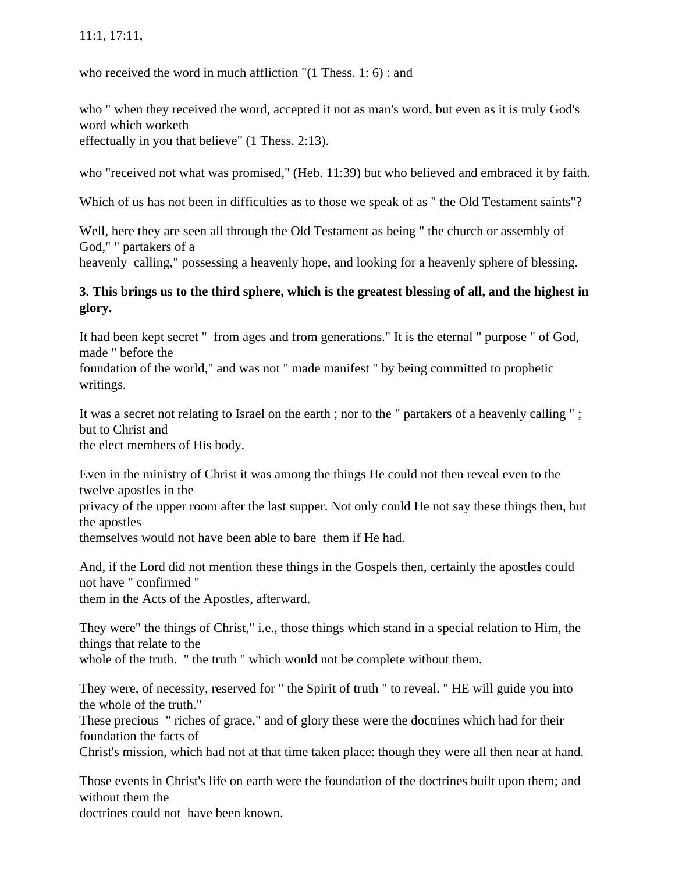### 11:1, 17:11,

who received the word in much affliction "(1 Thess. 1: 6) : and

who " when they received the word, accepted it not as man's word, but even as it is truly God's word which worketh

effectually in you that believe" (1 Thess. 2:13).

who "received not what was promised," (Heb. 11:39) but who believed and embraced it by faith.

Which of us has not been in difficulties as to those we speak of as " the Old Testament saints"?

Well, here they are seen all through the Old Testament as being " the church or assembly of God," " partakers of a

heavenly calling," possessing a heavenly hope, and looking for a heavenly sphere of blessing.

### **3. This brings us to the third sphere, which is the greatest blessing of all, and the highest in glory.**

It had been kept secret " from ages and from generations." It is the eternal " purpose " of God, made " before the

foundation of the world," and was not " made manifest " by being committed to prophetic writings.

It was a secret not relating to Israel on the earth ; nor to the " partakers of a heavenly calling " ; but to Christ and

the elect members of His body.

Even in the ministry of Christ it was among the things He could not then reveal even to the twelve apostles in the

privacy of the upper room after the last supper. Not only could He not say these things then, but the apostles

themselves would not have been able to bare them if He had.

And, if the Lord did not mention these things in the Gospels then, certainly the apostles could not have " confirmed "

them in the Acts of the Apostles, afterward.

They were" the things of Christ," i.e., those things which stand in a special relation to Him, the things that relate to the whole of the truth. " the truth " which would not be complete without them.

They were, of necessity, reserved for " the Spirit of truth " to reveal. " HE will guide you into the whole of the truth."

These precious " riches of grace," and of glory these were the doctrines which had for their foundation the facts of

Christ's mission, which had not at that time taken place: though they were all then near at hand.

Those events in Christ's life on earth were the foundation of the doctrines built upon them; and without them the

doctrines could not have been known.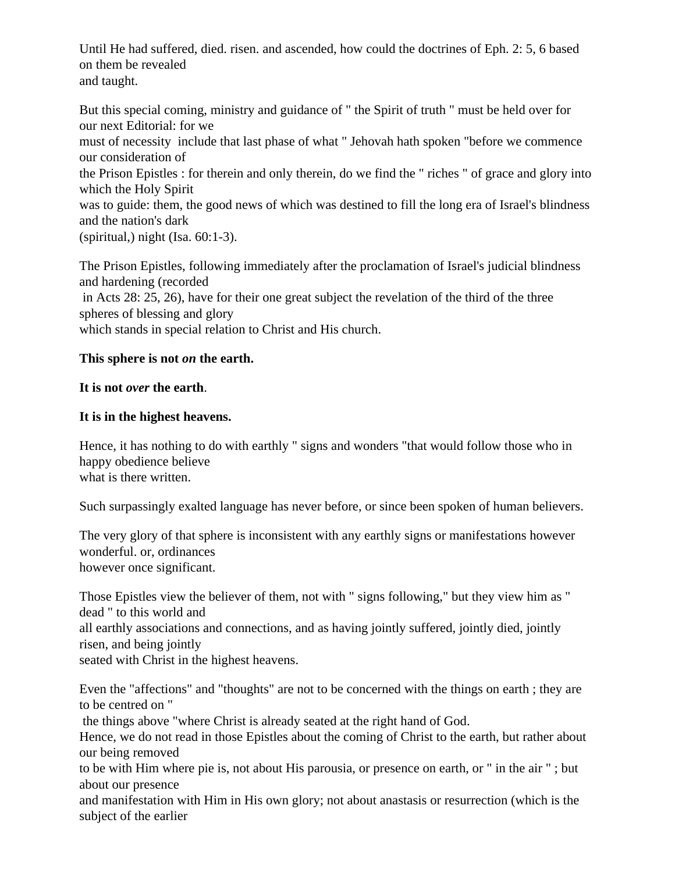Until He had suffered, died. risen. and ascended, how could the doctrines of Eph. 2: 5, 6 based on them be revealed and taught.

But this special coming, ministry and guidance of " the Spirit of truth " must be held over for our next Editorial: for we must of necessity include that last phase of what " Jehovah hath spoken "before we commence our consideration of the Prison Epistles : for therein and only therein, do we find the " riches " of grace and glory into which the Holy Spirit was to guide: them, the good news of which was destined to fill the long era of Israel's blindness and the nation's dark (spiritual,) night (Isa. 60:1-3).

The Prison Epistles, following immediately after the proclamation of Israel's judicial blindness and hardening (recorded in Acts 28: 25, 26), have for their one great subject the revelation of the third of the three spheres of blessing and glory which stands in special relation to Christ and His church.

### **This sphere is not** *on* **the earth.**

#### **It is not** *over* **the earth**.

#### **It is in the highest heavens.**

Hence, it has nothing to do with earthly " signs and wonders "that would follow those who in happy obedience believe what is there written.

Such surpassingly exalted language has never before, or since been spoken of human believers.

The very glory of that sphere is inconsistent with any earthly signs or manifestations however wonderful. or, ordinances however once significant.

Those Epistles view the believer of them, not with " signs following," but they view him as " dead " to this world and

all earthly associations and connections, and as having jointly suffered, jointly died, jointly risen, and being jointly

seated with Christ in the highest heavens.

Even the "affections" and "thoughts" are not to be concerned with the things on earth ; they are to be centred on "

the things above "where Christ is already seated at the right hand of God.

Hence, we do not read in those Epistles about the coming of Christ to the earth, but rather about our being removed

to be with Him where pie is, not about His parousia, or presence on earth, or " in the air " ; but about our presence

and manifestation with Him in His own glory; not about anastasis or resurrection (which is the subject of the earlier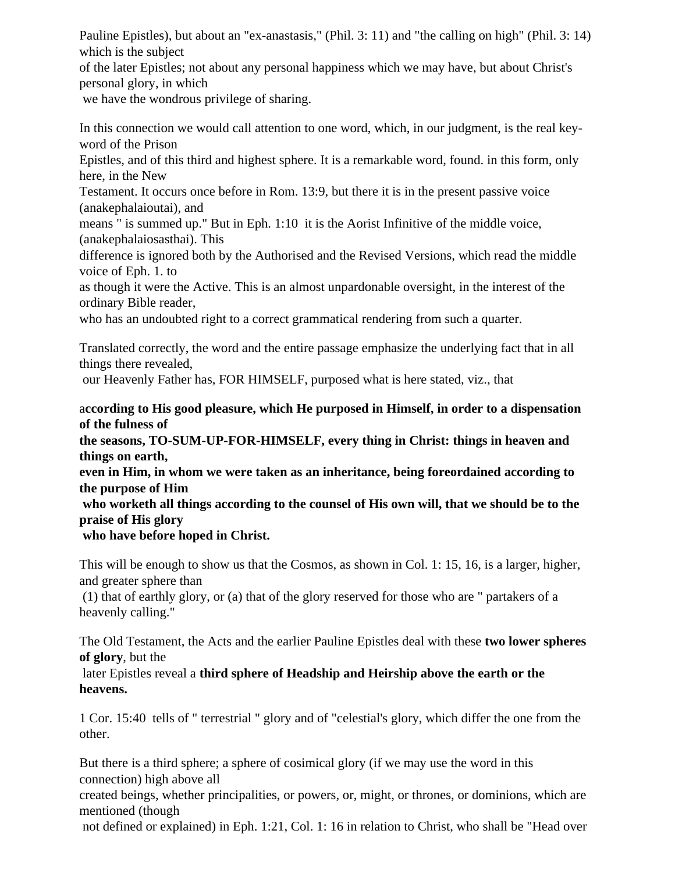Pauline Epistles), but about an "ex-anastasis," (Phil. 3: 11) and "the calling on high" (Phil. 3: 14) which is the subject

of the later Epistles; not about any personal happiness which we may have, but about Christ's personal glory, in which

we have the wondrous privilege of sharing.

In this connection we would call attention to one word, which, in our judgment, is the real keyword of the Prison

Epistles, and of this third and highest sphere. It is a remarkable word, found. in this form, only here, in the New

Testament. It occurs once before in Rom. 13:9, but there it is in the present passive voice (anakephalaioutai), and

means " is summed up." But in Eph. 1:10 it is the Aorist Infinitive of the middle voice, (anakephalaiosasthai). This

difference is ignored both by the Authorised and the Revised Versions, which read the middle voice of Eph. 1. to

as though it were the Active. This is an almost unpardonable oversight, in the interest of the ordinary Bible reader,

who has an undoubted right to a correct grammatical rendering from such a quarter.

Translated correctly, the word and the entire passage emphasize the underlying fact that in all things there revealed,

our Heavenly Father has, FOR HIMSELF, purposed what is here stated, viz., that

a**ccording to His good pleasure, which He purposed in Himself, in order to a dispensation of the fulness of** 

**the seasons, TO-SUM-UP-FOR-HIMSELF, every thing in Christ: things in heaven and things on earth,** 

**even in Him, in whom we were taken as an inheritance, being foreordained according to the purpose of Him**

 **who worketh all things according to the counsel of His own will, that we should be to the praise of His glory**

### **who have before hoped in Christ.**

This will be enough to show us that the Cosmos, as shown in Col. 1: 15, 16, is a larger, higher, and greater sphere than

 (1) that of earthly glory, or (a) that of the glory reserved for those who are " partakers of a heavenly calling."

The Old Testament, the Acts and the earlier Pauline Epistles deal with these **two lower spheres of glory**, but the

 later Epistles reveal a **third sphere of Headship and Heirship above the earth or the heavens.**

1 Cor. 15:40 tells of " terrestrial " glory and of "celestial's glory, which differ the one from the other.

But there is a third sphere; a sphere of cosimical glory (if we may use the word in this connection) high above all

created beings, whether principalities, or powers, or, might, or thrones, or dominions, which are mentioned (though

not defined or explained) in Eph. 1:21, Col. 1: 16 in relation to Christ, who shall be "Head over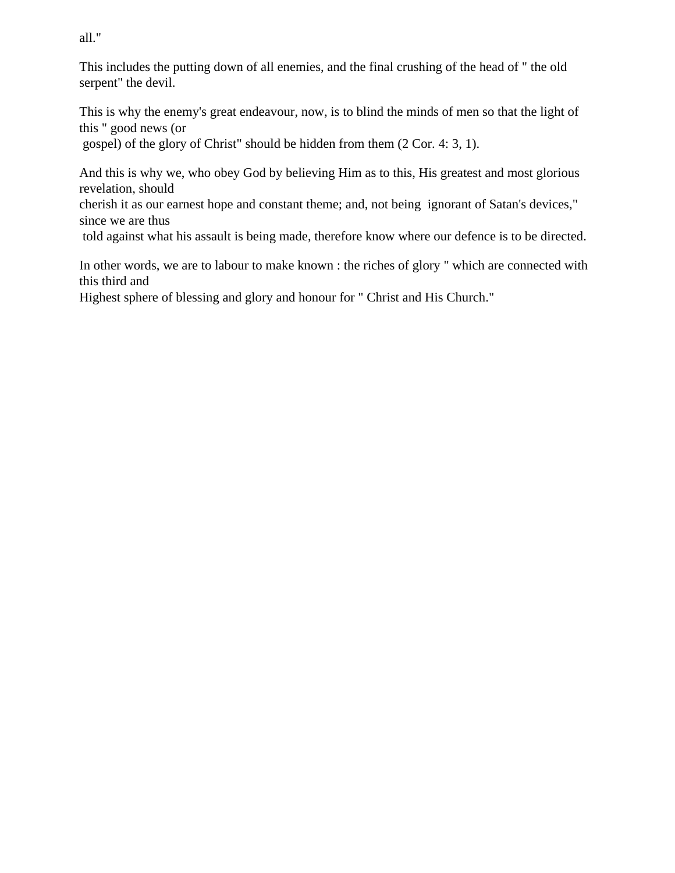all."

This includes the putting down of all enemies, and the final crushing of the head of " the old serpent" the devil.

This is why the enemy's great endeavour, now, is to blind the minds of men so that the light of this " good news (or

gospel) of the glory of Christ" should be hidden from them (2 Cor. 4: 3, 1).

And this is why we, who obey God by believing Him as to this, His greatest and most glorious revelation, should

cherish it as our earnest hope and constant theme; and, not being ignorant of Satan's devices," since we are thus

told against what his assault is being made, therefore know where our defence is to be directed.

In other words, we are to labour to make known : the riches of glory " which are connected with this third and

Highest sphere of blessing and glory and honour for " Christ and His Church."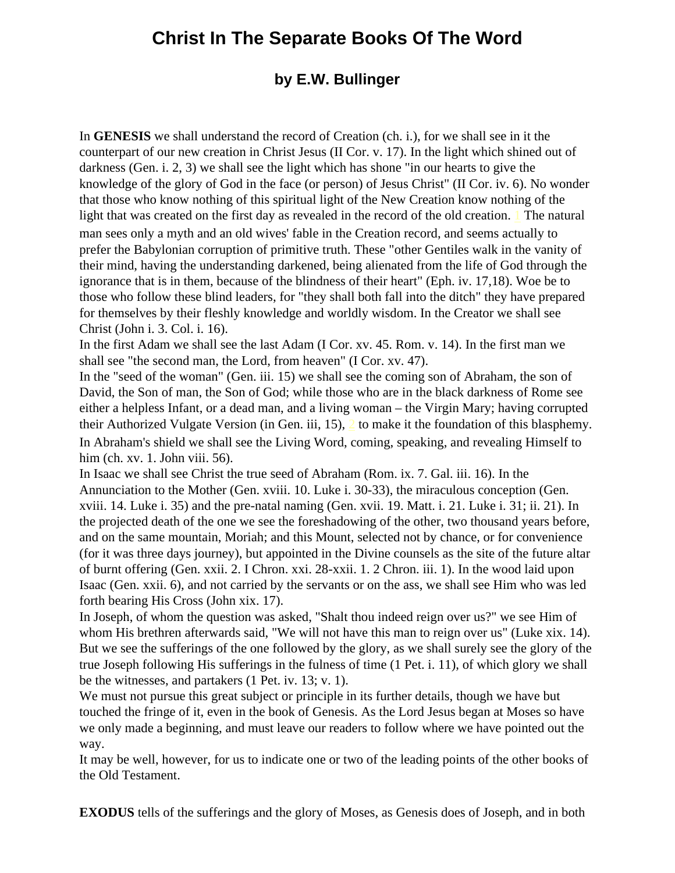## **Christ In The Separate Books Of The Word**

### **by E.W. Bullinger**

<span id="page-10-0"></span>In **GENESIS** we shall understand the record of Creation (ch. i.), for we shall see in it the counterpart of our new creation in Christ Jesus (II Cor. v. 17). In the light which shined out of darkness (Gen. i. 2, 3) we shall see the light which has shone "in our hearts to give the knowledge of the glory of God in the face (or person) of Jesus Christ" (II Cor. iv. 6). No wonder that those who know nothing of this spiritual light of the New Creation know nothing of the light that was created on the first day as revealed in the record of the old creation. [1](#page-10-0) The natural man sees only a myth and an old wives' fable in the Creation record, and seems actually to prefer the Babylonian corruption of primitive truth. These "other Gentiles walk in the vanity of their mind, having the understanding darkened, being alienated from the life of God through the ignorance that is in them, because of the blindness of their heart" (Eph. iv. 17,18). Woe be to those who follow these blind leaders, for "they shall both fall into the ditch" they have prepared for themselves by their fleshly knowledge and worldly wisdom. In the Creator we shall see Christ (John i. 3. Col. i. 16).

In the first Adam we shall see the last Adam (I Cor. xv. 45. Rom. v. 14). In the first man we shall see "the second man, the Lord, from heaven" (I Cor. xv. 47).

In the "seed of the woman" (Gen. iii. 15) we shall see the coming son of Abraham, the son of David, the Son of man, the Son of God; while those who are in the black darkness of Rome see either a helpless Infant, or a dead man, and a living woman – the Virgin Mary; having corrupted their Authorized Vulgate Version (in Gen. iii, 15), [2](#page-10-0) to make it the foundation of this blasphemy. In Abraham's shield we shall see the Living Word, coming, speaking, and revealing Himself to him (ch. xv. 1. John viii. 56).

In Isaac we shall see Christ the true seed of Abraham (Rom. ix. 7. Gal. iii. 16). In the Annunciation to the Mother (Gen. xviii. 10. Luke i. 30-33), the miraculous conception (Gen. xviii. 14. Luke i. 35) and the pre-natal naming (Gen. xvii. 19. Matt. i. 21. Luke i. 31; ii. 21). In the projected death of the one we see the foreshadowing of the other, two thousand years before, and on the same mountain, Moriah; and this Mount, selected not by chance, or for convenience (for it was three days journey), but appointed in the Divine counsels as the site of the future altar of burnt offering (Gen. xxii. 2. I Chron. xxi. 28-xxii. 1. 2 Chron. iii. 1). In the wood laid upon Isaac (Gen. xxii. 6), and not carried by the servants or on the ass, we shall see Him who was led forth bearing His Cross (John xix. 17).

In Joseph, of whom the question was asked, "Shalt thou indeed reign over us?" we see Him of whom His brethren afterwards said, "We will not have this man to reign over us" (Luke xix. 14). But we see the sufferings of the one followed by the glory, as we shall surely see the glory of the true Joseph following His sufferings in the fulness of time (1 Pet. i. 11), of which glory we shall be the witnesses, and partakers (1 Pet. iv. 13; v. 1).

We must not pursue this great subject or principle in its further details, though we have but touched the fringe of it, even in the book of Genesis. As the Lord Jesus began at Moses so have we only made a beginning, and must leave our readers to follow where we have pointed out the way.

It may be well, however, for us to indicate one or two of the leading points of the other books of the Old Testament.

**EXODUS** tells of the sufferings and the glory of Moses, as Genesis does of Joseph, and in both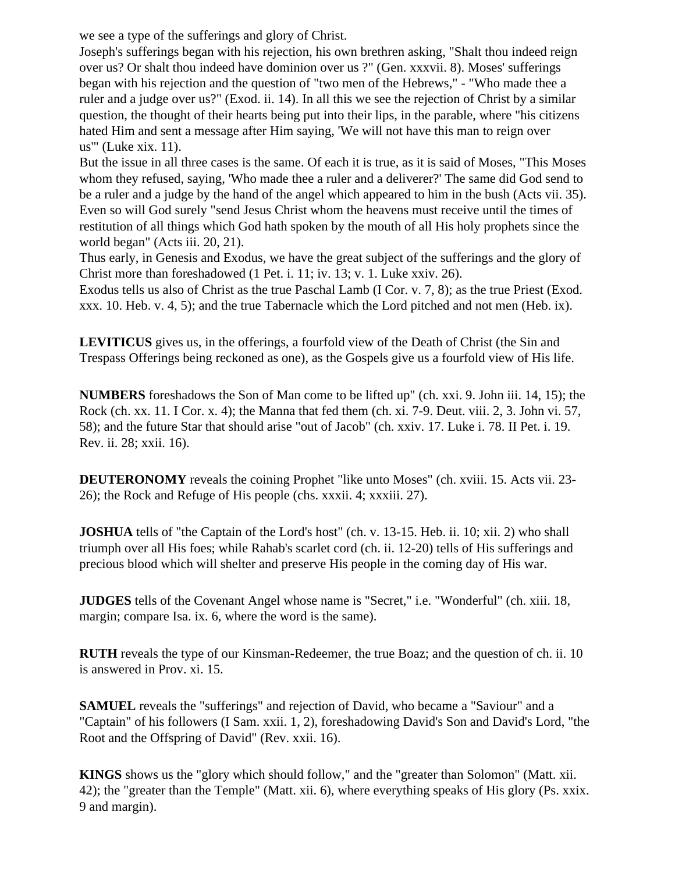we see a type of the sufferings and glory of Christ.

Joseph's sufferings began with his rejection, his own brethren asking, "Shalt thou indeed reign over us? Or shalt thou indeed have dominion over us ?" (Gen. xxxvii. 8). Moses' sufferings began with his rejection and the question of "two men of the Hebrews," - "Who made thee a ruler and a judge over us?" (Exod. ii. 14). In all this we see the rejection of Christ by a similar question, the thought of their hearts being put into their lips, in the parable, where "his citizens hated Him and sent a message after Him saying, 'We will not have this man to reign over us'" (Luke xix. 11).

But the issue in all three cases is the same. Of each it is true, as it is said of Moses, "This Moses whom they refused, saying, 'Who made thee a ruler and a deliverer?' The same did God send to be a ruler and a judge by the hand of the angel which appeared to him in the bush (Acts vii. 35). Even so will God surely "send Jesus Christ whom the heavens must receive until the times of restitution of all things which God hath spoken by the mouth of all His holy prophets since the world began" (Acts iii. 20, 21).

Thus early, in Genesis and Exodus, we have the great subject of the sufferings and the glory of Christ more than foreshadowed (1 Pet. i. 11; iv. 13; v. 1. Luke xxiv. 26).

Exodus tells us also of Christ as the true Paschal Lamb (I Cor. v. 7, 8); as the true Priest (Exod. xxx. 10. Heb. v. 4, 5); and the true Tabernacle which the Lord pitched and not men (Heb. ix).

**LEVITICUS** gives us, in the offerings, a fourfold view of the Death of Christ (the Sin and Trespass Offerings being reckoned as one), as the Gospels give us a fourfold view of His life.

**NUMBERS** foreshadows the Son of Man come to be lifted up" (ch. xxi. 9. John iii. 14, 15); the Rock (ch. xx. 11. I Cor. x. 4); the Manna that fed them (ch. xi. 7-9. Deut. viii. 2, 3. John vi. 57, 58); and the future Star that should arise "out of Jacob" (ch. xxiv. 17. Luke i. 78. II Pet. i. 19. Rev. ii. 28; xxii. 16).

**DEUTERONOMY** reveals the coining Prophet "like unto Moses" (ch. xviii. 15. Acts vii. 23-26); the Rock and Refuge of His people (chs. xxxii. 4; xxxiii. 27).

**JOSHUA** tells of "the Captain of the Lord's host" (ch. v. 13-15. Heb. ii. 10; xii. 2) who shall triumph over all His foes; while Rahab's scarlet cord (ch. ii. 12-20) tells of His sufferings and precious blood which will shelter and preserve His people in the coming day of His war.

**JUDGES** tells of the Covenant Angel whose name is "Secret," i.e. "Wonderful" (ch. xiii. 18, margin; compare Isa. ix. 6, where the word is the same).

**RUTH** reveals the type of our Kinsman-Redeemer, the true Boaz; and the question of ch. ii. 10 is answered in Prov. xi. 15.

**SAMUEL** reveals the "sufferings" and rejection of David, who became a "Saviour" and a "Captain" of his followers (I Sam. xxii. 1, 2), foreshadowing David's Son and David's Lord, "the Root and the Offspring of David" (Rev. xxii. 16).

**KINGS** shows us the "glory which should follow," and the "greater than Solomon" (Matt. xii. 42); the "greater than the Temple" (Matt. xii. 6), where everything speaks of His glory (Ps. xxix. 9 and margin).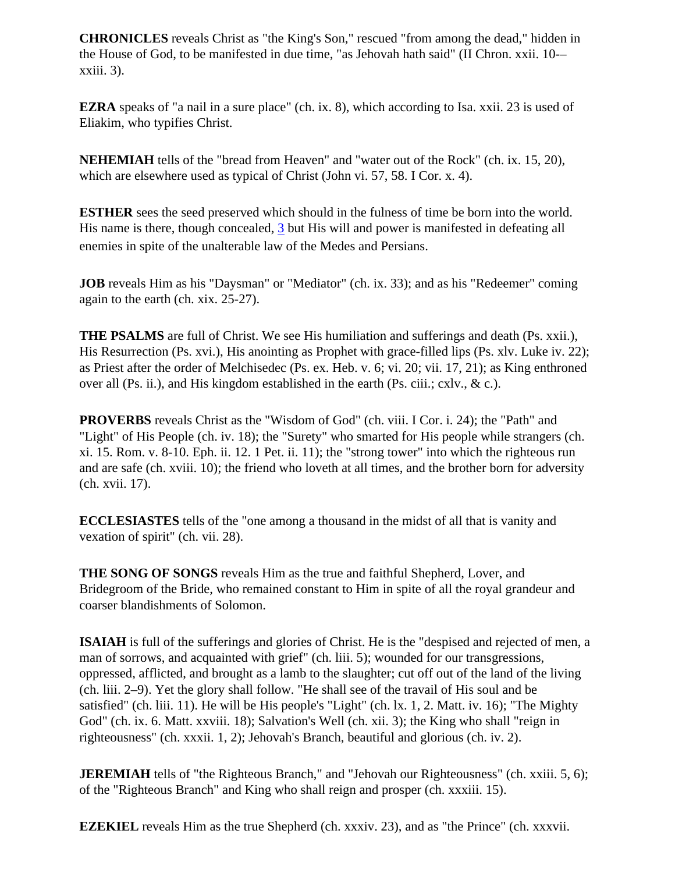**CHRONICLES** reveals Christ as "the King's Son," rescued "from among the dead," hidden in the House of God, to be manifested in due time, "as Jehovah hath said" (II Chron. xxii. 10-– xxiii. 3).

**EZRA** speaks of "a nail in a sure place" (ch. ix. 8), which according to Isa. xxii. 23 is used of Eliakim, who typifies Christ.

**NEHEMIAH** tells of the "bread from Heaven" and "water out of the Rock" (ch. ix. 15, 20), which are elsewhere used as typical of Christ (John vi. 57, 58. I Cor. x. 4).

**ESTHER** sees the seed preserved which should in the fulness of time be born into the world. His name is there, though concealed, [3](#page-10-0) but His will and power is manifested in defeating all enemies in spite of the unalterable law of the Medes and Persians.

**JOB** reveals Him as his "Daysman" or "Mediator" (ch. ix. 33); and as his "Redeemer" coming again to the earth (ch. xix. 25-27).

**THE PSALMS** are full of Christ. We see His humiliation and sufferings and death (Ps. xxii.), His Resurrection (Ps. xvi.), His anointing as Prophet with grace-filled lips (Ps. xlv. Luke iv. 22); as Priest after the order of Melchisedec (Ps. ex. Heb. v. 6; vi. 20; vii. 17, 21); as King enthroned over all (Ps. ii.), and His kingdom established in the earth (Ps. ciii.; cxlv., & c.).

**PROVERBS** reveals Christ as the "Wisdom of God" (ch. viii. I Cor. i. 24); the "Path" and "Light" of His People (ch. iv. 18); the "Surety" who smarted for His people while strangers (ch. xi. 15. Rom. v. 8-10. Eph. ii. 12. 1 Pet. ii. 11); the "strong tower" into which the righteous run and are safe (ch. xviii. 10); the friend who loveth at all times, and the brother born for adversity (ch. xvii. 17).

**ECCLESIASTES** tells of the "one among a thousand in the midst of all that is vanity and vexation of spirit" (ch. vii. 28).

**THE SONG OF SONGS** reveals Him as the true and faithful Shepherd, Lover, and Bridegroom of the Bride, who remained constant to Him in spite of all the royal grandeur and coarser blandishments of Solomon.

**ISAIAH** is full of the sufferings and glories of Christ. He is the "despised and rejected of men, a man of sorrows, and acquainted with grief" (ch. liii. 5); wounded for our transgressions, oppressed, afflicted, and brought as a lamb to the slaughter; cut off out of the land of the living (ch. liii. 2–9). Yet the glory shall follow. "He shall see of the travail of His soul and be satisfied" (ch. liii. 11). He will be His people's "Light" (ch. lx. 1, 2. Matt. iv. 16); "The Mighty God" (ch. ix. 6. Matt. xxviii. 18); Salvation's Well (ch. xii. 3); the King who shall "reign in righteousness" (ch. xxxii. 1, 2); Jehovah's Branch, beautiful and glorious (ch. iv. 2).

**JEREMIAH** tells of "the Righteous Branch," and "Jehovah our Righteousness" (ch. xxiii. 5, 6); of the "Righteous Branch" and King who shall reign and prosper (ch. xxxiii. 15).

**EZEKIEL** reveals Him as the true Shepherd (ch. xxxiv. 23), and as "the Prince" (ch. xxxvii.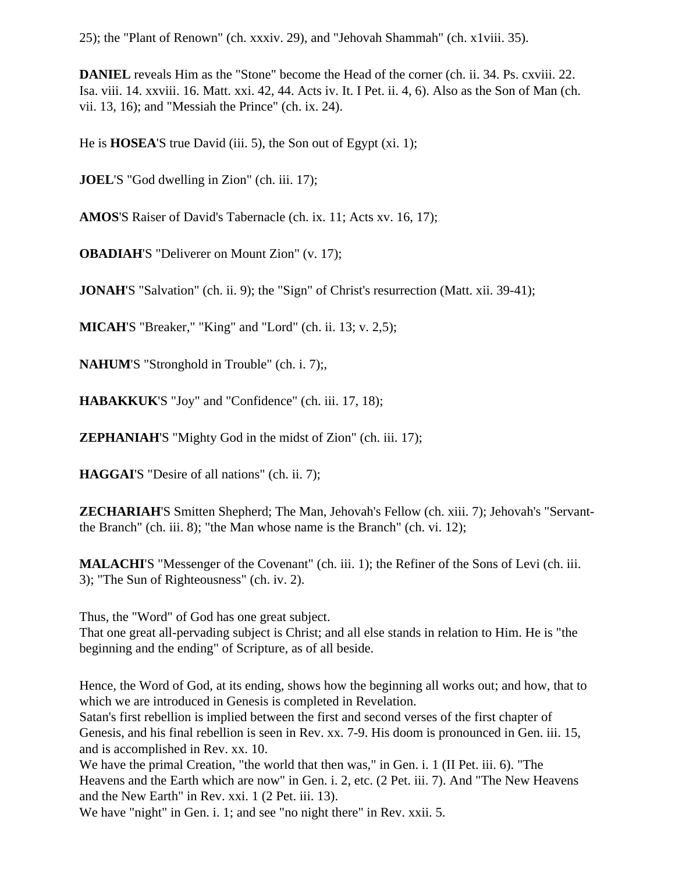25); the "Plant of Renown" (ch. xxxiv. 29), and "Jehovah Shammah" (ch. x1viii. 35).

**DANIEL** reveals Him as the "Stone" become the Head of the corner (ch. ii. 34. Ps. cxviii. 22. Isa. viii. 14. xxviii. 16. Matt. xxi. 42, 44. Acts iv. It. I Pet. ii. 4, 6). Also as the Son of Man (ch. vii. 13, 16); and "Messiah the Prince" (ch. ix. 24).

He is **HOSEA**'S true David (iii. 5), the Son out of Egypt (xi. 1);

**JOEL**'S "God dwelling in Zion" (ch. iii. 17);

**AMOS**'S Raiser of David's Tabernacle (ch. ix. 11; Acts xv. 16, 17);

**OBADIAH**'S "Deliverer on Mount Zion" (v. 17);

**JONAH**'S "Salvation" (ch. ii. 9); the "Sign" of Christ's resurrection (Matt. xii. 39-41);

**MICAH**'S "Breaker," "King" and "Lord" (ch. ii. 13; v. 2,5);

**NAHUM**'S "Stronghold in Trouble" (ch. i. 7);,

**HABAKKUK**'S "Joy" and "Confidence" (ch. iii. 17, 18);

**ZEPHANIAH**'S "Mighty God in the midst of Zion" (ch. iii. 17);

**HAGGAI**'S "Desire of all nations" (ch. ii. 7);

**ZECHARIAH**'S Smitten Shepherd; The Man, Jehovah's Fellow (ch. xiii. 7); Jehovah's "Servantthe Branch" (ch. iii. 8); "the Man whose name is the Branch" (ch. vi. 12);

**MALACHI**'S "Messenger of the Covenant" (ch. iii. 1); the Refiner of the Sons of Levi (ch. iii. 3); "The Sun of Righteousness" (ch. iv. 2).

Thus, the "Word" of God has one great subject.

That one great all-pervading subject is Christ; and all else stands in relation to Him. He is "the beginning and the ending" of Scripture, as of all beside.

Hence, the Word of God, at its ending, shows how the beginning all works out; and how, that to which we are introduced in Genesis is completed in Revelation.

Satan's first rebellion is implied between the first and second verses of the first chapter of Genesis, and his final rebellion is seen in Rev. xx. 7-9. His doom is pronounced in Gen. iii. 15, and is accomplished in Rev. xx. 10.

We have the primal Creation, "the world that then was," in Gen. i. 1 (II Pet. iii. 6). "The Heavens and the Earth which are now" in Gen. i. 2, etc. (2 Pet. iii. 7). And "The New Heavens and the New Earth" in Rev. xxi. 1 (2 Pet. iii. 13).

We have "night" in Gen. i. 1; and see "no night there" in Rev. xxii. 5.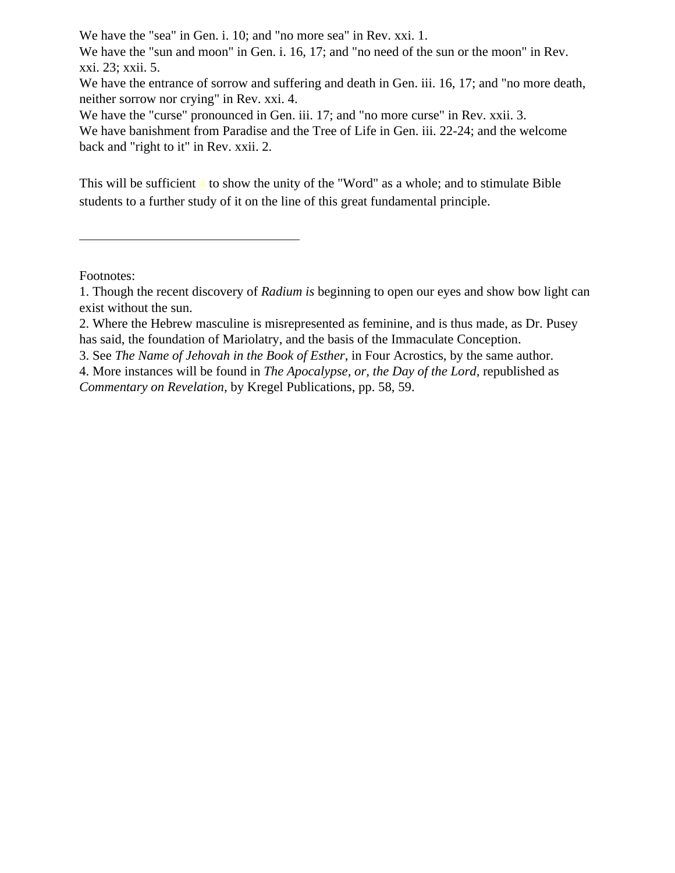We have the "sea" in Gen. i. 10; and "no more sea" in Rev. xxi. 1.

We have the "sun and moon" in Gen. i. 16, 17; and "no need of the sun or the moon" in Rev. xxi. 23; xxii. 5.

We have the entrance of sorrow and suffering and death in Gen. iii. 16, 17; and "no more death, neither sorrow nor crying" in Rev. xxi. 4.

We have the "curse" pronounced in Gen. iii. 17; and "no more curse" in Rev. xxii. 3. We have banishment from Paradise and the Tree of Life in Gen. iii. 22-24; and the welcome back and "right to it" in Rev. xxii. 2.

This will be sufficient [4](#page-10-0) to show the unity of the "Word" as a whole; and to stimulate Bible students to a further study of it on the line of this great fundamental principle.

Footnotes:

3. See *The Name of Jehovah in the Book of Esther*, in Four Acrostics, by the same author.

<sup>1.</sup> Though the recent discovery of *Radium is* beginning to open our eyes and show bow light can exist without the sun.

<sup>2.</sup> Where the Hebrew masculine is misrepresented as feminine, and is thus made, as Dr. Pusey has said, the foundation of Mariolatry, and the basis of the Immaculate Conception.

<sup>4.</sup> More instances will be found in *The Apocalypse, or, the Day of the Lord,* republished as *Commentary on Revelation,* by Kregel Publications, pp. 58, 59.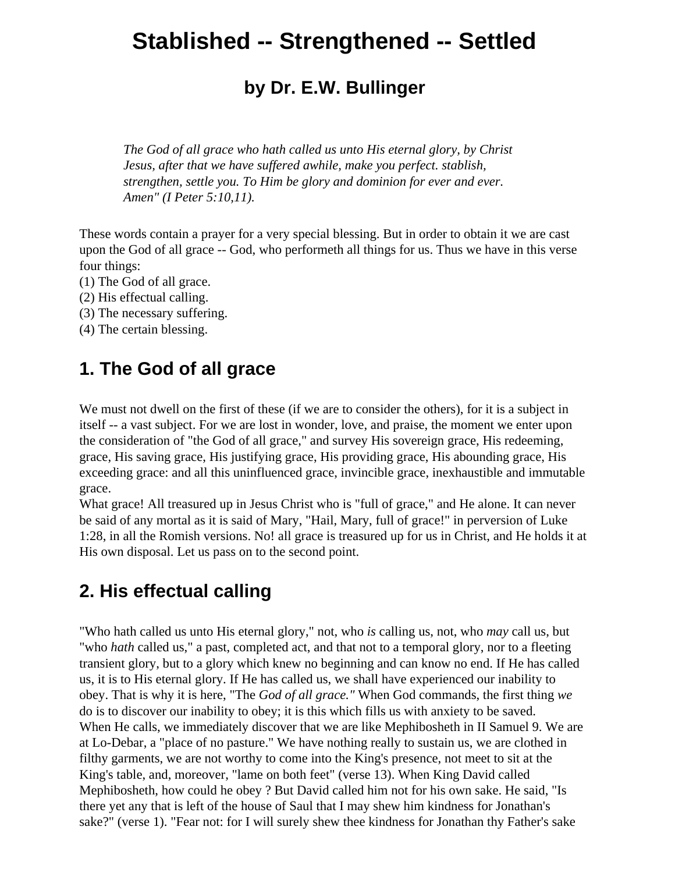# <span id="page-15-0"></span>**Stablished -- Strengthened -- Settled**

## **by Dr. E.W. Bullinger**

*The God of all grace who hath called us unto His eternal glory, by Christ Jesus, after that we have suffered awhile, make you perfect. stablish, strengthen, settle you. To Him be glory and dominion for ever and ever. Amen" (I Peter 5:10,11).*

These words contain a prayer for a very special blessing. But in order to obtain it we are cast upon the God of all grace -- God, who performeth all things for us. Thus we have in this verse four things:

- (1) The God of all grace.
- (2) His effectual calling.
- (3) The necessary suffering.
- (4) The certain blessing.

## **1. The God of all grace**

We must not dwell on the first of these (if we are to consider the others), for it is a subject in itself -- a vast subject. For we are lost in wonder, love, and praise, the moment we enter upon the consideration of "the God of all grace," and survey His sovereign grace, His redeeming, grace, His saving grace, His justifying grace, His providing grace, His abounding grace, His exceeding grace: and all this uninfluenced grace, invincible grace, inexhaustible and immutable grace.

What grace! All treasured up in Jesus Christ who is "full of grace," and He alone. It can never be said of any mortal as it is said of Mary, "Hail, Mary, full of grace!" in perversion of Luke 1:28, in all the Romish versions. No! all grace is treasured up for us in Christ, and He holds it at His own disposal. Let us pass on to the second point.

## **2. His effectual calling**

"Who hath called us unto His eternal glory," not, who *is* calling us, not, who *may* call us, but "who *hath* called us," a past, completed act, and that not to a temporal glory, nor to a fleeting transient glory, but to a glory which knew no beginning and can know no end. If He has called us, it is to His eternal glory. If He has called us, we shall have experienced our inability to obey. That is why it is here, "The *God of all grace."* When God commands, the first thing *we* do is to discover our inability to obey; it is this which fills us with anxiety to be saved. When He calls, we immediately discover that we are like Mephibosheth in II Samuel 9. We are at Lo-Debar, a "place of no pasture." We have nothing really to sustain us, we are clothed in filthy garments, we are not worthy to come into the King's presence, not meet to sit at the King's table, and, moreover, "lame on both feet" (verse 13). When King David called Mephibosheth, how could he obey ? But David called him not for his own sake. He said, "Is there yet any that is left of the house of Saul that I may shew him kindness for Jonathan's sake?" (verse 1). "Fear not: for I will surely shew thee kindness for Jonathan thy Father's sake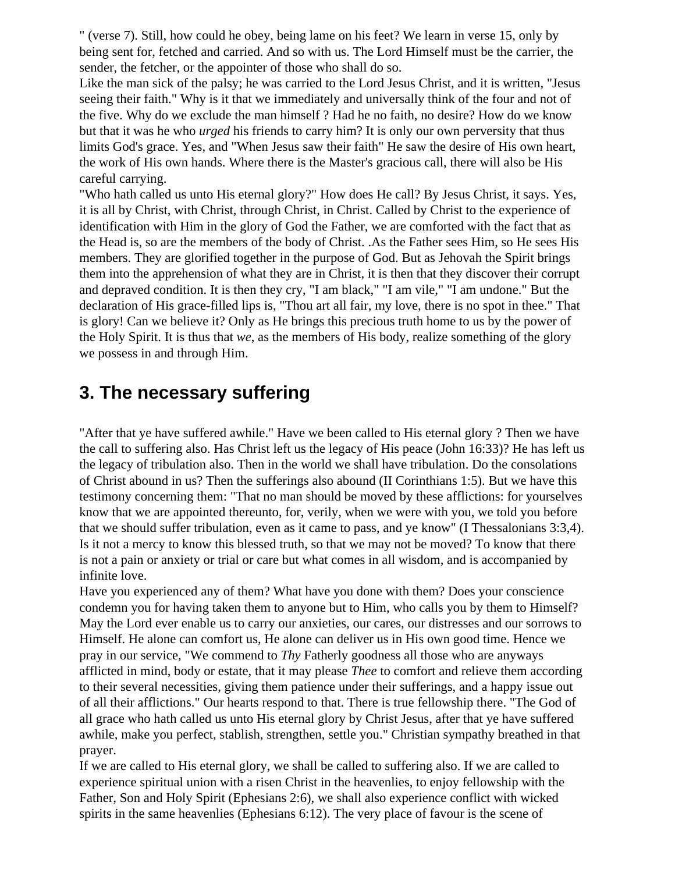" (verse 7). Still, how could he obey, being lame on his feet? We learn in verse 15, only by being sent for, fetched and carried. And so with us. The Lord Himself must be the carrier, the sender, the fetcher, or the appointer of those who shall do so.

Like the man sick of the palsy; he was carried to the Lord Jesus Christ, and it is written, "Jesus seeing their faith." Why is it that we immediately and universally think of the four and not of the five. Why do we exclude the man himself ? Had he no faith, no desire? How do we know but that it was he who *urged* his friends to carry him? It is only our own perversity that thus limits God's grace. Yes, and "When Jesus saw their faith" He saw the desire of His own heart, the work of His own hands. Where there is the Master's gracious call, there will also be His careful carrying.

"Who hath called us unto His eternal glory?" How does He call? By Jesus Christ, it says. Yes, it is all by Christ, with Christ, through Christ, in Christ. Called by Christ to the experience of identification with Him in the glory of God the Father, we are comforted with the fact that as the Head is, so are the members of the body of Christ. .As the Father sees Him, so He sees His members. They are glorified together in the purpose of God. But as Jehovah the Spirit brings them into the apprehension of what they are in Christ, it is then that they discover their corrupt and depraved condition. It is then they cry, "I am black," "I am vile," "I am undone." But the declaration of His grace-filled lips is, "Thou art all fair, my love, there is no spot in thee." That is glory! Can we believe it? Only as He brings this precious truth home to us by the power of the Holy Spirit. It is thus that *we*, as the members of His body, realize something of the glory we possess in and through Him.

## **3. The necessary suffering**

"After that ye have suffered awhile." Have we been called to His eternal glory ? Then we have the call to suffering also. Has Christ left us the legacy of His peace (John 16:33)? He has left us the legacy of tribulation also. Then in the world we shall have tribulation. Do the consolations of Christ abound in us? Then the sufferings also abound (II Corinthians 1:5). But we have this testimony concerning them: "That no man should be moved by these afflictions: for yourselves know that we are appointed thereunto, for, verily, when we were with you, we told you before that we should suffer tribulation, even as it came to pass, and ye know" (I Thessalonians 3:3,4). Is it not a mercy to know this blessed truth, so that we may not be moved? To know that there is not a pain or anxiety or trial or care but what comes in all wisdom, and is accompanied by infinite love.

Have you experienced any of them? What have you done with them? Does your conscience condemn you for having taken them to anyone but to Him, who calls you by them to Himself? May the Lord ever enable us to carry our anxieties, our cares, our distresses and our sorrows to Himself. He alone can comfort us, He alone can deliver us in His own good time. Hence we pray in our service, "We commend to *Thy* Fatherly goodness all those who are anyways afflicted in mind, body or estate, that it may please *Thee* to comfort and relieve them according to their several necessities, giving them patience under their sufferings, and a happy issue out of all their afflictions." Our hearts respond to that. There is true fellowship there. "The God of all grace who hath called us unto His eternal glory by Christ Jesus, after that ye have suffered awhile, make you perfect, stablish, strengthen, settle you." Christian sympathy breathed in that prayer.

If we are called to His eternal glory, we shall be called to suffering also. If we are called to experience spiritual union with a risen Christ in the heavenlies, to enjoy fellowship with the Father, Son and Holy Spirit (Ephesians 2:6), we shall also experience conflict with wicked spirits in the same heavenlies (Ephesians 6:12). The very place of favour is the scene of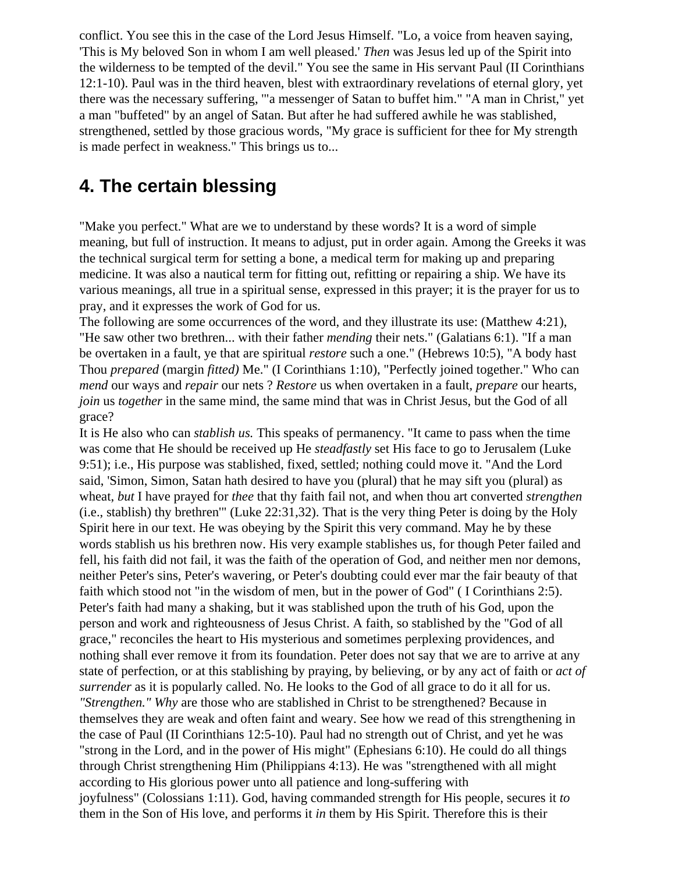conflict. You see this in the case of the Lord Jesus Himself. "Lo, a voice from heaven saying, 'This is My beloved Son in whom I am well pleased.' *Then* was Jesus led up of the Spirit into the wilderness to be tempted of the devil." You see the same in His servant Paul (II Corinthians 12:1-10). Paul was in the third heaven, blest with extraordinary revelations of eternal glory, yet there was the necessary suffering, '"a messenger of Satan to buffet him." "A man in Christ," yet a man "buffeted" by an angel of Satan. But after he had suffered awhile he was stablished, strengthened, settled by those gracious words, "My grace is sufficient for thee for My strength is made perfect in weakness." This brings us to...

## **4. The certain blessing**

"Make you perfect." What are we to understand by these words? It is a word of simple meaning, but full of instruction. It means to adjust, put in order again. Among the Greeks it was the technical surgical term for setting a bone, a medical term for making up and preparing medicine. It was also a nautical term for fitting out, refitting or repairing a ship. We have its various meanings, all true in a spiritual sense, expressed in this prayer; it is the prayer for us to pray, and it expresses the work of God for us.

The following are some occurrences of the word, and they illustrate its use: (Matthew 4:21), "He saw other two brethren... with their father *mending* their nets." (Galatians 6:1). "If a man be overtaken in a fault, ye that are spiritual *restore* such a one." (Hebrews 10:5), "A body hast Thou *prepared* (margin *fitted)* Me." (I Corinthians 1:10), "Perfectly joined together." Who can *mend* our ways and *repair* our nets ? *Restore* us when overtaken in a fault, *prepare* our hearts, *join* us *together* in the same mind, the same mind that was in Christ Jesus, but the God of all grace?

It is He also who can *stablish us.* This speaks of permanency. "It came to pass when the time was come that He should be received up He *steadfastly* set His face to go to Jerusalem (Luke 9:51); i.e., His purpose was stablished, fixed, settled; nothing could move it. "And the Lord said, 'Simon, Simon, Satan hath desired to have you (plural) that he may sift you (plural) as wheat, *but* I have prayed for *thee* that thy faith fail not, and when thou art converted *strengthen*  (i.e., stablish) thy brethren'" (Luke 22:31,32). That is the very thing Peter is doing by the Holy Spirit here in our text. He was obeying by the Spirit this very command. May he by these words stablish us his brethren now. His very example stablishes us, for though Peter failed and fell, his faith did not fail, it was the faith of the operation of God, and neither men nor demons, neither Peter's sins, Peter's wavering, or Peter's doubting could ever mar the fair beauty of that faith which stood not "in the wisdom of men, but in the power of God" ( I Corinthians 2:5). Peter's faith had many a shaking, but it was stablished upon the truth of his God, upon the person and work and righteousness of Jesus Christ. A faith, so stablished by the "God of all grace," reconciles the heart to His mysterious and sometimes perplexing providences, and nothing shall ever remove it from its foundation. Peter does not say that we are to arrive at any state of perfection, or at this stablishing by praying, by believing, or by any act of faith or *act of surrender* as it is popularly called. No. He looks to the God of all grace to do it all for us. *"Strengthen." Why* are those who are stablished in Christ to be strengthened? Because in themselves they are weak and often faint and weary. See how we read of this strengthening in the case of Paul (II Corinthians 12:5-10). Paul had no strength out of Christ, and yet he was "strong in the Lord, and in the power of His might" (Ephesians 6:10). He could do all things through Christ strengthening Him (Philippians 4:13). He was "strengthened with all might according to His glorious power unto all patience and long-suffering with joyfulness" (Colossians 1:11). God, having commanded strength for His people, secures it *to*  them in the Son of His love, and performs it *in* them by His Spirit. Therefore this is their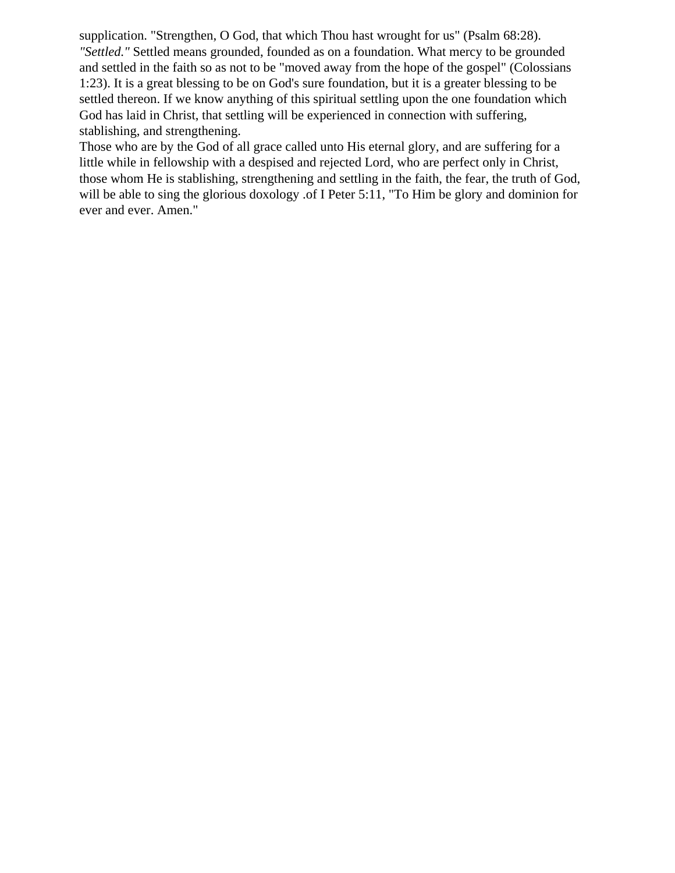supplication. "Strengthen, O God, that which Thou hast wrought for us" (Psalm 68:28). *"Settled."* Settled means grounded, founded as on a foundation. What mercy to be grounded and settled in the faith so as not to be "moved away from the hope of the gospel" (Colossians 1:23). It is a great blessing to be on God's sure foundation, but it is a greater blessing to be settled thereon. If we know anything of this spiritual settling upon the one foundation which God has laid in Christ, that settling will be experienced in connection with suffering, stablishing, and strengthening.

Those who are by the God of all grace called unto His eternal glory, and are suffering for a little while in fellowship with a despised and rejected Lord, who are perfect only in Christ, those whom He is stablishing, strengthening and settling in the faith, the fear, the truth of God, will be able to sing the glorious doxology .of I Peter 5:11, "To Him be glory and dominion for ever and ever. Amen."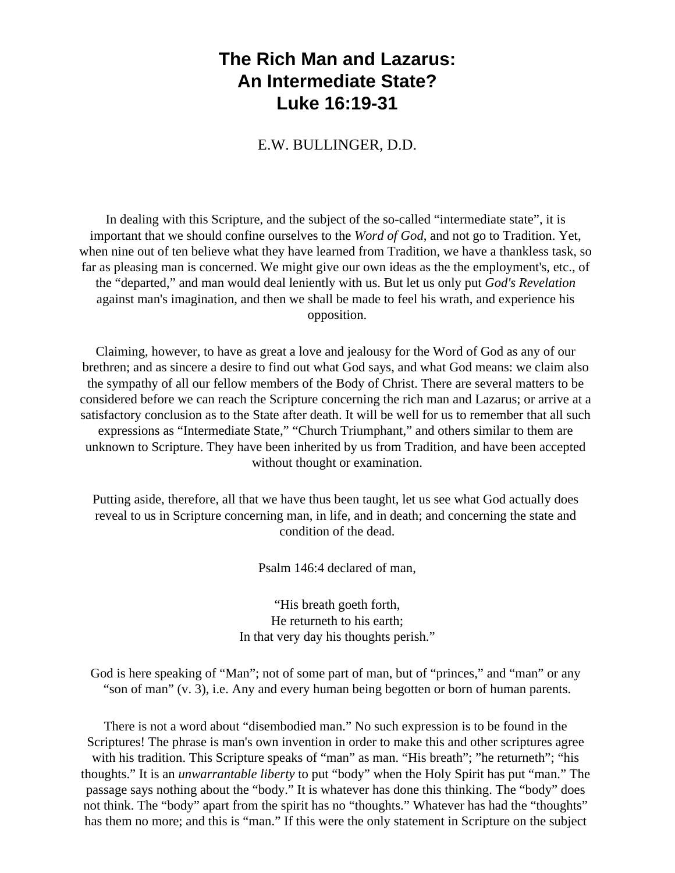## <span id="page-19-0"></span>**The Rich Man and Lazarus: An Intermediate State? Luke 16:19-31**

E.W. BULLINGER, D.D.

In dealing with this Scripture, and the subject of the so-called "intermediate state", it is important that we should confine ourselves to the *Word of God*, and not go to Tradition. Yet, when nine out of ten believe what they have learned from Tradition, we have a thankless task, so far as pleasing man is concerned. We might give our own ideas as the the employment's, etc., of the "departed," and man would deal leniently with us. But let us only put *God's Revelation* against man's imagination, and then we shall be made to feel his wrath, and experience his opposition.

Claiming, however, to have as great a love and jealousy for the Word of God as any of our brethren; and as sincere a desire to find out what God says, and what God means: we claim also the sympathy of all our fellow members of the Body of Christ. There are several matters to be considered before we can reach the Scripture concerning the rich man and Lazarus; or arrive at a satisfactory conclusion as to the State after death. It will be well for us to remember that all such expressions as "Intermediate State," "Church Triumphant," and others similar to them are unknown to Scripture. They have been inherited by us from Tradition, and have been accepted without thought or examination.

Putting aside, therefore, all that we have thus been taught, let us see what God actually does reveal to us in Scripture concerning man, in life, and in death; and concerning the state and condition of the dead.

Psalm 146:4 declared of man,

"His breath goeth forth, He returneth to his earth; In that very day his thoughts perish."

God is here speaking of "Man"; not of some part of man, but of "princes," and "man" or any "son of man" (v. 3), i.e. Any and every human being begotten or born of human parents.

There is not a word about "disembodied man." No such expression is to be found in the Scriptures! The phrase is man's own invention in order to make this and other scriptures agree with his tradition. This Scripture speaks of "man" as man. "His breath"; "he returneth"; "his thoughts." It is an *unwarrantable liberty* to put "body" when the Holy Spirit has put "man." The passage says nothing about the "body." It is whatever has done this thinking. The "body" does not think. The "body" apart from the spirit has no "thoughts." Whatever has had the "thoughts" has them no more; and this is "man." If this were the only statement in Scripture on the subject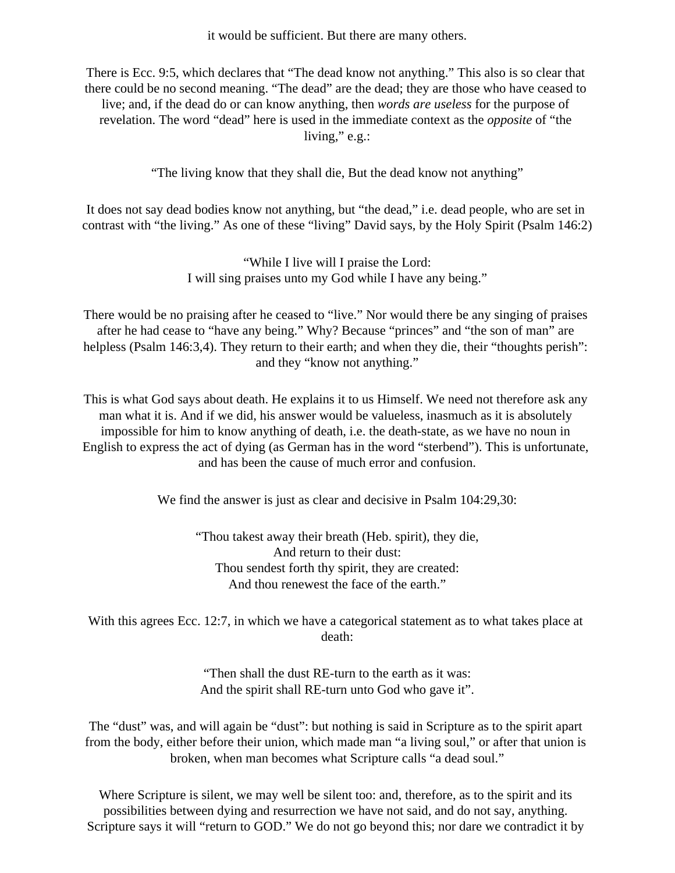it would be sufficient. But there are many others.

There is Ecc. 9:5, which declares that "The dead know not anything." This also is so clear that there could be no second meaning. "The dead" are the dead; they are those who have ceased to live; and, if the dead do or can know anything, then *words are useless* for the purpose of revelation. The word "dead" here is used in the immediate context as the *opposite* of "the living," e.g.:

"The living know that they shall die, But the dead know not anything"

It does not say dead bodies know not anything, but "the dead," i.e. dead people, who are set in contrast with "the living." As one of these "living" David says, by the Holy Spirit (Psalm 146:2)

> "While I live will I praise the Lord: I will sing praises unto my God while I have any being."

There would be no praising after he ceased to "live." Nor would there be any singing of praises after he had cease to "have any being." Why? Because "princes" and "the son of man" are helpless (Psalm 146:3,4). They return to their earth; and when they die, their "thoughts perish": and they "know not anything."

This is what God says about death. He explains it to us Himself. We need not therefore ask any man what it is. And if we did, his answer would be valueless, inasmuch as it is absolutely impossible for him to know anything of death, i.e. the death-state, as we have no noun in English to express the act of dying (as German has in the word "sterbend"). This is unfortunate, and has been the cause of much error and confusion.

We find the answer is just as clear and decisive in Psalm  $104:29,30$ :

"Thou takest away their breath (Heb. spirit), they die, And return to their dust: Thou sendest forth thy spirit, they are created: And thou renewest the face of the earth."

With this agrees Ecc. 12:7, in which we have a categorical statement as to what takes place at death:

> "Then shall the dust RE-turn to the earth as it was: And the spirit shall RE-turn unto God who gave it".

The "dust" was, and will again be "dust": but nothing is said in Scripture as to the spirit apart from the body, either before their union, which made man "a living soul," or after that union is broken, when man becomes what Scripture calls "a dead soul."

Where Scripture is silent, we may well be silent too: and, therefore, as to the spirit and its possibilities between dying and resurrection we have not said, and do not say, anything. Scripture says it will "return to GOD." We do not go beyond this; nor dare we contradict it by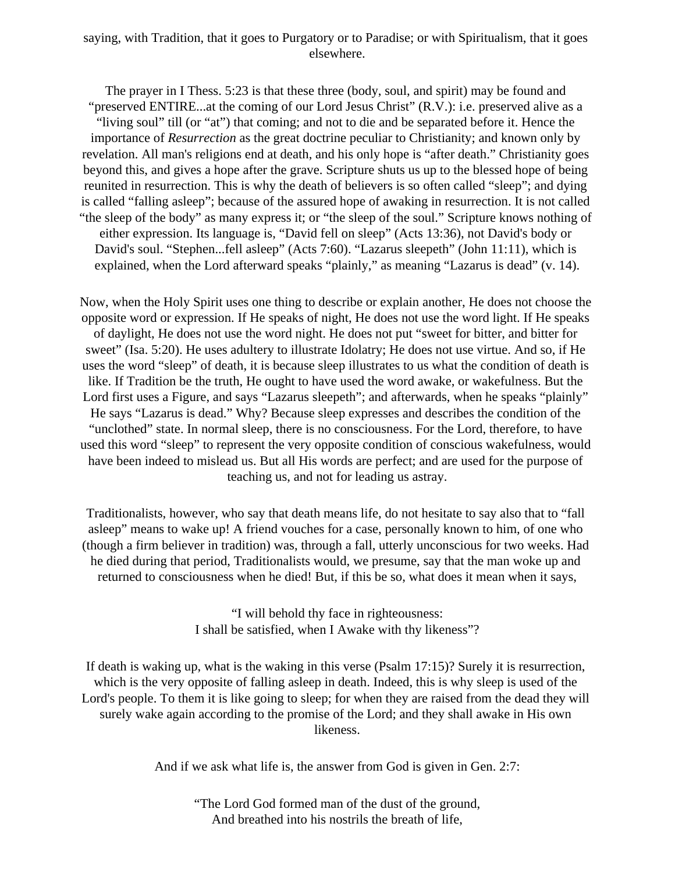#### saying, with Tradition, that it goes to Purgatory or to Paradise; or with Spiritualism, that it goes elsewhere.

The prayer in I Thess. 5:23 is that these three (body, soul, and spirit) may be found and "preserved ENTIRE...at the coming of our Lord Jesus Christ" (R.V.): i.e. preserved alive as a "living soul" till (or "at") that coming; and not to die and be separated before it. Hence the importance of *Resurrection* as the great doctrine peculiar to Christianity; and known only by revelation. All man's religions end at death, and his only hope is "after death." Christianity goes beyond this, and gives a hope after the grave. Scripture shuts us up to the blessed hope of being reunited in resurrection. This is why the death of believers is so often called "sleep"; and dying is called "falling asleep"; because of the assured hope of awaking in resurrection. It is not called "the sleep of the body" as many express it; or "the sleep of the soul." Scripture knows nothing of either expression. Its language is, "David fell on sleep" (Acts 13:36), not David's body or David's soul. "Stephen...fell asleep" (Acts 7:60). "Lazarus sleepeth" (John 11:11), which is explained, when the Lord afterward speaks "plainly," as meaning "Lazarus is dead" (v. 14).

Now, when the Holy Spirit uses one thing to describe or explain another, He does not choose the opposite word or expression. If He speaks of night, He does not use the word light. If He speaks of daylight, He does not use the word night. He does not put "sweet for bitter, and bitter for sweet" (Isa. 5:20). He uses adultery to illustrate Idolatry; He does not use virtue. And so, if He uses the word "sleep" of death, it is because sleep illustrates to us what the condition of death is like. If Tradition be the truth, He ought to have used the word awake, or wakefulness. But the Lord first uses a Figure, and says "Lazarus sleepeth"; and afterwards, when he speaks "plainly" He says "Lazarus is dead." Why? Because sleep expresses and describes the condition of the "unclothed" state. In normal sleep, there is no consciousness. For the Lord, therefore, to have used this word "sleep" to represent the very opposite condition of conscious wakefulness, would have been indeed to mislead us. But all His words are perfect; and are used for the purpose of teaching us, and not for leading us astray.

Traditionalists, however, who say that death means life, do not hesitate to say also that to "fall asleep" means to wake up! A friend vouches for a case, personally known to him, of one who (though a firm believer in tradition) was, through a fall, utterly unconscious for two weeks. Had he died during that period, Traditionalists would, we presume, say that the man woke up and returned to consciousness when he died! But, if this be so, what does it mean when it says,

> "I will behold thy face in righteousness: I shall be satisfied, when I Awake with thy likeness"?

If death is waking up, what is the waking in this verse (Psalm 17:15)? Surely it is resurrection, which is the very opposite of falling asleep in death. Indeed, this is why sleep is used of the Lord's people. To them it is like going to sleep; for when they are raised from the dead they will surely wake again according to the promise of the Lord; and they shall awake in His own likeness.

And if we ask what life is, the answer from God is given in Gen. 2:7:

"The Lord God formed man of the dust of the ground, And breathed into his nostrils the breath of life,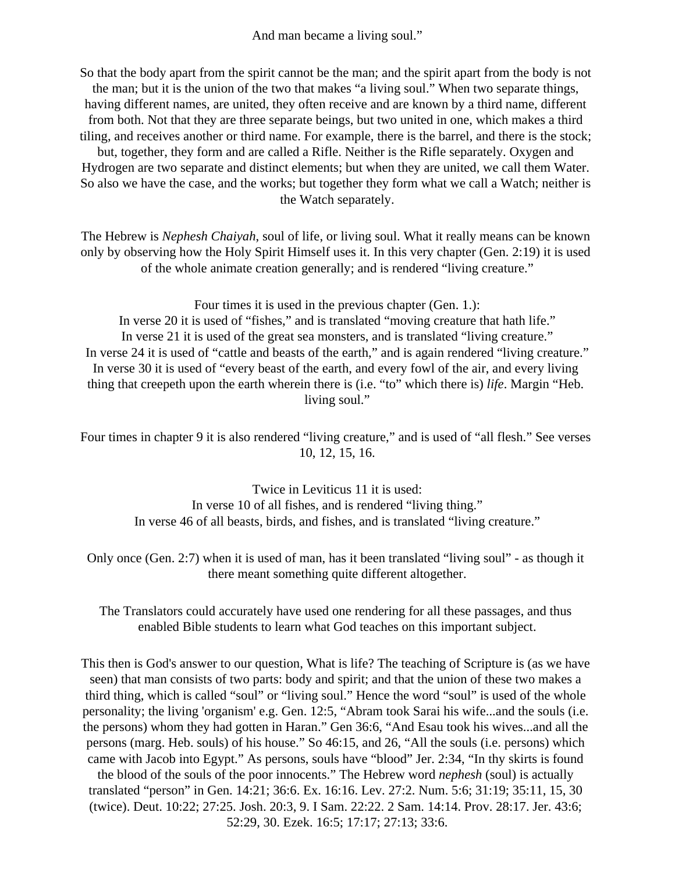And man became a living soul."

So that the body apart from the spirit cannot be the man; and the spirit apart from the body is not the man; but it is the union of the two that makes "a living soul." When two separate things, having different names, are united, they often receive and are known by a third name, different from both. Not that they are three separate beings, but two united in one, which makes a third tiling, and receives another or third name. For example, there is the barrel, and there is the stock; but, together, they form and are called a Rifle. Neither is the Rifle separately. Oxygen and Hydrogen are two separate and distinct elements; but when they are united, we call them Water. So also we have the case, and the works; but together they form what we call a Watch; neither is the Watch separately.

The Hebrew is *Nephesh Chaiyah*, soul of life, or living soul. What it really means can be known only by observing how the Holy Spirit Himself uses it. In this very chapter (Gen. 2:19) it is used of the whole animate creation generally; and is rendered "living creature."

Four times it is used in the previous chapter (Gen. 1.): In verse 20 it is used of "fishes," and is translated "moving creature that hath life." In verse 21 it is used of the great sea monsters, and is translated "living creature." In verse 24 it is used of "cattle and beasts of the earth," and is again rendered "living creature." In verse 30 it is used of "every beast of the earth, and every fowl of the air, and every living thing that creepeth upon the earth wherein there is (i.e. "to" which there is) *life*. Margin "Heb.

living soul."

Four times in chapter 9 it is also rendered "living creature," and is used of "all flesh." See verses 10, 12, 15, 16.

> Twice in Leviticus 11 it is used: In verse 10 of all fishes, and is rendered "living thing." In verse 46 of all beasts, birds, and fishes, and is translated "living creature."

Only once (Gen. 2:7) when it is used of man, has it been translated "living soul" - as though it there meant something quite different altogether.

The Translators could accurately have used one rendering for all these passages, and thus enabled Bible students to learn what God teaches on this important subject.

This then is God's answer to our question, What is life? The teaching of Scripture is (as we have seen) that man consists of two parts: body and spirit; and that the union of these two makes a third thing, which is called "soul" or "living soul." Hence the word "soul" is used of the whole personality; the living 'organism' e.g. Gen. 12:5, "Abram took Sarai his wife...and the souls (i.e. the persons) whom they had gotten in Haran." Gen 36:6, "And Esau took his wives...and all the persons (marg. Heb. souls) of his house." So 46:15, and 26, "All the souls (i.e. persons) which came with Jacob into Egypt." As persons, souls have "blood" Jer. 2:34, "In thy skirts is found the blood of the souls of the poor innocents." The Hebrew word *nephesh* (soul) is actually translated "person" in Gen. 14:21; 36:6. Ex. 16:16. Lev. 27:2. Num. 5:6; 31:19; 35:11, 15, 30 (twice). Deut. 10:22; 27:25. Josh. 20:3, 9. I Sam. 22:22. 2 Sam. 14:14. Prov. 28:17. Jer. 43:6; 52:29, 30. Ezek. 16:5; 17:17; 27:13; 33:6.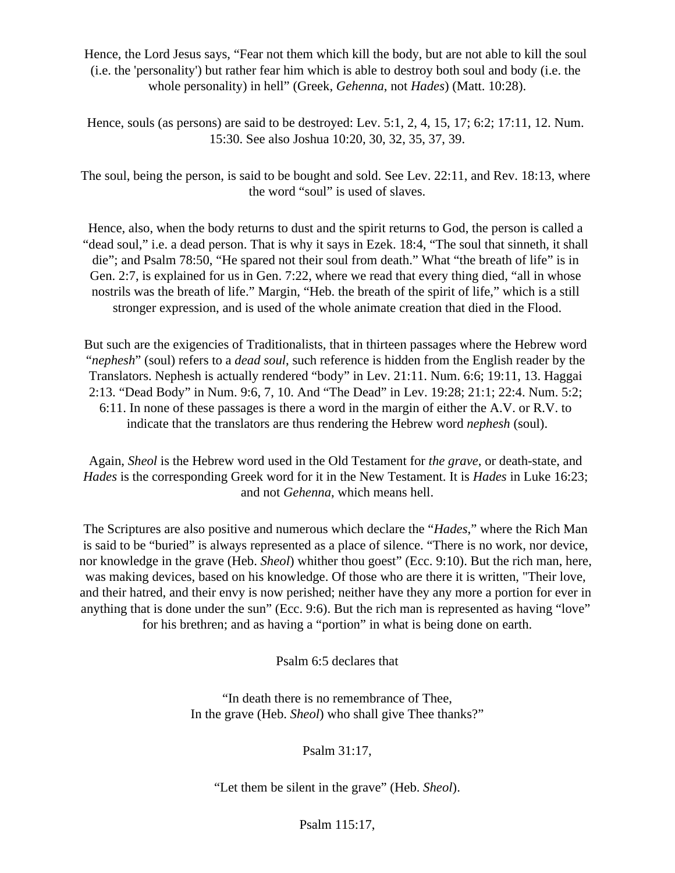Hence, the Lord Jesus says, "Fear not them which kill the body, but are not able to kill the soul (i.e. the 'personality') but rather fear him which is able to destroy both soul and body (i.e. the whole personality) in hell" (Greek, *Gehenna*, not *Hades*) (Matt. 10:28).

Hence, souls (as persons) are said to be destroyed: Lev. 5:1, 2, 4, 15, 17; 6:2; 17:11, 12. Num. 15:30. See also Joshua 10:20, 30, 32, 35, 37, 39.

The soul, being the person, is said to be bought and sold. See Lev. 22:11, and Rev. 18:13, where the word "soul" is used of slaves.

Hence, also, when the body returns to dust and the spirit returns to God, the person is called a "dead soul," i.e. a dead person. That is why it says in Ezek. 18:4, "The soul that sinneth, it shall die"; and Psalm 78:50, "He spared not their soul from death." What "the breath of life" is in Gen. 2:7, is explained for us in Gen. 7:22, where we read that every thing died, "all in whose nostrils was the breath of life." Margin, "Heb. the breath of the spirit of life," which is a still stronger expression, and is used of the whole animate creation that died in the Flood.

But such are the exigencies of Traditionalists, that in thirteen passages where the Hebrew word "*nephesh*" (soul) refers to a *dead soul*, such reference is hidden from the English reader by the Translators. Nephesh is actually rendered "body" in Lev. 21:11. Num. 6:6; 19:11, 13. Haggai 2:13. "Dead Body" in Num. 9:6, 7, 10. And "The Dead" in Lev. 19:28; 21:1; 22:4. Num. 5:2; 6:11. In none of these passages is there a word in the margin of either the A.V. or R.V. to indicate that the translators are thus rendering the Hebrew word *nephesh* (soul).

Again, *Sheol* is the Hebrew word used in the Old Testament for *the grave*, or death-state, and *Hades* is the corresponding Greek word for it in the New Testament. It is *Hades* in Luke 16:23; and not *Gehenna*, which means hell.

The Scriptures are also positive and numerous which declare the "*Hades*," where the Rich Man is said to be "buried" is always represented as a place of silence. "There is no work, nor device, nor knowledge in the grave (Heb. *Sheol*) whither thou goest" (Ecc. 9:10). But the rich man, here, was making devices, based on his knowledge. Of those who are there it is written, "Their love, and their hatred, and their envy is now perished; neither have they any more a portion for ever in anything that is done under the sun" (Ecc. 9:6). But the rich man is represented as having "love" for his brethren; and as having a "portion" in what is being done on earth.

Psalm 6:5 declares that

"In death there is no remembrance of Thee, In the grave (Heb. *Sheol*) who shall give Thee thanks?"

Psalm 31:17,

"Let them be silent in the grave" (Heb. *Sheol*).

Psalm 115:17,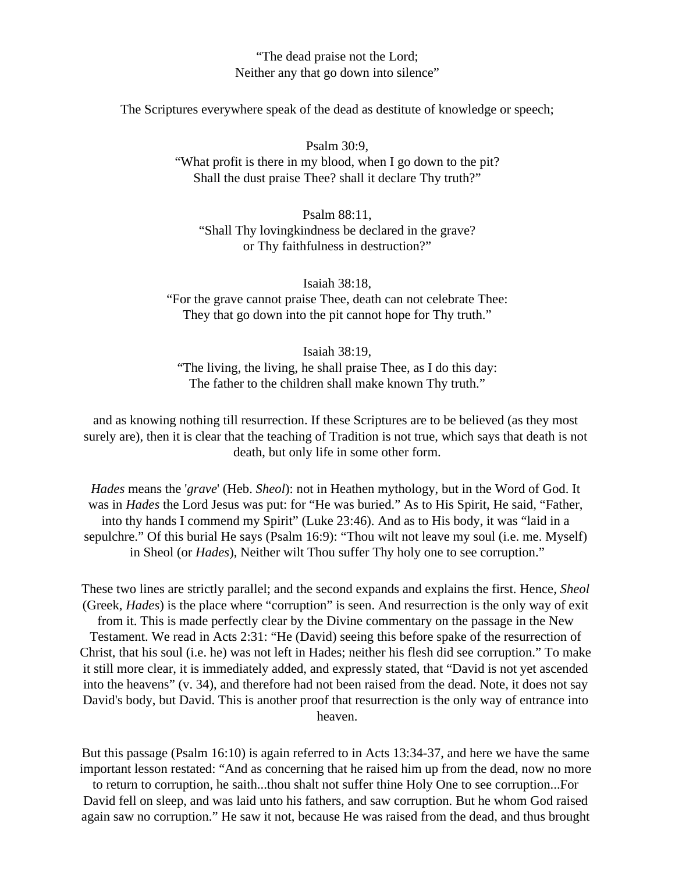"The dead praise not the Lord; Neither any that go down into silence"

The Scriptures everywhere speak of the dead as destitute of knowledge or speech;

Psalm 30:9, "What profit is there in my blood, when I go down to the pit? Shall the dust praise Thee? shall it declare Thy truth?"

Psalm 88:11, "Shall Thy lovingkindness be declared in the grave? or Thy faithfulness in destruction?"

Isaiah 38:18, "For the grave cannot praise Thee, death can not celebrate Thee: They that go down into the pit cannot hope for Thy truth."

Isaiah 38:19, "The living, the living, he shall praise Thee, as I do this day: The father to the children shall make known Thy truth."

and as knowing nothing till resurrection. If these Scriptures are to be believed (as they most surely are), then it is clear that the teaching of Tradition is not true, which says that death is not death, but only life in some other form.

*Hades* means the '*grave*' (Heb. *Sheol*): not in Heathen mythology, but in the Word of God. It was in *Hades* the Lord Jesus was put: for "He was buried." As to His Spirit, He said, "Father, into thy hands I commend my Spirit" (Luke 23:46). And as to His body, it was "laid in a sepulchre." Of this burial He says (Psalm 16:9): "Thou wilt not leave my soul (i.e. me. Myself) in Sheol (or *Hades*), Neither wilt Thou suffer Thy holy one to see corruption."

These two lines are strictly parallel; and the second expands and explains the first. Hence, *Sheol* (Greek, *Hades*) is the place where "corruption" is seen. And resurrection is the only way of exit from it. This is made perfectly clear by the Divine commentary on the passage in the New Testament. We read in Acts 2:31: "He (David) seeing this before spake of the resurrection of Christ, that his soul (i.e. he) was not left in Hades; neither his flesh did see corruption." To make it still more clear, it is immediately added, and expressly stated, that "David is not yet ascended into the heavens" (v. 34), and therefore had not been raised from the dead. Note, it does not say David's body, but David. This is another proof that resurrection is the only way of entrance into heaven.

But this passage (Psalm 16:10) is again referred to in Acts 13:34-37, and here we have the same important lesson restated: "And as concerning that he raised him up from the dead, now no more to return to corruption, he saith...thou shalt not suffer thine Holy One to see corruption...For David fell on sleep, and was laid unto his fathers, and saw corruption. But he whom God raised again saw no corruption." He saw it not, because He was raised from the dead, and thus brought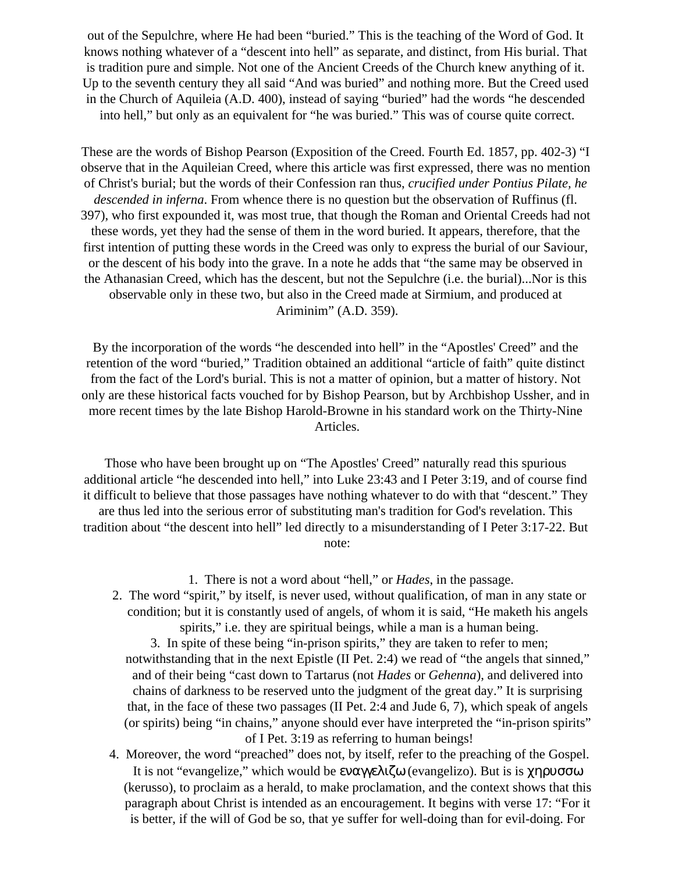out of the Sepulchre, where He had been "buried." This is the teaching of the Word of God. It knows nothing whatever of a "descent into hell" as separate, and distinct, from His burial. That is tradition pure and simple. Not one of the Ancient Creeds of the Church knew anything of it. Up to the seventh century they all said "And was buried" and nothing more. But the Creed used in the Church of Aquileia (A.D. 400), instead of saying "buried" had the words "he descended into hell," but only as an equivalent for "he was buried." This was of course quite correct.

These are the words of Bishop Pearson (Exposition of the Creed. Fourth Ed. 1857, pp. 402-3) "I observe that in the Aquileian Creed, where this article was first expressed, there was no mention of Christ's burial; but the words of their Confession ran thus, *crucified under Pontius Pilate, he descended in inferna*. From whence there is no question but the observation of Ruffinus (fl. 397), who first expounded it, was most true, that though the Roman and Oriental Creeds had not these words, yet they had the sense of them in the word buried. It appears, therefore, that the first intention of putting these words in the Creed was only to express the burial of our Saviour, or the descent of his body into the grave. In a note he adds that "the same may be observed in the Athanasian Creed, which has the descent, but not the Sepulchre (i.e. the burial)...Nor is this observable only in these two, but also in the Creed made at Sirmium, and produced at Ariminim" (A.D. 359).

By the incorporation of the words "he descended into hell" in the "Apostles' Creed" and the retention of the word "buried," Tradition obtained an additional "article of faith" quite distinct from the fact of the Lord's burial. This is not a matter of opinion, but a matter of history. Not only are these historical facts vouched for by Bishop Pearson, but by Archbishop Ussher, and in more recent times by the late Bishop Harold-Browne in his standard work on the Thirty-Nine Articles.

Those who have been brought up on "The Apostles' Creed" naturally read this spurious additional article "he descended into hell," into Luke 23:43 and I Peter 3:19, and of course find it difficult to believe that those passages have nothing whatever to do with that "descent." They are thus led into the serious error of substituting man's tradition for God's revelation. This tradition about "the descent into hell" led directly to a misunderstanding of I Peter 3:17-22. But note:

1. There is not a word about "hell," or *Hades*, in the passage. 2. The word "spirit," by itself, is never used, without qualification, of man in any state or condition; but it is constantly used of angels, of whom it is said, "He maketh his angels spirits," i.e. they are spiritual beings, while a man is a human being. 3. In spite of these being "in-prison spirits," they are taken to refer to men; notwithstanding that in the next Epistle (II Pet. 2:4) we read of "the angels that sinned," and of their being "cast down to Tartarus (not *Hades* or *Gehenna*), and delivered into chains of darkness to be reserved unto the judgment of the great day." It is surprising that, in the face of these two passages (II Pet. 2:4 and Jude 6, 7), which speak of angels (or spirits) being "in chains," anyone should ever have interpreted the "in-prison spirits"

of I Pet. 3:19 as referring to human beings!

4. Moreover, the word "preached" does not, by itself, refer to the preaching of the Gospel. It is not "evangelize," which would be εναγγελιζω (evangelizo). But is is  $\gamma \eta \rho \nu \sigma \sigma \omega$ (kerusso), to proclaim as a herald, to make proclamation, and the context shows that this paragraph about Christ is intended as an encouragement. It begins with verse 17: "For it is better, if the will of God be so, that ye suffer for well-doing than for evil-doing. For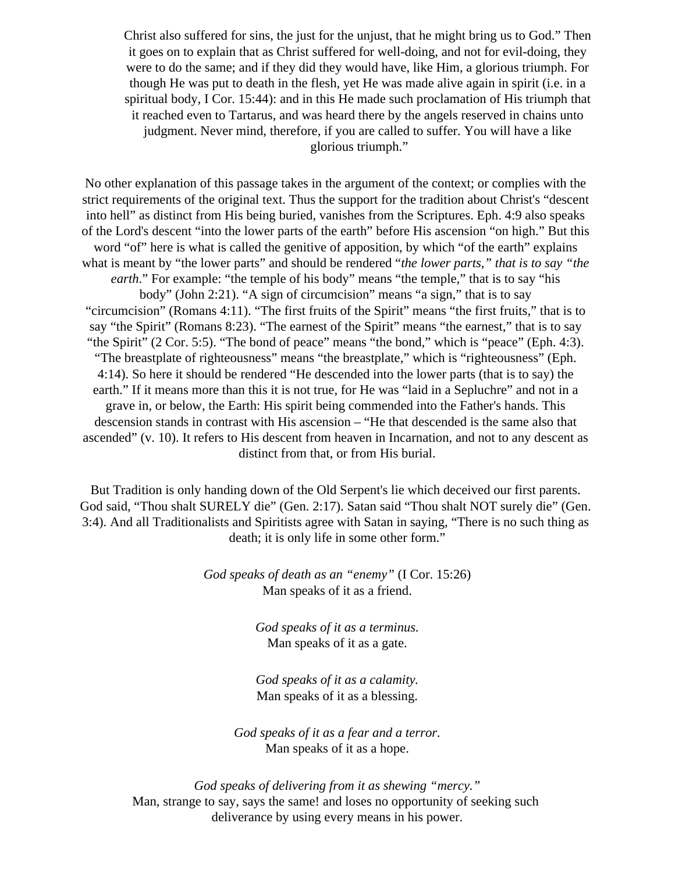Christ also suffered for sins, the just for the unjust, that he might bring us to God." Then it goes on to explain that as Christ suffered for well-doing, and not for evil-doing, they were to do the same; and if they did they would have, like Him, a glorious triumph. For though He was put to death in the flesh, yet He was made alive again in spirit (i.e. in a spiritual body, I Cor. 15:44): and in this He made such proclamation of His triumph that it reached even to Tartarus, and was heard there by the angels reserved in chains unto judgment. Never mind, therefore, if you are called to suffer. You will have a like glorious triumph."

No other explanation of this passage takes in the argument of the context; or complies with the strict requirements of the original text. Thus the support for the tradition about Christ's "descent into hell" as distinct from His being buried, vanishes from the Scriptures. Eph. 4:9 also speaks of the Lord's descent "into the lower parts of the earth" before His ascension "on high." But this word "of" here is what is called the genitive of apposition, by which "of the earth" explains what is meant by "the lower parts" and should be rendered "*the lower parts," that is to say "the earth.*" For example: "the temple of his body" means "the temple," that is to say "his body" (John 2:21). "A sign of circumcision" means "a sign," that is to say "circumcision" (Romans 4:11). "The first fruits of the Spirit" means "the first fruits," that is to say "the Spirit" (Romans 8:23). "The earnest of the Spirit" means "the earnest," that is to say "the Spirit" (2 Cor. 5:5). "The bond of peace" means "the bond," which is "peace" (Eph. 4:3). "The breastplate of righteousness" means "the breastplate," which is "righteousness" (Eph. 4:14). So here it should be rendered "He descended into the lower parts (that is to say) the earth." If it means more than this it is not true, for He was "laid in a Sepluchre" and not in a grave in, or below, the Earth: His spirit being commended into the Father's hands. This descension stands in contrast with His ascension – "He that descended is the same also that ascended" (v. 10). It refers to His descent from heaven in Incarnation, and not to any descent as distinct from that, or from His burial.

But Tradition is only handing down of the Old Serpent's lie which deceived our first parents. God said, "Thou shalt SURELY die" (Gen. 2:17). Satan said "Thou shalt NOT surely die" (Gen. 3:4). And all Traditionalists and Spiritists agree with Satan in saying, "There is no such thing as death; it is only life in some other form."

> *God speaks of death as an "enemy"* (I Cor. 15:26) Man speaks of it as a friend.

> > *God speaks of it as a terminus.* Man speaks of it as a gate.

> > *God speaks of it as a calamity.* Man speaks of it as a blessing.

*God speaks of it as a fear and a terror.* Man speaks of it as a hope.

*God speaks of delivering from it as shewing "mercy."* Man, strange to say, says the same! and loses no opportunity of seeking such deliverance by using every means in his power.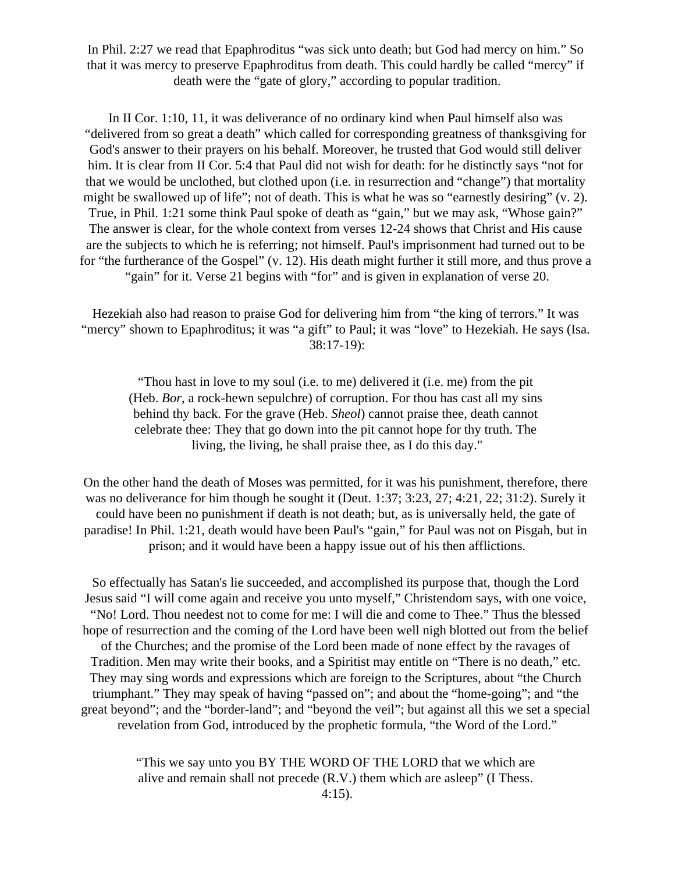In Phil. 2:27 we read that Epaphroditus "was sick unto death; but God had mercy on him." So that it was mercy to preserve Epaphroditus from death. This could hardly be called "mercy" if death were the "gate of glory," according to popular tradition.

In II Cor. 1:10, 11, it was deliverance of no ordinary kind when Paul himself also was "delivered from so great a death" which called for corresponding greatness of thanksgiving for God's answer to their prayers on his behalf. Moreover, he trusted that God would still deliver him. It is clear from II Cor. 5:4 that Paul did not wish for death: for he distinctly says "not for that we would be unclothed, but clothed upon (i.e. in resurrection and "change") that mortality might be swallowed up of life"; not of death. This is what he was so "earnestly desiring" (v. 2). True, in Phil. 1:21 some think Paul spoke of death as "gain," but we may ask, "Whose gain?" The answer is clear, for the whole context from verses 12-24 shows that Christ and His cause are the subjects to which he is referring; not himself. Paul's imprisonment had turned out to be for "the furtherance of the Gospel" (v. 12). His death might further it still more, and thus prove a "gain" for it. Verse 21 begins with "for" and is given in explanation of verse 20.

Hezekiah also had reason to praise God for delivering him from "the king of terrors." It was "mercy" shown to Epaphroditus; it was "a gift" to Paul; it was "love" to Hezekiah. He says (Isa. 38:17-19):

"Thou hast in love to my soul (i.e. to me) delivered it (i.e. me) from the pit (Heb. *Bor*, a rock-hewn sepulchre) of corruption. For thou has cast all my sins behind thy back. For the grave (Heb. *Sheol*) cannot praise thee, death cannot celebrate thee: They that go down into the pit cannot hope for thy truth. The living, the living, he shall praise thee, as I do this day."

On the other hand the death of Moses was permitted, for it was his punishment, therefore, there was no deliverance for him though he sought it (Deut. 1:37; 3:23, 27; 4:21, 22; 31:2). Surely it could have been no punishment if death is not death; but, as is universally held, the gate of paradise! In Phil. 1:21, death would have been Paul's "gain," for Paul was not on Pisgah, but in prison; and it would have been a happy issue out of his then afflictions.

So effectually has Satan's lie succeeded, and accomplished its purpose that, though the Lord Jesus said "I will come again and receive you unto myself," Christendom says, with one voice, "No! Lord. Thou needest not to come for me: I will die and come to Thee." Thus the blessed hope of resurrection and the coming of the Lord have been well nigh blotted out from the belief of the Churches; and the promise of the Lord been made of none effect by the ravages of Tradition. Men may write their books, and a Spiritist may entitle on "There is no death," etc. They may sing words and expressions which are foreign to the Scriptures, about "the Church triumphant." They may speak of having "passed on"; and about the "home-going"; and "the great beyond"; and the "border-land"; and "beyond the veil"; but against all this we set a special revelation from God, introduced by the prophetic formula, "the Word of the Lord."

> "This we say unto you BY THE WORD OF THE LORD that we which are alive and remain shall not precede (R.V.) them which are asleep" (I Thess. 4:15).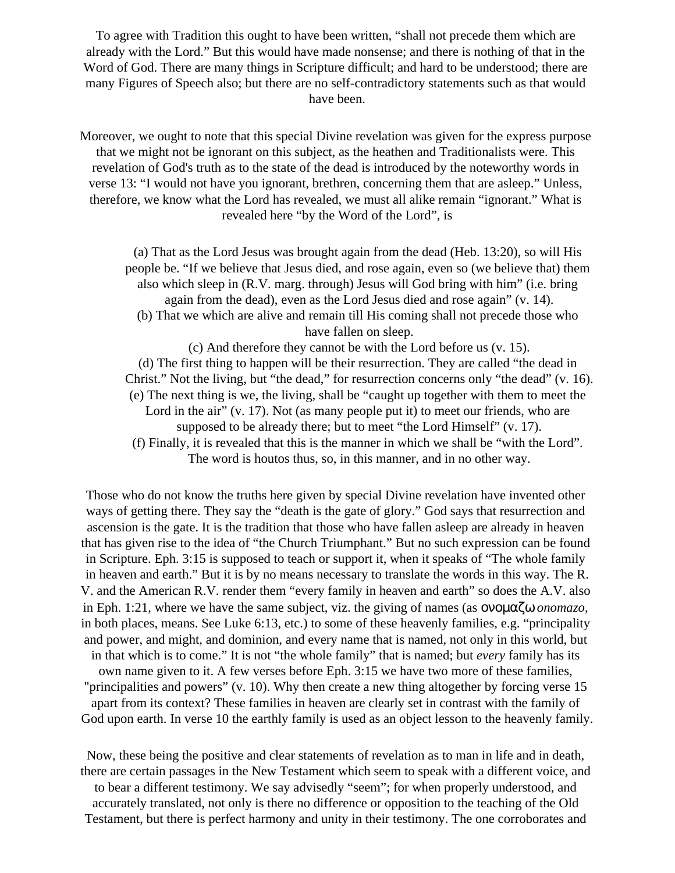To agree with Tradition this ought to have been written, "shall not precede them which are already with the Lord." But this would have made nonsense; and there is nothing of that in the Word of God. There are many things in Scripture difficult; and hard to be understood; there are many Figures of Speech also; but there are no self-contradictory statements such as that would have been.

Moreover, we ought to note that this special Divine revelation was given for the express purpose that we might not be ignorant on this subject, as the heathen and Traditionalists were. This revelation of God's truth as to the state of the dead is introduced by the noteworthy words in verse 13: "I would not have you ignorant, brethren, concerning them that are asleep." Unless, therefore, we know what the Lord has revealed, we must all alike remain "ignorant." What is revealed here "by the Word of the Lord", is

(a) That as the Lord Jesus was brought again from the dead (Heb. 13:20), so will His people be. "If we believe that Jesus died, and rose again, even so (we believe that) them also which sleep in (R.V. marg. through) Jesus will God bring with him" (i.e. bring again from the dead), even as the Lord Jesus died and rose again" (v. 14). (b) That we which are alive and remain till His coming shall not precede those who have fallen on sleep. (c) And therefore they cannot be with the Lord before us (v. 15).

(d) The first thing to happen will be their resurrection. They are called "the dead in Christ." Not the living, but "the dead," for resurrection concerns only "the dead" (v. 16). (e) The next thing is we, the living, shall be "caught up together with them to meet the Lord in the air" (v. 17). Not (as many people put it) to meet our friends, who are supposed to be already there; but to meet "the Lord Himself" (v. 17).

(f) Finally, it is revealed that this is the manner in which we shall be "with the Lord". The word is houtos thus, so, in this manner, and in no other way.

Those who do not know the truths here given by special Divine revelation have invented other ways of getting there. They say the "death is the gate of glory." God says that resurrection and ascension is the gate. It is the tradition that those who have fallen asleep are already in heaven that has given rise to the idea of "the Church Triumphant." But no such expression can be found in Scripture. Eph. 3:15 is supposed to teach or support it, when it speaks of "The whole family in heaven and earth." But it is by no means necessary to translate the words in this way. The R. V. and the American R.V. render them "every family in heaven and earth" so does the A.V. also in Eph. 1:21, where we have the same subject, viz. the giving of names (as ονοµαζω *onomazo*, in both places, means. See Luke 6:13, etc.) to some of these heavenly families, e.g. "principality and power, and might, and dominion, and every name that is named, not only in this world, but in that which is to come." It is not "the whole family" that is named; but *every* family has its own name given to it. A few verses before Eph. 3:15 we have two more of these families, "principalities and powers" (v. 10). Why then create a new thing altogether by forcing verse 15 apart from its context? These families in heaven are clearly set in contrast with the family of God upon earth. In verse 10 the earthly family is used as an object lesson to the heavenly family.

Now, these being the positive and clear statements of revelation as to man in life and in death, there are certain passages in the New Testament which seem to speak with a different voice, and to bear a different testimony. We say advisedly "seem"; for when properly understood, and accurately translated, not only is there no difference or opposition to the teaching of the Old Testament, but there is perfect harmony and unity in their testimony. The one corroborates and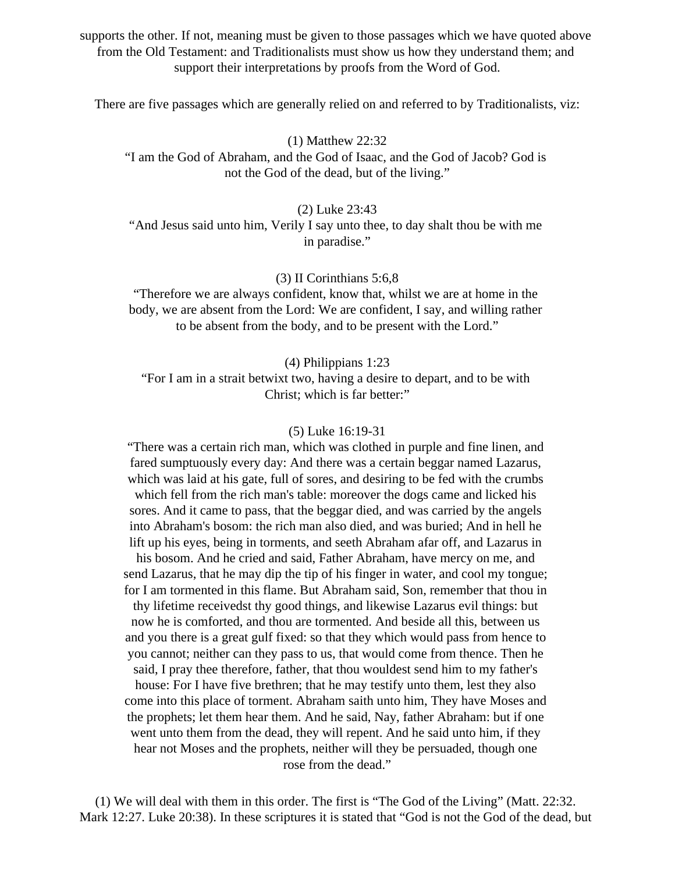supports the other. If not, meaning must be given to those passages which we have quoted above from the Old Testament: and Traditionalists must show us how they understand them; and support their interpretations by proofs from the Word of God.

There are five passages which are generally relied on and referred to by Traditionalists, viz:

(1) Matthew 22:32

"I am the God of Abraham, and the God of Isaac, and the God of Jacob? God is not the God of the dead, but of the living."

(2) Luke 23:43

"And Jesus said unto him, Verily I say unto thee, to day shalt thou be with me in paradise."

(3) II Corinthians 5:6,8

"Therefore we are always confident, know that, whilst we are at home in the body, we are absent from the Lord: We are confident, I say, and willing rather to be absent from the body, and to be present with the Lord."

(4) Philippians 1:23

"For I am in a strait betwixt two, having a desire to depart, and to be with Christ; which is far better:"

#### (5) Luke 16:19-31

"There was a certain rich man, which was clothed in purple and fine linen, and fared sumptuously every day: And there was a certain beggar named Lazarus, which was laid at his gate, full of sores, and desiring to be fed with the crumbs which fell from the rich man's table: moreover the dogs came and licked his sores. And it came to pass, that the beggar died, and was carried by the angels into Abraham's bosom: the rich man also died, and was buried; And in hell he lift up his eyes, being in torments, and seeth Abraham afar off, and Lazarus in his bosom. And he cried and said, Father Abraham, have mercy on me, and send Lazarus, that he may dip the tip of his finger in water, and cool my tongue;

for I am tormented in this flame. But Abraham said, Son, remember that thou in thy lifetime receivedst thy good things, and likewise Lazarus evil things: but now he is comforted, and thou are tormented. And beside all this, between us and you there is a great gulf fixed: so that they which would pass from hence to you cannot; neither can they pass to us, that would come from thence. Then he

said, I pray thee therefore, father, that thou wouldest send him to my father's house: For I have five brethren; that he may testify unto them, lest they also come into this place of torment. Abraham saith unto him, They have Moses and the prophets; let them hear them. And he said, Nay, father Abraham: but if one went unto them from the dead, they will repent. And he said unto him, if they hear not Moses and the prophets, neither will they be persuaded, though one rose from the dead."

(1) We will deal with them in this order. The first is "The God of the Living" (Matt. 22:32. Mark 12:27. Luke 20:38). In these scriptures it is stated that "God is not the God of the dead, but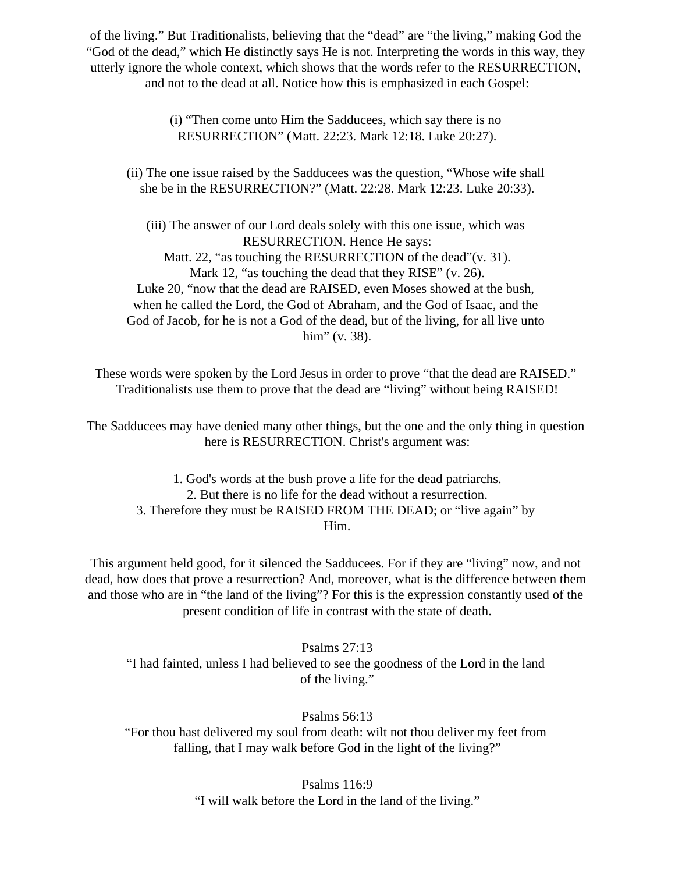of the living." But Traditionalists, believing that the "dead" are "the living," making God the "God of the dead," which He distinctly says He is not. Interpreting the words in this way, they utterly ignore the whole context, which shows that the words refer to the RESURRECTION, and not to the dead at all. Notice how this is emphasized in each Gospel:

> (i) "Then come unto Him the Sadducees, which say there is no RESURRECTION" (Matt. 22:23. Mark 12:18. Luke 20:27).

(ii) The one issue raised by the Sadducees was the question, "Whose wife shall she be in the RESURRECTION?" (Matt. 22:28. Mark 12:23. Luke 20:33).

(iii) The answer of our Lord deals solely with this one issue, which was RESURRECTION. Hence He says: Matt. 22, "as touching the RESURRECTION of the dead" (v. 31). Mark 12, "as touching the dead that they RISE" (v. 26). Luke 20, "now that the dead are RAISED, even Moses showed at the bush, when he called the Lord, the God of Abraham, and the God of Isaac, and the God of Jacob, for he is not a God of the dead, but of the living, for all live unto him" (v. 38).

These words were spoken by the Lord Jesus in order to prove "that the dead are RAISED." Traditionalists use them to prove that the dead are "living" without being RAISED!

The Sadducees may have denied many other things, but the one and the only thing in question here is RESURRECTION. Christ's argument was:

1. God's words at the bush prove a life for the dead patriarchs. 2. But there is no life for the dead without a resurrection. 3. Therefore they must be RAISED FROM THE DEAD; or "live again" by Him.

This argument held good, for it silenced the Sadducees. For if they are "living" now, and not dead, how does that prove a resurrection? And, moreover, what is the difference between them and those who are in "the land of the living"? For this is the expression constantly used of the present condition of life in contrast with the state of death.

Psalms 27:13 "I had fainted, unless I had believed to see the goodness of the Lord in the land of the living."

Psalms 56:13 "For thou hast delivered my soul from death: wilt not thou deliver my feet from falling, that I may walk before God in the light of the living?"

> Psalms 116:9 "I will walk before the Lord in the land of the living."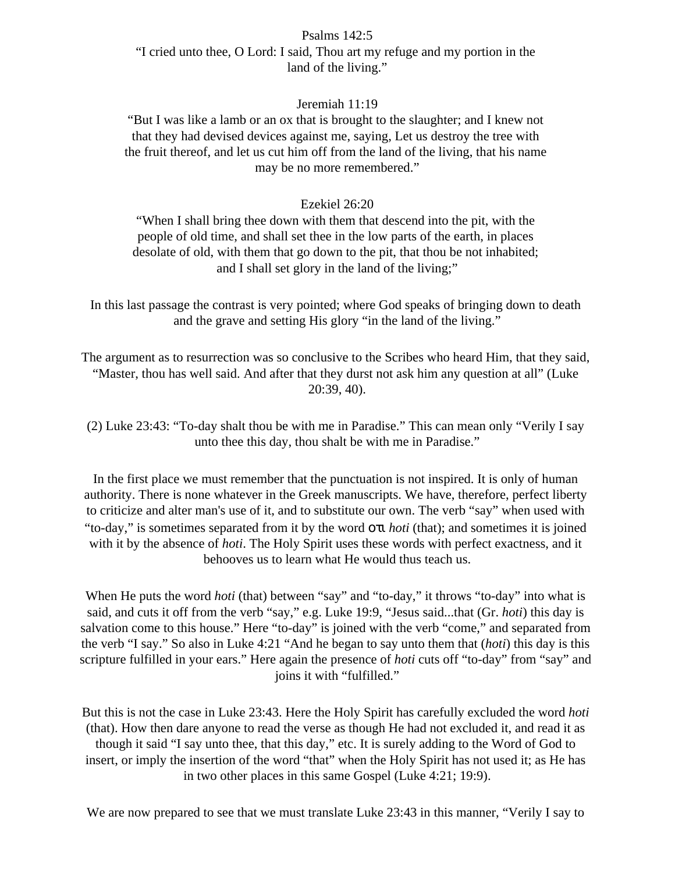#### Psalms 142:5

"I cried unto thee, O Lord: I said, Thou art my refuge and my portion in the land of the living."

### Jeremiah 11:19

"But I was like a lamb or an ox that is brought to the slaughter; and I knew not that they had devised devices against me, saying, Let us destroy the tree with the fruit thereof, and let us cut him off from the land of the living, that his name may be no more remembered."

#### Ezekiel 26:20

"When I shall bring thee down with them that descend into the pit, with the people of old time, and shall set thee in the low parts of the earth, in places desolate of old, with them that go down to the pit, that thou be not inhabited; and I shall set glory in the land of the living;"

In this last passage the contrast is very pointed; where God speaks of bringing down to death and the grave and setting His glory "in the land of the living."

The argument as to resurrection was so conclusive to the Scribes who heard Him, that they said, "Master, thou has well said. And after that they durst not ask him any question at all" (Luke 20:39, 40).

(2) Luke 23:43: "To-day shalt thou be with me in Paradise." This can mean only "Verily I say unto thee this day, thou shalt be with me in Paradise."

In the first place we must remember that the punctuation is not inspired. It is only of human authority. There is none whatever in the Greek manuscripts. We have, therefore, perfect liberty to criticize and alter man's use of it, and to substitute our own. The verb "say" when used with "to-day," is sometimes separated from it by the word οτι *hoti* (that); and sometimes it is joined with it by the absence of *hoti*. The Holy Spirit uses these words with perfect exactness, and it behooves us to learn what He would thus teach us.

When He puts the word *hoti* (that) between "say" and "to-day," it throws "to-day" into what is said, and cuts it off from the verb "say," e.g. Luke 19:9, "Jesus said...that (Gr. *hoti*) this day is salvation come to this house." Here "to-day" is joined with the verb "come," and separated from the verb "I say." So also in Luke 4:21 "And he began to say unto them that (*hoti*) this day is this scripture fulfilled in your ears." Here again the presence of *hoti* cuts off "to-day" from "say" and joins it with "fulfilled."

But this is not the case in Luke 23:43. Here the Holy Spirit has carefully excluded the word *hoti* (that). How then dare anyone to read the verse as though He had not excluded it, and read it as though it said "I say unto thee, that this day," etc. It is surely adding to the Word of God to insert, or imply the insertion of the word "that" when the Holy Spirit has not used it; as He has in two other places in this same Gospel (Luke 4:21; 19:9).

We are now prepared to see that we must translate Luke 23:43 in this manner, "Verily I say to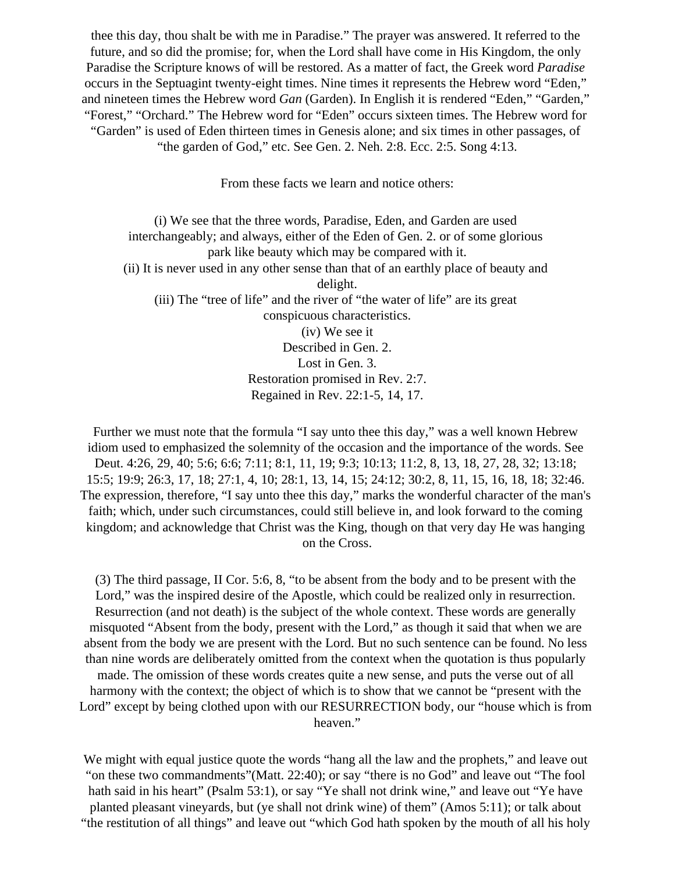thee this day, thou shalt be with me in Paradise." The prayer was answered. It referred to the future, and so did the promise; for, when the Lord shall have come in His Kingdom, the only Paradise the Scripture knows of will be restored. As a matter of fact, the Greek word *Paradise* occurs in the Septuagint twenty-eight times. Nine times it represents the Hebrew word "Eden," and nineteen times the Hebrew word *Gan* (Garden). In English it is rendered "Eden," "Garden," "Forest," "Orchard." The Hebrew word for "Eden" occurs sixteen times. The Hebrew word for "Garden" is used of Eden thirteen times in Genesis alone; and six times in other passages, of "the garden of God," etc. See Gen. 2. Neh. 2:8. Ecc. 2:5. Song 4:13.

From these facts we learn and notice others:

(i) We see that the three words, Paradise, Eden, and Garden are used interchangeably; and always, either of the Eden of Gen. 2. or of some glorious park like beauty which may be compared with it. (ii) It is never used in any other sense than that of an earthly place of beauty and delight. (iii) The "tree of life" and the river of "the water of life" are its great conspicuous characteristics. (iv) We see it Described in Gen. 2. Lost in Gen. 3. Restoration promised in Rev. 2:7. Regained in Rev. 22:1-5, 14, 17.

Further we must note that the formula "I say unto thee this day," was a well known Hebrew idiom used to emphasized the solemnity of the occasion and the importance of the words. See Deut. 4:26, 29, 40; 5:6; 6:6; 7:11; 8:1, 11, 19; 9:3; 10:13; 11:2, 8, 13, 18, 27, 28, 32; 13:18; 15:5; 19:9; 26:3, 17, 18; 27:1, 4, 10; 28:1, 13, 14, 15; 24:12; 30:2, 8, 11, 15, 16, 18, 18; 32:46. The expression, therefore, "I say unto thee this day," marks the wonderful character of the man's faith; which, under such circumstances, could still believe in, and look forward to the coming kingdom; and acknowledge that Christ was the King, though on that very day He was hanging on the Cross.

(3) The third passage, II Cor. 5:6, 8, "to be absent from the body and to be present with the Lord," was the inspired desire of the Apostle, which could be realized only in resurrection. Resurrection (and not death) is the subject of the whole context. These words are generally misquoted "Absent from the body, present with the Lord," as though it said that when we are absent from the body we are present with the Lord. But no such sentence can be found. No less than nine words are deliberately omitted from the context when the quotation is thus popularly made. The omission of these words creates quite a new sense, and puts the verse out of all harmony with the context; the object of which is to show that we cannot be "present with the Lord" except by being clothed upon with our RESURRECTION body, our "house which is from heaven."

We might with equal justice quote the words "hang all the law and the prophets," and leave out "on these two commandments"(Matt. 22:40); or say "there is no God" and leave out "The fool hath said in his heart" (Psalm 53:1), or say "Ye shall not drink wine," and leave out "Ye have planted pleasant vineyards, but (ye shall not drink wine) of them" (Amos 5:11); or talk about "the restitution of all things" and leave out "which God hath spoken by the mouth of all his holy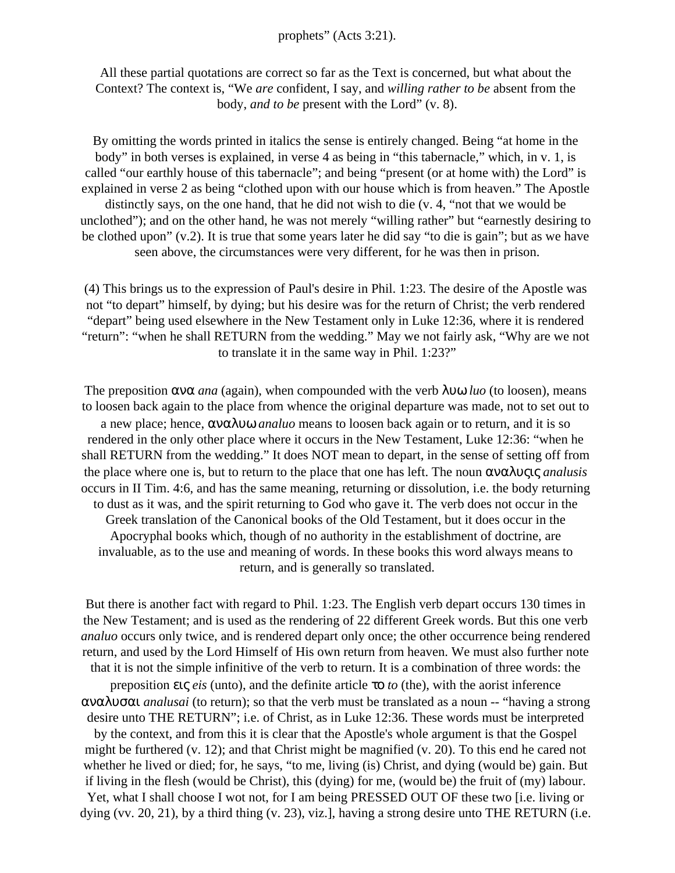#### prophets" (Acts 3:21).

All these partial quotations are correct so far as the Text is concerned, but what about the Context? The context is, "We *are* confident, I say, and *willing rather to be* absent from the body, *and to be* present with the Lord" (v. 8).

By omitting the words printed in italics the sense is entirely changed. Being "at home in the body" in both verses is explained, in verse 4 as being in "this tabernacle," which, in v. 1, is called "our earthly house of this tabernacle"; and being "present (or at home with) the Lord" is explained in verse 2 as being "clothed upon with our house which is from heaven." The Apostle distinctly says, on the one hand, that he did not wish to die (v. 4, "not that we would be unclothed"); and on the other hand, he was not merely "willing rather" but "earnestly desiring to be clothed upon" (v.2). It is true that some years later he did say "to die is gain"; but as we have seen above, the circumstances were very different, for he was then in prison.

(4) This brings us to the expression of Paul's desire in Phil. 1:23. The desire of the Apostle was not "to depart" himself, by dying; but his desire was for the return of Christ; the verb rendered "depart" being used elsewhere in the New Testament only in Luke 12:36, where it is rendered "return": "when he shall RETURN from the wedding." May we not fairly ask, "Why are we not to translate it in the same way in Phil. 1:23?"

The preposition ανα *ana* (again), when compounded with the verb λυω *luo* (to loosen), means to loosen back again to the place from whence the original departure was made, not to set out to a new place; hence, αναλυω *analuo* means to loosen back again or to return, and it is so rendered in the only other place where it occurs in the New Testament, Luke 12:36: "when he shall RETURN from the wedding." It does NOT mean to depart, in the sense of setting off from the place where one is, but to return to the place that one has left. The noun αναλυςις *analusis* occurs in II Tim. 4:6, and has the same meaning, returning or dissolution, i.e. the body returning to dust as it was, and the spirit returning to God who gave it. The verb does not occur in the Greek translation of the Canonical books of the Old Testament, but it does occur in the Apocryphal books which, though of no authority in the establishment of doctrine, are invaluable, as to the use and meaning of words. In these books this word always means to return, and is generally so translated.

But there is another fact with regard to Phil. 1:23. The English verb depart occurs 130 times in the New Testament; and is used as the rendering of 22 different Greek words. But this one verb *analuo* occurs only twice, and is rendered depart only once; the other occurrence being rendered return, and used by the Lord Himself of His own return from heaven. We must also further note that it is not the simple infinitive of the verb to return. It is a combination of three words: the preposition εις *eis* (unto), and the definite article το *to* (the), with the aorist inference αναλυσαι *analusai* (to return); so that the verb must be translated as a noun -- "having a strong desire unto THE RETURN"; i.e. of Christ, as in Luke 12:36. These words must be interpreted by the context, and from this it is clear that the Apostle's whole argument is that the Gospel might be furthered (v. 12); and that Christ might be magnified (v. 20). To this end he cared not whether he lived or died; for, he says, "to me, living (is) Christ, and dying (would be) gain. But if living in the flesh (would be Christ), this (dying) for me, (would be) the fruit of (my) labour. Yet, what I shall choose I wot not, for I am being PRESSED OUT OF these two [i.e. living or dying (vv. 20, 21), by a third thing (v. 23), viz.], having a strong desire unto THE RETURN (i.e.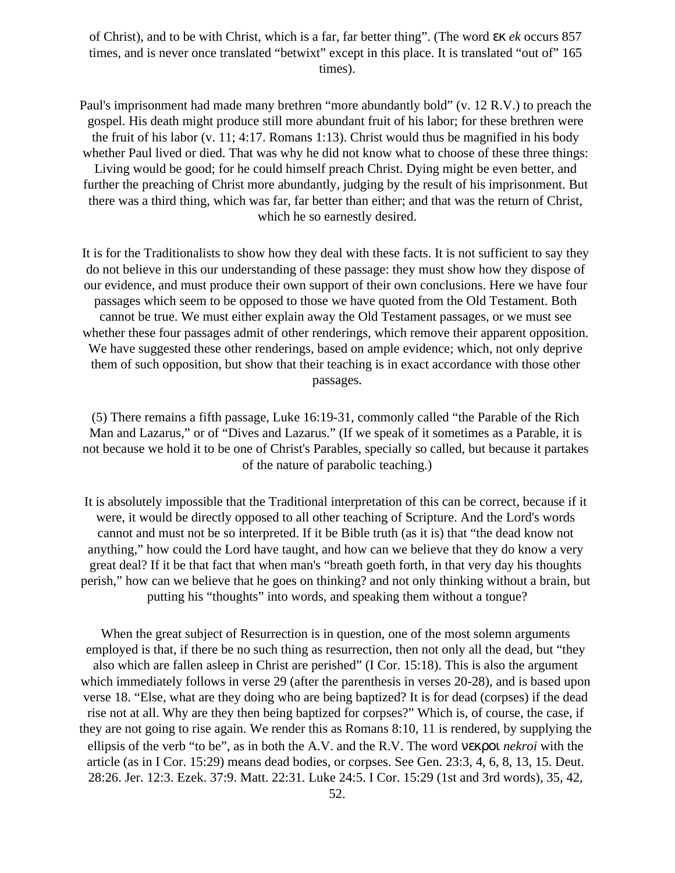of Christ), and to be with Christ, which is a far, far better thing". (The word εκ *ek* occurs 857 times, and is never once translated "betwixt" except in this place. It is translated "out of" 165 times).

Paul's imprisonment had made many brethren "more abundantly bold" (v. 12 R.V.) to preach the gospel. His death might produce still more abundant fruit of his labor; for these brethren were the fruit of his labor (v. 11; 4:17. Romans 1:13). Christ would thus be magnified in his body whether Paul lived or died. That was why he did not know what to choose of these three things: Living would be good; for he could himself preach Christ. Dying might be even better, and further the preaching of Christ more abundantly, judging by the result of his imprisonment. But there was a third thing, which was far, far better than either; and that was the return of Christ, which he so earnestly desired.

It is for the Traditionalists to show how they deal with these facts. It is not sufficient to say they do not believe in this our understanding of these passage: they must show how they dispose of our evidence, and must produce their own support of their own conclusions. Here we have four passages which seem to be opposed to those we have quoted from the Old Testament. Both cannot be true. We must either explain away the Old Testament passages, or we must see whether these four passages admit of other renderings, which remove their apparent opposition. We have suggested these other renderings, based on ample evidence; which, not only deprive them of such opposition, but show that their teaching is in exact accordance with those other passages.

(5) There remains a fifth passage, Luke 16:19-31, commonly called "the Parable of the Rich Man and Lazarus," or of "Dives and Lazarus." (If we speak of it sometimes as a Parable, it is not because we hold it to be one of Christ's Parables, specially so called, but because it partakes of the nature of parabolic teaching.)

It is absolutely impossible that the Traditional interpretation of this can be correct, because if it were, it would be directly opposed to all other teaching of Scripture. And the Lord's words cannot and must not be so interpreted. If it be Bible truth (as it is) that "the dead know not anything," how could the Lord have taught, and how can we believe that they do know a very great deal? If it be that fact that when man's "breath goeth forth, in that very day his thoughts perish," how can we believe that he goes on thinking? and not only thinking without a brain, but putting his "thoughts" into words, and speaking them without a tongue?

When the great subject of Resurrection is in question, one of the most solemn arguments employed is that, if there be no such thing as resurrection, then not only all the dead, but "they also which are fallen asleep in Christ are perished" (I Cor. 15:18). This is also the argument which immediately follows in verse 29 (after the parenthesis in verses 20-28), and is based upon verse 18. "Else, what are they doing who are being baptized? It is for dead (corpses) if the dead rise not at all. Why are they then being baptized for corpses?" Which is, of course, the case, if they are not going to rise again. We render this as Romans 8:10, 11 is rendered, by supplying the ellipsis of the verb "to be", as in both the A.V. and the R.V. The word νεκροι *nekroi* with the article (as in I Cor. 15:29) means dead bodies, or corpses. See Gen. 23:3, 4, 6, 8, 13, 15. Deut. 28:26. Jer. 12:3. Ezek. 37:9. Matt. 22:31. Luke 24:5. I Cor. 15:29 (1st and 3rd words), 35, 42,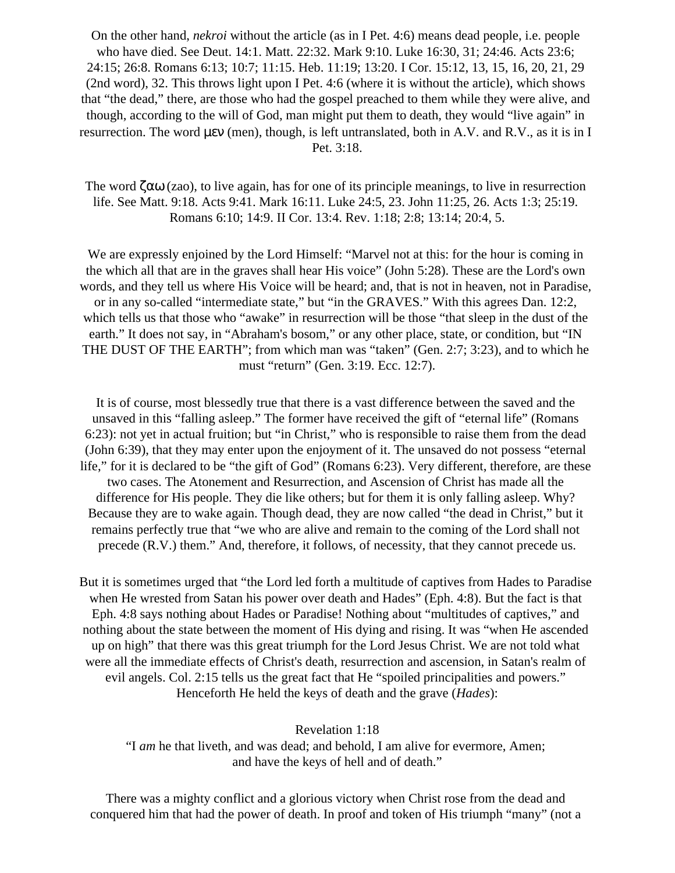On the other hand, *nekroi* without the article (as in I Pet. 4:6) means dead people, i.e. people who have died. See Deut. 14:1. Matt. 22:32. Mark 9:10. Luke 16:30, 31; 24:46. Acts 23:6; 24:15; 26:8. Romans 6:13; 10:7; 11:15. Heb. 11:19; 13:20. I Cor. 15:12, 13, 15, 16, 20, 21, 29 (2nd word), 32. This throws light upon I Pet. 4:6 (where it is without the article), which shows that "the dead," there, are those who had the gospel preached to them while they were alive, and though, according to the will of God, man might put them to death, they would "live again" in resurrection. The word µεν (men), though, is left untranslated, both in A.V. and R.V., as it is in I Pet. 3:18.

The word  $\zeta \alpha \omega$  (zao), to live again, has for one of its principle meanings, to live in resurrection life. See Matt. 9:18. Acts 9:41. Mark 16:11. Luke 24:5, 23. John 11:25, 26. Acts 1:3; 25:19. Romans 6:10; 14:9. II Cor. 13:4. Rev. 1:18; 2:8; 13:14; 20:4, 5.

We are expressly enjoined by the Lord Himself: "Marvel not at this: for the hour is coming in the which all that are in the graves shall hear His voice" (John 5:28). These are the Lord's own words, and they tell us where His Voice will be heard; and, that is not in heaven, not in Paradise, or in any so-called "intermediate state," but "in the GRAVES." With this agrees Dan. 12:2, which tells us that those who "awake" in resurrection will be those "that sleep in the dust of the earth." It does not say, in "Abraham's bosom," or any other place, state, or condition, but "IN THE DUST OF THE EARTH"; from which man was "taken" (Gen. 2:7; 3:23), and to which he must "return" (Gen. 3:19. Ecc. 12:7).

It is of course, most blessedly true that there is a vast difference between the saved and the unsaved in this "falling asleep." The former have received the gift of "eternal life" (Romans 6:23): not yet in actual fruition; but "in Christ," who is responsible to raise them from the dead (John 6:39), that they may enter upon the enjoyment of it. The unsaved do not possess "eternal life," for it is declared to be "the gift of God" (Romans 6:23). Very different, therefore, are these two cases. The Atonement and Resurrection, and Ascension of Christ has made all the difference for His people. They die like others; but for them it is only falling asleep. Why? Because they are to wake again. Though dead, they are now called "the dead in Christ," but it remains perfectly true that "we who are alive and remain to the coming of the Lord shall not precede (R.V.) them." And, therefore, it follows, of necessity, that they cannot precede us.

But it is sometimes urged that "the Lord led forth a multitude of captives from Hades to Paradise when He wrested from Satan his power over death and Hades" (Eph. 4:8). But the fact is that Eph. 4:8 says nothing about Hades or Paradise! Nothing about "multitudes of captives," and nothing about the state between the moment of His dying and rising. It was "when He ascended up on high" that there was this great triumph for the Lord Jesus Christ. We are not told what were all the immediate effects of Christ's death, resurrection and ascension, in Satan's realm of evil angels. Col. 2:15 tells us the great fact that He "spoiled principalities and powers." Henceforth He held the keys of death and the grave (*Hades*):

#### Revelation 1:18

"I *am* he that liveth, and was dead; and behold, I am alive for evermore, Amen; and have the keys of hell and of death."

There was a mighty conflict and a glorious victory when Christ rose from the dead and conquered him that had the power of death. In proof and token of His triumph "many" (not a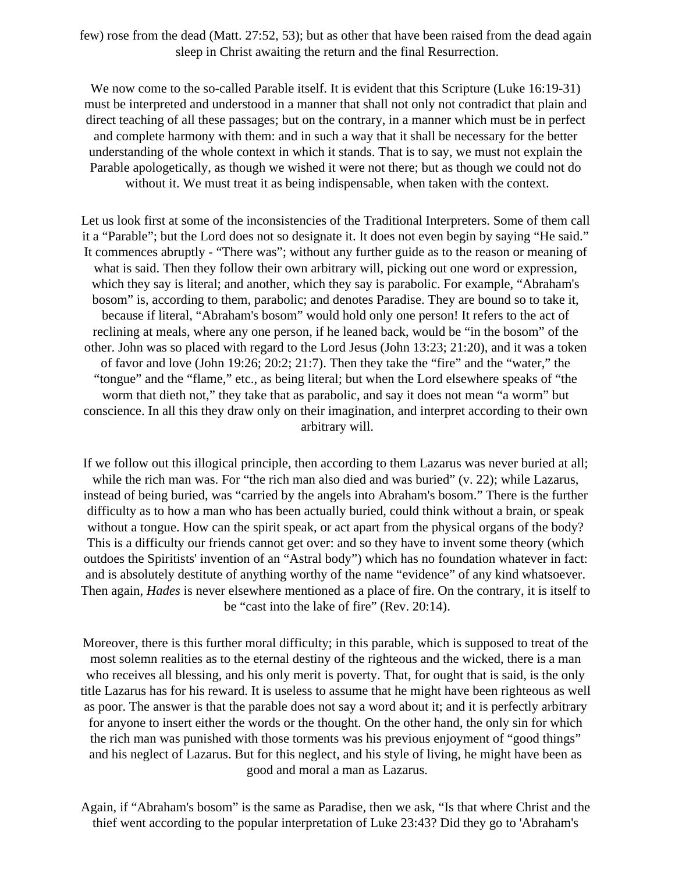few) rose from the dead (Matt. 27:52, 53); but as other that have been raised from the dead again sleep in Christ awaiting the return and the final Resurrection.

We now come to the so-called Parable itself. It is evident that this Scripture (Luke 16:19-31) must be interpreted and understood in a manner that shall not only not contradict that plain and direct teaching of all these passages; but on the contrary, in a manner which must be in perfect and complete harmony with them: and in such a way that it shall be necessary for the better understanding of the whole context in which it stands. That is to say, we must not explain the Parable apologetically, as though we wished it were not there; but as though we could not do without it. We must treat it as being indispensable, when taken with the context.

Let us look first at some of the inconsistencies of the Traditional Interpreters. Some of them call it a "Parable"; but the Lord does not so designate it. It does not even begin by saying "He said." It commences abruptly - "There was"; without any further guide as to the reason or meaning of what is said. Then they follow their own arbitrary will, picking out one word or expression, which they say is literal; and another, which they say is parabolic. For example, "Abraham's bosom" is, according to them, parabolic; and denotes Paradise. They are bound so to take it, because if literal, "Abraham's bosom" would hold only one person! It refers to the act of reclining at meals, where any one person, if he leaned back, would be "in the bosom" of the other. John was so placed with regard to the Lord Jesus (John 13:23; 21:20), and it was a token of favor and love (John 19:26; 20:2; 21:7). Then they take the "fire" and the "water," the "tongue" and the "flame," etc., as being literal; but when the Lord elsewhere speaks of "the worm that dieth not," they take that as parabolic, and say it does not mean "a worm" but conscience. In all this they draw only on their imagination, and interpret according to their own arbitrary will.

If we follow out this illogical principle, then according to them Lazarus was never buried at all; while the rich man was. For "the rich man also died and was buried" (v. 22); while Lazarus, instead of being buried, was "carried by the angels into Abraham's bosom." There is the further difficulty as to how a man who has been actually buried, could think without a brain, or speak without a tongue. How can the spirit speak, or act apart from the physical organs of the body? This is a difficulty our friends cannot get over: and so they have to invent some theory (which outdoes the Spiritists' invention of an "Astral body") which has no foundation whatever in fact: and is absolutely destitute of anything worthy of the name "evidence" of any kind whatsoever. Then again, *Hades* is never elsewhere mentioned as a place of fire. On the contrary, it is itself to be "cast into the lake of fire" (Rev. 20:14).

Moreover, there is this further moral difficulty; in this parable, which is supposed to treat of the most solemn realities as to the eternal destiny of the righteous and the wicked, there is a man who receives all blessing, and his only merit is poverty. That, for ought that is said, is the only title Lazarus has for his reward. It is useless to assume that he might have been righteous as well as poor. The answer is that the parable does not say a word about it; and it is perfectly arbitrary for anyone to insert either the words or the thought. On the other hand, the only sin for which the rich man was punished with those torments was his previous enjoyment of "good things" and his neglect of Lazarus. But for this neglect, and his style of living, he might have been as good and moral a man as Lazarus.

Again, if "Abraham's bosom" is the same as Paradise, then we ask, "Is that where Christ and the thief went according to the popular interpretation of Luke 23:43? Did they go to 'Abraham's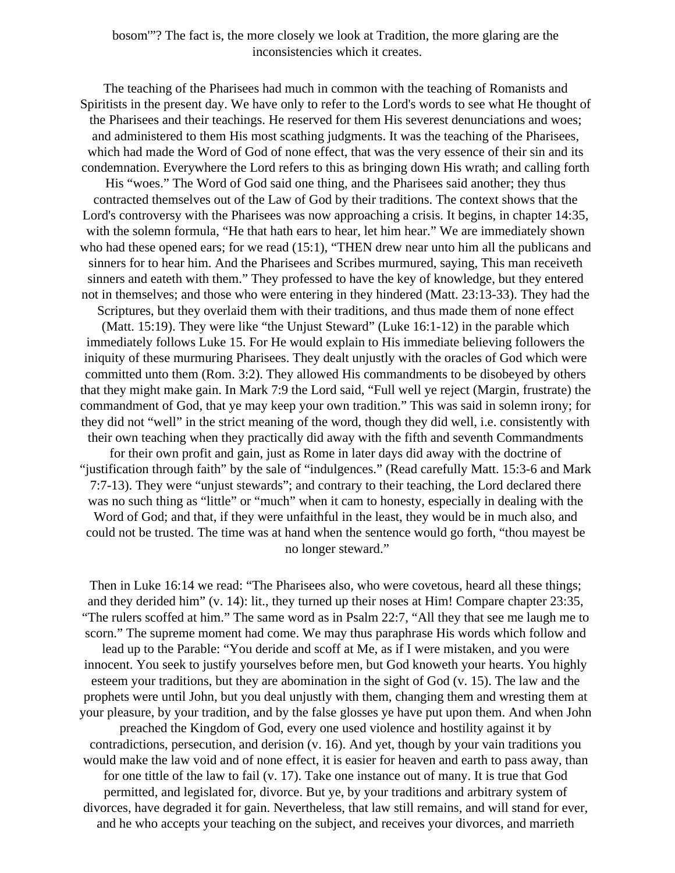bosom'"? The fact is, the more closely we look at Tradition, the more glaring are the inconsistencies which it creates.

The teaching of the Pharisees had much in common with the teaching of Romanists and Spiritists in the present day. We have only to refer to the Lord's words to see what He thought of the Pharisees and their teachings. He reserved for them His severest denunciations and woes; and administered to them His most scathing judgments. It was the teaching of the Pharisees, which had made the Word of God of none effect, that was the very essence of their sin and its condemnation. Everywhere the Lord refers to this as bringing down His wrath; and calling forth

His "woes." The Word of God said one thing, and the Pharisees said another; they thus contracted themselves out of the Law of God by their traditions. The context shows that the Lord's controversy with the Pharisees was now approaching a crisis. It begins, in chapter 14:35, with the solemn formula, "He that hath ears to hear, let him hear." We are immediately shown who had these opened ears; for we read (15:1), "THEN drew near unto him all the publicans and sinners for to hear him. And the Pharisees and Scribes murmured, saying, This man receiveth sinners and eateth with them." They professed to have the key of knowledge, but they entered not in themselves; and those who were entering in they hindered (Matt. 23:13-33). They had the

Scriptures, but they overlaid them with their traditions, and thus made them of none effect (Matt. 15:19). They were like "the Unjust Steward" (Luke 16:1-12) in the parable which immediately follows Luke 15. For He would explain to His immediate believing followers the iniquity of these murmuring Pharisees. They dealt unjustly with the oracles of God which were committed unto them (Rom. 3:2). They allowed His commandments to be disobeyed by others that they might make gain. In Mark 7:9 the Lord said, "Full well ye reject (Margin, frustrate) the commandment of God, that ye may keep your own tradition." This was said in solemn irony; for they did not "well" in the strict meaning of the word, though they did well, i.e. consistently with their own teaching when they practically did away with the fifth and seventh Commandments for their own profit and gain, just as Rome in later days did away with the doctrine of

"justification through faith" by the sale of "indulgences." (Read carefully Matt. 15:3-6 and Mark 7:7-13). They were "unjust stewards"; and contrary to their teaching, the Lord declared there was no such thing as "little" or "much" when it cam to honesty, especially in dealing with the Word of God; and that, if they were unfaithful in the least, they would be in much also, and could not be trusted. The time was at hand when the sentence would go forth, "thou mayest be no longer steward."

Then in Luke 16:14 we read: "The Pharisees also, who were covetous, heard all these things; and they derided him" (v. 14): lit., they turned up their noses at Him! Compare chapter 23:35, "The rulers scoffed at him." The same word as in Psalm 22:7, "All they that see me laugh me to scorn." The supreme moment had come. We may thus paraphrase His words which follow and lead up to the Parable: "You deride and scoff at Me, as if I were mistaken, and you were innocent. You seek to justify yourselves before men, but God knoweth your hearts. You highly esteem your traditions, but they are abomination in the sight of God (v. 15). The law and the prophets were until John, but you deal unjustly with them, changing them and wresting them at your pleasure, by your tradition, and by the false glosses ye have put upon them. And when John preached the Kingdom of God, every one used violence and hostility against it by contradictions, persecution, and derision (v. 16). And yet, though by your vain traditions you would make the law void and of none effect, it is easier for heaven and earth to pass away, than for one tittle of the law to fail (v. 17). Take one instance out of many. It is true that God permitted, and legislated for, divorce. But ye, by your traditions and arbitrary system of divorces, have degraded it for gain. Nevertheless, that law still remains, and will stand for ever, and he who accepts your teaching on the subject, and receives your divorces, and marrieth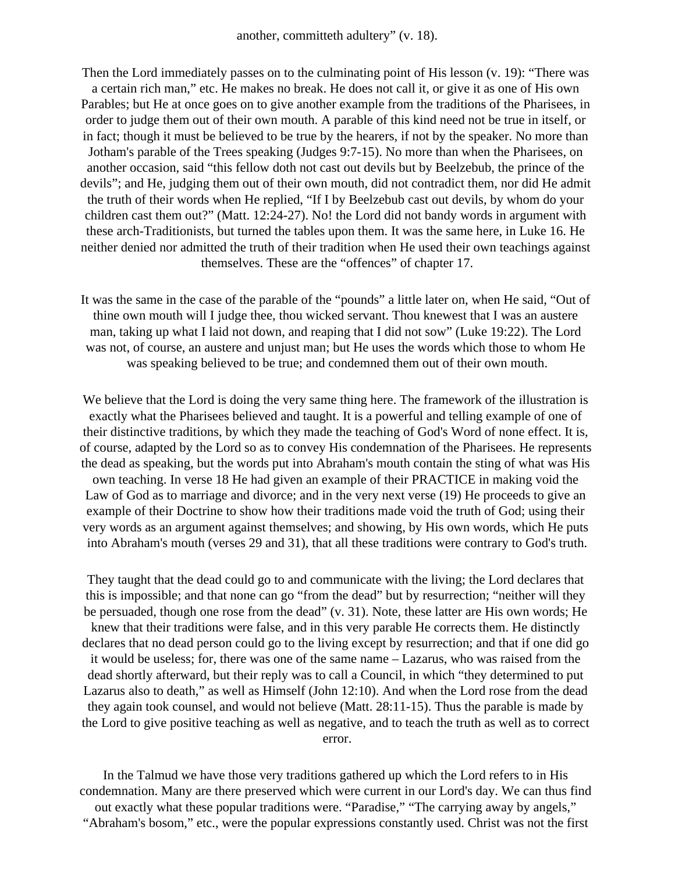Then the Lord immediately passes on to the culminating point of His lesson (v. 19): "There was a certain rich man," etc. He makes no break. He does not call it, or give it as one of His own Parables; but He at once goes on to give another example from the traditions of the Pharisees, in order to judge them out of their own mouth. A parable of this kind need not be true in itself, or in fact; though it must be believed to be true by the hearers, if not by the speaker. No more than Jotham's parable of the Trees speaking (Judges 9:7-15). No more than when the Pharisees, on another occasion, said "this fellow doth not cast out devils but by Beelzebub, the prince of the devils"; and He, judging them out of their own mouth, did not contradict them, nor did He admit the truth of their words when He replied, "If I by Beelzebub cast out devils, by whom do your children cast them out?" (Matt. 12:24-27). No! the Lord did not bandy words in argument with these arch-Traditionists, but turned the tables upon them. It was the same here, in Luke 16. He neither denied nor admitted the truth of their tradition when He used their own teachings against themselves. These are the "offences" of chapter 17.

It was the same in the case of the parable of the "pounds" a little later on, when He said, "Out of thine own mouth will I judge thee, thou wicked servant. Thou knewest that I was an austere man, taking up what I laid not down, and reaping that I did not sow" (Luke 19:22). The Lord was not, of course, an austere and unjust man; but He uses the words which those to whom He was speaking believed to be true; and condemned them out of their own mouth.

We believe that the Lord is doing the very same thing here. The framework of the illustration is exactly what the Pharisees believed and taught. It is a powerful and telling example of one of their distinctive traditions, by which they made the teaching of God's Word of none effect. It is, of course, adapted by the Lord so as to convey His condemnation of the Pharisees. He represents the dead as speaking, but the words put into Abraham's mouth contain the sting of what was His own teaching. In verse 18 He had given an example of their PRACTICE in making void the Law of God as to marriage and divorce; and in the very next verse (19) He proceeds to give an example of their Doctrine to show how their traditions made void the truth of God; using their very words as an argument against themselves; and showing, by His own words, which He puts into Abraham's mouth (verses 29 and 31), that all these traditions were contrary to God's truth.

They taught that the dead could go to and communicate with the living; the Lord declares that this is impossible; and that none can go "from the dead" but by resurrection; "neither will they be persuaded, though one rose from the dead" (v. 31). Note, these latter are His own words; He knew that their traditions were false, and in this very parable He corrects them. He distinctly declares that no dead person could go to the living except by resurrection; and that if one did go it would be useless; for, there was one of the same name – Lazarus, who was raised from the dead shortly afterward, but their reply was to call a Council, in which "they determined to put Lazarus also to death," as well as Himself (John 12:10). And when the Lord rose from the dead they again took counsel, and would not believe (Matt. 28:11-15). Thus the parable is made by the Lord to give positive teaching as well as negative, and to teach the truth as well as to correct error.

In the Talmud we have those very traditions gathered up which the Lord refers to in His condemnation. Many are there preserved which were current in our Lord's day. We can thus find out exactly what these popular traditions were. "Paradise," "The carrying away by angels," "Abraham's bosom," etc., were the popular expressions constantly used. Christ was not the first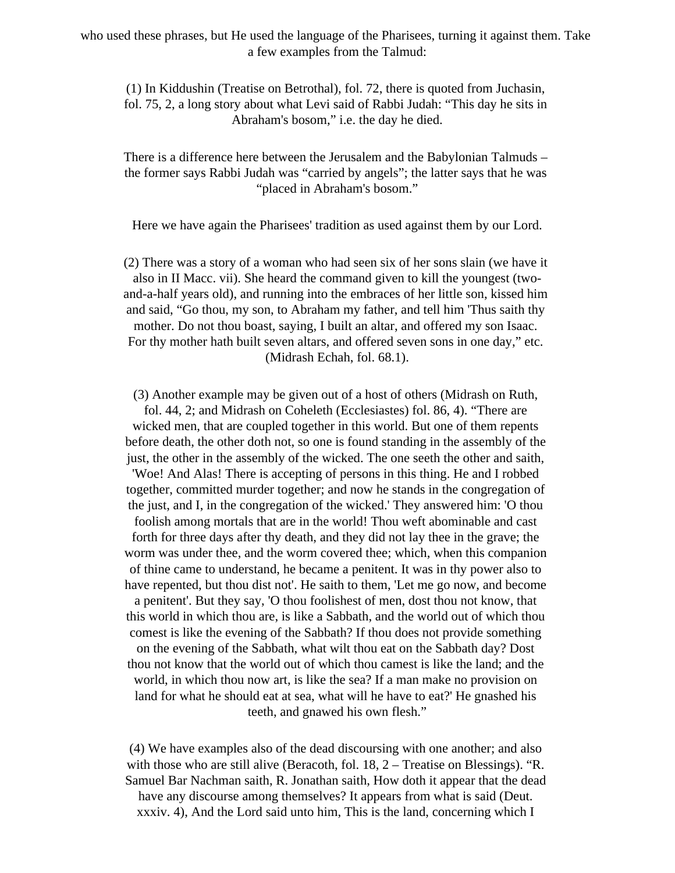who used these phrases, but He used the language of the Pharisees, turning it against them. Take a few examples from the Talmud:

(1) In Kiddushin (Treatise on Betrothal), fol. 72, there is quoted from Juchasin, fol. 75, 2, a long story about what Levi said of Rabbi Judah: "This day he sits in Abraham's bosom," i.e. the day he died.

There is a difference here between the Jerusalem and the Babylonian Talmuds – the former says Rabbi Judah was "carried by angels"; the latter says that he was "placed in Abraham's bosom."

Here we have again the Pharisees' tradition as used against them by our Lord.

(2) There was a story of a woman who had seen six of her sons slain (we have it also in II Macc. vii). She heard the command given to kill the youngest (twoand-a-half years old), and running into the embraces of her little son, kissed him and said, "Go thou, my son, to Abraham my father, and tell him 'Thus saith thy mother. Do not thou boast, saying, I built an altar, and offered my son Isaac. For thy mother hath built seven altars, and offered seven sons in one day," etc. (Midrash Echah, fol. 68.1).

(3) Another example may be given out of a host of others (Midrash on Ruth, fol. 44, 2; and Midrash on Coheleth (Ecclesiastes) fol. 86, 4). "There are wicked men, that are coupled together in this world. But one of them repents before death, the other doth not, so one is found standing in the assembly of the just, the other in the assembly of the wicked. The one seeth the other and saith, 'Woe! And Alas! There is accepting of persons in this thing. He and I robbed together, committed murder together; and now he stands in the congregation of the just, and I, in the congregation of the wicked.' They answered him: 'O thou foolish among mortals that are in the world! Thou weft abominable and cast forth for three days after thy death, and they did not lay thee in the grave; the worm was under thee, and the worm covered thee; which, when this companion of thine came to understand, he became a penitent. It was in thy power also to have repented, but thou dist not'. He saith to them, 'Let me go now, and become a penitent'. But they say, 'O thou foolishest of men, dost thou not know, that this world in which thou are, is like a Sabbath, and the world out of which thou comest is like the evening of the Sabbath? If thou does not provide something on the evening of the Sabbath, what wilt thou eat on the Sabbath day? Dost thou not know that the world out of which thou camest is like the land; and the world, in which thou now art, is like the sea? If a man make no provision on land for what he should eat at sea, what will he have to eat?' He gnashed his teeth, and gnawed his own flesh."

(4) We have examples also of the dead discoursing with one another; and also with those who are still alive (Beracoth, fol.  $18$ ,  $2 -$  Treatise on Blessings). "R. Samuel Bar Nachman saith, R. Jonathan saith, How doth it appear that the dead have any discourse among themselves? It appears from what is said (Deut. xxxiv. 4), And the Lord said unto him, This is the land, concerning which I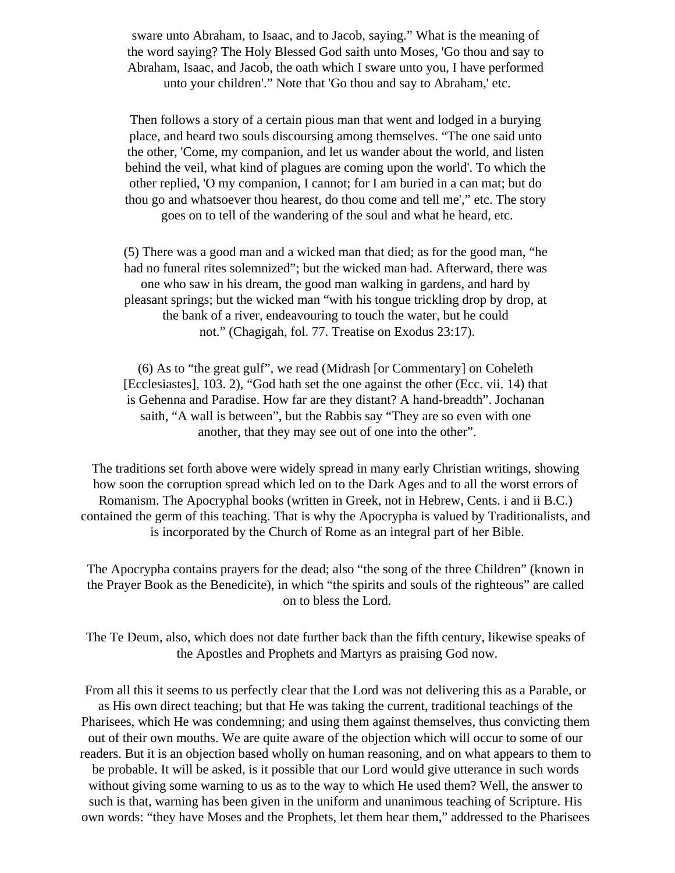sware unto Abraham, to Isaac, and to Jacob, saying." What is the meaning of the word saying? The Holy Blessed God saith unto Moses, 'Go thou and say to Abraham, Isaac, and Jacob, the oath which I sware unto you, I have performed unto your children'." Note that 'Go thou and say to Abraham,' etc.

Then follows a story of a certain pious man that went and lodged in a burying place, and heard two souls discoursing among themselves. "The one said unto the other, 'Come, my companion, and let us wander about the world, and listen behind the veil, what kind of plagues are coming upon the world'. To which the other replied, 'O my companion, I cannot; for I am buried in a can mat; but do thou go and whatsoever thou hearest, do thou come and tell me'," etc. The story goes on to tell of the wandering of the soul and what he heard, etc.

(5) There was a good man and a wicked man that died; as for the good man, "he had no funeral rites solemnized"; but the wicked man had. Afterward, there was one who saw in his dream, the good man walking in gardens, and hard by pleasant springs; but the wicked man "with his tongue trickling drop by drop, at the bank of a river, endeavouring to touch the water, but he could not." (Chagigah, fol. 77. Treatise on Exodus 23:17).

(6) As to "the great gulf", we read (Midrash [or Commentary] on Coheleth [Ecclesiastes], 103. 2), "God hath set the one against the other (Ecc. vii. 14) that is Gehenna and Paradise. How far are they distant? A hand-breadth". Jochanan saith, "A wall is between", but the Rabbis say "They are so even with one another, that they may see out of one into the other".

The traditions set forth above were widely spread in many early Christian writings, showing how soon the corruption spread which led on to the Dark Ages and to all the worst errors of Romanism. The Apocryphal books (written in Greek, not in Hebrew, Cents. i and ii B.C.) contained the germ of this teaching. That is why the Apocrypha is valued by Traditionalists, and is incorporated by the Church of Rome as an integral part of her Bible.

The Apocrypha contains prayers for the dead; also "the song of the three Children" (known in the Prayer Book as the Benedicite), in which "the spirits and souls of the righteous" are called on to bless the Lord.

The Te Deum, also, which does not date further back than the fifth century, likewise speaks of the Apostles and Prophets and Martyrs as praising God now.

From all this it seems to us perfectly clear that the Lord was not delivering this as a Parable, or as His own direct teaching; but that He was taking the current, traditional teachings of the Pharisees, which He was condemning; and using them against themselves, thus convicting them out of their own mouths. We are quite aware of the objection which will occur to some of our readers. But it is an objection based wholly on human reasoning, and on what appears to them to be probable. It will be asked, is it possible that our Lord would give utterance in such words without giving some warning to us as to the way to which He used them? Well, the answer to such is that, warning has been given in the uniform and unanimous teaching of Scripture. His own words: "they have Moses and the Prophets, let them hear them," addressed to the Pharisees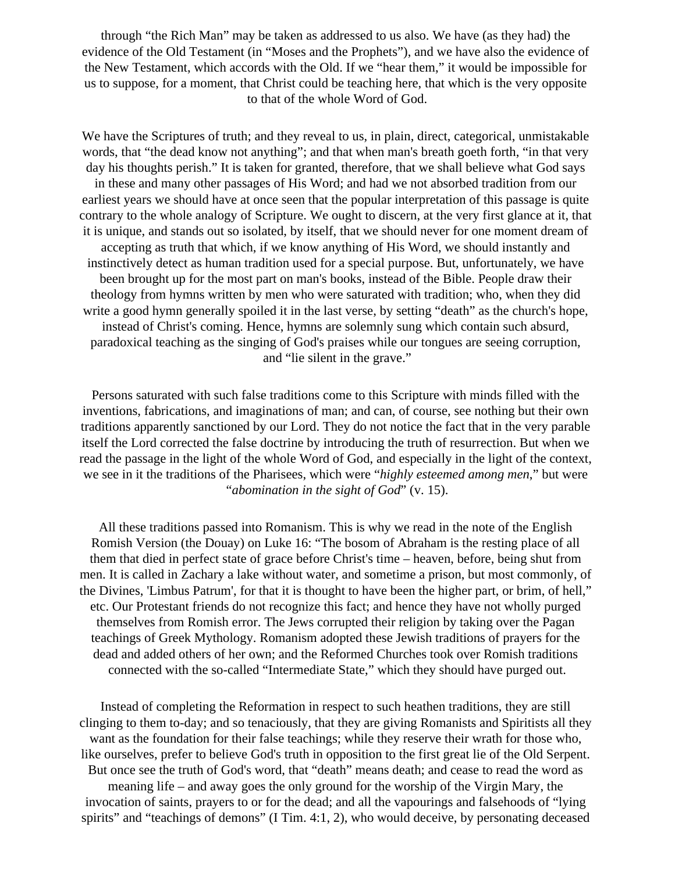through "the Rich Man" may be taken as addressed to us also. We have (as they had) the evidence of the Old Testament (in "Moses and the Prophets"), and we have also the evidence of the New Testament, which accords with the Old. If we "hear them," it would be impossible for us to suppose, for a moment, that Christ could be teaching here, that which is the very opposite to that of the whole Word of God.

We have the Scriptures of truth; and they reveal to us, in plain, direct, categorical, unmistakable words, that "the dead know not anything"; and that when man's breath goeth forth, "in that very day his thoughts perish." It is taken for granted, therefore, that we shall believe what God says in these and many other passages of His Word; and had we not absorbed tradition from our earliest years we should have at once seen that the popular interpretation of this passage is quite contrary to the whole analogy of Scripture. We ought to discern, at the very first glance at it, that it is unique, and stands out so isolated, by itself, that we should never for one moment dream of accepting as truth that which, if we know anything of His Word, we should instantly and instinctively detect as human tradition used for a special purpose. But, unfortunately, we have been brought up for the most part on man's books, instead of the Bible. People draw their theology from hymns written by men who were saturated with tradition; who, when they did write a good hymn generally spoiled it in the last verse, by setting "death" as the church's hope, instead of Christ's coming. Hence, hymns are solemnly sung which contain such absurd, paradoxical teaching as the singing of God's praises while our tongues are seeing corruption, and "lie silent in the grave."

Persons saturated with such false traditions come to this Scripture with minds filled with the inventions, fabrications, and imaginations of man; and can, of course, see nothing but their own traditions apparently sanctioned by our Lord. They do not notice the fact that in the very parable itself the Lord corrected the false doctrine by introducing the truth of resurrection. But when we read the passage in the light of the whole Word of God, and especially in the light of the context, we see in it the traditions of the Pharisees, which were "*highly esteemed among men*," but were "*abomination in the sight of God*" (v. 15).

All these traditions passed into Romanism. This is why we read in the note of the English Romish Version (the Douay) on Luke 16: "The bosom of Abraham is the resting place of all them that died in perfect state of grace before Christ's time – heaven, before, being shut from men. It is called in Zachary a lake without water, and sometime a prison, but most commonly, of the Divines, 'Limbus Patrum', for that it is thought to have been the higher part, or brim, of hell," etc. Our Protestant friends do not recognize this fact; and hence they have not wholly purged themselves from Romish error. The Jews corrupted their religion by taking over the Pagan teachings of Greek Mythology. Romanism adopted these Jewish traditions of prayers for the dead and added others of her own; and the Reformed Churches took over Romish traditions connected with the so-called "Intermediate State," which they should have purged out.

Instead of completing the Reformation in respect to such heathen traditions, they are still clinging to them to-day; and so tenaciously, that they are giving Romanists and Spiritists all they want as the foundation for their false teachings; while they reserve their wrath for those who, like ourselves, prefer to believe God's truth in opposition to the first great lie of the Old Serpent. But once see the truth of God's word, that "death" means death; and cease to read the word as meaning life – and away goes the only ground for the worship of the Virgin Mary, the invocation of saints, prayers to or for the dead; and all the vapourings and falsehoods of "lying spirits" and "teachings of demons" (I Tim. 4:1, 2), who would deceive, by personating deceased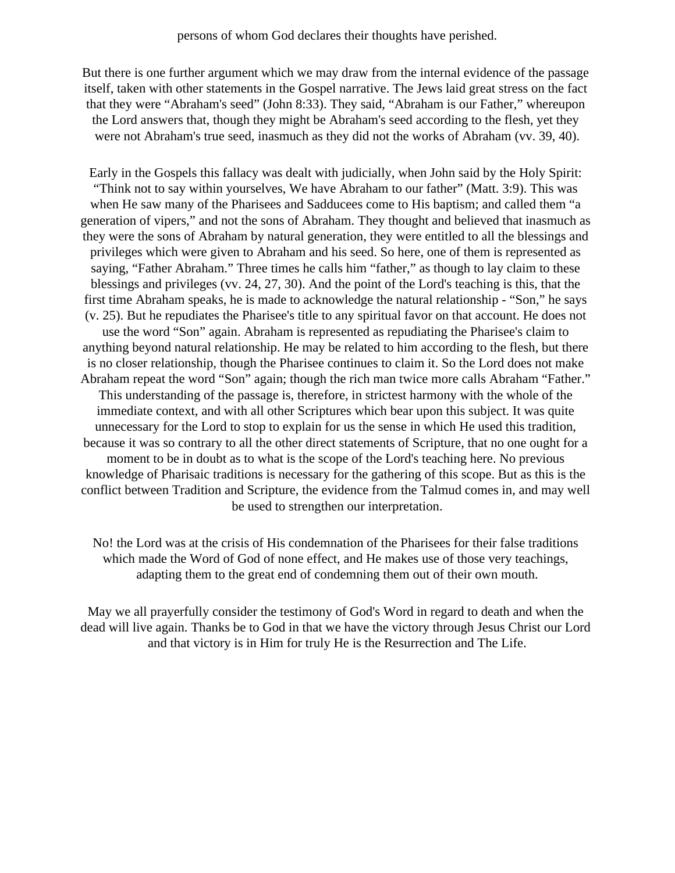But there is one further argument which we may draw from the internal evidence of the passage itself, taken with other statements in the Gospel narrative. The Jews laid great stress on the fact that they were "Abraham's seed" (John 8:33). They said, "Abraham is our Father," whereupon the Lord answers that, though they might be Abraham's seed according to the flesh, yet they were not Abraham's true seed, inasmuch as they did not the works of Abraham (vv. 39, 40).

Early in the Gospels this fallacy was dealt with judicially, when John said by the Holy Spirit: "Think not to say within yourselves, We have Abraham to our father" (Matt. 3:9). This was when He saw many of the Pharisees and Sadducees come to His baptism; and called them "a generation of vipers," and not the sons of Abraham. They thought and believed that inasmuch as they were the sons of Abraham by natural generation, they were entitled to all the blessings and privileges which were given to Abraham and his seed. So here, one of them is represented as saying, "Father Abraham." Three times he calls him "father," as though to lay claim to these blessings and privileges (vv. 24, 27, 30). And the point of the Lord's teaching is this, that the first time Abraham speaks, he is made to acknowledge the natural relationship - "Son," he says (v. 25). But he repudiates the Pharisee's title to any spiritual favor on that account. He does not use the word "Son" again. Abraham is represented as repudiating the Pharisee's claim to anything beyond natural relationship. He may be related to him according to the flesh, but there is no closer relationship, though the Pharisee continues to claim it. So the Lord does not make Abraham repeat the word "Son" again; though the rich man twice more calls Abraham "Father." This understanding of the passage is, therefore, in strictest harmony with the whole of the immediate context, and with all other Scriptures which bear upon this subject. It was quite unnecessary for the Lord to stop to explain for us the sense in which He used this tradition, because it was so contrary to all the other direct statements of Scripture, that no one ought for a moment to be in doubt as to what is the scope of the Lord's teaching here. No previous knowledge of Pharisaic traditions is necessary for the gathering of this scope. But as this is the conflict between Tradition and Scripture, the evidence from the Talmud comes in, and may well be used to strengthen our interpretation.

No! the Lord was at the crisis of His condemnation of the Pharisees for their false traditions which made the Word of God of none effect, and He makes use of those very teachings, adapting them to the great end of condemning them out of their own mouth.

May we all prayerfully consider the testimony of God's Word in regard to death and when the dead will live again. Thanks be to God in that we have the victory through Jesus Christ our Lord and that victory is in Him for truly He is the Resurrection and The Life.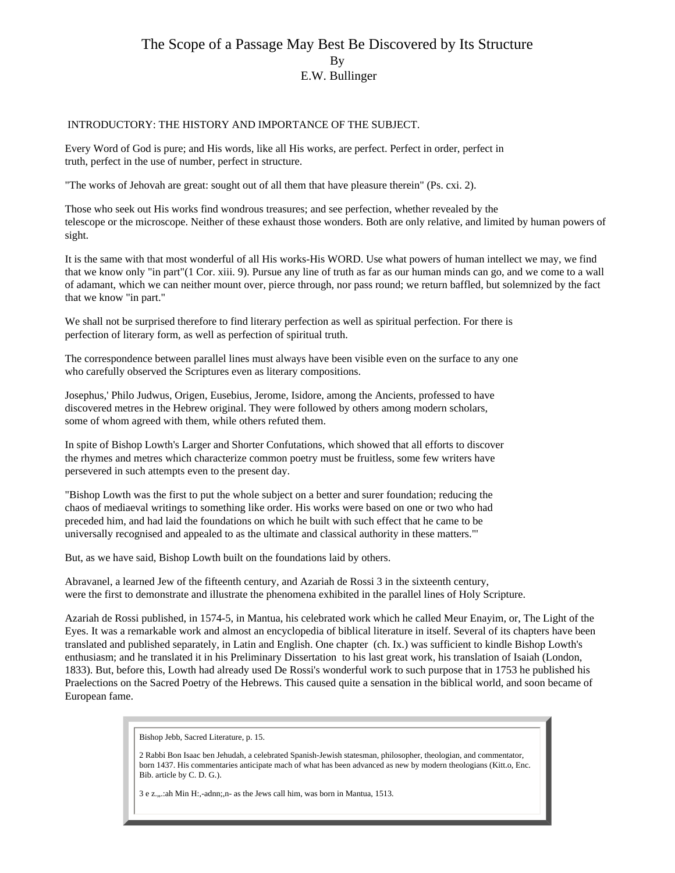## The Scope of a Passage May Best Be Discovered by Its Structure By E.W. Bullinger

#### INTRODUCTORY: THE HISTORY AND IMPORTANCE OF THE SUBJECT.

Every Word of God is pure; and His words, like all His works, are perfect. Perfect in order, perfect in truth, perfect in the use of number, perfect in structure.

"The works of Jehovah are great: sought out of all them that have pleasure therein" (Ps. cxi. 2).

Those who seek out His works find wondrous treasures; and see perfection, whether revealed by the telescope or the microscope. Neither of these exhaust those wonders. Both are only relative, and limited by human powers of sight.

It is the same with that most wonderful of all His works-His WORD. Use what powers of human intellect we may, we find that we know only "in part"(1 Cor. xiii. 9). Pursue any line of truth as far as our human minds can go, and we come to a wall of adamant, which we can neither mount over, pierce through, nor pass round; we return baffled, but solemnized by the fact that we know "in part."

We shall not be surprised therefore to find literary perfection as well as spiritual perfection. For there is perfection of literary form, as well as perfection of spiritual truth.

The correspondence between parallel lines must always have been visible even on the surface to any one who carefully observed the Scriptures even as literary compositions.

Josephus,' Philo Judwus, Origen, Eusebius, Jerome, Isidore, among the Ancients, professed to have discovered metres in the Hebrew original. They were followed by others among modern scholars, some of whom agreed with them, while others refuted them.

In spite of Bishop Lowth's Larger and Shorter Confutations, which showed that all efforts to discover the rhymes and metres which characterize common poetry must be fruitless, some few writers have persevered in such attempts even to the present day.

"Bishop Lowth was the first to put the whole subject on a better and surer foundation; reducing the chaos of mediaeval writings to something like order. His works were based on one or two who had preceded him, and had laid the foundations on which he built with such effect that he came to be universally recognised and appealed to as the ultimate and classical authority in these matters."'

But, as we have said, Bishop Lowth built on the foundations laid by others.

Abravanel, a learned Jew of the fifteenth century, and Azariah de Rossi 3 in the sixteenth century, were the first to demonstrate and illustrate the phenomena exhibited in the parallel lines of Holy Scripture.

Azariah de Rossi published, in 1574-5, in Mantua, his celebrated work which he called Meur Enayim, or, The Light of the Eyes. It was a remarkable work and almost an encyclopedia of biblical literature in itself. Several of its chapters have been translated and published separately, in Latin and English. One chapter (ch. Ix.) was sufficient to kindle Bishop Lowth's enthusiasm; and he translated it in his Preliminary Dissertation to his last great work, his translation of Isaiah (London, 1833). But, before this, Lowth had already used De Rossi's wonderful work to such purpose that in 1753 he published his Praelections on the Sacred Poetry of the Hebrews. This caused quite a sensation in the biblical world, and soon became of European fame.

Bishop Jebb, Sacred Literature, p. 15.

2 Rabbi Bon Isaac ben Jehudah, a celebrated Spanish-Jewish statesman, philosopher, theologian, and commentator, born 1437. His commentaries anticipate mach of what has been advanced as new by modern theologians (Kitt.o, Enc. Bib. article by C. D. G.).

3 e z., .: ah Min H:,-adnn;,n- as the Jews call him, was born in Mantua, 1513.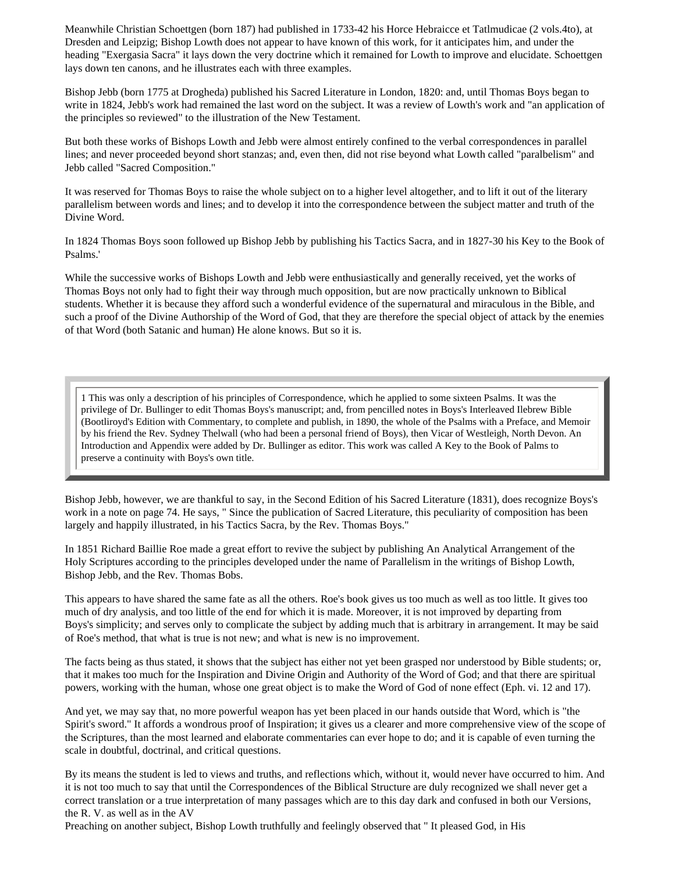Meanwhile Christian Schoettgen (born 187) had published in 1733-42 his Horce Hebraicce et Tatlmudicae (2 vols.4to), at Dresden and Leipzig; Bishop Lowth does not appear to have known of this work, for it anticipates him, and under the heading "Exergasia Sacra" it lays down the very doctrine which it remained for Lowth to improve and elucidate. Schoettgen lays down ten canons, and he illustrates each with three examples.

Bishop Jebb (born 1775 at Drogheda) published his Sacred Literature in London, 1820: and, until Thomas Boys began to write in 1824, Jebb's work had remained the last word on the subject. It was a review of Lowth's work and "an application of the principles so reviewed" to the illustration of the New Testament.

But both these works of Bishops Lowth and Jebb were almost entirely confined to the verbal correspondences in parallel lines; and never proceeded beyond short stanzas; and, even then, did not rise beyond what Lowth called "paralbelism" and Jebb called "Sacred Composition."

It was reserved for Thomas Boys to raise the whole subject on to a higher level altogether, and to lift it out of the literary parallelism between words and lines; and to develop it into the correspondence between the subject matter and truth of the Divine Word.

In 1824 Thomas Boys soon followed up Bishop Jebb by publishing his Tactics Sacra, and in 1827-30 his Key to the Book of Psalms.'

While the successive works of Bishops Lowth and Jebb were enthusiastically and generally received, yet the works of Thomas Boys not only had to fight their way through much opposition, but are now practically unknown to Biblical students. Whether it is because they afford such a wonderful evidence of the supernatural and miraculous in the Bible, and such a proof of the Divine Authorship of the Word of God, that they are therefore the special object of attack by the enemies of that Word (both Satanic and human) He alone knows. But so it is.

1 This was only a description of his principles of Correspondence, which he applied to some sixteen Psalms. It was the privilege of Dr. Bullinger to edit Thomas Boys's manuscript; and, from pencilled notes in Boys's Interleaved Ilebrew Bible (Bootliroyd's Edition with Commentary, to complete and publish, in 1890, the whole of the Psalms with a Preface, and Memoir by his friend the Rev. Sydney Thelwall (who had been a personal friend of Boys), then Vicar of Westleigh, North Devon. An Introduction and Appendix were added by Dr. Bullinger as editor. This work was called A Key to the Book of Palms to preserve a continuity with Boys's own title.

Bishop Jebb, however, we are thankful to say, in the Second Edition of his Sacred Literature (1831), does recognize Boys's work in a note on page 74. He says, " Since the publication of Sacred Literature, this peculiarity of composition has been largely and happily illustrated, in his Tactics Sacra, by the Rev. Thomas Boys."

In 1851 Richard Baillie Roe made a great effort to revive the subject by publishing An Analytical Arrangement of the Holy Scriptures according to the principles developed under the name of Parallelism in the writings of Bishop Lowth, Bishop Jebb, and the Rev. Thomas Bobs.

This appears to have shared the same fate as all the others. Roe's book gives us too much as well as too little. It gives too much of dry analysis, and too little of the end for which it is made. Moreover, it is not improved by departing from Boys's simplicity; and serves only to complicate the subject by adding much that is arbitrary in arrangement. It may be said of Roe's method, that what is true is not new; and what is new is no improvement.

The facts being as thus stated, it shows that the subject has either not yet been grasped nor understood by Bible students; or, that it makes too much for the Inspiration and Divine Origin and Authority of the Word of God; and that there are spiritual powers, working with the human, whose one great object is to make the Word of God of none effect (Eph. vi. 12 and 17).

And yet, we may say that, no more powerful weapon has yet been placed in our hands outside that Word, which is "the Spirit's sword." It affords a wondrous proof of Inspiration; it gives us a clearer and more comprehensive view of the scope of the Scriptures, than the most learned and elaborate commentaries can ever hope to do; and it is capable of even turning the scale in doubtful, doctrinal, and critical questions.

By its means the student is led to views and truths, and reflections which, without it, would never have occurred to him. And it is not too much to say that until the Correspondences of the Biblical Structure are duly recognized we shall never get a correct translation or a true interpretation of many passages which are to this day dark and confused in both our Versions, the R. V. as well as in the AV

Preaching on another subject, Bishop Lowth truthfully and feelingly observed that " It pleased God, in His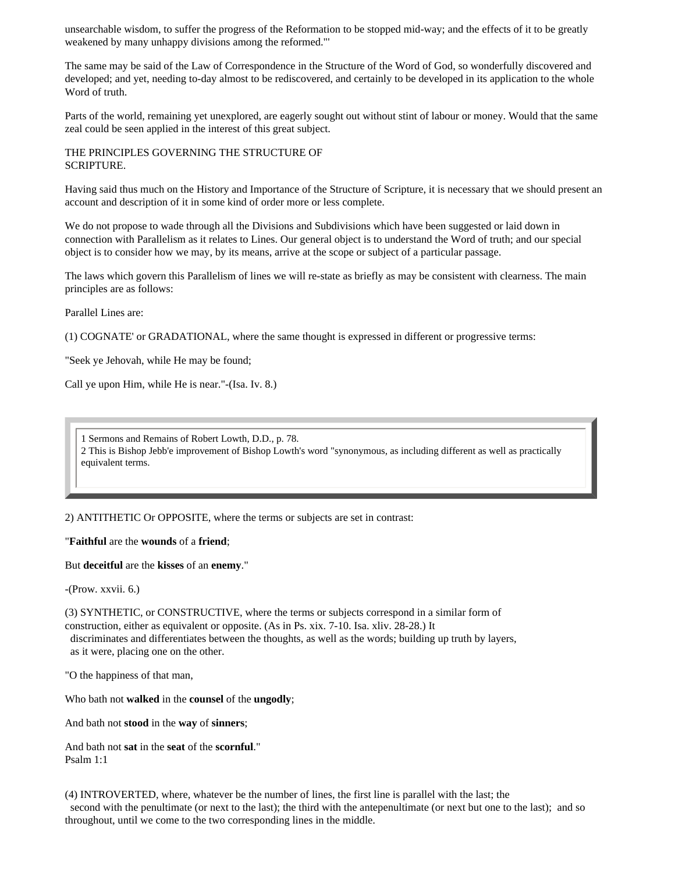unsearchable wisdom, to suffer the progress of the Reformation to be stopped mid-way; and the effects of it to be greatly weakened by many unhappy divisions among the reformed."'

The same may be said of the Law of Correspondence in the Structure of the Word of God, so wonderfully discovered and developed; and yet, needing to-day almost to be rediscovered, and certainly to be developed in its application to the whole Word of truth.

Parts of the world, remaining yet unexplored, are eagerly sought out without stint of labour or money. Would that the same zeal could be seen applied in the interest of this great subject.

THE PRINCIPLES GOVERNING THE STRUCTURE OF SCRIPTURE.

Having said thus much on the History and Importance of the Structure of Scripture, it is necessary that we should present an account and description of it in some kind of order more or less complete.

We do not propose to wade through all the Divisions and Subdivisions which have been suggested or laid down in connection with Parallelism as it relates to Lines. Our general object is to understand the Word of truth; and our special object is to consider how we may, by its means, arrive at the scope or subject of a particular passage.

The laws which govern this Parallelism of lines we will re-state as briefly as may be consistent with clearness. The main principles are as follows:

Parallel Lines are:

(1) COGNATE' or GRADATIONAL, where the same thought is expressed in different or progressive terms:

"Seek ye Jehovah, while He may be found;

Call ye upon Him, while He is near."-(Isa. Iv. 8.)

1 Sermons and Remains of Robert Lowth, D.D., p. 78. 2 This is Bishop Jebb'e improvement of Bishop Lowth's word "synonymous, as including different as well as practically equivalent terms.

2) ANTITHETIC Or OPPOSITE, where the terms or subjects are set in contrast:

"**Faithful** are the **wounds** of a **friend**;

But **deceitful** are the **kisses** of an **enemy**."

-(Prow. xxvii. 6.)

(3) SYNTHETIC, or CONSTRUCTIVE, where the terms or subjects correspond in a similar form of construction, either as equivalent or opposite. (As in Ps. xix. 7-10. Isa. xliv. 28-28.) It discriminates and differentiates between the thoughts, as well as the words; building up truth by layers,

as it were, placing one on the other.

"O the happiness of that man,

Who bath not **walked** in the **counsel** of the **ungodly**;

And bath not **stood** in the **way** of **sinners**;

And bath not **sat** in the **seat** of the **scornful**." Psalm 1:1

(4) INTROVERTED, where, whatever be the number of lines, the first line is parallel with the last; the second with the penultimate (or next to the last); the third with the antepenultimate (or next but one to the last); and so throughout, until we come to the two corresponding lines in the middle.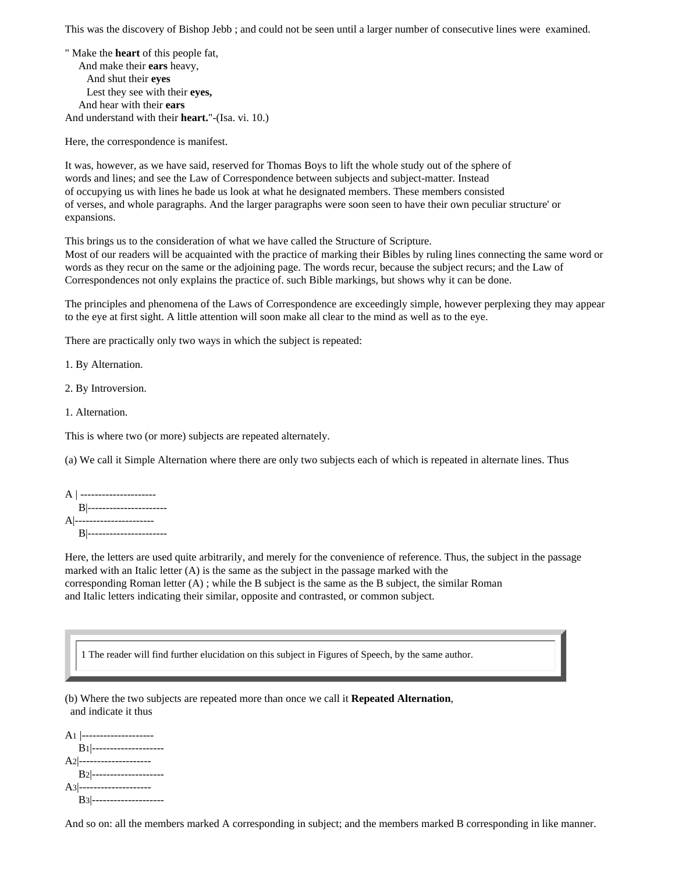This was the discovery of Bishop Jebb ; and could not be seen until a larger number of consecutive lines were examined.

" Make the **heart** of this people fat, And make their **ears** heavy, And shut their **eyes** Lest they see with their **eyes,** And hear with their **ears** And understand with their **heart.**"-(Isa. vi. 10.)

Here, the correspondence is manifest.

It was, however, as we have said, reserved for Thomas Boys to lift the whole study out of the sphere of words and lines; and see the Law of Correspondence between subjects and subject-matter. Instead of occupying us with lines he bade us look at what he designated members. These members consisted of verses, and whole paragraphs. And the larger paragraphs were soon seen to have their own peculiar structure' or expansions.

This brings us to the consideration of what we have called the Structure of Scripture.

Most of our readers will be acquainted with the practice of marking their Bibles by ruling lines connecting the same word or words as they recur on the same or the adjoining page. The words recur, because the subject recurs; and the Law of Correspondences not only explains the practice of. such Bible markings, but shows why it can be done.

The principles and phenomena of the Laws of Correspondence are exceedingly simple, however perplexing they may appear to the eye at first sight. A little attention will soon make all clear to the mind as well as to the eye.

There are practically only two ways in which the subject is repeated:

1. By Alternation.

2. By Introversion.

1. Alternation.

This is where two (or more) subjects are repeated alternately.

(a) We call it Simple Alternation where there are only two subjects each of which is repeated in alternate lines. Thus

A | --------------------- B|---------------------- A|---------------------- B|-----------------------

Here, the letters are used quite arbitrarily, and merely for the convenience of reference. Thus, the subject in the passage marked with an Italic letter  $(A)$  is the same as the subject in the passage marked with the corresponding Roman letter  $(A)$ ; while the B subject is the same as the B subject, the similar Roman and Italic letters indicating their similar, opposite and contrasted, or common subject.

1 The reader will find further elucidation on this subject in Figures of Speech, by the same author.

(b) Where the two subjects are repeated more than once we call it **Repeated Alternation**, and indicate it thus

A<sub>1</sub> |--------------------- B1|-------------------- A<sub>2</sub>|---------------------- B2|-------------------- A3|-------------------- B3|--------------------

And so on: all the members marked A corresponding in subject; and the members marked B corresponding in like manner.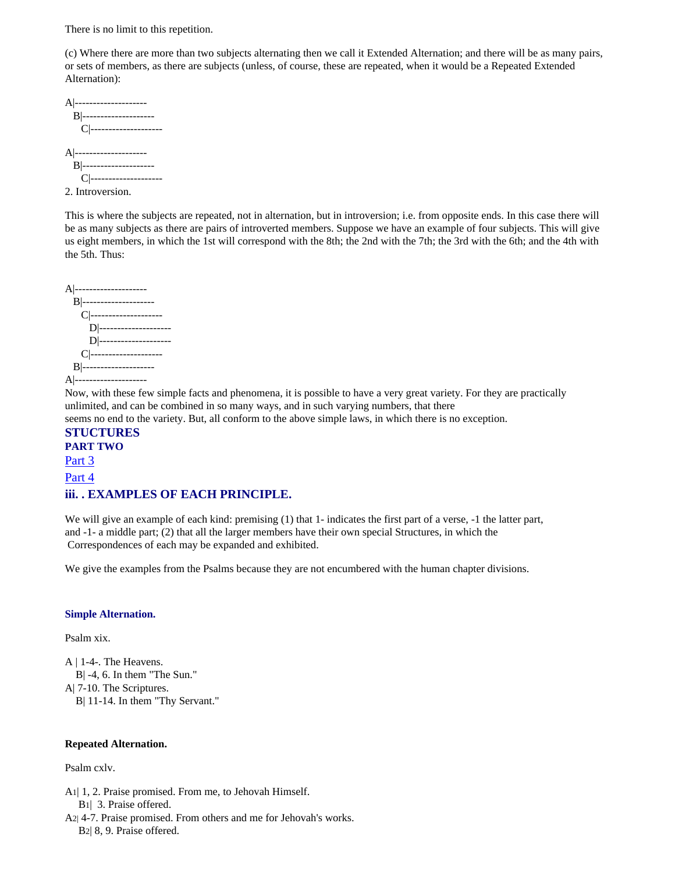There is no limit to this repetition.

(c) Where there are more than two subjects alternating then we call it Extended Alternation; and there will be as many pairs, or sets of members, as there are subjects (unless, of course, these are repeated, when it would be a Repeated Extended Alternation):

```
A|--------------------
   B|--------------------
     C|--------------------
A|--------------------
   B|--------------------
     C|--------------------
2. Introversion.
```
This is where the subjects are repeated, not in alternation, but in introversion; i.e. from opposite ends. In this case there will be as many subjects as there are pairs of introverted members. Suppose we have an example of four subjects. This will give us eight members, in which the 1st will correspond with the 8th; the 2nd with the 7th; the 3rd with the 6th; and the 4th with the 5th. Thus:

```
A|--------------------
   B|--------------------
     C|--------------------
       D|--------------------
       D|--------------------
     C|--------------------
   B|--------------------
A|--------------------
```
Now, with these few simple facts and phenomena, it is possible to have a very great variety. For they are practically unlimited, and can be combined in so many ways, and in such varying numbers, that there

seems no end to the variety. But, all conform to the above simple laws, in which there is no exception.

**STUCTURES PART TWO** [Part 3](http://www.heavendwellers.com/hd_bullinger_structures_part_3.htm) [Part 4](http://www.heavendwellers.com/hd_bullingers_structures_part_4.htm) **iii. . EXAMPLES OF EACH PRINCIPLE.**

We will give an example of each kind: premising (1) that 1- indicates the first part of a verse, -1 the latter part, and -1- a middle part; (2) that all the larger members have their own special Structures, in which the Correspondences of each may be expanded and exhibited.

We give the examples from the Psalms because they are not encumbered with the human chapter divisions.

#### **Simple Alternation.**

Psalm xix.

A | 1-4-. The Heavens. B| -4, 6. In them "The Sun." A| 7-10. The Scriptures. B| 11-14. In them "Thy Servant."

#### **Repeated Alternation.**

Psalm cxlv.

A1| 1, 2. Praise promised. From me, to Jehovah Himself.

B1| 3. Praise offered.

A2| 4-7. Praise promised. From others and me for Jehovah's works. B2| 8, 9. Praise offered.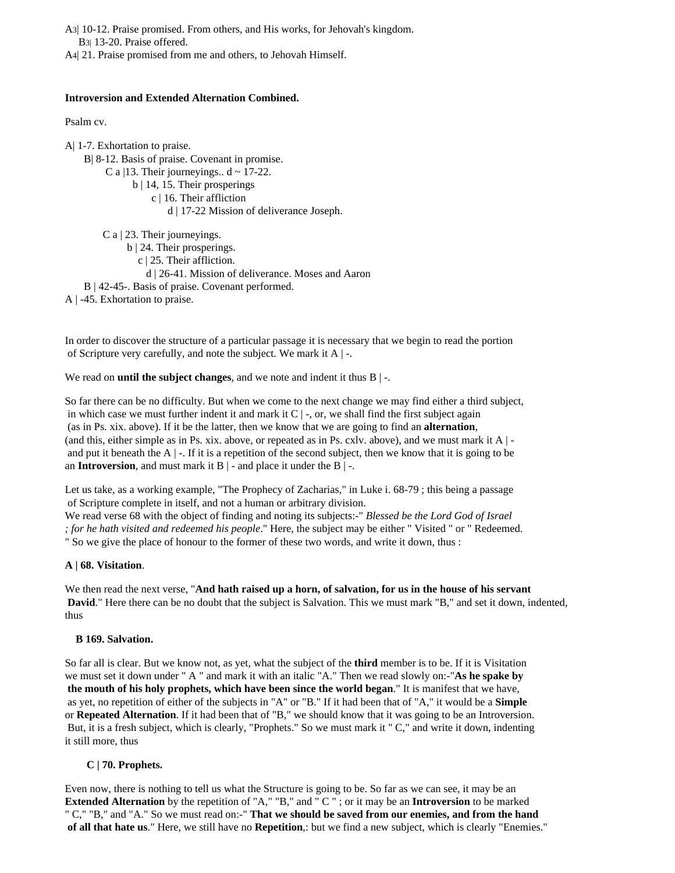A3| 10-12. Praise promised. From others, and His works, for Jehovah's kingdom. B3| 13-20. Praise offered.

A4| 21. Praise promised from me and others, to Jehovah Himself.

#### **Introversion and Extended Alternation Combined.**

Psalm cv.

A| 1-7. Exhortation to praise. B| 8-12. Basis of praise. Covenant in promise. C a  $|13$ . Their journeyings..  $d \sim 17-22$ . b | 14, 15. Their prosperings c | 16. Their affliction d | 17-22 Mission of deliverance Joseph. C a | 23. Their journeyings. b | 24. Their prosperings.

c | 25. Their affliction.

d | 26-41. Mission of deliverance. Moses and Aaron

B | 42-45-. Basis of praise. Covenant performed.

A | -45. Exhortation to praise.

In order to discover the structure of a particular passage it is necessary that we begin to read the portion of Scripture very carefully, and note the subject. We mark it A | -.

We read on **until the subject changes**, and we note and indent it thus B | -.

So far there can be no difficulty. But when we come to the next change we may find either a third subject, in which case we must further indent it and mark it  $C \mid \cdot$ , or, we shall find the first subject again (as in Ps. xix. above). If it be the latter, then we know that we are going to find an **alternation**, (and this, either simple as in Ps. xix. above, or repeated as in Ps. cxlv. above), and we must mark it A | and put it beneath the  $A \mid -1$ . If it is a repetition of the second subject, then we know that it is going to be an **Introversion**, and must mark it  $B$  | - and place it under the  $B$  | -.

Let us take, as a working example, "The Prophecy of Zacharias," in Luke i. 68-79 ; this being a passage of Scripture complete in itself, and not a human or arbitrary division. We read verse 68 with the object of finding and noting its subjects:-" *Blessed be the Lord God of Israel ; for he hath visited and redeemed his people*." Here, the subject may be either " Visited " or " Redeemed.

" So we give the place of honour to the former of these two words, and write it down, thus :

### **A | 68. Visitation**.

We then read the next verse, "**And hath raised up a horn, of salvation, for us in the house of his servant David.**" Here there can be no doubt that the subject is Salvation. This we must mark "B," and set it down, indented, thus

#### **B 169. Salvation.**

So far all is clear. But we know not, as yet, what the subject of the **third** member is to be. If it is Visitation we must set it down under " A " and mark it with an italic "A." Then we read slowly on:-"**As he spake by the mouth of his holy prophets, which have been since the world began**." It is manifest that we have, as yet, no repetition of either of the subjects in "A" or "B." If it had been that of "A," it would be a **Simple** or **Repeated Alternation**. If it had been that of "B," we should know that it was going to be an Introversion. But, it is a fresh subject, which is clearly, "Prophets." So we must mark it " C," and write it down, indenting it still more, thus

### **C | 70. Prophets.**

Even now, there is nothing to tell us what the Structure is going to be. So far as we can see, it may be an **Extended Alternation** by the repetition of "A," "B," and " C " ; or it may be an **Introversion** to be marked " C," "B," and "A." So we must read on:-" **That we should be saved from our enemies, and from the hand of all that hate us**." Here, we still have no **Repetition**,: but we find a new subject, which is clearly "Enemies."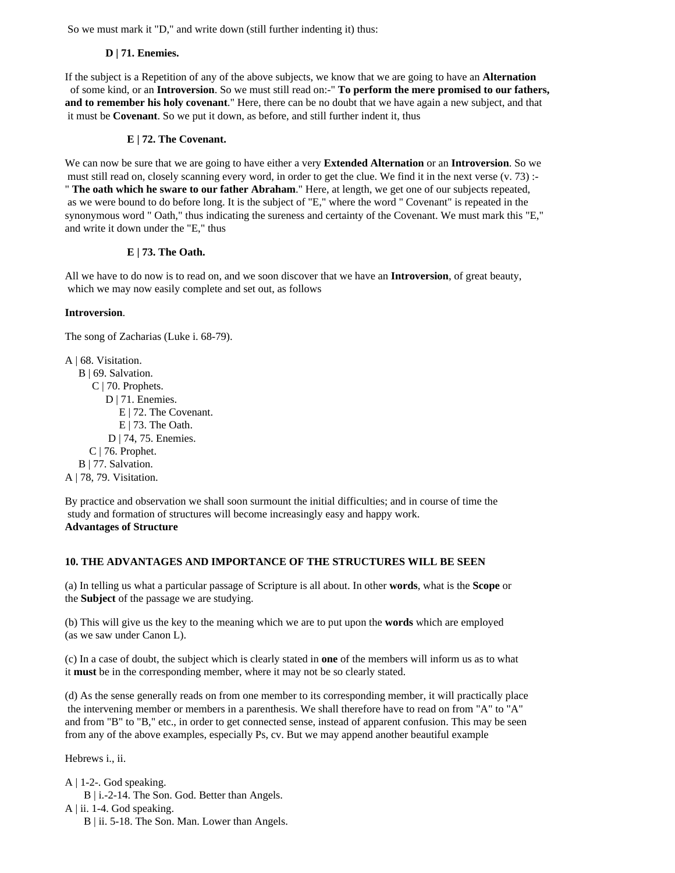So we must mark it "D," and write down (still further indenting it) thus:

### **D | 71. Enemies.**

If the subject is a Repetition of any of the above subjects, we know that we are going to have an **Alternation** of some kind, or an **Introversion**. So we must still read on:-" **To perform the mere promised to our fathers, and to remember his holy covenant**." Here, there can be no doubt that we have again a new subject, and that it must be **Covenant**. So we put it down, as before, and still further indent it, thus

### **E | 72. The Covenant.**

We can now be sure that we are going to have either a very **Extended Alternation** or an **Introversion**. So we must still read on, closely scanning every word, in order to get the clue. We find it in the next verse (v. 73) :-" **The oath which he sware to our father Abraham**." Here, at length, we get one of our subjects repeated, as we were bound to do before long. It is the subject of "E," where the word " Covenant" is repeated in the synonymous word " Oath," thus indicating the sureness and certainty of the Covenant. We must mark this "E," and write it down under the "E," thus

### **E | 73. The Oath.**

All we have to do now is to read on, and we soon discover that we have an **Introversion**, of great beauty, which we may now easily complete and set out, as follows

### **Introversion**.

The song of Zacharias (Luke i. 68-79).

A | 68. Visitation. B | 69. Salvation. C | 70. Prophets. D | 71. Enemies. E | 72. The Covenant. E | 73. The Oath. D | 74, 75. Enemies. C | 76. Prophet. B | 77. Salvation. A | 78, 79. Visitation.

By practice and observation we shall soon surmount the initial difficulties; and in course of time the study and formation of structures will become increasingly easy and happy work. **Advantages of Structure** 

### **10. THE ADVANTAGES AND IMPORTANCE OF THE STRUCTURES WILL BE SEEN**

(a) In telling us what a particular passage of Scripture is all about. In other **words**, what is the **Scope** or the **Subject** of the passage we are studying.

(b) This will give us the key to the meaning which we are to put upon the **words** which are employed (as we saw under Canon L).

(c) In a case of doubt, the subject which is clearly stated in **one** of the members will inform us as to what it **must** be in the corresponding member, where it may not be so clearly stated.

(d) As the sense generally reads on from one member to its corresponding member, it will practically place the intervening member or members in a parenthesis. We shall therefore have to read on from "A" to "A" and from "B" to "B," etc., in order to get connected sense, instead of apparent confusion. This may be seen from any of the above examples, especially Ps, cv. But we may append another beautiful example

Hebrews i., ii.

 $A \mid 1-2$ -. God speaking.

- B | i.-2-14. The Son. God. Better than Angels.
- A | ii. 1-4. God speaking.
	- B | ii. 5-18. The Son. Man. Lower than Angels.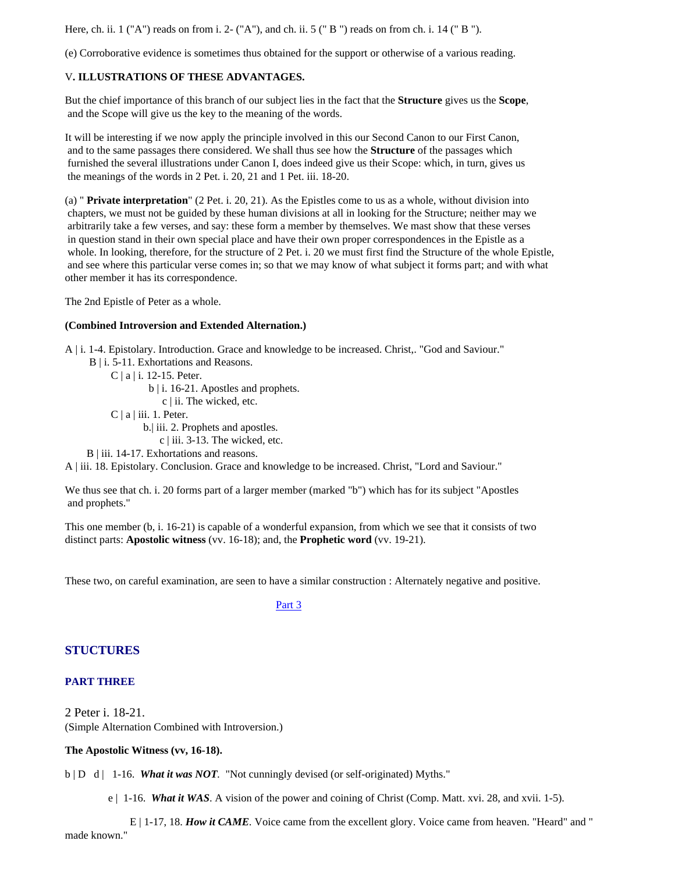Here, ch. ii.  $1$  ("A") reads on from i. 2- ("A"), and ch. ii.  $5$  (" B") reads on from ch. i.  $14$  (" B").

(e) Corroborative evidence is sometimes thus obtained for the support or otherwise of a various reading.

### V**. ILLUSTRATIONS OF THESE ADVANTAGES.**

But the chief importance of this branch of our subject lies in the fact that the **Structure** gives us the **Scope**, and the Scope will give us the key to the meaning of the words.

It will be interesting if we now apply the principle involved in this our Second Canon to our First Canon, and to the same passages there considered. We shall thus see how the **Structure** of the passages which furnished the several illustrations under Canon I, does indeed give us their Scope: which, in turn, gives us the meanings of the words in 2 Pet. i. 20, 21 and 1 Pet. iii. 18-20.

(a) " **Private interpretation**" (2 Pet. i. 20, 21). As the Epistles come to us as a whole, without division into chapters, we must not be guided by these human divisions at all in looking for the Structure; neither may we arbitrarily take a few verses, and say: these form a member by themselves. We mast show that these verses in question stand in their own special place and have their own proper correspondences in the Epistle as a whole. In looking, therefore, for the structure of 2 Pet. i. 20 we must first find the Structure of the whole Epistle, and see where this particular verse comes in; so that we may know of what subject it forms part; and with what other member it has its correspondence.

The 2nd Epistle of Peter as a whole.

#### **(Combined Introversion and Extended Alternation.)**

A | i. 1-4. Epistolary. Introduction. Grace and knowledge to be increased. Christ,. "God and Saviour."

- B | i. 5-11. Exhortations and Reasons.
	- C | a | i. 12-15. Peter.
		- b | i. 16-21. Apostles and prophets.

c | ii. The wicked, etc.

 $C | a | iii. 1. Peter.$ 

b.| iii. 2. Prophets and apostles.

c | iii. 3-13. The wicked, etc.

B | iii. 14-17. Exhortations and reasons.

A | iii. 18. Epistolary. Conclusion. Grace and knowledge to be increased. Christ, "Lord and Saviour."

We thus see that ch. i. 20 forms part of a larger member (marked "b") which has for its subject "Apostles and prophets."

This one member (b, i. 16-21) is capable of a wonderful expansion, from which we see that it consists of two distinct parts: **Apostolic witness** (vv. 16-18); and, the **Prophetic word** (vv. 19-21).

These two, on careful examination, are seen to have a similar construction : Alternately negative and positive.

**[Part 3](http://www.heavendwellers.com/hd_bullinger_structures_part_3.htm) Part 3** 

## **STUCTURES**

### **PART THREE**

2 Peter i. 18-21. (Simple Alternation Combined with Introversion.)

**The Apostolic Witness (vv, 16-18).**

b | D d | 1-16. *What it was NOT.* "Not cunningly devised (or self-originated) Myths."

e | 1-16. *What it WAS*. A vision of the power and coining of Christ (Comp. Matt. xvi. 28, and xvii. 1-5).

 E | 1-17, 18. *How it CAME.* Voice came from the excellent glory. Voice came from heaven. "Heard" and " made known."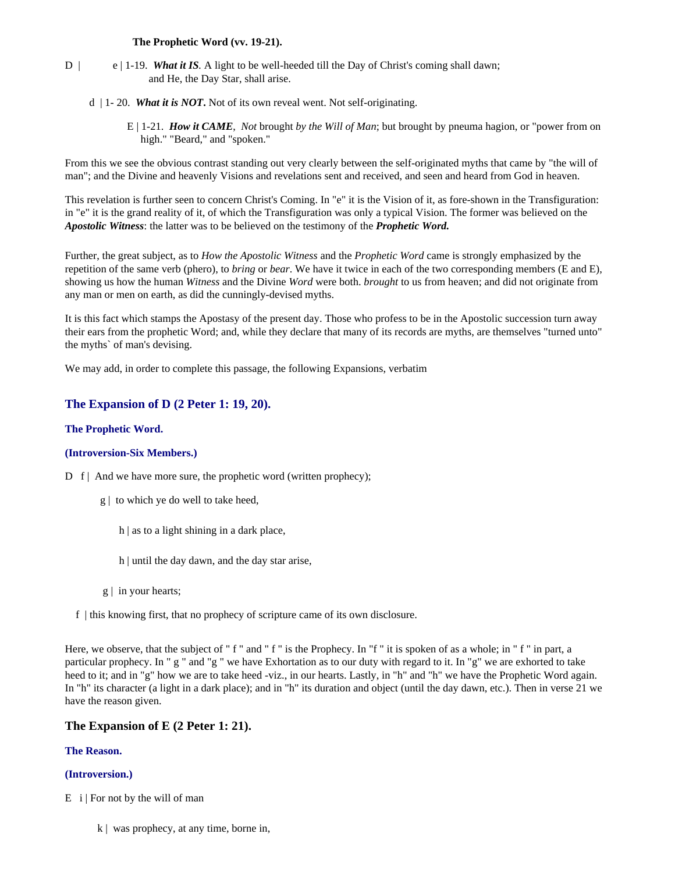#### **The Prophetic Word (vv. 19-21).**

- D | e | 1-19. *What it IS*. A light to be well-heeded till the Day of Christ's coming shall dawn; and He, the Day Star, shall arise.
	- d | 1- 20. *What it is NOT***.** Not of its own reveal went. Not self-originating.
		- E | 1-21. *How it CAME*, *Not* brought *by the Will of Man*; but brought by pneuma hagion, or "power from on high." "Beard," and "spoken."

From this we see the obvious contrast standing out very clearly between the self-originated myths that came by "the will of man"; and the Divine and heavenly Visions and revelations sent and received, and seen and heard from God in heaven.

This revelation is further seen to concern Christ's Coming. In "e" it is the Vision of it, as fore-shown in the Transfiguration: in "e" it is the grand reality of it, of which the Transfiguration was only a typical Vision. The former was believed on the *Apostolic Witness*: the latter was to be believed on the testimony of the *Prophetic Word.*

Further, the great subject, as to *How the Apostolic Witness* and the *Prophetic Word* came is strongly emphasized by the repetition of the same verb (phero), to *bring* or *bear*. We have it twice in each of the two corresponding members (E and E), showing us how the human *Witness* and the Divine *Word* were both. *brought* to us from heaven; and did not originate from any man or men on earth, as did the cunningly-devised myths.

It is this fact which stamps the Apostasy of the present day. Those who profess to be in the Apostolic succession turn away their ears from the prophetic Word; and, while they declare that many of its records are myths, are themselves "turned unto" the myths` of man's devising.

We may add, in order to complete this passage, the following Expansions, verbatim

## **The Expansion of D (2 Peter 1: 19, 20).**

#### **The Prophetic Word.**

#### **(Introversion-Six Members.)**

D f | And we have more sure, the prophetic word (written prophecy);

- g | to which ye do well to take heed,
	- h | as to a light shining in a dark place,
	- h | until the day dawn, and the day star arise,
- g | in your hearts;
- f | this knowing first, that no prophecy of scripture came of its own disclosure.

Here, we observe, that the subject of " f " and " f " is the Prophecy. In "f " it is spoken of as a whole; in " f " in part, a particular prophecy. In " g " and "g " we have Exhortation as to our duty with regard to it. In "g" we are exhorted to take heed to it; and in "g" how we are to take heed -viz., in our hearts. Lastly, in "h" and "h" we have the Prophetic Word again. In "h" its character (a light in a dark place); and in "h" its duration and object (until the day dawn, etc.). Then in verse 21 we have the reason given.

### **The Expansion of E (2 Peter 1: 21).**

#### **The Reason.**

### **(Introversion.)**

- $E$  i | For not by the will of man
	- k | was prophecy, at any time, borne in,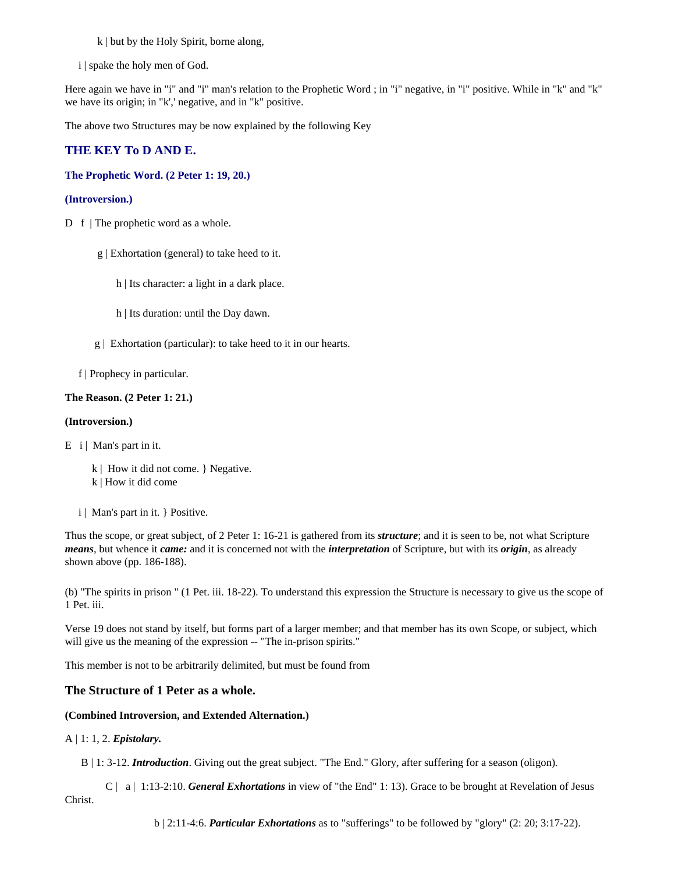k | but by the Holy Spirit, borne along,

i | spake the holy men of God.

Here again we have in "i" and "i" man's relation to the Prophetic Word ; in "i" negative, in "i" positive. While in "k" and "k" we have its origin; in "k',' negative, and in "k" positive.

The above two Structures may be now explained by the following Key

### **THE KEY To D AND E.**

### **The Prophetic Word. (2 Peter 1: 19, 20.)**

#### **(Introversion.)**

- D f | The prophetic word as a whole.
	- g | Exhortation (general) to take heed to it.
		- h | Its character: a light in a dark place.
		- h | Its duration: until the Day dawn.
	- g | Exhortation (particular): to take heed to it in our hearts.

f | Prophecy in particular.

#### **The Reason. (2 Peter 1: 21.)**

#### **(Introversion.)**

 $E$  i | Man's part in it.

- k | How it did not come. } Negative.
- k | How it did come
- i | Man's part in it. } Positive.

Thus the scope, or great subject, of 2 Peter 1: 16-21 is gathered from its *structure*; and it is seen to be, not what Scripture *means*, but whence it *came:* and it is concerned not with the *interpretation* of Scripture, but with its *origin*, as already shown above (pp. 186-188).

(b) "The spirits in prison " (1 Pet. iii. 18-22). To understand this expression the Structure is necessary to give us the scope of 1 Pet. iii.

Verse 19 does not stand by itself, but forms part of a larger member; and that member has its own Scope, or subject, which will give us the meaning of the expression -- "The in-prison spirits."

This member is not to be arbitrarily delimited, but must be found from

### **The Structure of 1 Peter as a whole.**

#### **(Combined Introversion, and Extended Alternation.)**

#### A | 1: 1, 2. *Epistolary.*

B | 1: 3-12. *Introduction*. Giving out the great subject. "The End." Glory, after suffering for a season (oligon).

 C | a | 1:13-2:10. *General Exhortations* in view of "the End" 1: 13). Grace to be brought at Revelation of Jesus Christ.

b | 2:11-4:6. *Particular Exhortations* as to "sufferings" to be followed by "glory" (2: 20; 3:17-22).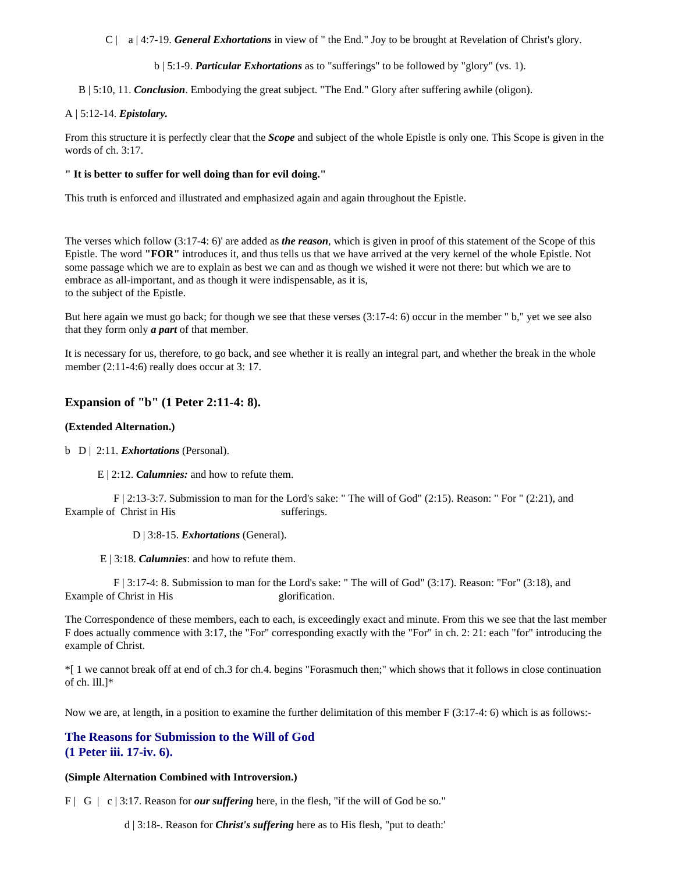C | a | 4:7-19. *General Exhortations* in view of " the End." Joy to be brought at Revelation of Christ's glory.

b | 5:1-9. *Particular Exhortations* as to "sufferings" to be followed by "glory" (vs. 1).

B | 5:10, 11. *Conclusion*. Embodying the great subject. "The End." Glory after suffering awhile (oligon).

#### A | 5:12-14. *Epistolary.*

From this structure it is perfectly clear that the *Scope* and subject of the whole Epistle is only one. This Scope is given in the words of ch. 3:17.

#### **" It is better to suffer for well doing than for evil doing."**

This truth is enforced and illustrated and emphasized again and again throughout the Epistle.

The verses which follow (3:17-4: 6)' are added as *the reason*, which is given in proof of this statement of the Scope of this Epistle. The word **"FOR"** introduces it, and thus tells us that we have arrived at the very kernel of the whole Epistle. Not some passage which we are to explain as best we can and as though we wished it were not there: but which we are to embrace as all-important, and as though it were indispensable, as it is, to the subject of the Epistle.

But here again we must go back; for though we see that these verses (3:17-4: 6) occur in the member " b," yet we see also that they form only *a part* of that member.

It is necessary for us, therefore, to go back, and see whether it is really an integral part, and whether the break in the whole member (2:11-4:6) really does occur at 3:17.

### **Expansion of "b" (1 Peter 2:11-4: 8).**

#### **(Extended Alternation.)**

b D | 2:11. *Exhortations* (Personal).

E | 2:12. *Calumnies:* and how to refute them.

 F | 2:13-3:7. Submission to man for the Lord's sake: " The will of God" (2:15). Reason: " For " (2:21), and Example of Christ in His sufferings.

D | 3:8-15. *Exhortations* (General).

E | 3:18. *Calumnies*: and how to refute them.

 F | 3:17-4: 8. Submission to man for the Lord's sake: " The will of God" (3:17). Reason: "For" (3:18), and Example of Christ in His glorification.

The Correspondence of these members, each to each, is exceedingly exact and minute. From this we see that the last member F does actually commence with 3:17, the "For" corresponding exactly with the "For" in ch. 2: 21: each "for" introducing the example of Christ.

\*[ 1 we cannot break off at end of ch.3 for ch.4. begins "Forasmuch then;" which shows that it follows in close continuation of ch. Ill.]\*

Now we are, at length, in a position to examine the further delimitation of this member F (3:17-4: 6) which is as follows:-

## **The Reasons for Submission to the Will of God (1 Peter iii. 17-iv. 6).**

### **(Simple Alternation Combined with Introversion.)**

F | G | c | 3:17. Reason for *our suffering* here, in the flesh, "if the will of God be so."

d | 3:18-. Reason for *Christ's suffering* here as to His flesh, "put to death:'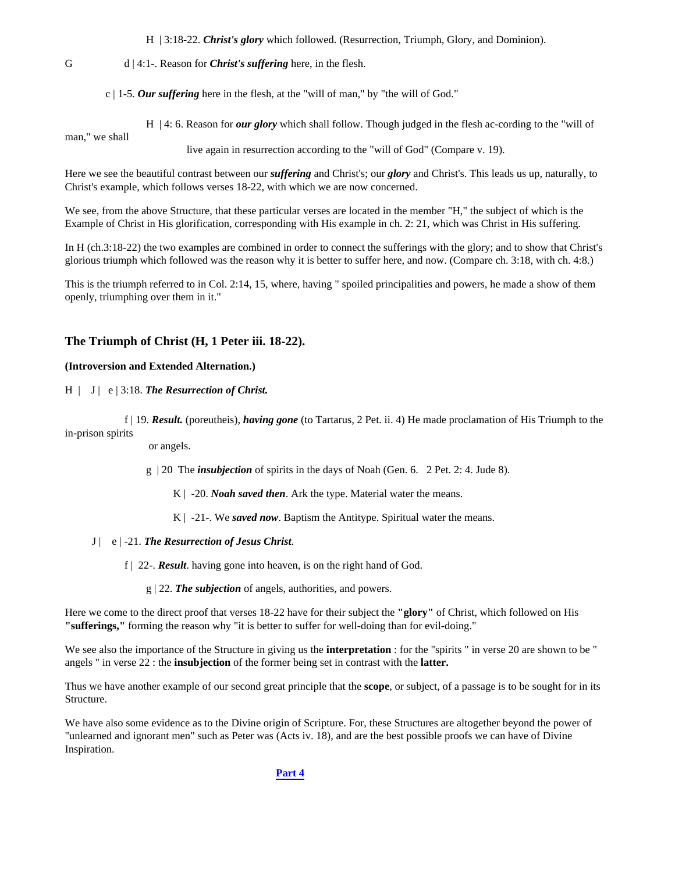H | 3:18-22. *Christ's glory* which followed. (Resurrection, Triumph, Glory, and Dominion).

### G d | 4:1-. Reason for *Christ's suffering* here, in the flesh.

c | 1-5. *Our suffering* here in the flesh, at the "will of man," by "the will of God."

 H | 4: 6. Reason for *our glory* which shall follow. Though judged in the flesh ac-cording to the "will of man," we shall

live again in resurrection according to the "will of God" (Compare v. 19).

Here we see the beautiful contrast between our *suffering* and Christ's; our *glory* and Christ's. This leads us up, naturally, to Christ's example, which follows verses 18-22, with which we are now concerned.

We see, from the above Structure, that these particular verses are located in the member "H," the subject of which is the Example of Christ in His glorification, corresponding with His example in ch. 2: 21, which was Christ in His suffering.

In H (ch.3:18-22) the two examples are combined in order to connect the sufferings with the glory; and to show that Christ's glorious triumph which followed was the reason why it is better to suffer here, and now. (Compare ch. 3:18, with ch. 4:8.)

This is the triumph referred to in Col. 2:14, 15, where, having " spoiled principalities and powers, he made a show of them openly, triumphing over them in it."

#### **The Triumph of Christ (H, 1 Peter iii. 18-22).**

#### **(Introversion and Extended Alternation.)**

H | J | e | 3:18. *The Resurrection of Christ.*

 f | 19. *Result.* (poreutheis), *having gone* (to Tartarus, 2 Pet. ii. 4) He made proclamation of His Triumph to the in-prison spirits

or angels.

g | 20 The *insubjection* of spirits in the days of Noah (Gen. 6. 2 Pet. 2: 4. Jude 8).

K | -20. *Noah saved then*. Ark the type. Material water the means.

K | -21-. We *saved now*. Baptism the Antitype. Spiritual water the means.

- J | e | -21. *The Resurrection of Jesus Christ*.
	- f | 22-. *Result*. having gone into heaven, is on the right hand of God.
		- g | 22. *The subjection* of angels, authorities, and powers.

Here we come to the direct proof that verses 18-22 have for their subject the **"glory"** of Christ, which followed on His **"sufferings,"** forming the reason why "it is better to suffer for well-doing than for evil-doing."

We see also the importance of the Structure in giving us the **interpretation** : for the "spirits " in verse 20 are shown to be " angels " in verse 22 : the **insubjection** of the former being set in contrast with the **latter.**

Thus we have another example of our second great principle that the **scope**, or subject, of a passage is to be sought for in its Structure.

We have also some evidence as to the Divine origin of Scripture. For, these Structures are altogether beyond the power of "unlearned and ignorant men" such as Peter was (Acts iv. 18), and are the best possible proofs we can have of Divine Inspiration.

### **[Part 4](http://www.heavendwellers.com/hd_bullingers_structures_part_4.htm)**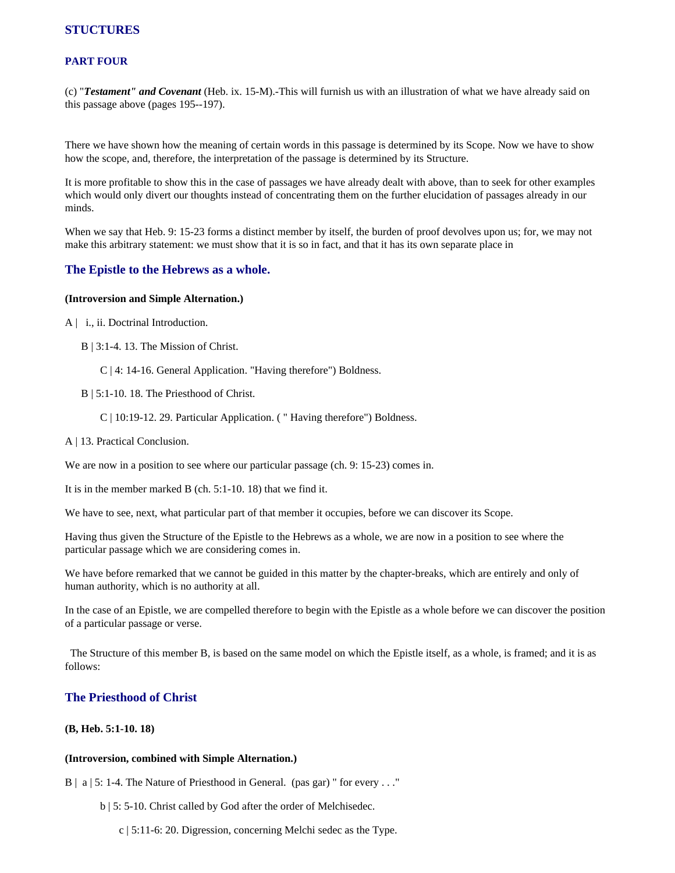## **STUCTURES**

## **PART FOUR**

(c) "*Testament" and Covenant* (Heb. ix. 15-M).-This will furnish us with an illustration of what we have already said on this passage above (pages 195--197).

There we have shown how the meaning of certain words in this passage is determined by its Scope. Now we have to show how the scope, and, therefore, the interpretation of the passage is determined by its Structure.

It is more profitable to show this in the case of passages we have already dealt with above, than to seek for other examples which would only divert our thoughts instead of concentrating them on the further elucidation of passages already in our minds.

When we say that Heb. 9: 15-23 forms a distinct member by itself, the burden of proof devolves upon us; for, we may not make this arbitrary statement: we must show that it is so in fact, and that it has its own separate place in

## **The Epistle to the Hebrews as a whole.**

#### **(Introversion and Simple Alternation.)**

- A | i., ii. Doctrinal Introduction.
	- B | 3:1-4. 13. The Mission of Christ.
		- C | 4: 14-16. General Application. "Having therefore") Boldness.
	- B | 5:1-10. 18. The Priesthood of Christ.
		- C | 10:19-12. 29. Particular Application. ( " Having therefore") Boldness.
- A | 13. Practical Conclusion.

We are now in a position to see where our particular passage (ch. 9: 15-23) comes in.

It is in the member marked B (ch. 5:1-10. 18) that we find it.

We have to see, next, what particular part of that member it occupies, before we can discover its Scope.

Having thus given the Structure of the Epistle to the Hebrews as a whole, we are now in a position to see where the particular passage which we are considering comes in.

We have before remarked that we cannot be guided in this matter by the chapter-breaks, which are entirely and only of human authority, which is no authority at all.

In the case of an Epistle, we are compelled therefore to begin with the Epistle as a whole before we can discover the position of a particular passage or verse.

 The Structure of this member B, is based on the same model on which the Epistle itself, as a whole, is framed; and it is as follows:

## **The Priesthood of Christ**

#### **(B, Heb. 5:1-10. 18)**

#### **(Introversion, combined with Simple Alternation.)**

B | a | 5: 1-4. The Nature of Priesthood in General. (pas gar) " for every . . ."

- b | 5: 5-10. Christ called by God after the order of Melchisedec.
	- c | 5:11-6: 20. Digression, concerning Melchi sedec as the Type.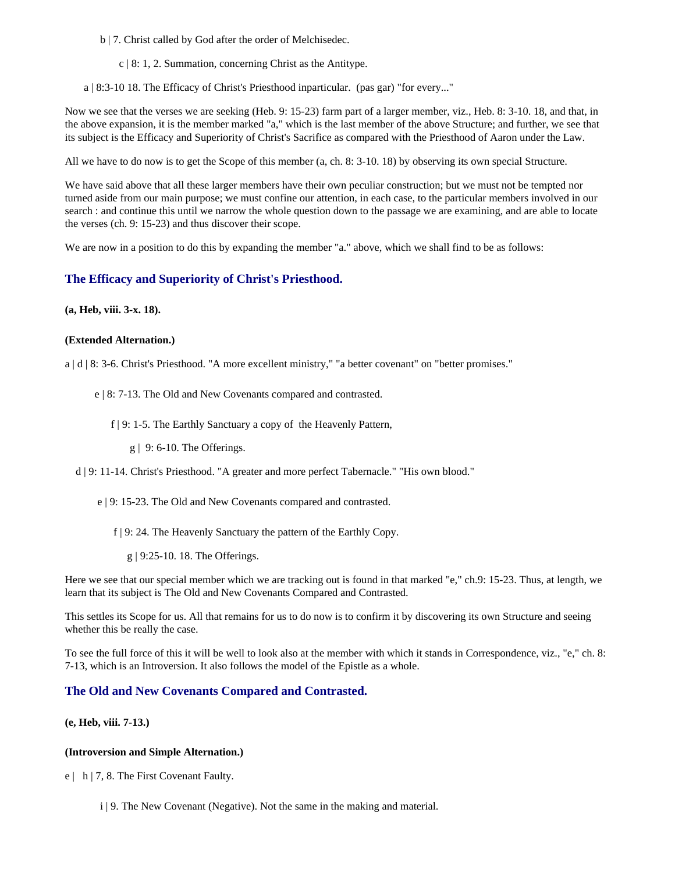- b | 7. Christ called by God after the order of Melchisedec.
	- c | 8: 1, 2. Summation, concerning Christ as the Antitype.
- a | 8:3-10 18. The Efficacy of Christ's Priesthood inparticular. (pas gar) "for every..."

Now we see that the verses we are seeking (Heb. 9: 15-23) farm part of a larger member, viz., Heb. 8: 3-10. 18, and that, in the above expansion, it is the member marked "a," which is the last member of the above Structure; and further, we see that its subject is the Efficacy and Superiority of Christ's Sacrifice as compared with the Priesthood of Aaron under the Law.

All we have to do now is to get the Scope of this member (a, ch. 8: 3-10. 18) by observing its own special Structure.

We have said above that all these larger members have their own peculiar construction; but we must not be tempted nor turned aside from our main purpose; we must confine our attention, in each case, to the particular members involved in our search : and continue this until we narrow the whole question down to the passage we are examining, and are able to locate the verses (ch. 9: 15-23) and thus discover their scope.

We are now in a position to do this by expanding the member "a." above, which we shall find to be as follows:

## **The Efficacy and Superiority of Christ's Priesthood.**

**(a, Heb, viii. 3-x. 18).**

#### **(Extended Alternation.)**

a | d | 8: 3-6. Christ's Priesthood. "A more excellent ministry," "a better covenant" on "better promises."

- e | 8: 7-13. The Old and New Covenants compared and contrasted.
	- f | 9: 1-5. The Earthly Sanctuary a copy of the Heavenly Pattern,
		- g | 9: 6-10. The Offerings.

d | 9: 11-14. Christ's Priesthood. "A greater and more perfect Tabernacle." "His own blood."

- e | 9: 15-23. The Old and New Covenants compared and contrasted.
	- f | 9: 24. The Heavenly Sanctuary the pattern of the Earthly Copy.
		- g | 9:25-10. 18. The Offerings.

Here we see that our special member which we are tracking out is found in that marked "e," ch.9: 15-23. Thus, at length, we learn that its subject is The Old and New Covenants Compared and Contrasted.

This settles its Scope for us. All that remains for us to do now is to confirm it by discovering its own Structure and seeing whether this be really the case.

To see the full force of this it will be well to look also at the member with which it stands in Correspondence, viz., "e," ch. 8: 7-13, which is an Introversion. It also follows the model of the Epistle as a whole.

## **The Old and New Covenants Compared and Contrasted.**

## **(e, Heb, viii. 7-13.)**

#### **(Introversion and Simple Alternation.)**

e | h | 7, 8. The First Covenant Faulty.

i | 9. The New Covenant (Negative). Not the same in the making and material.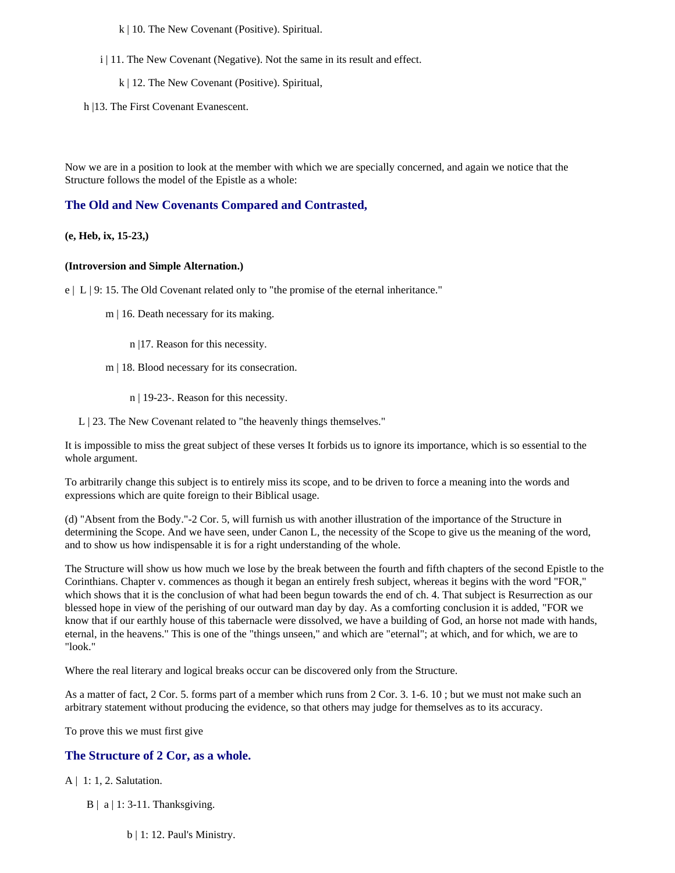k | 10. The New Covenant (Positive). Spiritual.

- i | 11. The New Covenant (Negative). Not the same in its result and effect.
	- k | 12. The New Covenant (Positive). Spiritual,
- h |13. The First Covenant Evanescent.

Now we are in a position to look at the member with which we are specially concerned, and again we notice that the Structure follows the model of the Epistle as a whole:

## **The Old and New Covenants Compared and Contrasted,**

#### **(e, Heb, ix, 15-23,)**

#### **(Introversion and Simple Alternation.)**

e | L | 9: 15. The Old Covenant related only to "the promise of the eternal inheritance."

- m | 16. Death necessary for its making.
	- n |17. Reason for this necessity.
- m | 18. Blood necessary for its consecration.
	- n | 19-23-. Reason for this necessity.

L | 23. The New Covenant related to "the heavenly things themselves."

It is impossible to miss the great subject of these verses It forbids us to ignore its importance, which is so essential to the whole argument.

To arbitrarily change this subject is to entirely miss its scope, and to be driven to force a meaning into the words and expressions which are quite foreign to their Biblical usage.

(d) "Absent from the Body."-2 Cor. 5, will furnish us with another illustration of the importance of the Structure in determining the Scope. And we have seen, under Canon L, the necessity of the Scope to give us the meaning of the word, and to show us how indispensable it is for a right understanding of the whole.

The Structure will show us how much we lose by the break between the fourth and fifth chapters of the second Epistle to the Corinthians. Chapter v. commences as though it began an entirely fresh subject, whereas it begins with the word "FOR," which shows that it is the conclusion of what had been begun towards the end of ch. 4. That subject is Resurrection as our blessed hope in view of the perishing of our outward man day by day. As a comforting conclusion it is added, "FOR we know that if our earthly house of this tabernacle were dissolved, we have a building of God, an horse not made with hands, eternal, in the heavens." This is one of the "things unseen," and which are "eternal"; at which, and for which, we are to "look."

Where the real literary and logical breaks occur can be discovered only from the Structure.

As a matter of fact, 2 Cor. 5. forms part of a member which runs from 2 Cor. 3. 1-6. 10 ; but we must not make such an arbitrary statement without producing the evidence, so that others may judge for themselves as to its accuracy.

To prove this we must first give

## **The Structure of 2 Cor, as a whole.**

- A | 1: 1, 2. Salutation.
	- $B | a | 1: 3-11$ . Thanksgiving.
		- b | 1: 12. Paul's Ministry.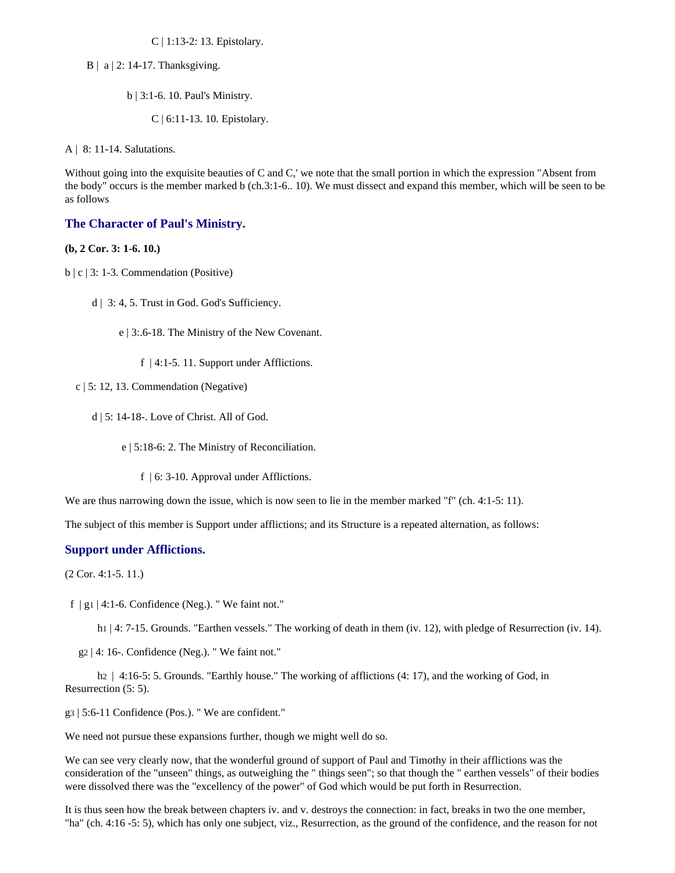C | 1:13-2: 13. Epistolary.

- $B \mid a \mid 2$ : 14-17. Thanksgiving.
	- b | 3:1-6. 10. Paul's Ministry.
		- C | 6:11-13. 10. Epistolary.

A | 8: 11-14. Salutations.

Without going into the exquisite beauties of C and C,' we note that the small portion in which the expression "Absent from the body" occurs is the member marked b (ch.3:1-6.. 10). We must dissect and expand this member, which will be seen to be as follows

## **The Character of Paul's Ministry.**

### **(b, 2 Cor. 3: 1-6. 10.)**

- $b \mid c \mid 3: 1-3$ . Commendation (Positive)
	- d | 3: 4, 5. Trust in God. God's Sufficiency.
		- e | 3:.6-18. The Ministry of the New Covenant.
			- f | 4:1-5. 11. Support under Afflictions.
	- c | 5: 12, 13. Commendation (Negative)
		- d | 5: 14-18-. Love of Christ. All of God.
			- e | 5:18-6: 2. The Ministry of Reconciliation.
				- f | 6: 3-10. Approval under Afflictions.

We are thus narrowing down the issue, which is now seen to lie in the member marked "f" (ch. 4:1-5: 11).

The subject of this member is Support under afflictions; and its Structure is a repeated alternation, as follows:

### **Support under Afflictions.**

(2 Cor. 4:1-5. 11.)

f  $|g_1|$  4:1-6. Confidence (Neg.). "We faint not."

h<sub>1</sub> | 4: 7-15. Grounds. "Earthen vessels." The working of death in them (iv. 12), with pledge of Resurrection (iv. 14).

g2 | 4: 16-. Confidence (Neg.). " We faint not."

h<sub>2</sub> | 4:16-5: 5. Grounds. "Earthly house." The working of afflictions (4: 17), and the working of God, in Resurrection (5: 5).

g3 | 5:6-11 Confidence (Pos.). " We are confident."

We need not pursue these expansions further, though we might well do so.

We can see very clearly now, that the wonderful ground of support of Paul and Timothy in their afflictions was the consideration of the "unseen" things, as outweighing the " things seen"; so that though the " earthen vessels" of their bodies were dissolved there was the "excellency of the power" of God which would be put forth in Resurrection.

It is thus seen how the break between chapters iv. and v. destroys the connection: in fact, breaks in two the one member, "ha" (ch. 4:16 -5: 5), which has only one subject, viz., Resurrection, as the ground of the confidence, and the reason for not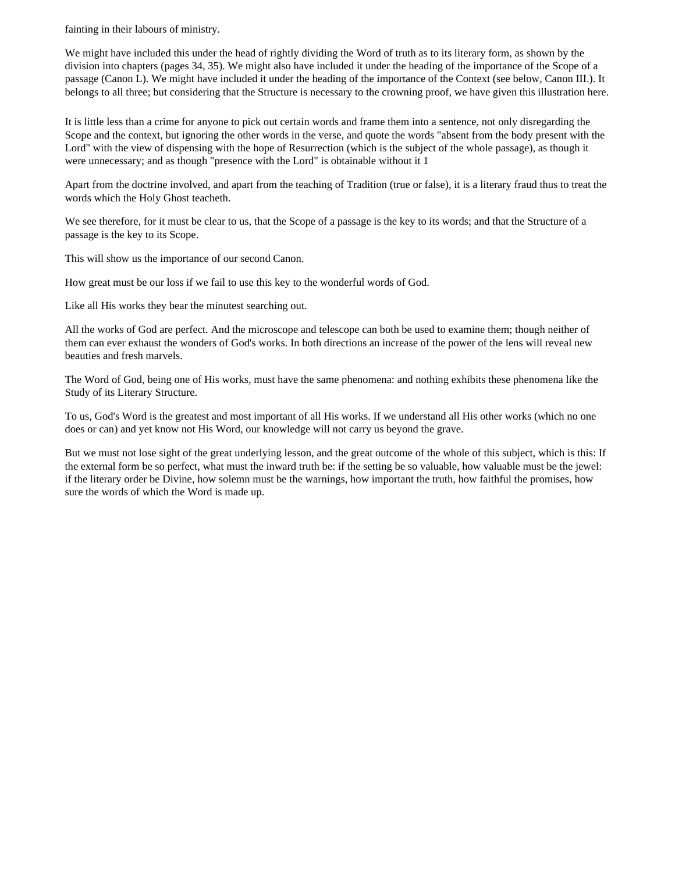fainting in their labours of ministry.

We might have included this under the head of rightly dividing the Word of truth as to its literary form, as shown by the division into chapters (pages 34, 35). We might also have included it under the heading of the importance of the Scope of a passage (Canon L). We might have included it under the heading of the importance of the Context (see below, Canon III.). It belongs to all three; but considering that the Structure is necessary to the crowning proof, we have given this illustration here.

It is little less than a crime for anyone to pick out certain words and frame them into a sentence, not only disregarding the Scope and the context, but ignoring the other words in the verse, and quote the words "absent from the body present with the Lord" with the view of dispensing with the hope of Resurrection (which is the subject of the whole passage), as though it were unnecessary; and as though "presence with the Lord" is obtainable without it 1

Apart from the doctrine involved, and apart from the teaching of Tradition (true or false), it is a literary fraud thus to treat the words which the Holy Ghost teacheth.

We see therefore, for it must be clear to us, that the Scope of a passage is the key to its words; and that the Structure of a passage is the key to its Scope.

This will show us the importance of our second Canon.

How great must be our loss if we fail to use this key to the wonderful words of God.

Like all His works they bear the minutest searching out.

All the works of God are perfect. And the microscope and telescope can both be used to examine them; though neither of them can ever exhaust the wonders of God's works. In both directions an increase of the power of the lens will reveal new beauties and fresh marvels.

The Word of God, being one of His works, must have the same phenomena: and nothing exhibits these phenomena like the Study of its Literary Structure.

To us, God's Word is the greatest and most important of all His works. If we understand all His other works (which no one does or can) and yet know not His Word, our knowledge will not carry us beyond the grave.

But we must not lose sight of the great underlying lesson, and the great outcome of the whole of this subject, which is this: If the external form be so perfect, what must the inward truth be: if the setting be so valuable, how valuable must be the jewel: if the literary order be Divine, how solemn must be the warnings, how important the truth, how faithful the promises, how sure the words of which the Word is made up.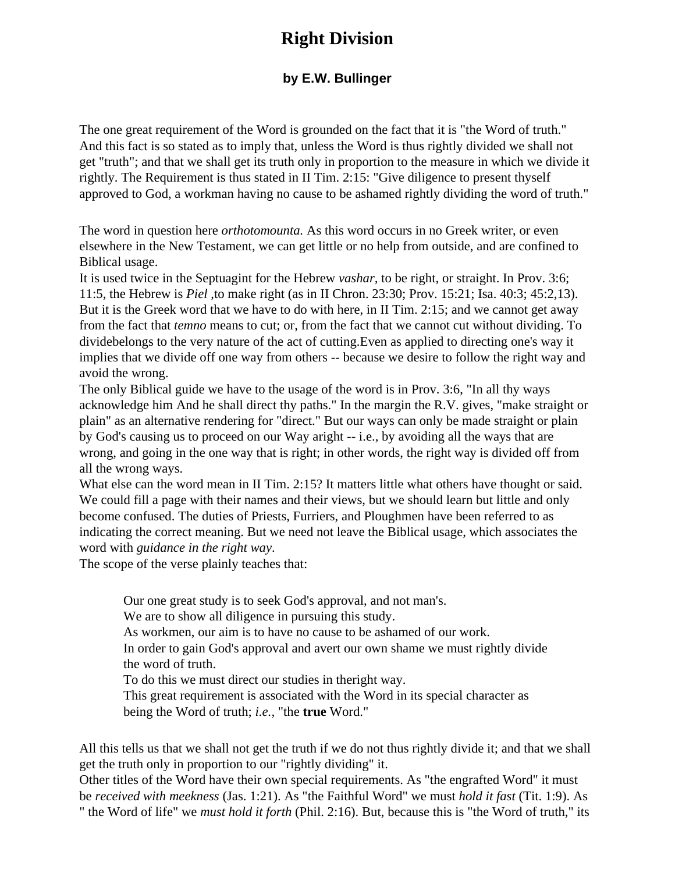# **Right Division**

## **by E.W. Bullinger**

The one great requirement of the Word is grounded on the fact that it is "the Word of truth." And this fact is so stated as to imply that, unless the Word is thus rightly divided we shall not get "truth"; and that we shall get its truth only in proportion to the measure in which we divide it rightly. The Requirement is thus stated in II Tim. 2:15: "Give diligence to present thyself approved to God, a workman having no cause to be ashamed rightly dividing the word of truth."

The word in question here *orthotomounta.* As this word occurs in no Greek writer, or even elsewhere in the New Testament, we can get little or no help from outside, and are confined to Biblical usage.

It is used twice in the Septuagint for the Hebrew *vashar,* to be right, or straight. In Prov. 3:6; 11:5, the Hebrew is *Piel* ,to make right (as in II Chron. 23:30; Prov. 15:21; Isa. 40:3; 45:2,13). But it is the Greek word that we have to do with here, in II Tim. 2:15; and we cannot get away from the fact that *temno* means to cut; or, from the fact that we cannot cut without dividing. To dividebelongs to the very nature of the act of cutting.Even as applied to directing one's way it implies that we divide off one way from others -- because we desire to follow the right way and avoid the wrong.

The only Biblical guide we have to the usage of the word is in Prov. 3:6, "In all thy ways acknowledge him And he shall direct thy paths." In the margin the R.V. gives, "make straight or plain" as an alternative rendering for "direct." But our ways can only be made straight or plain by God's causing us to proceed on our Way aright -- i.e., by avoiding all the ways that are wrong, and going in the one way that is right; in other words, the right way is divided off from all the wrong ways.

What else can the word mean in II Tim. 2:15? It matters little what others have thought or said. We could fill a page with their names and their views, but we should learn but little and only become confused. The duties of Priests, Furriers, and Ploughmen have been referred to as indicating the correct meaning. But we need not leave the Biblical usage, which associates the word with *guidance in the right way*.

The scope of the verse plainly teaches that:

Our one great study is to seek God's approval, and not man's.

We are to show all diligence in pursuing this study.

As workmen, our aim is to have no cause to be ashamed of our work.

In order to gain God's approval and avert our own shame we must rightly divide the word of truth.

To do this we must direct our studies in theright way.

This great requirement is associated with the Word in its special character as being the Word of truth; *i.e.,* "the **true** Word."

All this tells us that we shall not get the truth if we do not thus rightly divide it; and that we shall get the truth only in proportion to our "rightly dividing" it.

Other titles of the Word have their own special requirements. As "the engrafted Word" it must be *received with meekness* (Jas. 1:21). As "the Faithful Word" we must *hold it fast* (Tit. 1:9). As " the Word of life" we *must hold it forth* (Phil. 2:16). But, because this is "the Word of truth," its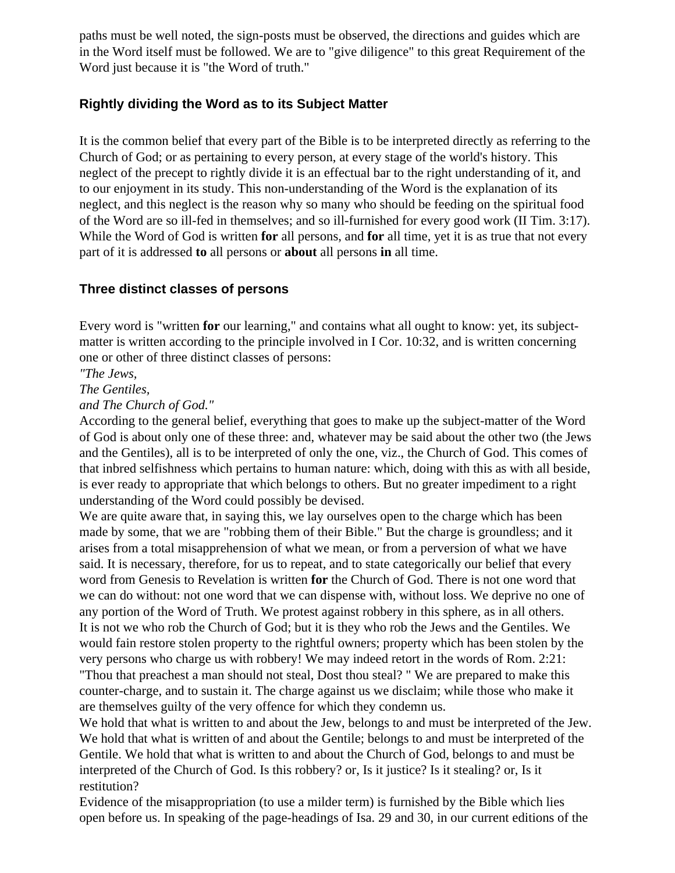paths must be well noted, the sign-posts must be observed, the directions and guides which are in the Word itself must be followed. We are to "give diligence" to this great Requirement of the Word just because it is "the Word of truth."

## **Rightly dividing the Word as to its Subject Matter**

It is the common belief that every part of the Bible is to be interpreted directly as referring to the Church of God; or as pertaining to every person, at every stage of the world's history. This neglect of the precept to rightly divide it is an effectual bar to the right understanding of it, and to our enjoyment in its study. This non-understanding of the Word is the explanation of its neglect, and this neglect is the reason why so many who should be feeding on the spiritual food of the Word are so ill-fed in themselves; and so ill-furnished for every good work (II Tim. 3:17). While the Word of God is written **for** all persons, and **for** all time, yet it is as true that not every part of it is addressed **to** all persons or **about** all persons **in** all time.

## **Three distinct classes of persons**

Every word is "written **for** our learning," and contains what all ought to know: yet, its subjectmatter is written according to the principle involved in I Cor. 10:32, and is written concerning one or other of three distinct classes of persons:

*"The Jews,*

*The Gentiles,*

*and The Church of God."*

According to the general belief, everything that goes to make up the subject-matter of the Word of God is about only one of these three: and, whatever may be said about the other two (the Jews and the Gentiles), all is to be interpreted of only the one, viz., the Church of God. This comes of that inbred selfishness which pertains to human nature: which, doing with this as with all beside, is ever ready to appropriate that which belongs to others. But no greater impediment to a right understanding of the Word could possibly be devised.

We are quite aware that, in saying this, we lay ourselves open to the charge which has been made by some, that we are "robbing them of their Bible." But the charge is groundless; and it arises from a total misapprehension of what we mean, or from a perversion of what we have said. It is necessary, therefore, for us to repeat, and to state categorically our belief that every word from Genesis to Revelation is written **for** the Church of God. There is not one word that we can do without: not one word that we can dispense with, without loss. We deprive no one of any portion of the Word of Truth. We protest against robbery in this sphere, as in all others. It is not we who rob the Church of God; but it is they who rob the Jews and the Gentiles. We would fain restore stolen property to the rightful owners; property which has been stolen by the very persons who charge us with robbery! We may indeed retort in the words of Rom. 2:21: "Thou that preachest a man should not steal, Dost thou steal? " We are prepared to make this counter-charge, and to sustain it. The charge against us we disclaim; while those who make it are themselves guilty of the very offence for which they condemn us.

We hold that what is written to and about the Jew, belongs to and must be interpreted of the Jew. We hold that what is written of and about the Gentile; belongs to and must be interpreted of the Gentile. We hold that what is written to and about the Church of God, belongs to and must be interpreted of the Church of God. Is this robbery? or, Is it justice? Is it stealing? or, Is it restitution?

Evidence of the misappropriation (to use a milder term) is furnished by the Bible which lies open before us. In speaking of the page-headings of Isa. 29 and 30, in our current editions of the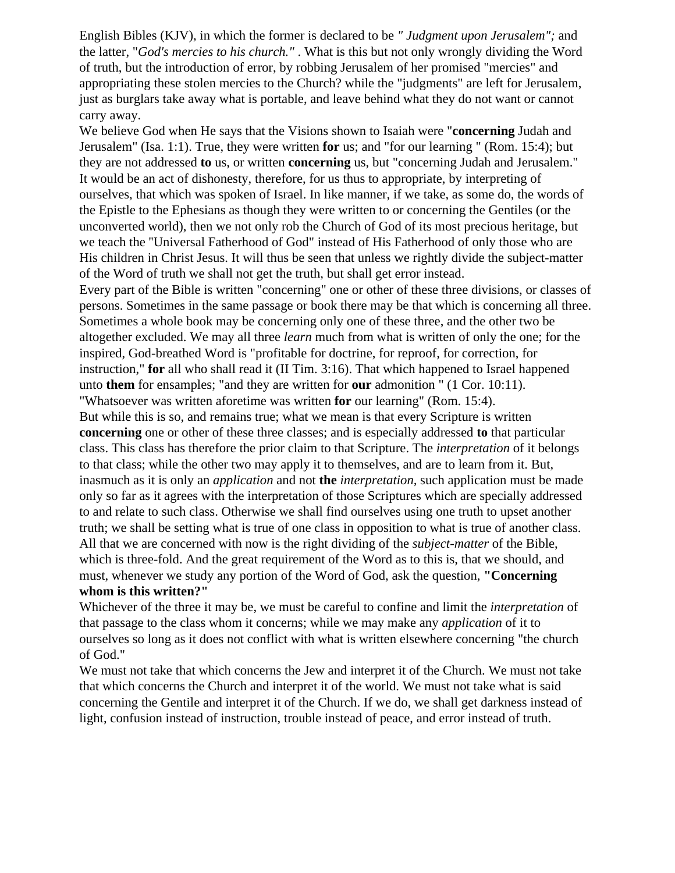English Bibles (KJV), in which the former is declared to be *" Judgment upon Jerusalem";* and the latter, "*God's mercies to his church."* . What is this but not only wrongly dividing the Word of truth, but the introduction of error, by robbing Jerusalem of her promised "mercies" and appropriating these stolen mercies to the Church? while the "judgments" are left for Jerusalem, just as burglars take away what is portable, and leave behind what they do not want or cannot carry away.

We believe God when He says that the Visions shown to Isaiah were "**concerning** Judah and Jerusalem" (Isa. 1:1). True, they were written **for** us; and "for our learning " (Rom. 15:4); but they are not addressed **to** us, or written **concerning** us, but "concerning Judah and Jerusalem." It would be an act of dishonesty, therefore, for us thus to appropriate, by interpreting of ourselves, that which was spoken of Israel. In like manner, if we take, as some do, the words of the Epistle to the Ephesians as though they were written to or concerning the Gentiles (or the unconverted world), then we not only rob the Church of God of its most precious heritage, but we teach the ''Universal Fatherhood of God" instead of His Fatherhood of only those who are His children in Christ Jesus. It will thus be seen that unless we rightly divide the subject-matter of the Word of truth we shall not get the truth, but shall get error instead.

Every part of the Bible is written "concerning" one or other of these three divisions, or classes of persons. Sometimes in the same passage or book there may be that which is concerning all three. Sometimes a whole book may be concerning only one of these three, and the other two be altogether excluded. We may all three *learn* much from what is written of only the one; for the inspired, God-breathed Word is "profitable for doctrine, for reproof, for correction, for instruction," **for** all who shall read it (II Tim. 3:16). That which happened to Israel happened unto **them** for ensamples; "and they are written for **our** admonition " (1 Cor. 10:11). "Whatsoever was written aforetime was written **for** our learning" (Rom. 15:4).

But while this is so, and remains true; what we mean is that every Scripture is written **concerning** one or other of these three classes; and is especially addressed **to** that particular class. This class has therefore the prior claim to that Scripture. The *interpretation* of it belongs to that class; while the other two may apply it to themselves, and are to learn from it. But, inasmuch as it is only an *application* and not **the** *interpretation,* such application must be made only so far as it agrees with the interpretation of those Scriptures which are specially addressed to and relate to such class. Otherwise we shall find ourselves using one truth to upset another truth; we shall be setting what is true of one class in opposition to what is true of another class. All that we are concerned with now is the right dividing of the *subject-matter* of the Bible, which is three-fold. And the great requirement of the Word as to this is, that we should, and must, whenever we study any portion of the Word of God, ask the question, **"Concerning whom is this written?"**

Whichever of the three it may be, we must be careful to confine and limit the *interpretation* of that passage to the class whom it concerns; while we may make any *application* of it to ourselves so long as it does not conflict with what is written elsewhere concerning "the church of God."

We must not take that which concerns the Jew and interpret it of the Church. We must not take that which concerns the Church and interpret it of the world. We must not take what is said concerning the Gentile and interpret it of the Church. If we do, we shall get darkness instead of light, confusion instead of instruction, trouble instead of peace, and error instead of truth.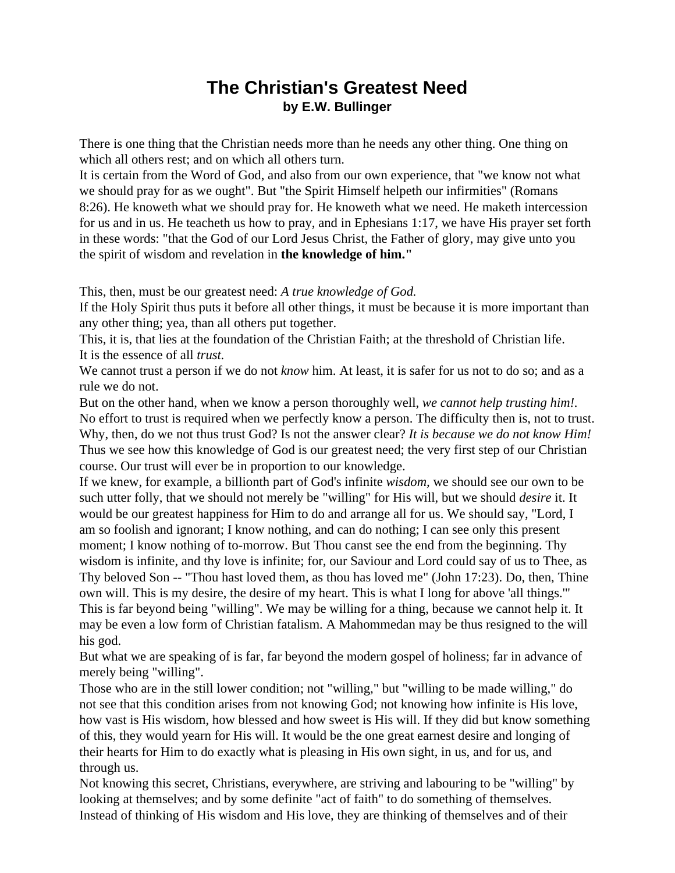# **The Christian's Greatest Need by E.W. Bullinger**

There is one thing that the Christian needs more than he needs any other thing. One thing on which all others rest; and on which all others turn.

It is certain from the Word of God, and also from our own experience, that "we know not what we should pray for as we ought". But "the Spirit Himself helpeth our infirmities" (Romans 8:26). He knoweth what we should pray for. He knoweth what we need. He maketh intercession for us and in us. He teacheth us how to pray, and in Ephesians 1:17, we have His prayer set forth in these words: "that the God of our Lord Jesus Christ, the Father of glory, may give unto you the spirit of wisdom and revelation in **the knowledge of him."**

This, then, must be our greatest need: *A true knowledge of God.*

If the Holy Spirit thus puts it before all other things, it must be because it is more important than any other thing; yea, than all others put together.

This, it is, that lies at the foundation of the Christian Faith; at the threshold of Christian life. It is the essence of all *trust.*

We cannot trust a person if we do not *know* him. At least, it is safer for us not to do so; and as a rule we do not.

But on the other hand, when we know a person thoroughly well, *we cannot help trusting him!.*  No effort to trust is required when we perfectly know a person. The difficulty then is, not to trust. Why, then, do we not thus trust God? Is not the answer clear? *It is because we do not know Him!* Thus we see how this knowledge of God is our greatest need; the very first step of our Christian course. Our trust will ever be in proportion to our knowledge.

If we knew, for example, a billionth part of God's infinite *wisdom,* we should see our own to be such utter folly, that we should not merely be "willing" for His will, but we should *desire* it. It would be our greatest happiness for Him to do and arrange all for us. We should say, "Lord, I am so foolish and ignorant; I know nothing, and can do nothing; I can see only this present moment; I know nothing of to-morrow. But Thou canst see the end from the beginning. Thy wisdom is infinite, and thy love is infinite; for, our Saviour and Lord could say of us to Thee, as Thy beloved Son -- "Thou hast loved them, as thou has loved me" (John 17:23). Do, then, Thine own will. This is my desire, the desire of my heart. This is what I long for above 'all things.'" This is far beyond being "willing". We may be willing for a thing, because we cannot help it. It may be even a low form of Christian fatalism. A Mahommedan may be thus resigned to the will his god.

But what we are speaking of is far, far beyond the modern gospel of holiness; far in advance of merely being "willing".

Those who are in the still lower condition; not "willing," but "willing to be made willing," do not see that this condition arises from not knowing God; not knowing how infinite is His love, how vast is His wisdom, how blessed and how sweet is His will. If they did but know something of this, they would yearn for His will. It would be the one great earnest desire and longing of their hearts for Him to do exactly what is pleasing in His own sight, in us, and for us, and through us.

Not knowing this secret, Christians, everywhere, are striving and labouring to be "willing" by looking at themselves; and by some definite "act of faith" to do something of themselves. Instead of thinking of His wisdom and His love, they are thinking of themselves and of their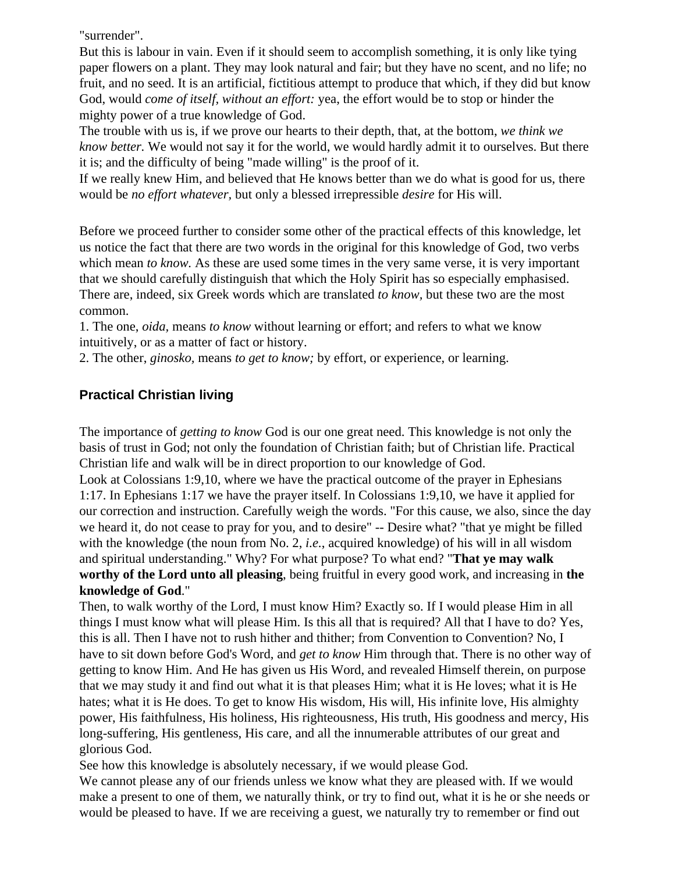"surrender".

But this is labour in vain. Even if it should seem to accomplish something, it is only like tying paper flowers on a plant. They may look natural and fair; but they have no scent, and no life; no fruit, and no seed. It is an artificial, fictitious attempt to produce that which, if they did but know God, would *come of itself, without an effort:* yea, the effort would be to stop or hinder the mighty power of a true knowledge of God.

The trouble with us is, if we prove our hearts to their depth, that, at the bottom, *we think we know better.* We would not say it for the world, we would hardly admit it to ourselves. But there it is; and the difficulty of being "made willing" is the proof of it.

If we really knew Him, and believed that He knows better than we do what is good for us, there would be *no effort whatever,* but only a blessed irrepressible *desire* for His will.

Before we proceed further to consider some other of the practical effects of this knowledge, let us notice the fact that there are two words in the original for this knowledge of God, two verbs which mean *to know*. As these are used some times in the very same verse, it is very important that we should carefully distinguish that which the Holy Spirit has so especially emphasised. There are, indeed, six Greek words which are translated *to know,* but these two are the most common.

1. The one, *oida,* means *to know* without learning or effort; and refers to what we know intuitively, or as a matter of fact or history.

2. The other, *ginosko,* means *to get to know;* by effort, or experience, or learning.

## **Practical Christian living**

The importance of *getting to know* God is our one great need. This knowledge is not only the basis of trust in God; not only the foundation of Christian faith; but of Christian life. Practical Christian life and walk will be in direct proportion to our knowledge of God.

Look at Colossians 1:9,10, where we have the practical outcome of the prayer in Ephesians 1:17. In Ephesians 1:17 we have the prayer itself. In Colossians 1:9,10, we have it applied for our correction and instruction. Carefully weigh the words. "For this cause, we also, since the day we heard it, do not cease to pray for you, and to desire" -- Desire what? "that ye might be filled with the knowledge (the noun from No. 2, *i.e.*, acquired knowledge) of his will in all wisdom and spiritual understanding." Why? For what purpose? To what end? "**That ye may walk worthy of the Lord unto all pleasing**, being fruitful in every good work, and increasing in **the knowledge of God**."

Then, to walk worthy of the Lord, I must know Him? Exactly so. If I would please Him in all things I must know what will please Him. Is this all that is required? All that I have to do? Yes, this is all. Then I have not to rush hither and thither; from Convention to Convention? No, I have to sit down before God's Word, and *get to know* Him through that. There is no other way of getting to know Him. And He has given us His Word, and revealed Himself therein, on purpose that we may study it and find out what it is that pleases Him; what it is He loves; what it is He hates; what it is He does. To get to know His wisdom, His will, His infinite love, His almighty power, His faithfulness, His holiness, His righteousness, His truth, His goodness and mercy, His long-suffering, His gentleness, His care, and all the innumerable attributes of our great and glorious God.

See how this knowledge is absolutely necessary, if we would please God.

We cannot please any of our friends unless we know what they are pleased with. If we would make a present to one of them, we naturally think, or try to find out, what it is he or she needs or would be pleased to have. If we are receiving a guest, we naturally try to remember or find out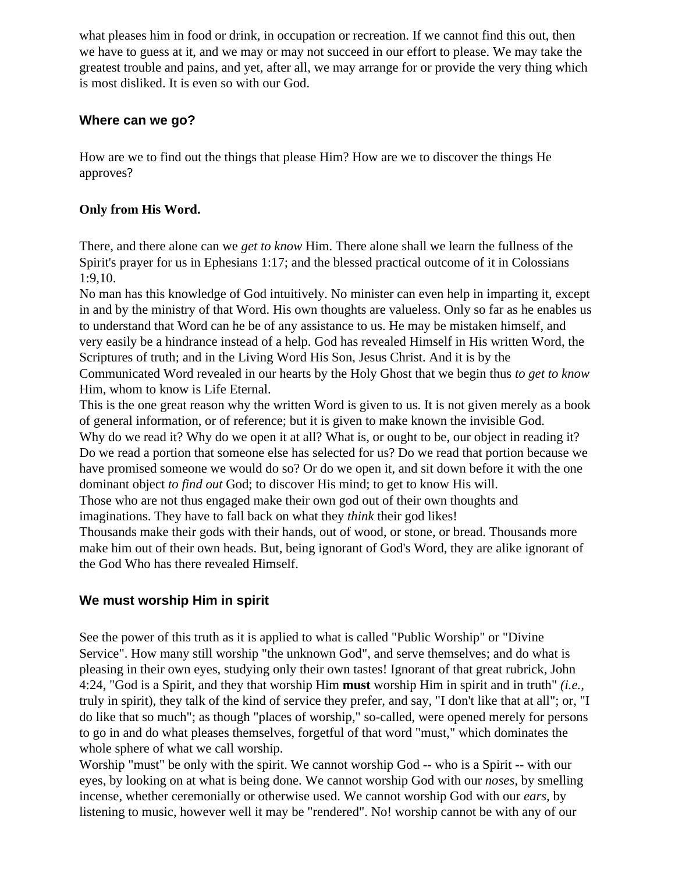what pleases him in food or drink, in occupation or recreation. If we cannot find this out, then we have to guess at it, and we may or may not succeed in our effort to please. We may take the greatest trouble and pains, and yet, after all, we may arrange for or provide the very thing which is most disliked. It is even so with our God.

## **Where can we go?**

How are we to find out the things that please Him? How are we to discover the things He approves?

## **Only from His Word.**

There, and there alone can we *get to know* Him. There alone shall we learn the fullness of the Spirit's prayer for us in Ephesians 1:17; and the blessed practical outcome of it in Colossians 1:9,10.

No man has this knowledge of God intuitively. No minister can even help in imparting it, except in and by the ministry of that Word. His own thoughts are valueless. Only so far as he enables us to understand that Word can he be of any assistance to us. He may be mistaken himself, and very easily be a hindrance instead of a help. God has revealed Himself in His written Word, the Scriptures of truth; and in the Living Word His Son, Jesus Christ. And it is by the Communicated Word revealed in our hearts by the Holy Ghost that we begin thus *to get to know*  Him, whom to know is Life Eternal.

This is the one great reason why the written Word is given to us. It is not given merely as a book of general information, or of reference; but it is given to make known the invisible God. Why do we read it? Why do we open it at all? What is, or ought to be, our object in reading it? Do we read a portion that someone else has selected for us? Do we read that portion because we have promised someone we would do so? Or do we open it, and sit down before it with the one dominant object *to find out* God; to discover His mind; to get to know His will.

Those who are not thus engaged make their own god out of their own thoughts and imaginations. They have to fall back on what they *think* their god likes!

Thousands make their gods with their hands, out of wood, or stone, or bread. Thousands more make him out of their own heads. But, being ignorant of God's Word, they are alike ignorant of the God Who has there revealed Himself.

## **We must worship Him in spirit**

See the power of this truth as it is applied to what is called "Public Worship" or "Divine Service". How many still worship "the unknown God", and serve themselves; and do what is pleasing in their own eyes, studying only their own tastes! Ignorant of that great rubrick, John 4:24, "God is a Spirit, and they that worship Him **must** worship Him in spirit and in truth" *(i.e.,*  truly in spirit), they talk of the kind of service they prefer, and say, "I don't like that at all"; or, "I do like that so much"; as though "places of worship," so-called, were opened merely for persons to go in and do what pleases themselves, forgetful of that word "must," which dominates the whole sphere of what we call worship.

Worship "must" be only with the spirit. We cannot worship God -- who is a Spirit -- with our eyes, by looking on at what is being done. We cannot worship God with our *noses,* by smelling incense, whether ceremonially or otherwise used. We cannot worship God with our *ears,* by listening to music, however well it may be "rendered". No! worship cannot be with any of our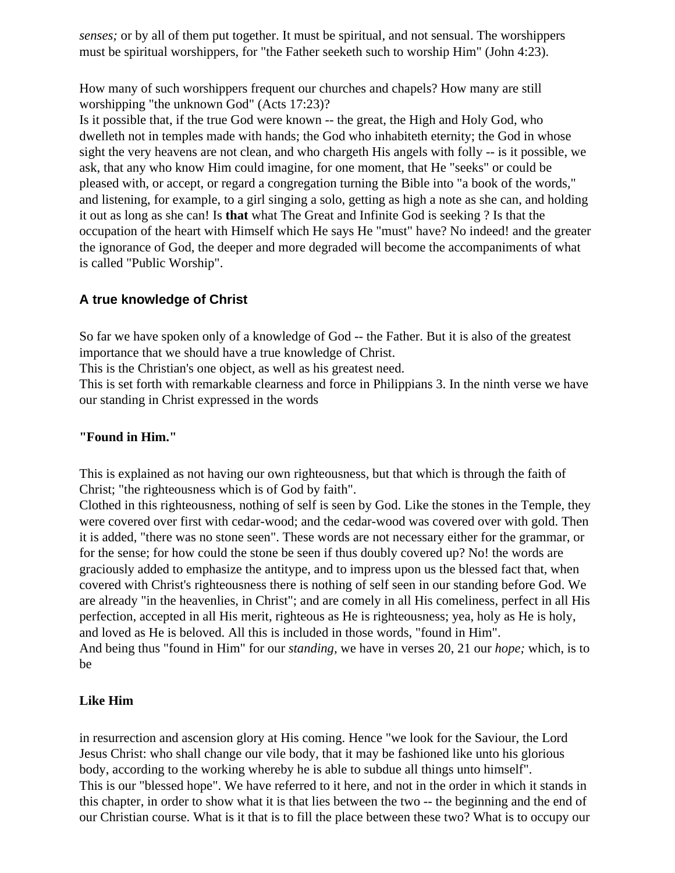*senses;* or by all of them put together. It must be spiritual, and not sensual. The worshippers must be spiritual worshippers, for "the Father seeketh such to worship Him" (John 4:23).

How many of such worshippers frequent our churches and chapels? How many are still worshipping "the unknown God" (Acts 17:23)?

Is it possible that, if the true God were known -- the great, the High and Holy God, who dwelleth not in temples made with hands; the God who inhabiteth eternity; the God in whose sight the very heavens are not clean, and who chargeth His angels with folly -- is it possible, we ask, that any who know Him could imagine, for one moment, that He "seeks" or could be pleased with, or accept, or regard a congregation turning the Bible into "a book of the words," and listening, for example, to a girl singing a solo, getting as high a note as she can, and holding it out as long as she can! Is **that** what The Great and Infinite God is seeking ? Is that the occupation of the heart with Himself which He says He "must" have? No indeed! and the greater the ignorance of God, the deeper and more degraded will become the accompaniments of what is called "Public Worship".

## **A true knowledge of Christ**

So far we have spoken only of a knowledge of God -- the Father. But it is also of the greatest importance that we should have a true knowledge of Christ.

This is the Christian's one object, as well as his greatest need.

This is set forth with remarkable clearness and force in Philippians 3. In the ninth verse we have our standing in Christ expressed in the words

## **"Found in Him."**

This is explained as not having our own righteousness, but that which is through the faith of Christ; "the righteousness which is of God by faith".

Clothed in this righteousness, nothing of self is seen by God. Like the stones in the Temple, they were covered over first with cedar-wood; and the cedar-wood was covered over with gold. Then it is added, "there was no stone seen". These words are not necessary either for the grammar, or for the sense; for how could the stone be seen if thus doubly covered up? No! the words are graciously added to emphasize the antitype, and to impress upon us the blessed fact that, when covered with Christ's righteousness there is nothing of self seen in our standing before God. We are already "in the heavenlies, in Christ"; and are comely in all His comeliness, perfect in all His perfection, accepted in all His merit, righteous as He is righteousness; yea, holy as He is holy, and loved as He is beloved. All this is included in those words, "found in Him". And being thus "found in Him" for our *standing,* we have in verses 20, 21 our *hope;* which, is to be

## **Like Him**

in resurrection and ascension glory at His coming. Hence "we look for the Saviour, the Lord Jesus Christ: who shall change our vile body, that it may be fashioned like unto his glorious body, according to the working whereby he is able to subdue all things unto himself". This is our "blessed hope". We have referred to it here, and not in the order in which it stands in this chapter, in order to show what it is that lies between the two -- the beginning and the end of our Christian course. What is it that is to fill the place between these two? What is to occupy our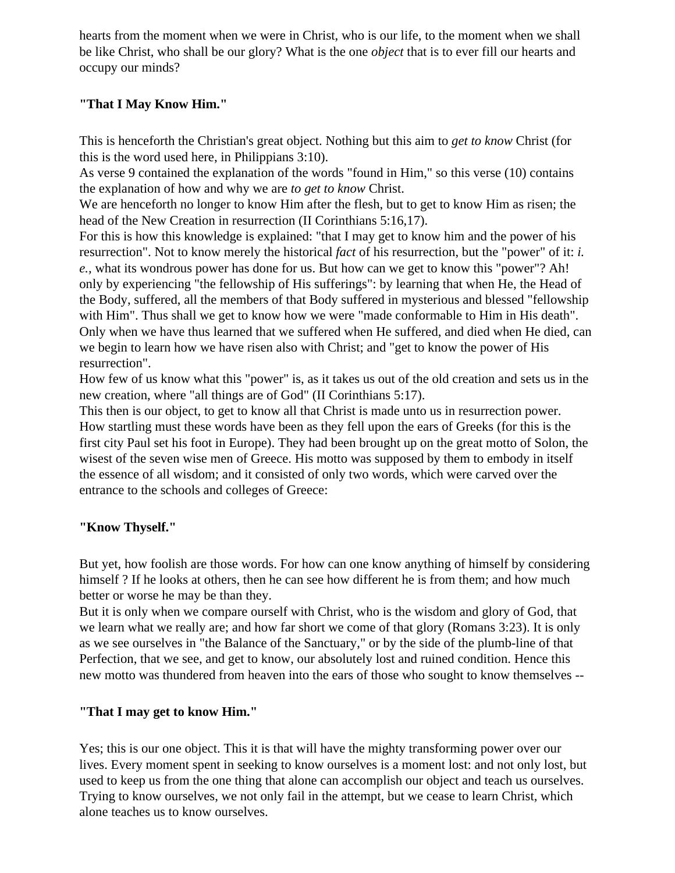hearts from the moment when we were in Christ, who is our life, to the moment when we shall be like Christ, who shall be our glory? What is the one *object* that is to ever fill our hearts and occupy our minds?

## **"That I May Know Him."**

This is henceforth the Christian's great object. Nothing but this aim to *get to know* Christ (for this is the word used here, in Philippians 3:10).

As verse 9 contained the explanation of the words "found in Him," so this verse (10) contains the explanation of how and why we are *to get to know* Christ.

We are henceforth no longer to know Him after the flesh, but to get to know Him as risen; the head of the New Creation in resurrection (II Corinthians 5:16,17).

For this is how this knowledge is explained: "that I may get to know him and the power of his resurrection". Not to know merely the historical *fact* of his resurrection, but the "power" of it: *i. e.,* what its wondrous power has done for us. But how can we get to know this "power"? Ah! only by experiencing "the fellowship of His sufferings": by learning that when He, the Head of the Body, suffered, all the members of that Body suffered in mysterious and blessed "fellowship with Him". Thus shall we get to know how we were "made conformable to Him in His death". Only when we have thus learned that we suffered when He suffered, and died when He died, can we begin to learn how we have risen also with Christ; and "get to know the power of His resurrection".

How few of us know what this "power" is, as it takes us out of the old creation and sets us in the new creation, where "all things are of God" (II Corinthians 5:17).

This then is our object, to get to know all that Christ is made unto us in resurrection power. How startling must these words have been as they fell upon the ears of Greeks (for this is the first city Paul set his foot in Europe). They had been brought up on the great motto of Solon, the wisest of the seven wise men of Greece. His motto was supposed by them to embody in itself the essence of all wisdom; and it consisted of only two words, which were carved over the entrance to the schools and colleges of Greece:

## **"Know Thyself."**

But yet, how foolish are those words. For how can one know anything of himself by considering himself ? If he looks at others, then he can see how different he is from them; and how much better or worse he may be than they.

But it is only when we compare ourself with Christ, who is the wisdom and glory of God, that we learn what we really are; and how far short we come of that glory (Romans 3:23). It is only as we see ourselves in "the Balance of the Sanctuary," or by the side of the plumb-line of that Perfection, that we see, and get to know, our absolutely lost and ruined condition. Hence this new motto was thundered from heaven into the ears of those who sought to know themselves --

## **"That I may get to know Him."**

Yes; this is our one object. This it is that will have the mighty transforming power over our lives. Every moment spent in seeking to know ourselves is a moment lost: and not only lost, but used to keep us from the one thing that alone can accomplish our object and teach us ourselves. Trying to know ourselves, we not only fail in the attempt, but we cease to learn Christ, which alone teaches us to know ourselves.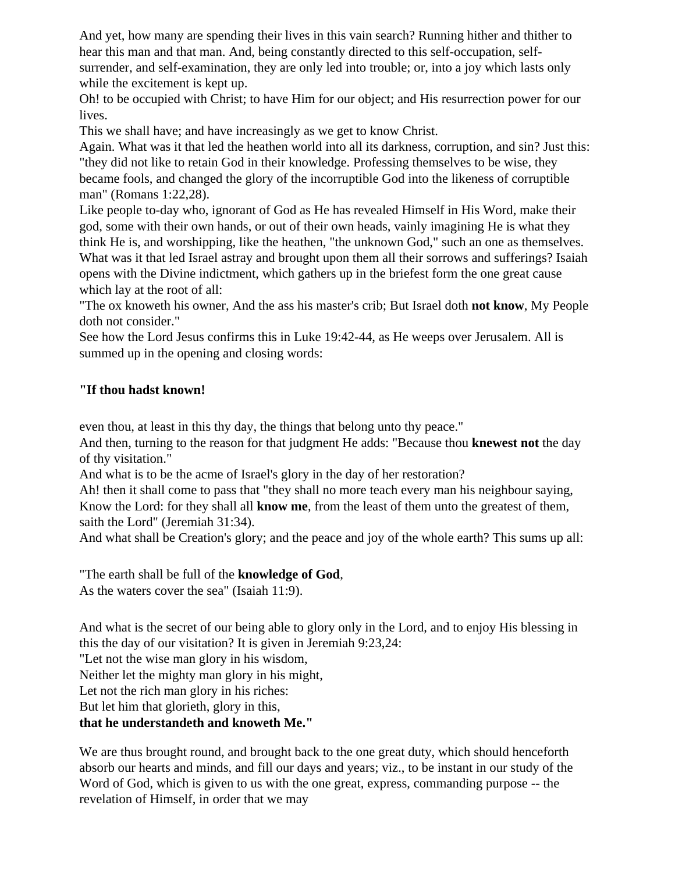And yet, how many are spending their lives in this vain search? Running hither and thither to hear this man and that man. And, being constantly directed to this self-occupation, selfsurrender, and self-examination, they are only led into trouble; or, into a joy which lasts only while the excitement is kept up.

Oh! to be occupied with Christ; to have Him for our object; and His resurrection power for our lives.

This we shall have; and have increasingly as we get to know Christ.

Again. What was it that led the heathen world into all its darkness, corruption, and sin? Just this: "they did not like to retain God in their knowledge. Professing themselves to be wise, they became fools, and changed the glory of the incorruptible God into the likeness of corruptible man" (Romans 1:22,28).

Like people to-day who, ignorant of God as He has revealed Himself in His Word, make their god, some with their own hands, or out of their own heads, vainly imagining He is what they think He is, and worshipping, like the heathen, "the unknown God," such an one as themselves. What was it that led Israel astray and brought upon them all their sorrows and sufferings? Isaiah opens with the Divine indictment, which gathers up in the briefest form the one great cause which lay at the root of all:

"The ox knoweth his owner, And the ass his master's crib; But Israel doth **not know**, My People doth not consider."

See how the Lord Jesus confirms this in Luke 19:42-44, as He weeps over Jerusalem. All is summed up in the opening and closing words:

## **"If thou hadst known!**

even thou, at least in this thy day, the things that belong unto thy peace."

And then, turning to the reason for that judgment He adds: "Because thou **knewest not** the day of thy visitation."

And what is to be the acme of Israel's glory in the day of her restoration?

Ah! then it shall come to pass that "they shall no more teach every man his neighbour saying, Know the Lord: for they shall all **know me**, from the least of them unto the greatest of them, saith the Lord" (Jeremiah 31:34).

And what shall be Creation's glory; and the peace and joy of the whole earth? This sums up all:

"The earth shall be full of the **knowledge of God**,

As the waters cover the sea" (Isaiah 11:9).

And what is the secret of our being able to glory only in the Lord, and to enjoy His blessing in this the day of our visitation? It is given in Jeremiah 9:23,24:

"Let not the wise man glory in his wisdom,

Neither let the mighty man glory in his might,

Let not the rich man glory in his riches:

But let him that glorieth, glory in this,

## **that he understandeth and knoweth Me."**

We are thus brought round, and brought back to the one great duty, which should henceforth absorb our hearts and minds, and fill our days and years; viz., to be instant in our study of the Word of God, which is given to us with the one great, express, commanding purpose -- the revelation of Himself, in order that we may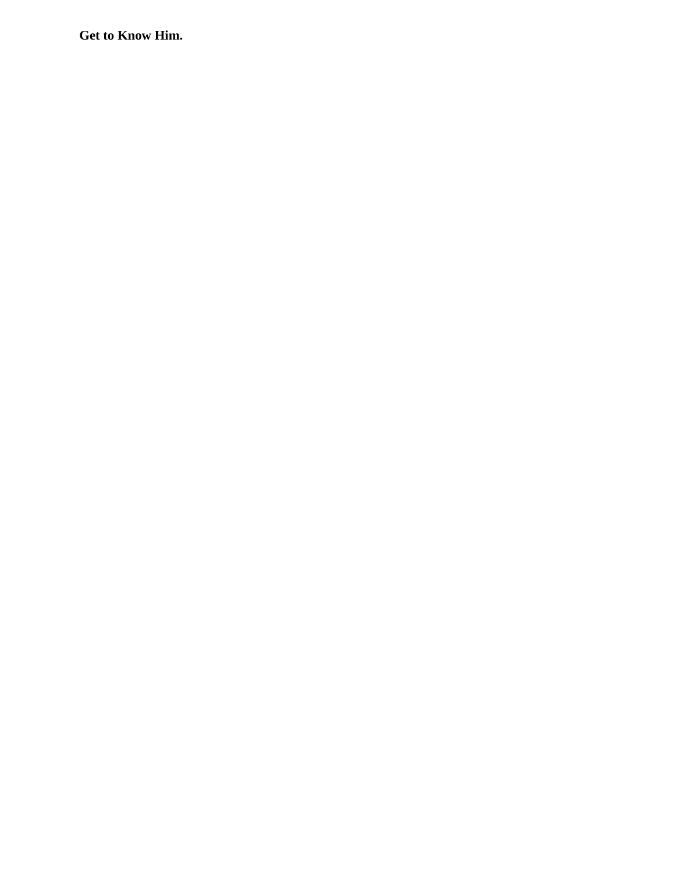**Get to Know Him.**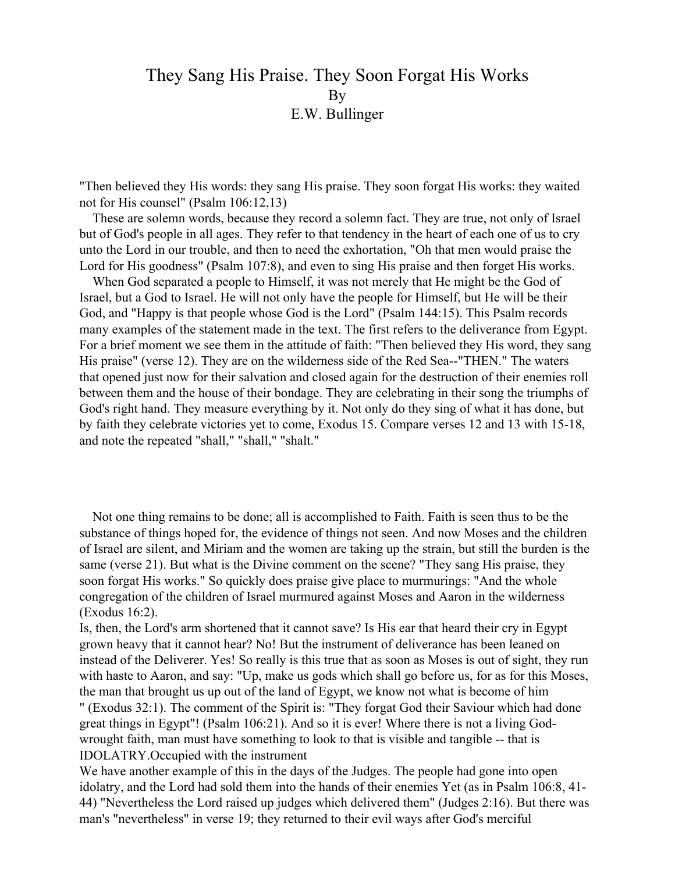# They Sang His Praise. They Soon Forgat His Works **By** E.W. Bullinger

"Then believed they His words: they sang His praise. They soon forgat His works: they waited not for His counsel" (Psalm 106:12,13)

 These are solemn words, because they record a solemn fact. They are true, not only of Israel but of God's people in all ages. They refer to that tendency in the heart of each one of us to cry unto the Lord in our trouble, and then to need the exhortation, "Oh that men would praise the Lord for His goodness" (Psalm 107:8), and even to sing His praise and then forget His works.

 When God separated a people to Himself, it was not merely that He might be the God of Israel, but a God to Israel. He will not only have the people for Himself, but He will be their God, and "Happy is that people whose God is the Lord" (Psalm 144:15). This Psalm records many examples of the statement made in the text. The first refers to the deliverance from Egypt. For a brief moment we see them in the attitude of faith: "Then believed they His word, they sang His praise" (verse 12). They are on the wilderness side of the Red Sea--"THEN." The waters that opened just now for their salvation and closed again for the destruction of their enemies roll between them and the house of their bondage. They are celebrating in their song the triumphs of God's right hand. They measure everything by it. Not only do they sing of what it has done, but by faith they celebrate victories yet to come, Exodus 15. Compare verses 12 and 13 with 15-18, and note the repeated "shall," "shall," "shalt."

 Not one thing remains to be done; all is accomplished to Faith. Faith is seen thus to be the substance of things hoped for, the evidence of things not seen. And now Moses and the children of Israel are silent, and Miriam and the women are taking up the strain, but still the burden is the same (verse 21). But what is the Divine comment on the scene? "They sang His praise, they soon forgat His works." So quickly does praise give place to murmurings: "And the whole congregation of the children of Israel murmured against Moses and Aaron in the wilderness (Exodus 16:2).

Is, then, the Lord's arm shortened that it cannot save? Is His ear that heard their cry in Egypt grown heavy that it cannot hear? No! But the instrument of deliverance has been leaned on instead of the Deliverer. Yes! So really is this true that as soon as Moses is out of sight, they run with haste to Aaron, and say: "Up, make us gods which shall go before us, for as for this Moses, the man that brought us up out of the land of Egypt, we know not what is become of him " (Exodus 32:1). The comment of the Spirit is: "They forgat God their Saviour which had done

great things in Egypt"! (Psalm 106:21). And so it is ever! Where there is not a living Godwrought faith, man must have something to look to that is visible and tangible -- that is IDOLATRY.Occupied with the instrument

We have another example of this in the days of the Judges. The people had gone into open idolatry, and the Lord had sold them into the hands of their enemies Yet (as in Psalm 106:8, 41- 44) "Nevertheless the Lord raised up judges which delivered them" (Judges 2:16). But there was man's "nevertheless" in verse 19; they returned to their evil ways after God's merciful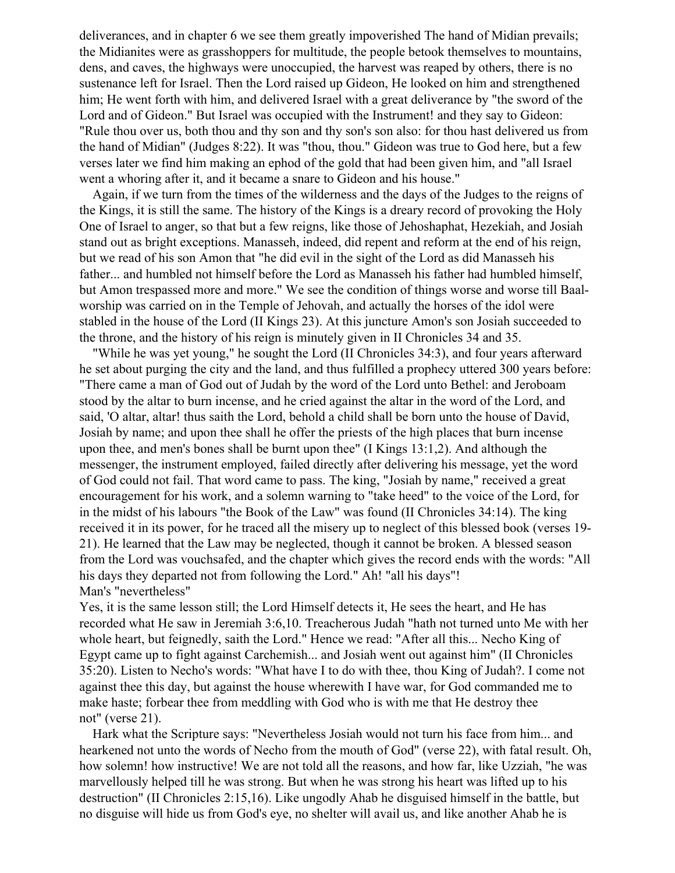deliverances, and in chapter 6 we see them greatly impoverished The hand of Midian prevails; the Midianites were as grasshoppers for multitude, the people betook themselves to mountains, dens, and caves, the highways were unoccupied, the harvest was reaped by others, there is no sustenance left for Israel. Then the Lord raised up Gideon, He looked on him and strengthened him; He went forth with him, and delivered Israel with a great deliverance by "the sword of the Lord and of Gideon." But Israel was occupied with the Instrument! and they say to Gideon: "Rule thou over us, both thou and thy son and thy son's son also: for thou hast delivered us from the hand of Midian" (Judges 8:22). It was "thou, thou." Gideon was true to God here, but a few verses later we find him making an ephod of the gold that had been given him, and "all Israel went a whoring after it, and it became a snare to Gideon and his house."

 Again, if we turn from the times of the wilderness and the days of the Judges to the reigns of the Kings, it is still the same. The history of the Kings is a dreary record of provoking the Holy One of Israel to anger, so that but a few reigns, like those of Jehoshaphat, Hezekiah, and Josiah stand out as bright exceptions. Manasseh, indeed, did repent and reform at the end of his reign, but we read of his son Amon that "he did evil in the sight of the Lord as did Manasseh his father... and humbled not himself before the Lord as Manasseh his father had humbled himself, but Amon trespassed more and more." We see the condition of things worse and worse till Baalworship was carried on in the Temple of Jehovah, and actually the horses of the idol were stabled in the house of the Lord (II Kings 23). At this juncture Amon's son Josiah succeeded to the throne, and the history of his reign is minutely given in II Chronicles 34 and 35.

 "While he was yet young," he sought the Lord (II Chronicles 34:3), and four years afterward he set about purging the city and the land, and thus fulfilled a prophecy uttered 300 years before: "There came a man of God out of Judah by the word of the Lord unto Bethel: and Jeroboam stood by the altar to burn incense, and he cried against the altar in the word of the Lord, and said, 'O altar, altar! thus saith the Lord, behold a child shall be born unto the house of David, Josiah by name; and upon thee shall he offer the priests of the high places that burn incense upon thee, and men's bones shall be burnt upon thee" (I Kings 13:1,2). And although the messenger, the instrument employed, failed directly after delivering his message, yet the word of God could not fail. That word came to pass. The king, "Josiah by name," received a great encouragement for his work, and a solemn warning to "take heed" to the voice of the Lord, for in the midst of his labours "the Book of the Law" was found (II Chronicles 34:14). The king received it in its power, for he traced all the misery up to neglect of this blessed book (verses 19- 21). He learned that the Law may be neglected, though it cannot be broken. A blessed season from the Lord was vouchsafed, and the chapter which gives the record ends with the words: "All his days they departed not from following the Lord." Ah! "all his days"! Man's "nevertheless"

Yes, it is the same lesson still; the Lord Himself detects it, He sees the heart, and He has recorded what He saw in Jeremiah 3:6,10. Treacherous Judah "hath not turned unto Me with her whole heart, but feignedly, saith the Lord." Hence we read: "After all this... Necho King of Egypt came up to fight against Carchemish... and Josiah went out against him" (II Chronicles 35:20). Listen to Necho's words: "What have I to do with thee, thou King of Judah?. I come not against thee this day, but against the house wherewith I have war, for God commanded me to make haste; forbear thee from meddling with God who is with me that He destroy thee not" (verse 21).

 Hark what the Scripture says: "Nevertheless Josiah would not turn his face from him... and hearkened not unto the words of Necho from the mouth of God" (verse 22), with fatal result. Oh, how solemn! how instructive! We are not told all the reasons, and how far, like Uzziah, "he was marvellously helped till he was strong. But when he was strong his heart was lifted up to his destruction" (II Chronicles 2:15,16). Like ungodly Ahab he disguised himself in the battle, but no disguise will hide us from God's eye, no shelter will avail us, and like another Ahab he is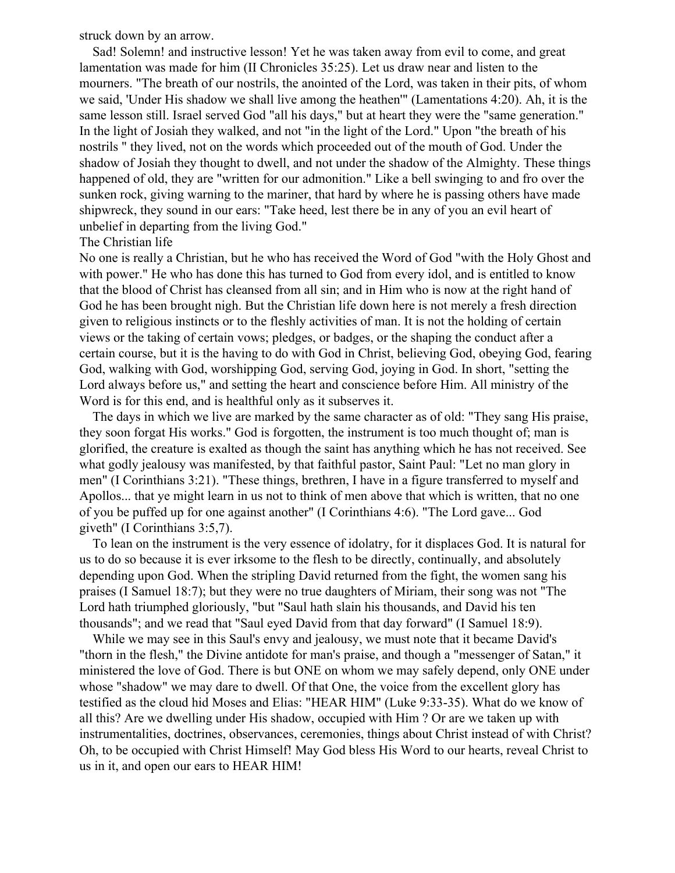struck down by an arrow.

 Sad! Solemn! and instructive lesson! Yet he was taken away from evil to come, and great lamentation was made for him (II Chronicles 35:25). Let us draw near and listen to the mourners. "The breath of our nostrils, the anointed of the Lord, was taken in their pits, of whom we said, 'Under His shadow we shall live among the heathen'" (Lamentations 4:20). Ah, it is the same lesson still. Israel served God "all his days," but at heart they were the "same generation." In the light of Josiah they walked, and not "in the light of the Lord." Upon "the breath of his nostrils " they lived, not on the words which proceeded out of the mouth of God. Under the shadow of Josiah they thought to dwell, and not under the shadow of the Almighty. These things happened of old, they are "written for our admonition." Like a bell swinging to and fro over the sunken rock, giving warning to the mariner, that hard by where he is passing others have made shipwreck, they sound in our ears: "Take heed, lest there be in any of you an evil heart of unbelief in departing from the living God."

### The Christian life

No one is really a Christian, but he who has received the Word of God "with the Holy Ghost and with power." He who has done this has turned to God from every idol, and is entitled to know that the blood of Christ has cleansed from all sin; and in Him who is now at the right hand of God he has been brought nigh. But the Christian life down here is not merely a fresh direction given to religious instincts or to the fleshly activities of man. It is not the holding of certain views or the taking of certain vows; pledges, or badges, or the shaping the conduct after a certain course, but it is the having to do with God in Christ, believing God, obeying God, fearing God, walking with God, worshipping God, serving God, joying in God. In short, "setting the Lord always before us," and setting the heart and conscience before Him. All ministry of the Word is for this end, and is healthful only as it subserves it.

 The days in which we live are marked by the same character as of old: "They sang His praise, they soon forgat His works." God is forgotten, the instrument is too much thought of; man is glorified, the creature is exalted as though the saint has anything which he has not received. See what godly jealousy was manifested, by that faithful pastor, Saint Paul: "Let no man glory in men" (I Corinthians 3:21). "These things, brethren, I have in a figure transferred to myself and Apollos... that ye might learn in us not to think of men above that which is written, that no one of you be puffed up for one against another" (I Corinthians 4:6). "The Lord gave... God giveth" (I Corinthians 3:5,7).

 To lean on the instrument is the very essence of idolatry, for it displaces God. It is natural for us to do so because it is ever irksome to the flesh to be directly, continually, and absolutely depending upon God. When the stripling David returned from the fight, the women sang his praises (I Samuel 18:7); but they were no true daughters of Miriam, their song was not "The Lord hath triumphed gloriously, "but "Saul hath slain his thousands, and David his ten thousands"; and we read that "Saul eyed David from that day forward" (I Samuel 18:9).

 While we may see in this Saul's envy and jealousy, we must note that it became David's "thorn in the flesh," the Divine antidote for man's praise, and though a "messenger of Satan," it ministered the love of God. There is but ONE on whom we may safely depend, only ONE under whose "shadow" we may dare to dwell. Of that One, the voice from the excellent glory has testified as the cloud hid Moses and Elias: "HEAR HIM" (Luke 9:33-35). What do we know of all this? Are we dwelling under His shadow, occupied with Him ? Or are we taken up with instrumentalities, doctrines, observances, ceremonies, things about Christ instead of with Christ? Oh, to be occupied with Christ Himself! May God bless His Word to our hearts, reveal Christ to us in it, and open our ears to HEAR HIM!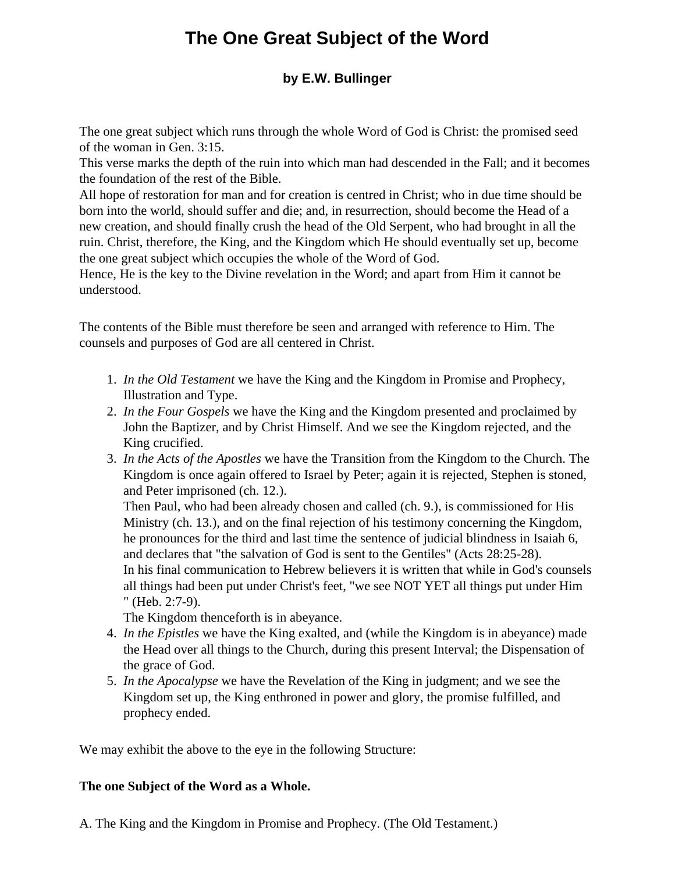# **The One Great Subject of the Word**

## **by E.W. Bullinger**

The one great subject which runs through the whole Word of God is Christ: the promised seed of the woman in Gen. 3:15.

This verse marks the depth of the ruin into which man had descended in the Fall; and it becomes the foundation of the rest of the Bible.

All hope of restoration for man and for creation is centred in Christ; who in due time should be born into the world, should suffer and die; and, in resurrection, should become the Head of a new creation, and should finally crush the head of the Old Serpent, who had brought in all the ruin. Christ, therefore, the King, and the Kingdom which He should eventually set up, become the one great subject which occupies the whole of the Word of God.

Hence, He is the key to the Divine revelation in the Word; and apart from Him it cannot be understood.

The contents of the Bible must therefore be seen and arranged with reference to Him. The counsels and purposes of God are all centered in Christ.

- 1. *In the Old Testament* we have the King and the Kingdom in Promise and Prophecy, Illustration and Type.
- 2. *In the Four Gospels* we have the King and the Kingdom presented and proclaimed by John the Baptizer, and by Christ Himself. And we see the Kingdom rejected, and the King crucified.
- 3. *In the Acts of the Apostles* we have the Transition from the Kingdom to the Church. The Kingdom is once again offered to Israel by Peter; again it is rejected, Stephen is stoned, and Peter imprisoned (ch. 12.).

Then Paul, who had been already chosen and called (ch. 9.), is commissioned for His Ministry (ch. 13.), and on the final rejection of his testimony concerning the Kingdom, he pronounces for the third and last time the sentence of judicial blindness in Isaiah 6, and declares that "the salvation of God is sent to the Gentiles" (Acts 28:25-28). In his final communication to Hebrew believers it is written that while in God's counsels all things had been put under Christ's feet, "we see NOT YET all things put under Him " (Heb. 2:7-9).

The Kingdom thenceforth is in abeyance.

- 4. *In the Epistles* we have the King exalted, and (while the Kingdom is in abeyance) made the Head over all things to the Church, during this present Interval; the Dispensation of the grace of God.
- 5. *In the Apocalypse* we have the Revelation of the King in judgment; and we see the Kingdom set up, the King enthroned in power and glory, the promise fulfilled, and prophecy ended.

We may exhibit the above to the eye in the following Structure:

### **The one Subject of the Word as a Whole.**

A. The King and the Kingdom in Promise and Prophecy. (The Old Testament.)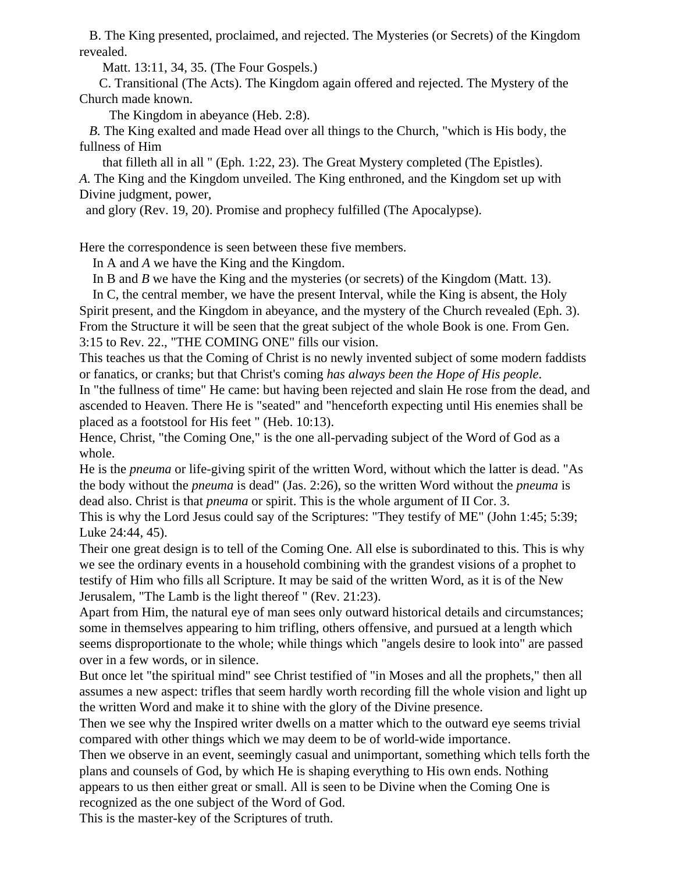B. The King presented, proclaimed, and rejected. The Mysteries (or Secrets) of the Kingdom revealed.

Matt. 13:11, 34, 35. (The Four Gospels.)

 C. Transitional (The Acts). The Kingdom again offered and rejected. The Mystery of the Church made known.

The Kingdom in abeyance (Heb. 2:8).

 *B.* The King exalted and made Head over all things to the Church, "which is His body, the fullness of Him

 that filleth all in all " (Eph. 1:22, 23). The Great Mystery completed (The Epistles). *A.* The King and the Kingdom unveiled. The King enthroned, and the Kingdom set up with Divine judgment, power,

and glory (Rev. 19, 20). Promise and prophecy fulfilled (The Apocalypse).

Here the correspondence is seen between these five members.

In A and *A* we have the King and the Kingdom.

In B and *B* we have the King and the mysteries (or secrets) of the Kingdom (Matt. 13).

 In C, the central member, we have the present Interval, while the King is absent, the Holy Spirit present, and the Kingdom in abeyance, and the mystery of the Church revealed (Eph. 3). From the Structure it will be seen that the great subject of the whole Book is one. From Gen. 3:15 to Rev. 22., "THE COMING ONE" fills our vision.

This teaches us that the Coming of Christ is no newly invented subject of some modern faddists or fanatics, or cranks; but that Christ's coming *has always been the Hope of His people*.

In "the fullness of time" He came: but having been rejected and slain He rose from the dead, and ascended to Heaven. There He is "seated" and "henceforth expecting until His enemies shall be placed as a footstool for His feet " (Heb. 10:13).

Hence, Christ, "the Coming One," is the one all-pervading subject of the Word of God as a whole.

He is the *pneuma* or life-giving spirit of the written Word, without which the latter is dead. "As the body without the *pneuma* is dead" (Jas. 2:26), so the written Word without the *pneuma* is dead also. Christ is that *pneuma* or spirit. This is the whole argument of II Cor. 3.

This is why the Lord Jesus could say of the Scriptures: "They testify of ME" (John 1:45; 5:39; Luke 24:44, 45).

Their one great design is to tell of the Coming One. All else is subordinated to this. This is why we see the ordinary events in a household combining with the grandest visions of a prophet to testify of Him who fills all Scripture. It may be said of the written Word, as it is of the New Jerusalem, "The Lamb is the light thereof " (Rev. 21:23).

Apart from Him, the natural eye of man sees only outward historical details and circumstances; some in themselves appearing to him trifling, others offensive, and pursued at a length which seems disproportionate to the whole; while things which "angels desire to look into" are passed over in a few words, or in silence.

But once let "the spiritual mind" see Christ testified of "in Moses and all the prophets," then all assumes a new aspect: trifles that seem hardly worth recording fill the whole vision and light up the written Word and make it to shine with the glory of the Divine presence.

Then we see why the Inspired writer dwells on a matter which to the outward eye seems trivial compared with other things which we may deem to be of world-wide importance.

Then we observe in an event, seemingly casual and unimportant, something which tells forth the plans and counsels of God, by which He is shaping everything to His own ends. Nothing appears to us then either great or small. All is seen to be Divine when the Coming One is recognized as the one subject of the Word of God.

This is the master-key of the Scriptures of truth.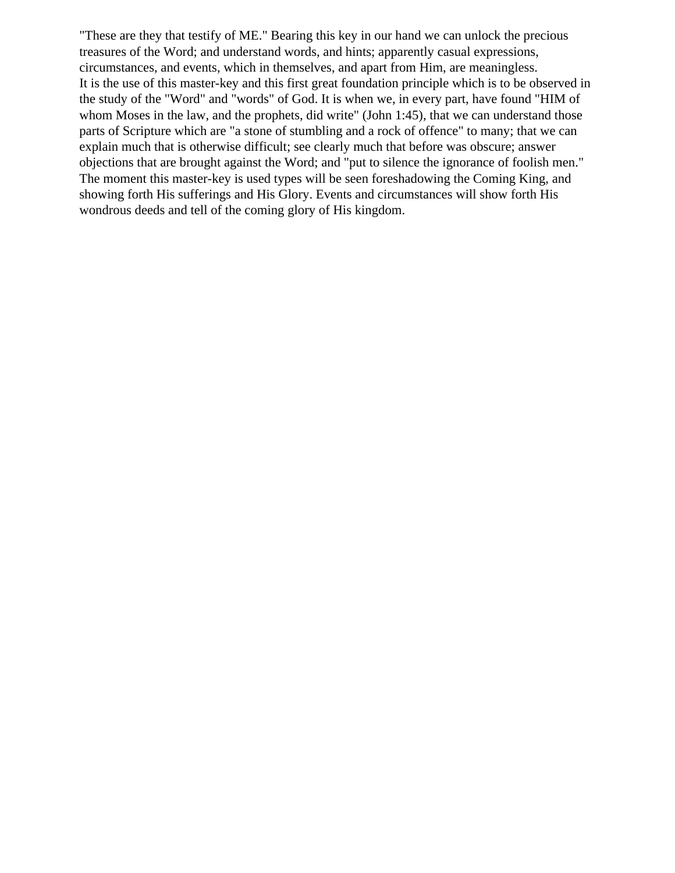"These are they that testify of ME." Bearing this key in our hand we can unlock the precious treasures of the Word; and understand words, and hints; apparently casual expressions, circumstances, and events, which in themselves, and apart from Him, are meaningless. It is the use of this master-key and this first great foundation principle which is to be observed in the study of the "Word" and "words" of God. It is when we, in every part, have found "HIM of whom Moses in the law, and the prophets, did write" (John 1:45), that we can understand those parts of Scripture which are "a stone of stumbling and a rock of offence" to many; that we can explain much that is otherwise difficult; see clearly much that before was obscure; answer objections that are brought against the Word; and "put to silence the ignorance of foolish men." The moment this master-key is used types will be seen foreshadowing the Coming King, and showing forth His sufferings and His Glory. Events and circumstances will show forth His wondrous deeds and tell of the coming glory of His kingdom.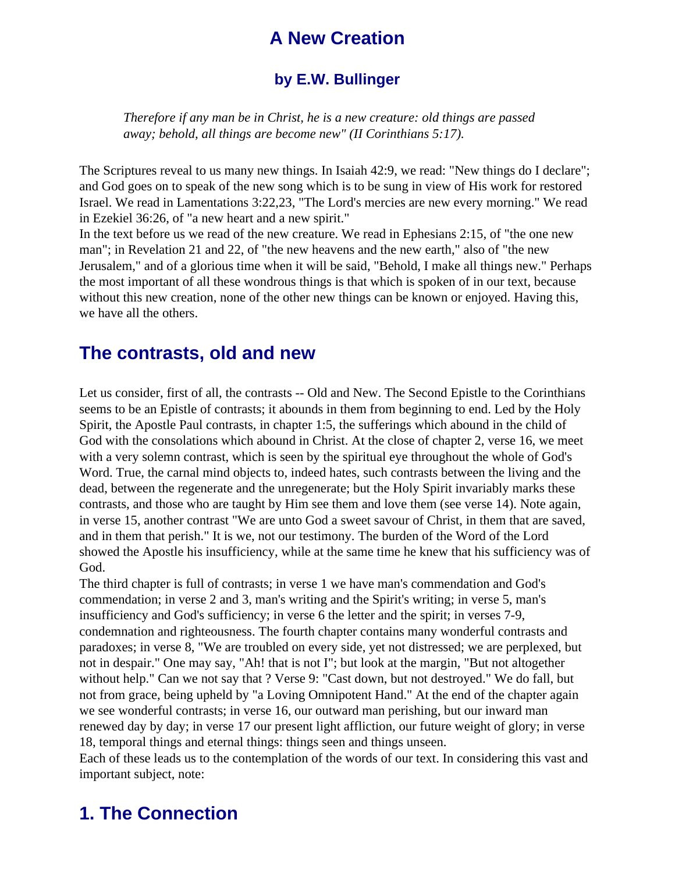# **A New Creation**

## **by E.W. Bullinger**

*Therefore if any man be in Christ, he is a new creature: old things are passed away; behold, all things are become new" (II Corinthians 5:17).*

The Scriptures reveal to us many new things. In Isaiah 42:9, we read: "New things do I declare"; and God goes on to speak of the new song which is to be sung in view of His work for restored Israel. We read in Lamentations 3:22,23, "The Lord's mercies are new every morning." We read in Ezekiel 36:26, of "a new heart and a new spirit."

In the text before us we read of the new creature. We read in Ephesians 2:15, of "the one new man"; in Revelation 21 and 22, of "the new heavens and the new earth," also of "the new Jerusalem," and of a glorious time when it will be said, "Behold, I make all things new." Perhaps the most important of all these wondrous things is that which is spoken of in our text, because without this new creation, none of the other new things can be known or enjoyed. Having this, we have all the others.

## **The contrasts, old and new**

Let us consider, first of all, the contrasts -- Old and New. The Second Epistle to the Corinthians seems to be an Epistle of contrasts; it abounds in them from beginning to end. Led by the Holy Spirit, the Apostle Paul contrasts, in chapter 1:5, the sufferings which abound in the child of God with the consolations which abound in Christ. At the close of chapter 2, verse 16, we meet with a very solemn contrast, which is seen by the spiritual eye throughout the whole of God's Word. True, the carnal mind objects to, indeed hates, such contrasts between the living and the dead, between the regenerate and the unregenerate; but the Holy Spirit invariably marks these contrasts, and those who are taught by Him see them and love them (see verse 14). Note again, in verse 15, another contrast "We are unto God a sweet savour of Christ, in them that are saved, and in them that perish." It is we, not our testimony. The burden of the Word of the Lord showed the Apostle his insufficiency, while at the same time he knew that his sufficiency was of God.

The third chapter is full of contrasts; in verse 1 we have man's commendation and God's commendation; in verse 2 and 3, man's writing and the Spirit's writing; in verse 5, man's insufficiency and God's sufficiency; in verse 6 the letter and the spirit; in verses 7-9, condemnation and righteousness. The fourth chapter contains many wonderful contrasts and paradoxes; in verse 8, "We are troubled on every side, yet not distressed; we are perplexed, but not in despair." One may say, "Ah! that is not I"; but look at the margin, "But not altogether without help." Can we not say that ? Verse 9: "Cast down, but not destroyed." We do fall, but not from grace, being upheld by "a Loving Omnipotent Hand." At the end of the chapter again we see wonderful contrasts; in verse 16, our outward man perishing, but our inward man renewed day by day; in verse 17 our present light affliction, our future weight of glory; in verse 18, temporal things and eternal things: things seen and things unseen.

Each of these leads us to the contemplation of the words of our text. In considering this vast and important subject, note:

# **1. The Connection**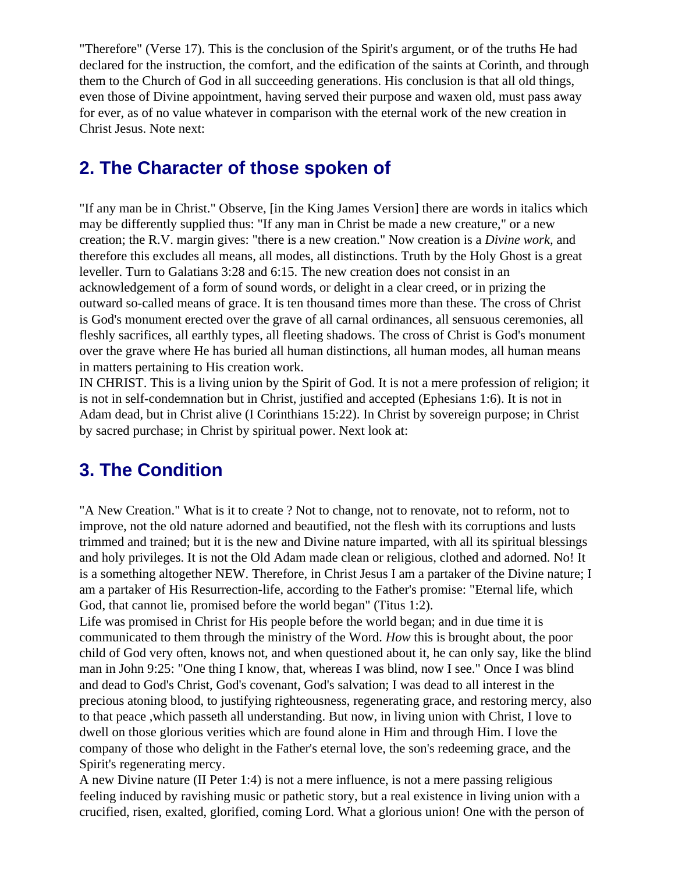"Therefore" (Verse 17). This is the conclusion of the Spirit's argument, or of the truths He had declared for the instruction, the comfort, and the edification of the saints at Corinth, and through them to the Church of God in all succeeding generations. His conclusion is that all old things, even those of Divine appointment, having served their purpose and waxen old, must pass away for ever, as of no value whatever in comparison with the eternal work of the new creation in Christ Jesus. Note next:

# **2. The Character of those spoken of**

"If any man be in Christ." Observe, [in the King James Version] there are words in italics which may be differently supplied thus: "If any man in Christ be made a new creature," or a new creation; the R.V. margin gives: "there is a new creation." Now creation is a *Divine work,* and therefore this excludes all means, all modes, all distinctions. Truth by the Holy Ghost is a great leveller. Turn to Galatians 3:28 and 6:15. The new creation does not consist in an acknowledgement of a form of sound words, or delight in a clear creed, or in prizing the outward so-called means of grace. It is ten thousand times more than these. The cross of Christ is God's monument erected over the grave of all carnal ordinances, all sensuous ceremonies, all fleshly sacrifices, all earthly types, all fleeting shadows. The cross of Christ is God's monument over the grave where He has buried all human distinctions, all human modes, all human means in matters pertaining to His creation work.

IN CHRIST. This is a living union by the Spirit of God. It is not a mere profession of religion; it is not in self-condemnation but in Christ, justified and accepted (Ephesians 1:6). It is not in Adam dead, but in Christ alive (I Corinthians 15:22). In Christ by sovereign purpose; in Christ by sacred purchase; in Christ by spiritual power. Next look at:

# **3. The Condition**

"A New Creation." What is it to create ? Not to change, not to renovate, not to reform, not to improve, not the old nature adorned and beautified, not the flesh with its corruptions and lusts trimmed and trained; but it is the new and Divine nature imparted, with all its spiritual blessings and holy privileges. It is not the Old Adam made clean or religious, clothed and adorned. No! It is a something altogether NEW. Therefore, in Christ Jesus I am a partaker of the Divine nature; I am a partaker of His Resurrection-life, according to the Father's promise: "Eternal life, which God, that cannot lie, promised before the world began" (Titus 1:2).

Life was promised in Christ for His people before the world began; and in due time it is communicated to them through the ministry of the Word. *How* this is brought about, the poor child of God very often, knows not, and when questioned about it, he can only say, like the blind man in John 9:25: "One thing I know, that, whereas I was blind, now I see." Once I was blind and dead to God's Christ, God's covenant, God's salvation; I was dead to all interest in the precious atoning blood, to justifying righteousness, regenerating grace, and restoring mercy, also to that peace ,which passeth all understanding. But now, in living union with Christ, I love to dwell on those glorious verities which are found alone in Him and through Him. I love the company of those who delight in the Father's eternal love, the son's redeeming grace, and the Spirit's regenerating mercy.

A new Divine nature (II Peter 1:4) is not a mere influence, is not a mere passing religious feeling induced by ravishing music or pathetic story, but a real existence in living union with a crucified, risen, exalted, glorified, coming Lord. What a glorious union! One with the person of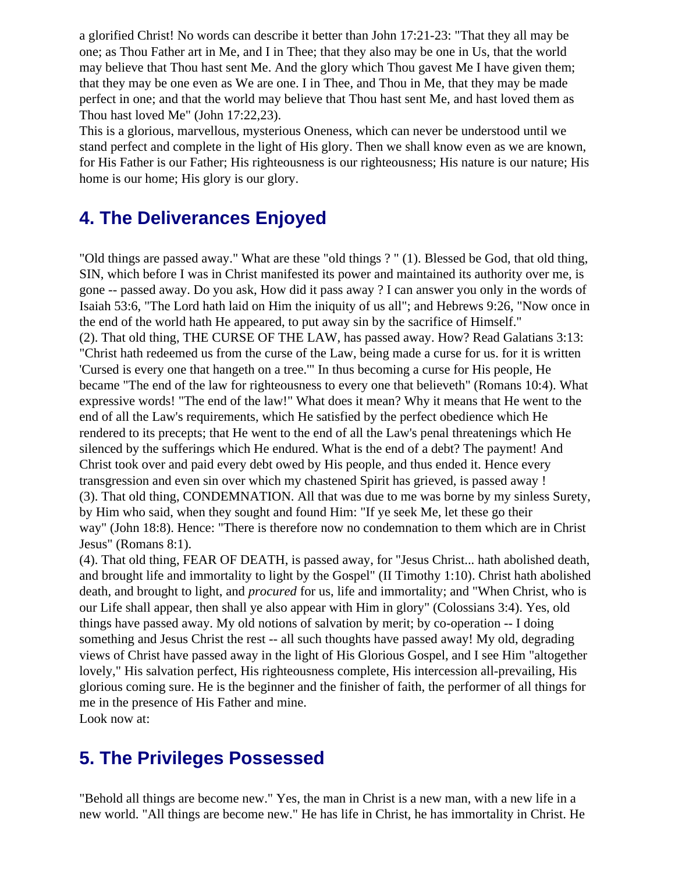a glorified Christ! No words can describe it better than John 17:21-23: "That they all may be one; as Thou Father art in Me, and I in Thee; that they also may be one in Us, that the world may believe that Thou hast sent Me. And the glory which Thou gavest Me I have given them; that they may be one even as We are one. I in Thee, and Thou in Me, that they may be made perfect in one; and that the world may believe that Thou hast sent Me, and hast loved them as Thou hast loved Me" (John 17:22,23).

This is a glorious, marvellous, mysterious Oneness, which can never be understood until we stand perfect and complete in the light of His glory. Then we shall know even as we are known, for His Father is our Father; His righteousness is our righteousness; His nature is our nature; His home is our home; His glory is our glory.

# **4. The Deliverances Enjoyed**

"Old things are passed away." What are these "old things ? " (1). Blessed be God, that old thing, SIN, which before I was in Christ manifested its power and maintained its authority over me, is gone -- passed away. Do you ask, How did it pass away ? I can answer you only in the words of Isaiah 53:6, "The Lord hath laid on Him the iniquity of us all"; and Hebrews 9:26, "Now once in the end of the world hath He appeared, to put away sin by the sacrifice of Himself." (2). That old thing, THE CURSE OF THE LAW, has passed away. How? Read Galatians 3:13: "Christ hath redeemed us from the curse of the Law, being made a curse for us. for it is written 'Cursed is every one that hangeth on a tree.'" In thus becoming a curse for His people, He became "The end of the law for righteousness to every one that believeth" (Romans 10:4). What expressive words! "The end of the law!" What does it mean? Why it means that He went to the end of all the Law's requirements, which He satisfied by the perfect obedience which He rendered to its precepts; that He went to the end of all the Law's penal threatenings which He silenced by the sufferings which He endured. What is the end of a debt? The payment! And Christ took over and paid every debt owed by His people, and thus ended it. Hence every transgression and even sin over which my chastened Spirit has grieved, is passed away ! (3). That old thing, CONDEMNATION. All that was due to me was borne by my sinless Surety, by Him who said, when they sought and found Him: "If ye seek Me, let these go their way" (John 18:8). Hence: "There is therefore now no condemnation to them which are in Christ Jesus" (Romans 8:1).

(4). That old thing, FEAR OF DEATH, is passed away, for "Jesus Christ... hath abolished death, and brought life and immortality to light by the Gospel" (II Timothy 1:10). Christ hath abolished death, and brought to light, and *procured* for us, life and immortality; and "When Christ, who is our Life shall appear, then shall ye also appear with Him in glory" (Colossians 3:4). Yes, old things have passed away. My old notions of salvation by merit; by co-operation -- I doing something and Jesus Christ the rest -- all such thoughts have passed away! My old, degrading views of Christ have passed away in the light of His Glorious Gospel, and I see Him "altogether lovely," His salvation perfect, His righteousness complete, His intercession all-prevailing, His glorious coming sure. He is the beginner and the finisher of faith, the performer of all things for me in the presence of His Father and mine. Look now at:

**5. The Privileges Possessed**

"Behold all things are become new." Yes, the man in Christ is a new man, with a new life in a new world. "All things are become new." He has life in Christ, he has immortality in Christ. He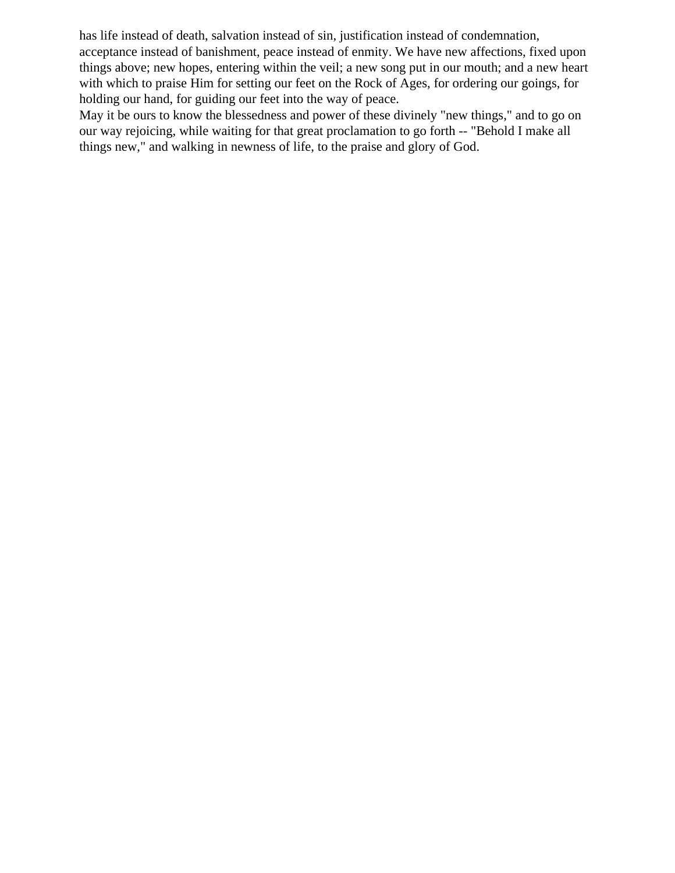has life instead of death, salvation instead of sin, justification instead of condemnation, acceptance instead of banishment, peace instead of enmity. We have new affections, fixed upon things above; new hopes, entering within the veil; a new song put in our mouth; and a new heart with which to praise Him for setting our feet on the Rock of Ages, for ordering our goings, for holding our hand, for guiding our feet into the way of peace.

May it be ours to know the blessedness and power of these divinely "new things," and to go on our way rejoicing, while waiting for that great proclamation to go forth -- "Behold I make all things new," and walking in newness of life, to the praise and glory of God.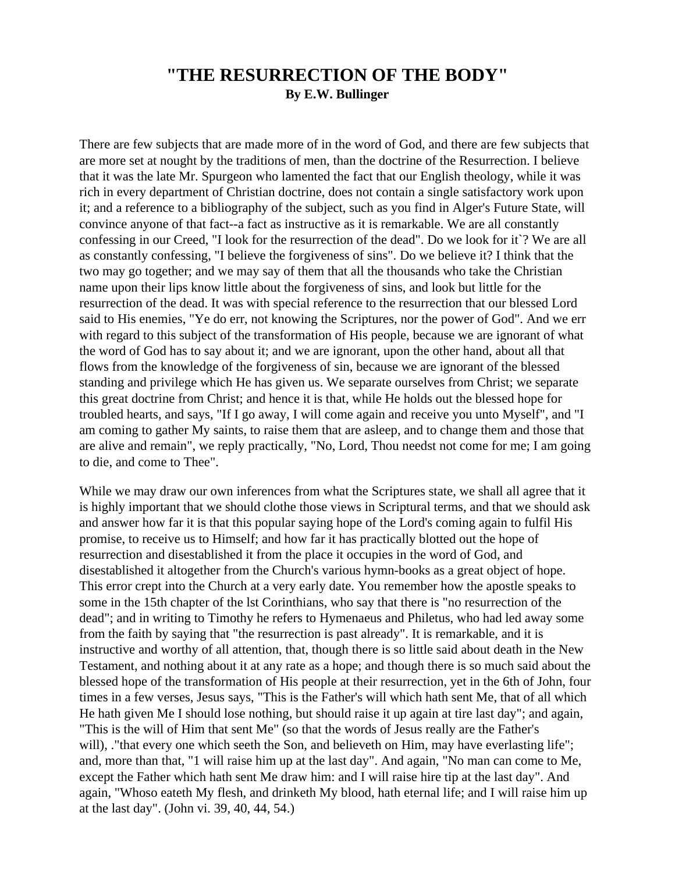## **"THE RESURRECTION OF THE BODY" By E.W. Bullinger**

There are few subjects that are made more of in the word of God, and there are few subjects that are more set at nought by the traditions of men, than the doctrine of the Resurrection. I believe that it was the late Mr. Spurgeon who lamented the fact that our English theology, while it was rich in every department of Christian doctrine, does not contain a single satisfactory work upon it; and a reference to a bibliography of the subject, such as you find in Alger's Future State, will convince anyone of that fact--a fact as instructive as it is remarkable. We are all constantly confessing in our Creed, "I look for the resurrection of the dead". Do we look for it`? We are all as constantly confessing, "I believe the forgiveness of sins". Do we believe it? I think that the two may go together; and we may say of them that all the thousands who take the Christian name upon their lips know little about the forgiveness of sins, and look but little for the resurrection of the dead. It was with special reference to the resurrection that our blessed Lord said to His enemies, "Ye do err, not knowing the Scriptures, nor the power of God". And we err with regard to this subject of the transformation of His people, because we are ignorant of what the word of God has to say about it; and we are ignorant, upon the other hand, about all that flows from the knowledge of the forgiveness of sin, because we are ignorant of the blessed standing and privilege which He has given us. We separate ourselves from Christ; we separate this great doctrine from Christ; and hence it is that, while He holds out the blessed hope for troubled hearts, and says, "If I go away, I will come again and receive you unto Myself", and "I am coming to gather My saints, to raise them that are asleep, and to change them and those that are alive and remain", we reply practically, "No, Lord, Thou needst not come for me; I am going to die, and come to Thee".

While we may draw our own inferences from what the Scriptures state, we shall all agree that it is highly important that we should clothe those views in Scriptural terms, and that we should ask and answer how far it is that this popular saying hope of the Lord's coming again to fulfil His promise, to receive us to Himself; and how far it has practically blotted out the hope of resurrection and disestablished it from the place it occupies in the word of God, and disestablished it altogether from the Church's various hymn-books as a great object of hope. This error crept into the Church at a very early date. You remember how the apostle speaks to some in the 15th chapter of the lst Corinthians, who say that there is "no resurrection of the dead"; and in writing to Timothy he refers to Hymenaeus and Philetus, who had led away some from the faith by saying that "the resurrection is past already". It is remarkable, and it is instructive and worthy of all attention, that, though there is so little said about death in the New Testament, and nothing about it at any rate as a hope; and though there is so much said about the blessed hope of the transformation of His people at their resurrection, yet in the 6th of John, four times in a few verses, Jesus says, "This is the Father's will which hath sent Me, that of all which He hath given Me I should lose nothing, but should raise it up again at tire last day"; and again, "This is the will of Him that sent Me" (so that the words of Jesus really are the Father's will), ."that every one which seeth the Son, and believeth on Him, may have everlasting life"; and, more than that, "1 will raise him up at the last day". And again, "No man can come to Me, except the Father which hath sent Me draw him: and I will raise hire tip at the last day". And again, "Whoso eateth My flesh, and drinketh My blood, hath eternal life; and I will raise him up at the last day". (John vi. 39, 40, 44, 54.)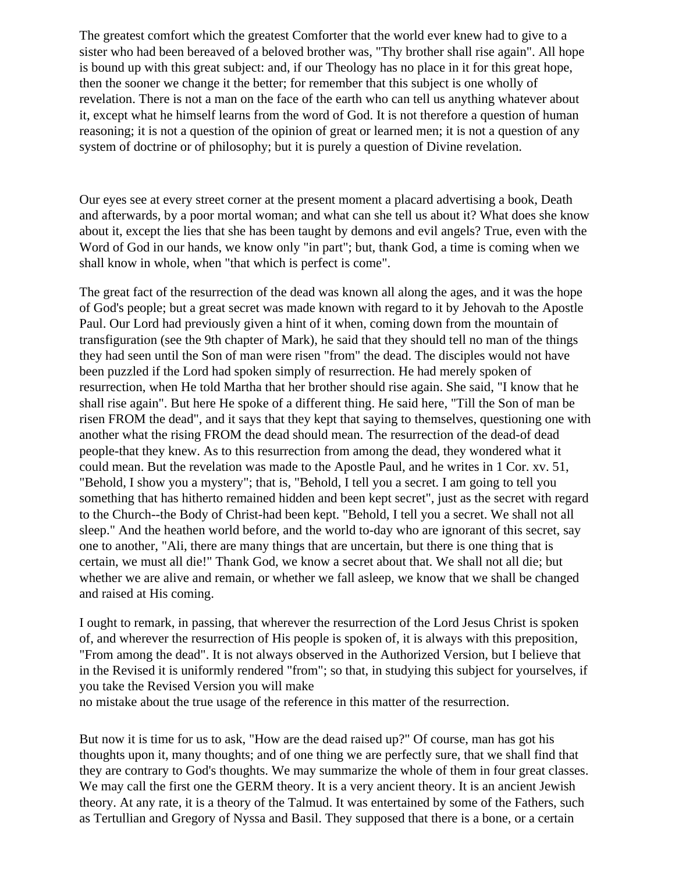The greatest comfort which the greatest Comforter that the world ever knew had to give to a sister who had been bereaved of a beloved brother was, "Thy brother shall rise again". All hope is bound up with this great subject: and, if our Theology has no place in it for this great hope, then the sooner we change it the better; for remember that this subject is one wholly of revelation. There is not a man on the face of the earth who can tell us anything whatever about it, except what he himself learns from the word of God. It is not therefore a question of human reasoning; it is not a question of the opinion of great or learned men; it is not a question of any system of doctrine or of philosophy; but it is purely a question of Divine revelation.

Our eyes see at every street corner at the present moment a placard advertising a book, Death and afterwards, by a poor mortal woman; and what can she tell us about it? What does she know about it, except the lies that she has been taught by demons and evil angels? True, even with the Word of God in our hands, we know only "in part"; but, thank God, a time is coming when we shall know in whole, when "that which is perfect is come".

The great fact of the resurrection of the dead was known all along the ages, and it was the hope of God's people; but a great secret was made known with regard to it by Jehovah to the Apostle Paul. Our Lord had previously given a hint of it when, coming down from the mountain of transfiguration (see the 9th chapter of Mark), he said that they should tell no man of the things they had seen until the Son of man were risen "from" the dead. The disciples would not have been puzzled if the Lord had spoken simply of resurrection. He had merely spoken of resurrection, when He told Martha that her brother should rise again. She said, "I know that he shall rise again". But here He spoke of a different thing. He said here, "Till the Son of man be risen FROM the dead", and it says that they kept that saying to themselves, questioning one with another what the rising FROM the dead should mean. The resurrection of the dead-of dead people-that they knew. As to this resurrection from among the dead, they wondered what it could mean. But the revelation was made to the Apostle Paul, and he writes in 1 Cor. xv. 51, "Behold, I show you a mystery"; that is, "Behold, I tell you a secret. I am going to tell you something that has hitherto remained hidden and been kept secret", just as the secret with regard to the Church--the Body of Christ-had been kept. "Behold, I tell you a secret. We shall not all sleep." And the heathen world before, and the world to-day who are ignorant of this secret, say one to another, "Ali, there are many things that are uncertain, but there is one thing that is certain, we must all die!" Thank God, we know a secret about that. We shall not all die; but whether we are alive and remain, or whether we fall asleep, we know that we shall be changed and raised at His coming.

I ought to remark, in passing, that wherever the resurrection of the Lord Jesus Christ is spoken of, and wherever the resurrection of His people is spoken of, it is always with this preposition, "From among the dead". It is not always observed in the Authorized Version, but I believe that in the Revised it is uniformly rendered "from"; so that, in studying this subject for yourselves, if you take the Revised Version you will make

no mistake about the true usage of the reference in this matter of the resurrection.

But now it is time for us to ask, "How are the dead raised up?" Of course, man has got his thoughts upon it, many thoughts; and of one thing we are perfectly sure, that we shall find that they are contrary to God's thoughts. We may summarize the whole of them in four great classes. We may call the first one the GERM theory. It is a very ancient theory. It is an ancient Jewish theory. At any rate, it is a theory of the Talmud. It was entertained by some of the Fathers, such as Tertullian and Gregory of Nyssa and Basil. They supposed that there is a bone, or a certain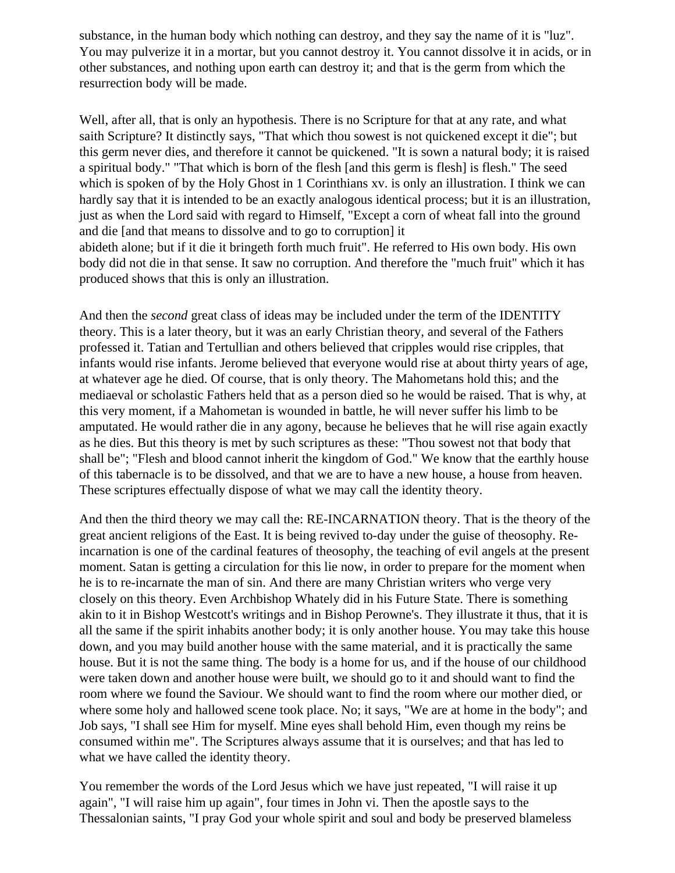substance, in the human body which nothing can destroy, and they say the name of it is "luz". You may pulverize it in a mortar, but you cannot destroy it. You cannot dissolve it in acids, or in other substances, and nothing upon earth can destroy it; and that is the germ from which the resurrection body will be made.

Well, after all, that is only an hypothesis. There is no Scripture for that at any rate, and what saith Scripture? It distinctly says, "That which thou sowest is not quickened except it die"; but this germ never dies, and therefore it cannot be quickened. "It is sown a natural body; it is raised a spiritual body." "That which is born of the flesh [and this germ is flesh] is flesh." The seed which is spoken of by the Holy Ghost in 1 Corinthians xv. is only an illustration. I think we can hardly say that it is intended to be an exactly analogous identical process; but it is an illustration, just as when the Lord said with regard to Himself, "Except a corn of wheat fall into the ground and die [and that means to dissolve and to go to corruption] it abideth alone; but if it die it bringeth forth much fruit". He referred to His own body. His own

body did not die in that sense. It saw no corruption. And therefore the "much fruit" which it has produced shows that this is only an illustration.

And then the *second* great class of ideas may be included under the term of the IDENTITY theory. This is a later theory, but it was an early Christian theory, and several of the Fathers professed it. Tatian and Tertullian and others believed that cripples would rise cripples, that infants would rise infants. Jerome believed that everyone would rise at about thirty years of age, at whatever age he died. Of course, that is only theory. The Mahometans hold this; and the mediaeval or scholastic Fathers held that as a person died so he would be raised. That is why, at this very moment, if a Mahometan is wounded in battle, he will never suffer his limb to be amputated. He would rather die in any agony, because he believes that he will rise again exactly as he dies. But this theory is met by such scriptures as these: "Thou sowest not that body that shall be"; "Flesh and blood cannot inherit the kingdom of God." We know that the earthly house of this tabernacle is to be dissolved, and that we are to have a new house, a house from heaven. These scriptures effectually dispose of what we may call the identity theory.

And then the third theory we may call the: RE-INCARNATION theory. That is the theory of the great ancient religions of the East. It is being revived to-day under the guise of theosophy. Reincarnation is one of the cardinal features of theosophy, the teaching of evil angels at the present moment. Satan is getting a circulation for this lie now, in order to prepare for the moment when he is to re-incarnate the man of sin. And there are many Christian writers who verge very closely on this theory. Even Archbishop Whately did in his Future State. There is something akin to it in Bishop Westcott's writings and in Bishop Perowne's. They illustrate it thus, that it is all the same if the spirit inhabits another body; it is only another house. You may take this house down, and you may build another house with the same material, and it is practically the same house. But it is not the same thing. The body is a home for us, and if the house of our childhood were taken down and another house were built, we should go to it and should want to find the room where we found the Saviour. We should want to find the room where our mother died, or where some holy and hallowed scene took place. No; it says, "We are at home in the body"; and Job says, "I shall see Him for myself. Mine eyes shall behold Him, even though my reins be consumed within me". The Scriptures always assume that it is ourselves; and that has led to what we have called the identity theory.

You remember the words of the Lord Jesus which we have just repeated, "I will raise it up again", "I will raise him up again", four times in John vi. Then the apostle says to the Thessalonian saints, "I pray God your whole spirit and soul and body be preserved blameless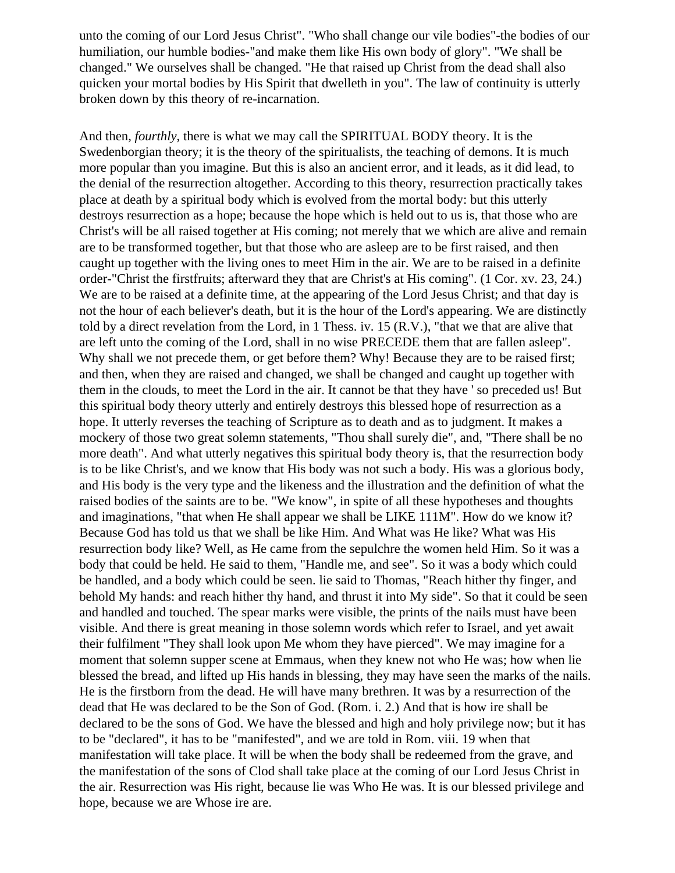unto the coming of our Lord Jesus Christ". "Who shall change our vile bodies"-the bodies of our humiliation, our humble bodies-"and make them like His own body of glory". "We shall be changed." We ourselves shall be changed. "He that raised up Christ from the dead shall also quicken your mortal bodies by His Spirit that dwelleth in you". The law of continuity is utterly broken down by this theory of re-incarnation.

And then, *fourthly*, there is what we may call the SPIRITUAL BODY theory. It is the Swedenborgian theory; it is the theory of the spiritualists, the teaching of demons. It is much more popular than you imagine. But this is also an ancient error, and it leads, as it did lead, to the denial of the resurrection altogether. According to this theory, resurrection practically takes place at death by a spiritual body which is evolved from the mortal body: but this utterly destroys resurrection as a hope; because the hope which is held out to us is, that those who are Christ's will be all raised together at His coming; not merely that we which are alive and remain are to be transformed together, but that those who are asleep are to be first raised, and then caught up together with the living ones to meet Him in the air. We are to be raised in a definite order-"Christ the firstfruits; afterward they that are Christ's at His coming". (1 Cor. xv. 23, 24.) We are to be raised at a definite time, at the appearing of the Lord Jesus Christ; and that day is not the hour of each believer's death, but it is the hour of the Lord's appearing. We are distinctly told by a direct revelation from the Lord, in 1 Thess. iv. 15 (R.V.), "that we that are alive that are left unto the coming of the Lord, shall in no wise PRECEDE them that are fallen asleep". Why shall we not precede them, or get before them? Why! Because they are to be raised first; and then, when they are raised and changed, we shall be changed and caught up together with them in the clouds, to meet the Lord in the air. It cannot be that they have ' so preceded us! But this spiritual body theory utterly and entirely destroys this blessed hope of resurrection as a hope. It utterly reverses the teaching of Scripture as to death and as to judgment. It makes a mockery of those two great solemn statements, "Thou shall surely die", and, "There shall be no more death". And what utterly negatives this spiritual body theory is, that the resurrection body is to be like Christ's, and we know that His body was not such a body. His was a glorious body, and His body is the very type and the likeness and the illustration and the definition of what the raised bodies of the saints are to be. "We know", in spite of all these hypotheses and thoughts and imaginations, "that when He shall appear we shall be LIKE 111M". How do we know it? Because God has told us that we shall be like Him. And What was He like? What was His resurrection body like? Well, as He came from the sepulchre the women held Him. So it was a body that could be held. He said to them, "Handle me, and see". So it was a body which could be handled, and a body which could be seen. lie said to Thomas, "Reach hither thy finger, and behold My hands: and reach hither thy hand, and thrust it into My side". So that it could be seen and handled and touched. The spear marks were visible, the prints of the nails must have been visible. And there is great meaning in those solemn words which refer to Israel, and yet await their fulfilment "They shall look upon Me whom they have pierced". We may imagine for a moment that solemn supper scene at Emmaus, when they knew not who He was; how when lie blessed the bread, and lifted up His hands in blessing, they may have seen the marks of the nails. He is the firstborn from the dead. He will have many brethren. It was by a resurrection of the dead that He was declared to be the Son of God. (Rom. i. 2.) And that is how ire shall be declared to be the sons of God. We have the blessed and high and holy privilege now; but it has to be "declared", it has to be "manifested", and we are told in Rom. viii. 19 when that manifestation will take place. It will be when the body shall be redeemed from the grave, and the manifestation of the sons of Clod shall take place at the coming of our Lord Jesus Christ in the air. Resurrection was His right, because lie was Who He was. It is our blessed privilege and hope, because we are Whose ire are.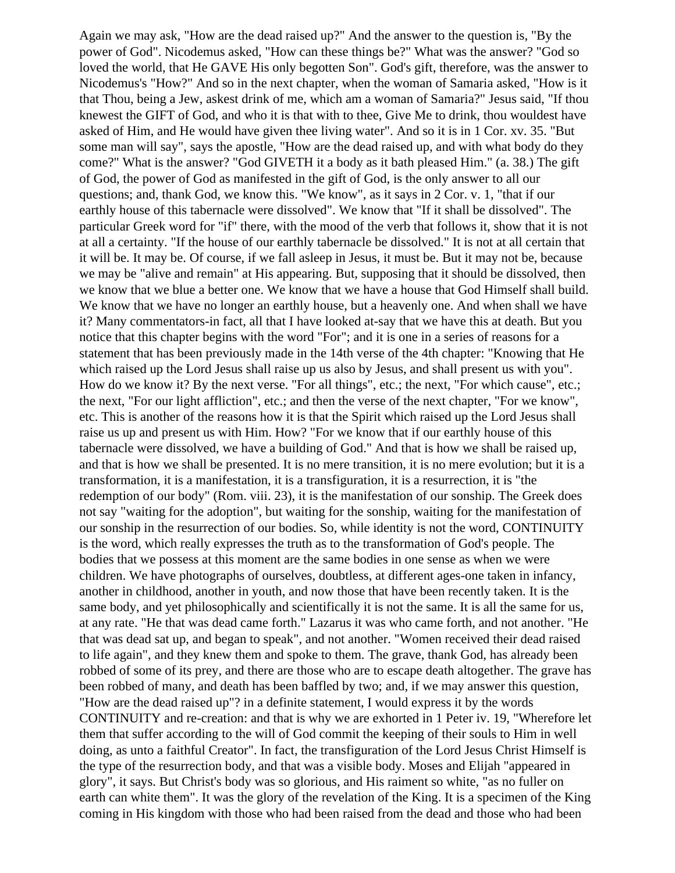Again we may ask, "How are the dead raised up?" And the answer to the question is, "By the power of God". Nicodemus asked, "How can these things be?" What was the answer? "God so loved the world, that He GAVE His only begotten Son". God's gift, therefore, was the answer to Nicodemus's "How?" And so in the next chapter, when the woman of Samaria asked, "How is it that Thou, being a Jew, askest drink of me, which am a woman of Samaria?" Jesus said, "If thou knewest the GIFT of God, and who it is that with to thee, Give Me to drink, thou wouldest have asked of Him, and He would have given thee living water". And so it is in 1 Cor. xv. 35. "But some man will say", says the apostle, "How are the dead raised up, and with what body do they come?" What is the answer? "God GIVETH it a body as it bath pleased Him." (a. 38.) The gift of God, the power of God as manifested in the gift of God, is the only answer to all our questions; and, thank God, we know this. "We know", as it says in 2 Cor. v. 1, "that if our earthly house of this tabernacle were dissolved". We know that "If it shall be dissolved". The particular Greek word for "if" there, with the mood of the verb that follows it, show that it is not at all a certainty. "If the house of our earthly tabernacle be dissolved." It is not at all certain that it will be. It may be. Of course, if we fall asleep in Jesus, it must be. But it may not be, because we may be "alive and remain" at His appearing. But, supposing that it should be dissolved, then we know that we blue a better one. We know that we have a house that God Himself shall build. We know that we have no longer an earthly house, but a heavenly one. And when shall we have it? Many commentators-in fact, all that I have looked at-say that we have this at death. But you notice that this chapter begins with the word "For"; and it is one in a series of reasons for a statement that has been previously made in the 14th verse of the 4th chapter: "Knowing that He which raised up the Lord Jesus shall raise up us also by Jesus, and shall present us with you". How do we know it? By the next verse. "For all things", etc.; the next, "For which cause", etc.; the next, "For our light affliction", etc.; and then the verse of the next chapter, "For we know", etc. This is another of the reasons how it is that the Spirit which raised up the Lord Jesus shall raise us up and present us with Him. How? "For we know that if our earthly house of this tabernacle were dissolved, we have a building of God." And that is how we shall be raised up, and that is how we shall be presented. It is no mere transition, it is no mere evolution; but it is a transformation, it is a manifestation, it is a transfiguration, it is a resurrection, it is "the redemption of our body" (Rom. viii. 23), it is the manifestation of our sonship. The Greek does not say "waiting for the adoption", but waiting for the sonship, waiting for the manifestation of our sonship in the resurrection of our bodies. So, while identity is not the word, CONTINUITY is the word, which really expresses the truth as to the transformation of God's people. The bodies that we possess at this moment are the same bodies in one sense as when we were children. We have photographs of ourselves, doubtless, at different ages-one taken in infancy, another in childhood, another in youth, and now those that have been recently taken. It is the same body, and yet philosophically and scientifically it is not the same. It is all the same for us, at any rate. "He that was dead came forth." Lazarus it was who came forth, and not another. "He that was dead sat up, and began to speak", and not another. "Women received their dead raised to life again", and they knew them and spoke to them. The grave, thank God, has already been robbed of some of its prey, and there are those who are to escape death altogether. The grave has been robbed of many, and death has been baffled by two; and, if we may answer this question, "How are the dead raised up"? in a definite statement, I would express it by the words CONTINUITY and re-creation: and that is why we are exhorted in 1 Peter iv. 19, "Wherefore let them that suffer according to the will of God commit the keeping of their souls to Him in well doing, as unto a faithful Creator". In fact, the transfiguration of the Lord Jesus Christ Himself is the type of the resurrection body, and that was a visible body. Moses and Elijah "appeared in glory", it says. But Christ's body was so glorious, and His raiment so white, "as no fuller on earth can white them". It was the glory of the revelation of the King. It is a specimen of the King coming in His kingdom with those who had been raised from the dead and those who had been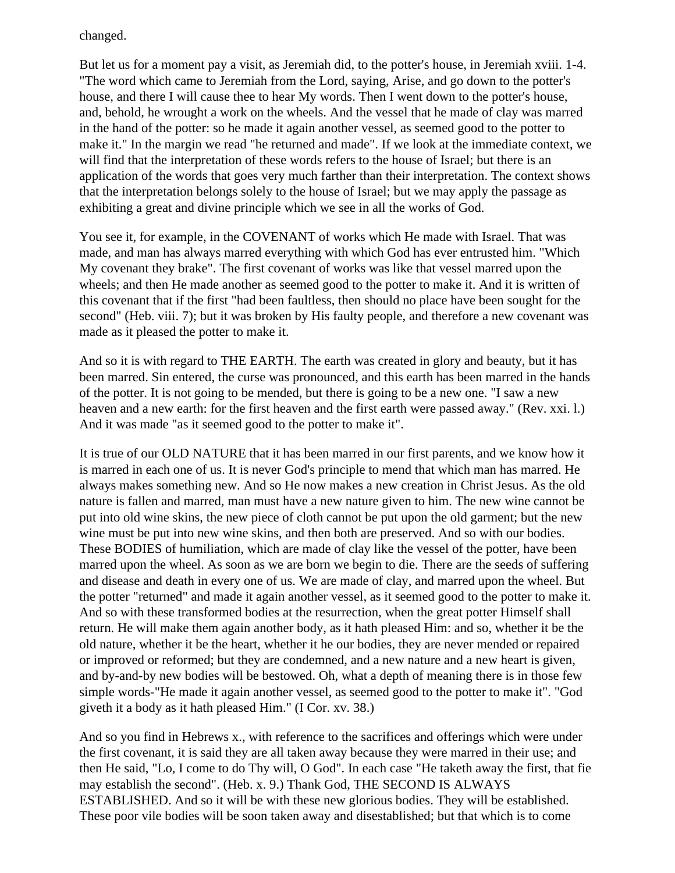changed.

But let us for a moment pay a visit, as Jeremiah did, to the potter's house, in Jeremiah xviii. 1-4. "The word which came to Jeremiah from the Lord, saying, Arise, and go down to the potter's house, and there I will cause thee to hear My words. Then I went down to the potter's house, and, behold, he wrought a work on the wheels. And the vessel that he made of clay was marred in the hand of the potter: so he made it again another vessel, as seemed good to the potter to make it." In the margin we read "he returned and made". If we look at the immediate context, we will find that the interpretation of these words refers to the house of Israel; but there is an application of the words that goes very much farther than their interpretation. The context shows that the interpretation belongs solely to the house of Israel; but we may apply the passage as exhibiting a great and divine principle which we see in all the works of God.

You see it, for example, in the COVENANT of works which He made with Israel. That was made, and man has always marred everything with which God has ever entrusted him. "Which My covenant they brake". The first covenant of works was like that vessel marred upon the wheels; and then He made another as seemed good to the potter to make it. And it is written of this covenant that if the first "had been faultless, then should no place have been sought for the second" (Heb. viii. 7); but it was broken by His faulty people, and therefore a new covenant was made as it pleased the potter to make it.

And so it is with regard to THE EARTH. The earth was created in glory and beauty, but it has been marred. Sin entered, the curse was pronounced, and this earth has been marred in the hands of the potter. It is not going to be mended, but there is going to be a new one. "I saw a new heaven and a new earth: for the first heaven and the first earth were passed away." (Rev. xxi. l.) And it was made "as it seemed good to the potter to make it".

It is true of our OLD NATURE that it has been marred in our first parents, and we know how it is marred in each one of us. It is never God's principle to mend that which man has marred. He always makes something new. And so He now makes a new creation in Christ Jesus. As the old nature is fallen and marred, man must have a new nature given to him. The new wine cannot be put into old wine skins, the new piece of cloth cannot be put upon the old garment; but the new wine must be put into new wine skins, and then both are preserved. And so with our bodies. These BODIES of humiliation, which are made of clay like the vessel of the potter, have been marred upon the wheel. As soon as we are born we begin to die. There are the seeds of suffering and disease and death in every one of us. We are made of clay, and marred upon the wheel. But the potter "returned" and made it again another vessel, as it seemed good to the potter to make it. And so with these transformed bodies at the resurrection, when the great potter Himself shall return. He will make them again another body, as it hath pleased Him: and so, whether it be the old nature, whether it be the heart, whether it he our bodies, they are never mended or repaired or improved or reformed; but they are condemned, and a new nature and a new heart is given, and by-and-by new bodies will be bestowed. Oh, what a depth of meaning there is in those few simple words-"He made it again another vessel, as seemed good to the potter to make it". "God giveth it a body as it hath pleased Him." (I Cor. xv. 38.)

And so you find in Hebrews x., with reference to the sacrifices and offerings which were under the first covenant, it is said they are all taken away because they were marred in their use; and then He said, "Lo, I come to do Thy will, O God". In each case "He taketh away the first, that fie may establish the second". (Heb. x. 9.) Thank God, THE SECOND IS ALWAYS ESTABLISHED. And so it will be with these new glorious bodies. They will be established. These poor vile bodies will be soon taken away and disestablished; but that which is to come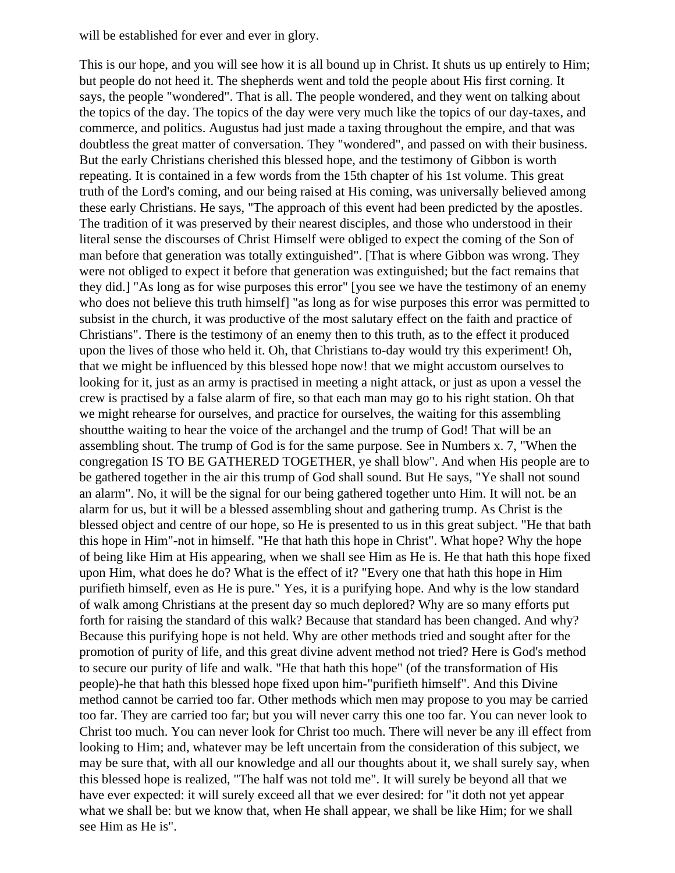will be established for ever and ever in glory.

This is our hope, and you will see how it is all bound up in Christ. It shuts us up entirely to Him; but people do not heed it. The shepherds went and told the people about His first corning. It says, the people "wondered". That is all. The people wondered, and they went on talking about the topics of the day. The topics of the day were very much like the topics of our day-taxes, and commerce, and politics. Augustus had just made a taxing throughout the empire, and that was doubtless the great matter of conversation. They "wondered", and passed on with their business. But the early Christians cherished this blessed hope, and the testimony of Gibbon is worth repeating. It is contained in a few words from the 15th chapter of his 1st volume. This great truth of the Lord's coming, and our being raised at His coming, was universally believed among these early Christians. He says, "The approach of this event had been predicted by the apostles. The tradition of it was preserved by their nearest disciples, and those who understood in their literal sense the discourses of Christ Himself were obliged to expect the coming of the Son of man before that generation was totally extinguished". [That is where Gibbon was wrong. They were not obliged to expect it before that generation was extinguished; but the fact remains that they did.] "As long as for wise purposes this error" [you see we have the testimony of an enemy who does not believe this truth himself] "as long as for wise purposes this error was permitted to subsist in the church, it was productive of the most salutary effect on the faith and practice of Christians". There is the testimony of an enemy then to this truth, as to the effect it produced upon the lives of those who held it. Oh, that Christians to-day would try this experiment! Oh, that we might be influenced by this blessed hope now! that we might accustom ourselves to looking for it, just as an army is practised in meeting a night attack, or just as upon a vessel the crew is practised by a false alarm of fire, so that each man may go to his right station. Oh that we might rehearse for ourselves, and practice for ourselves, the waiting for this assembling shoutthe waiting to hear the voice of the archangel and the trump of God! That will be an assembling shout. The trump of God is for the same purpose. See in Numbers x. 7, "When the congregation IS TO BE GATHERED TOGETHER, ye shall blow". And when His people are to be gathered together in the air this trump of God shall sound. But He says, "Ye shall not sound an alarm". No, it will be the signal for our being gathered together unto Him. It will not. be an alarm for us, but it will be a blessed assembling shout and gathering trump. As Christ is the blessed object and centre of our hope, so He is presented to us in this great subject. "He that bath this hope in Him"-not in himself. "He that hath this hope in Christ". What hope? Why the hope of being like Him at His appearing, when we shall see Him as He is. He that hath this hope fixed upon Him, what does he do? What is the effect of it? "Every one that hath this hope in Him purifieth himself, even as He is pure." Yes, it is a purifying hope. And why is the low standard of walk among Christians at the present day so much deplored? Why are so many efforts put forth for raising the standard of this walk? Because that standard has been changed. And why? Because this purifying hope is not held. Why are other methods tried and sought after for the promotion of purity of life, and this great divine advent method not tried? Here is God's method to secure our purity of life and walk. "He that hath this hope" (of the transformation of His people)-he that hath this blessed hope fixed upon him-"purifieth himself". And this Divine method cannot be carried too far. Other methods which men may propose to you may be carried too far. They are carried too far; but you will never carry this one too far. You can never look to Christ too much. You can never look for Christ too much. There will never be any ill effect from looking to Him; and, whatever may be left uncertain from the consideration of this subject, we may be sure that, with all our knowledge and all our thoughts about it, we shall surely say, when this blessed hope is realized, "The half was not told me". It will surely be beyond all that we have ever expected: it will surely exceed all that we ever desired: for "it doth not yet appear what we shall be: but we know that, when He shall appear, we shall be like Him; for we shall see Him as He is".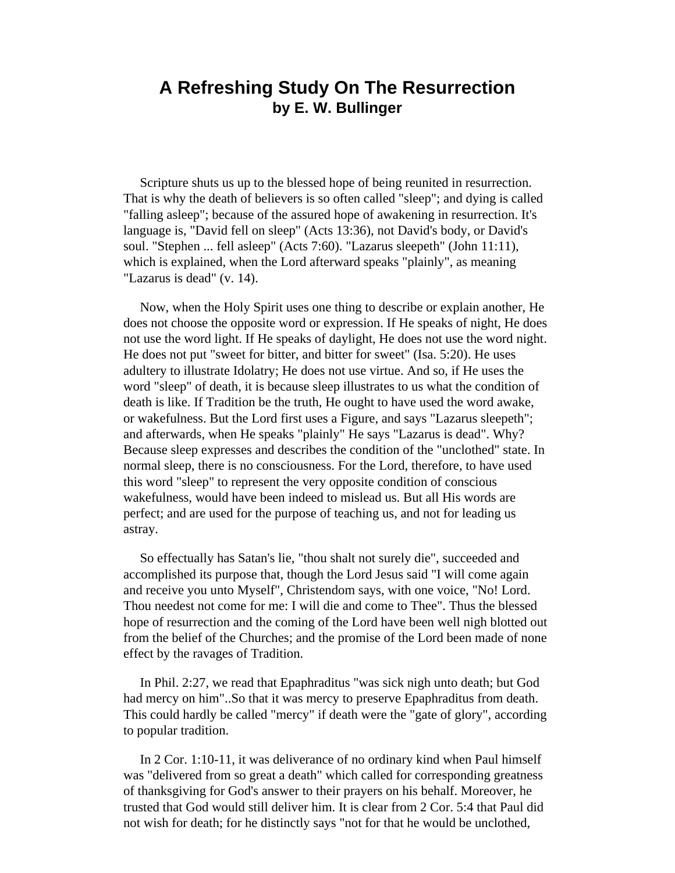## **A Refreshing Study On The Resurrection by E. W. Bullinger**

 Scripture shuts us up to the blessed hope of being reunited in resurrection. That is why the death of believers is so often called "sleep"; and dying is called "falling asleep"; because of the assured hope of awakening in resurrection. It's language is, "David fell on sleep" (Acts 13:36), not David's body, or David's soul. "Stephen ... fell asleep" (Acts 7:60). "Lazarus sleepeth" (John 11:11), which is explained, when the Lord afterward speaks "plainly", as meaning "Lazarus is dead" (v. 14).

 Now, when the Holy Spirit uses one thing to describe or explain another, He does not choose the opposite word or expression. If He speaks of night, He does not use the word light. If He speaks of daylight, He does not use the word night. He does not put "sweet for bitter, and bitter for sweet" (Isa. 5:20). He uses adultery to illustrate Idolatry; He does not use virtue. And so, if He uses the word "sleep" of death, it is because sleep illustrates to us what the condition of death is like. If Tradition be the truth, He ought to have used the word awake, or wakefulness. But the Lord first uses a Figure, and says "Lazarus sleepeth"; and afterwards, when He speaks "plainly" He says "Lazarus is dead". Why? Because sleep expresses and describes the condition of the "unclothed" state. In normal sleep, there is no consciousness. For the Lord, therefore, to have used this word "sleep" to represent the very opposite condition of conscious wakefulness, would have been indeed to mislead us. But all His words are perfect; and are used for the purpose of teaching us, and not for leading us astray.

 So effectually has Satan's lie, "thou shalt not surely die", succeeded and accomplished its purpose that, though the Lord Jesus said "I will come again and receive you unto Myself", Christendom says, with one voice, "No! Lord. Thou needest not come for me: I will die and come to Thee". Thus the blessed hope of resurrection and the coming of the Lord have been well nigh blotted out from the belief of the Churches; and the promise of the Lord been made of none effect by the ravages of Tradition.

 In Phil. 2:27, we read that Epaphraditus "was sick nigh unto death; but God had mercy on him"..So that it was mercy to preserve Epaphraditus from death. This could hardly be called "mercy" if death were the "gate of glory", according to popular tradition.

 In 2 Cor. 1:10-11, it was deliverance of no ordinary kind when Paul himself was "delivered from so great a death" which called for corresponding greatness of thanksgiving for God's answer to their prayers on his behalf. Moreover, he trusted that God would still deliver him. It is clear from 2 Cor. 5:4 that Paul did not wish for death; for he distinctly says "not for that he would be unclothed,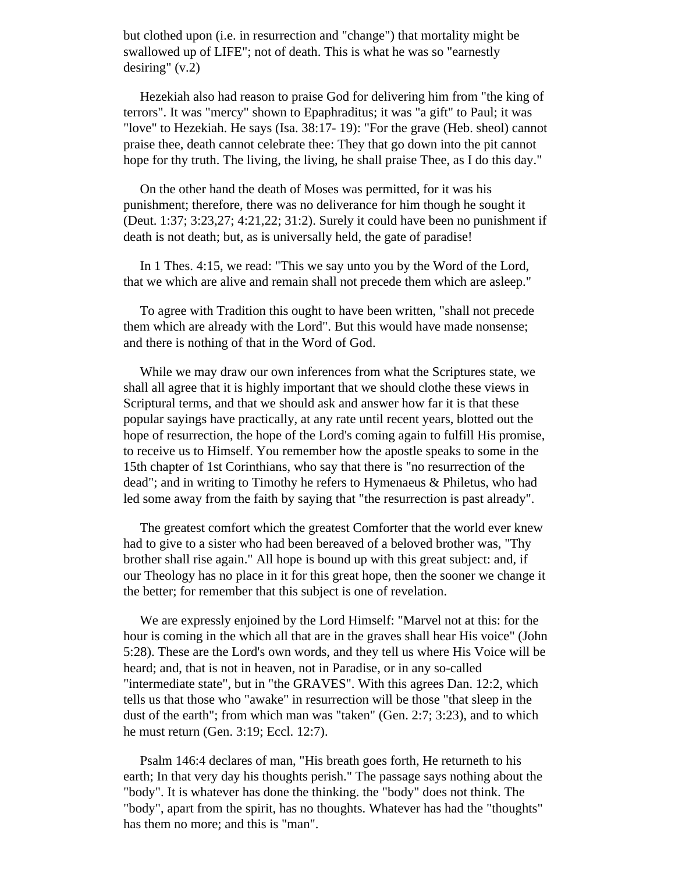but clothed upon (i.e. in resurrection and "change") that mortality might be swallowed up of LIFE"; not of death. This is what he was so "earnestly desiring" (v.2)

 Hezekiah also had reason to praise God for delivering him from "the king of terrors". It was "mercy" shown to Epaphraditus; it was "a gift" to Paul; it was "love" to Hezekiah. He says (Isa. 38:17- 19): "For the grave (Heb. sheol) cannot praise thee, death cannot celebrate thee: They that go down into the pit cannot hope for thy truth. The living, the living, he shall praise Thee, as I do this day."

 On the other hand the death of Moses was permitted, for it was his punishment; therefore, there was no deliverance for him though he sought it (Deut. 1:37; 3:23,27; 4:21,22; 31:2). Surely it could have been no punishment if death is not death; but, as is universally held, the gate of paradise!

 In 1 Thes. 4:15, we read: "This we say unto you by the Word of the Lord, that we which are alive and remain shall not precede them which are asleep."

 To agree with Tradition this ought to have been written, "shall not precede them which are already with the Lord". But this would have made nonsense; and there is nothing of that in the Word of God.

 While we may draw our own inferences from what the Scriptures state, we shall all agree that it is highly important that we should clothe these views in Scriptural terms, and that we should ask and answer how far it is that these popular sayings have practically, at any rate until recent years, blotted out the hope of resurrection, the hope of the Lord's coming again to fulfill His promise, to receive us to Himself. You remember how the apostle speaks to some in the 15th chapter of 1st Corinthians, who say that there is "no resurrection of the dead"; and in writing to Timothy he refers to Hymenaeus & Philetus, who had led some away from the faith by saying that "the resurrection is past already".

 The greatest comfort which the greatest Comforter that the world ever knew had to give to a sister who had been bereaved of a beloved brother was, "Thy brother shall rise again." All hope is bound up with this great subject: and, if our Theology has no place in it for this great hope, then the sooner we change it the better; for remember that this subject is one of revelation.

 We are expressly enjoined by the Lord Himself: "Marvel not at this: for the hour is coming in the which all that are in the graves shall hear His voice" (John 5:28). These are the Lord's own words, and they tell us where His Voice will be heard; and, that is not in heaven, not in Paradise, or in any so-called "intermediate state", but in "the GRAVES". With this agrees Dan. 12:2, which tells us that those who "awake" in resurrection will be those "that sleep in the dust of the earth"; from which man was "taken" (Gen. 2:7; 3:23), and to which he must return (Gen. 3:19; Eccl. 12:7).

 Psalm 146:4 declares of man, "His breath goes forth, He returneth to his earth; In that very day his thoughts perish." The passage says nothing about the "body". It is whatever has done the thinking. the "body" does not think. The "body", apart from the spirit, has no thoughts. Whatever has had the "thoughts" has them no more; and this is "man".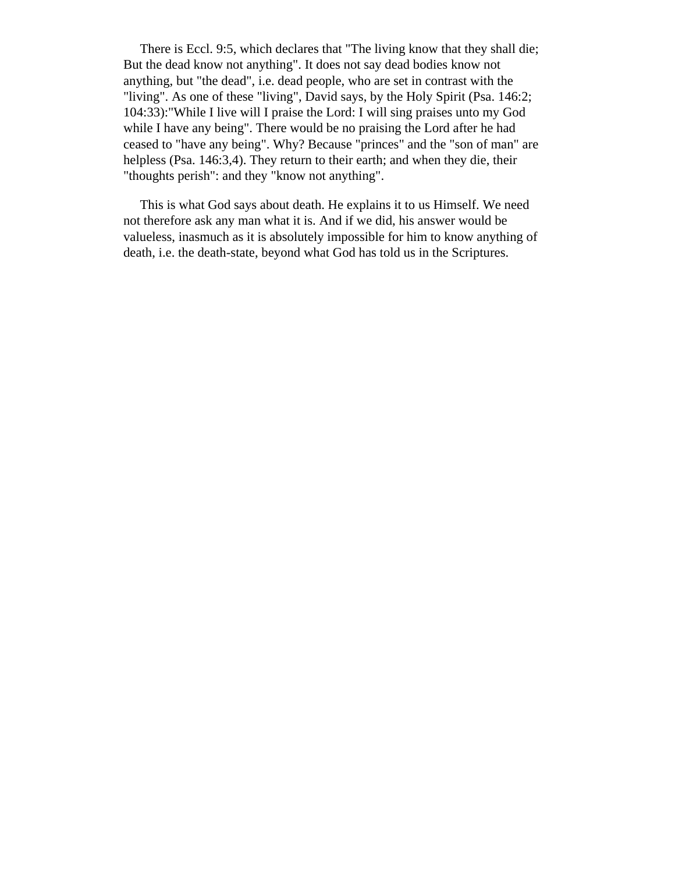There is Eccl. 9:5, which declares that "The living know that they shall die; But the dead know not anything". It does not say dead bodies know not anything, but "the dead", i.e. dead people, who are set in contrast with the "living". As one of these "living", David says, by the Holy Spirit (Psa. 146:2; 104:33):"While I live will I praise the Lord: I will sing praises unto my God while I have any being". There would be no praising the Lord after he had ceased to "have any being". Why? Because "princes" and the "son of man" are helpless (Psa. 146:3,4). They return to their earth; and when they die, their "thoughts perish": and they "know not anything".

 This is what God says about death. He explains it to us Himself. We need not therefore ask any man what it is. And if we did, his answer would be valueless, inasmuch as it is absolutely impossible for him to know anything of death, i.e. the death-state, beyond what God has told us in the Scriptures.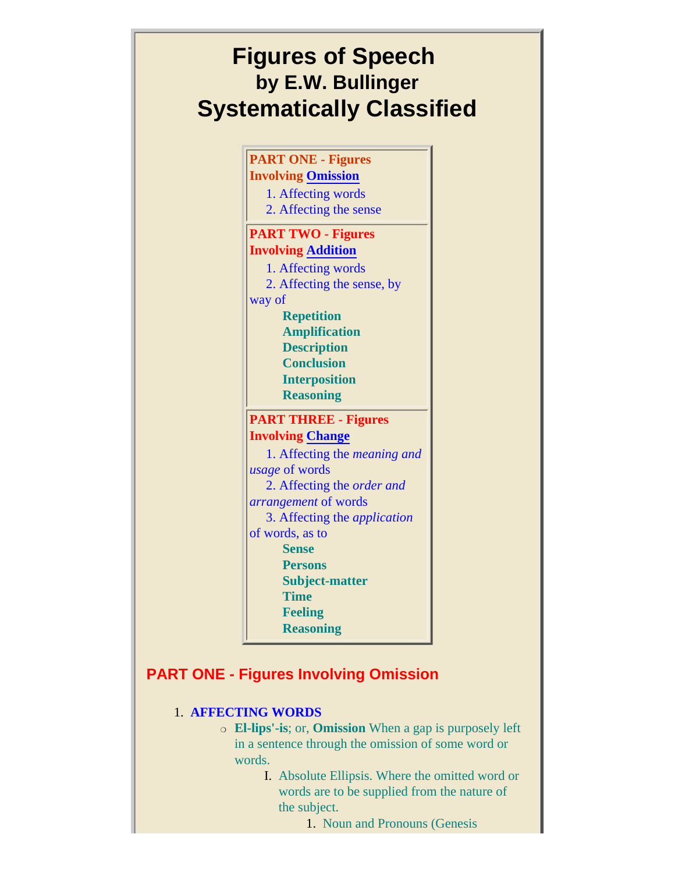# **Figures of Speech by E.W. Bullinger Systematically Classified**

**PART ONE - Figures Involving [Omission](#page-91-0)** 1. Affecting words 2. Affecting the sense **PART TWO - Figures Involving [Addition](#page-93-0)** 1. Affecting words 2. Affecting the sense, by way of **Repetition Amplification Description Conclusion Interposition Reasoning PART THREE - Figures Involving [Change](#page-101-0)** 1. Affecting the *meaning and usage* of words 2. Affecting the *order and arrangement* of words 3. Affecting the *application*  of words, as to **Sense Persons Subject-matter Time Feeling Reasoning**

## <span id="page-91-0"></span>**PART ONE - Figures Involving Omission**

### 1. **AFFECTING WORDS**

- ❍ **El-lips'-is**; or, **Omission** When a gap is purposely left in a sentence through the omission of some word or words.
	- I. Absolute Ellipsis. Where the omitted word or words are to be supplied from the nature of the subject.
		- 1. Noun and Pronouns (Genesis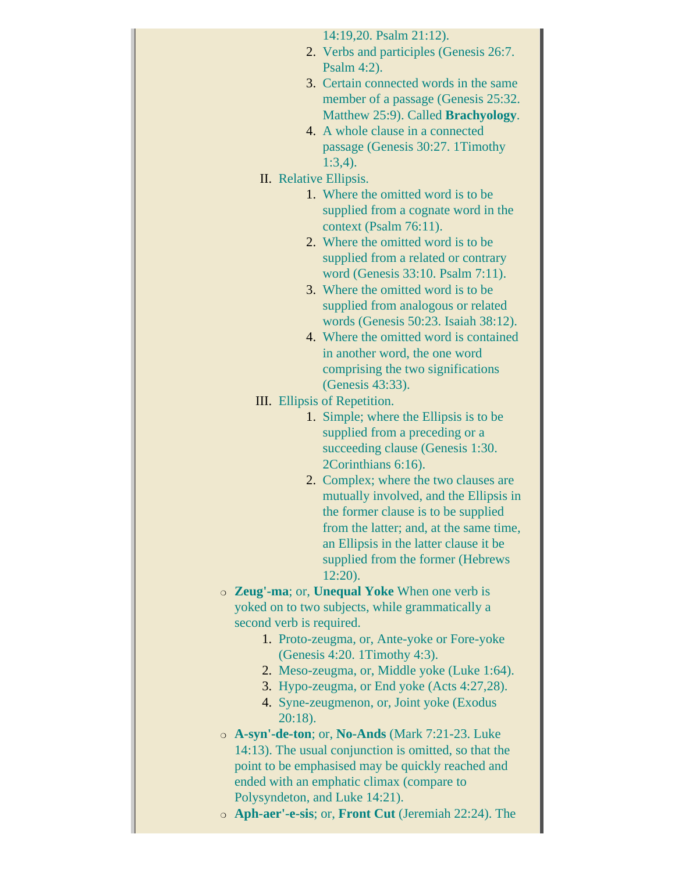| 14:19,20. Psalm 21:12).                                                         |
|---------------------------------------------------------------------------------|
| 2. Verbs and participles (Genesis 26:7.                                         |
| Psalm $4:2$ ).                                                                  |
| 3. Certain connected words in the same                                          |
| member of a passage (Genesis 25:32.                                             |
| Matthew 25:9). Called <b>Brachyology</b> .                                      |
| 4. A whole clause in a connected                                                |
| passage (Genesis 30:27. 1Timothy                                                |
| $1:3,4$ ).                                                                      |
| II. Relative Ellipsis.                                                          |
| 1. Where the omitted word is to be.                                             |
| supplied from a cognate word in the                                             |
| context (Psalm 76:11).                                                          |
| 2. Where the omitted word is to be                                              |
| supplied from a related or contrary                                             |
| word (Genesis 33:10. Psalm 7:11).                                               |
| 3. Where the omitted word is to be.                                             |
| supplied from analogous or related                                              |
| words (Genesis 50:23. Isaiah 38:12).                                            |
| 4. Where the omitted word is contained                                          |
| in another word, the one word                                                   |
| comprising the two significations                                               |
| (Genesis 43:33).                                                                |
| III. Ellipsis of Repetition.                                                    |
| 1. Simple; where the Ellipsis is to be                                          |
| supplied from a preceding or a                                                  |
| succeeding clause (Genesis 1:30.                                                |
| 2Corinthians 6:16).                                                             |
|                                                                                 |
| 2. Complex; where the two clauses are<br>mutually involved, and the Ellipsis in |
| the former clause is to be supplied                                             |
|                                                                                 |
| from the latter; and, at the same time,                                         |
| an Ellipsis in the latter clause it be                                          |
| supplied from the former (Hebrews                                               |
| $12:20$ ).                                                                      |
| <b>Example 2 Zeug'-ma</b> ; or, <b>Unequal Yoke</b> When one verb is            |
| yoked on to two subjects, while grammatically a                                 |
| second verb is required.                                                        |
| 1. Proto-zeugma, or, Ante-yoke or Fore-yoke                                     |
| (Genesis 4:20. 1Timothy 4:3).                                                   |
| 2. Meso-zeugma, or, Middle yoke (Luke 1:64).                                    |
| 3. Hypo-zeugma, or End yoke (Acts 4:27,28).                                     |
| 4. Syne-zeugmenon, or, Joint yoke (Exodus<br>$20:18$ ).                         |
| o A-syn'-de-ton; or, No-Ands (Mark 7:21-23. Luke                                |
| 14:13). The usual conjunction is omitted, so that the                           |
| point to be emphasised may be quickly reached and                               |
| ended with an emphatic climax (compare to                                       |
| Polysyndeton, and Luke 14:21).                                                  |
| o Aph-aer'-e-sis; or, Front Cut (Jeremiah 22:24). The                           |
|                                                                                 |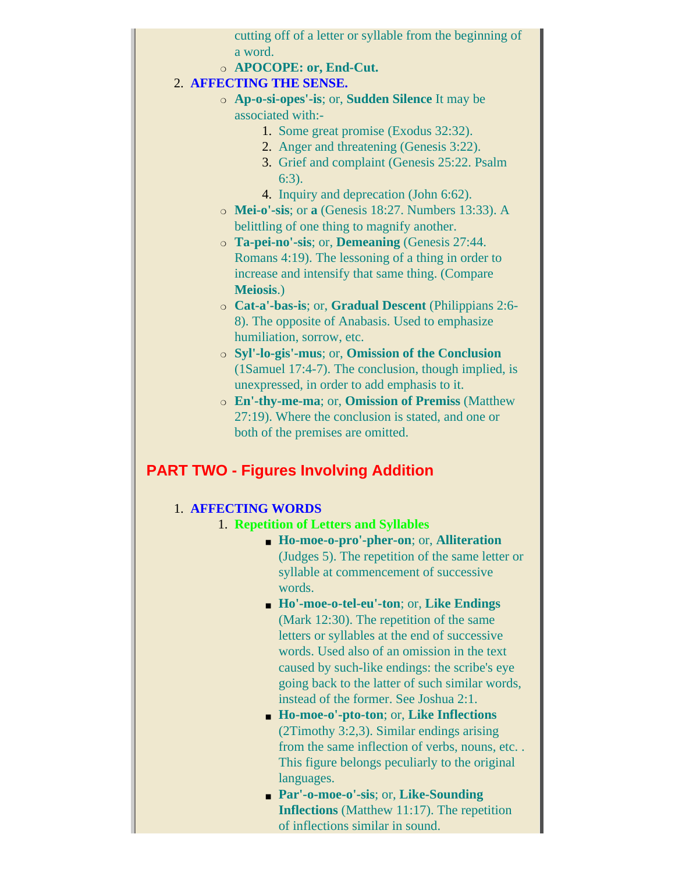cutting off of a letter or syllable from the beginning of a word.

❍ **APOCOPE: or, End-Cut.**

### 2. **AFFECTING THE SENSE.**

- ❍ **Ap-o-si-opes'-is**; or, **Sudden Silence** It may be associated with:-
	- 1. Some great promise (Exodus 32:32).
	- 2. Anger and threatening (Genesis 3:22).
	- 3. Grief and complaint (Genesis 25:22. Psalm 6:3).
	- 4. Inquiry and deprecation (John 6:62).
	- ❍ **Mei-o'-sis**; or **a** (Genesis 18:27. Numbers 13:33). A belittling of one thing to magnify another.
	- ❍ **Ta-pei-no'-sis**; or, **Demeaning** (Genesis 27:44. Romans 4:19). The lessoning of a thing in order to increase and intensify that same thing. (Compare **Meiosis**.)
	- ❍ **Cat-a'-bas-is**; or, **Gradual Descent** (Philippians 2:6- 8). The opposite of Anabasis. Used to emphasize humiliation, sorrow, etc.
	- ❍ **Syl'-lo-gis'-mus**; or, **Omission of the Conclusion** (1Samuel 17:4-7). The conclusion, though implied, is unexpressed, in order to add emphasis to it.
	- ❍ **En'-thy-me-ma**; or, **Omission of Premiss** (Matthew 27:19). Where the conclusion is stated, and one or both of the premises are omitted.

## <span id="page-93-0"></span>**PART TWO - Figures Involving Addition**

### 1. **AFFECTING WORDS**

- 1. **Repetition of Letters and Syllables**
	- **Ho-moe-o-pro'-pher-on**; or, **Alliteration** (Judges 5). The repetition of the same letter or syllable at commencement of successive words.
	- **Ho'-moe-o-tel-eu'-ton**; or, **Like Endings** (Mark 12:30). The repetition of the same letters or syllables at the end of successive words. Used also of an omission in the text caused by such-like endings: the scribe's eye going back to the latter of such similar words, instead of the former. See Joshua 2:1.
	- **Ho-moe-o'-pto-ton**; or, **Like Inflections** (2Timothy 3:2,3). Similar endings arising from the same inflection of verbs, nouns, etc. . This figure belongs peculiarly to the original languages.
	- **Par'-o-moe-o'-sis**; or, **Like-Sounding Inflections** (Matthew 11:17). The repetition of inflections similar in sound.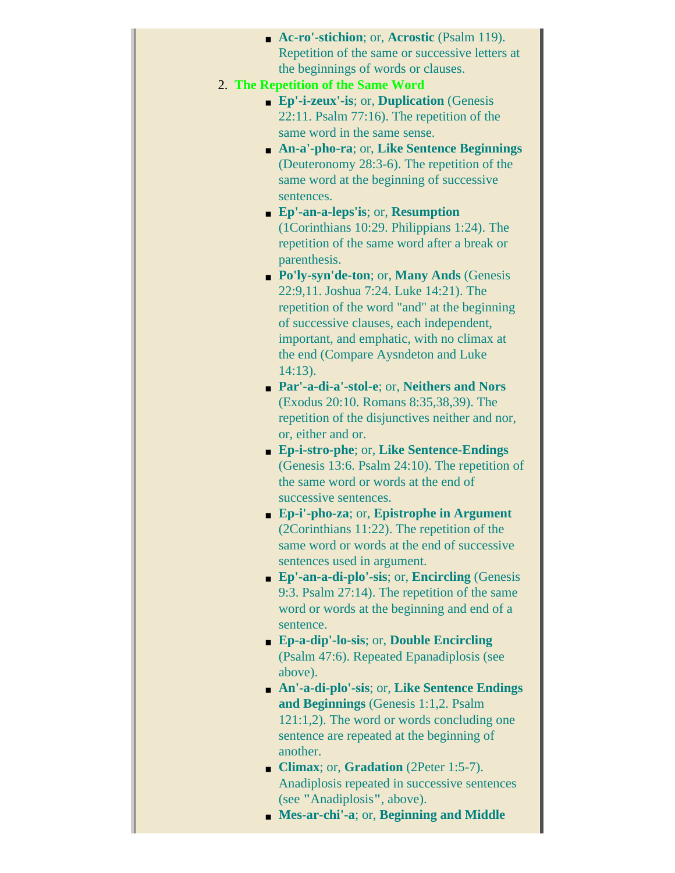| • Ac-ro'-stichion; or, Acrostic (Psalm 119).                   |
|----------------------------------------------------------------|
| Repetition of the same or successive letters at                |
| the beginnings of words or clauses.                            |
| 2. The Repetition of the Same Word                             |
| <b>Ep'-i-zeux'-is</b> ; or, <b>Duplication</b> (Genesis        |
| $22:11.$ Psalm 77:16). The repetition of the                   |
| same word in the same sense.                                   |
| An-a'-pho-ra; or, Like Sentence Beginnings                     |
| (Deuteronomy 28:3-6). The repetition of the                    |
| same word at the beginning of successive                       |
| sentences.                                                     |
| $\blacksquare$ Ep'-an-a-leps'is; or, Resumption                |
| (1Corinthians 10:29. Philippians 1:24). The                    |
| repetition of the same word after a break or                   |
| parenthesis.                                                   |
| • Po'ly-syn'de-ton; or, Many Ands (Genesis                     |
| 22:9,11. Joshua 7:24. Luke 14:21). The                         |
| repetition of the word "and" at the beginning                  |
| of successive clauses, each independent,                       |
| important, and emphatic, with no climax at                     |
| the end (Compare Aysndeton and Luke                            |
| $14:13$ ).                                                     |
| Par'-a-di-a'-stol-e; or, Neithers and Nors                     |
| (Exodus 20:10. Romans 8:35,38,39). The                         |
| repetition of the disjunctives neither and nor,                |
| or, either and or.                                             |
| <b>Ep-i-stro-phe</b> ; or, Like Sentence-Endings               |
| (Genesis 13:6. Psalm 24:10). The repetition of                 |
| the same word or words at the end of                           |
| successive sentences.                                          |
| $\blacksquare$ Ep-i'-pho-za; or, Epistrophe in Argument        |
| $(2Corinthians 11:22)$ . The repetition of the                 |
| same word or words at the end of successive                    |
| sentences used in argument.                                    |
| $\bullet$ Ep'-an-a-di-plo'-sis; or, Encircling (Genesis        |
| 9:3. Psalm 27:14). The repetition of the same                  |
| word or words at the beginning and end of a                    |
| sentence.                                                      |
| • Ep-a-dip'-lo-sis; or, Double Encircling                      |
| (Psalm 47:6). Repeated Epanadiplosis (see                      |
| above).                                                        |
| An'-a-di-plo'-sis; or, Like Sentence Endings<br>$\blacksquare$ |
| and Beginnings (Genesis 1:1,2. Psalm                           |
| $121:1,2$ ). The word or words concluding one                  |
| sentence are repeated at the beginning of                      |
| another.                                                       |
| • Climax; or, Gradation (2Peter 1:5-7).                        |
| Anadiplosis repeated in successive sentences                   |
| (see "Anadiplosis", above).                                    |

■ **Mes-ar-chi'-a**; or, **Beginning and Middle**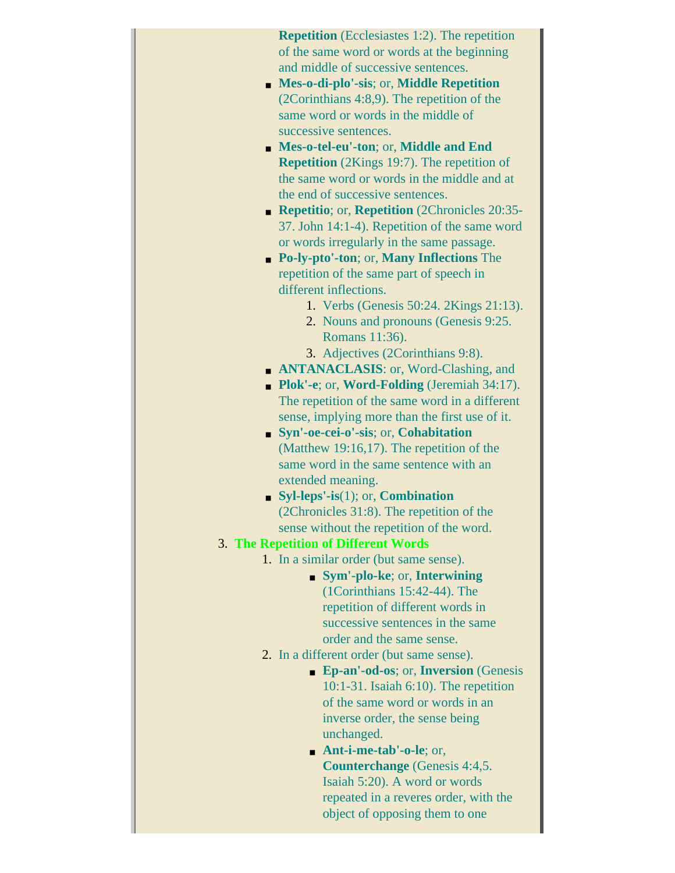**Repetition** (Ecclesiastes 1:2). The repetition of the same word or words at the beginning and middle of successive sentences.

- **Mes-o-di-plo'-sis**; or, **Middle Repetition** (2Corinthians 4:8,9). The repetition of the same word or words in the middle of successive sentences.
- **Mes-o-tel-eu'-ton**; or, **Middle and End Repetition** (2Kings 19:7). The repetition of the same word or words in the middle and at the end of successive sentences.
- **Repetitio**; or, **Repetition** (2Chronicles 20:35- 37. John 14:1-4). Repetition of the same word or words irregularly in the same passage.
- **Po-ly-pto'-ton**; or, **Many Inflections** The repetition of the same part of speech in different inflections.
	- 1. Verbs (Genesis 50:24. 2Kings 21:13).
	- 2. Nouns and pronouns (Genesis 9:25. Romans 11:36).
	- 3. Adjectives (2Corinthians 9:8).
- **ANTANACLASIS**: or, Word-Clashing, and
- **Plok'-e**; or, **Word-Folding** (Jeremiah 34:17). The repetition of the same word in a different sense, implying more than the first use of it.
- **Syn'-oe-cei-o'-sis**; or, **Cohabitation** (Matthew 19:16,17). The repetition of the same word in the same sentence with an extended meaning.
- **Syl-leps'-is**(1); or, **Combination** (2Chronicles 31:8). The repetition of the sense without the repetition of the word.
- 3. **The Repetition of Different Words**
	- 1. In a similar order (but same sense).
		- **Sym'-plo-ke**; or, **Interwining** (1Corinthians 15:42-44). The repetition of different words in successive sentences in the same order and the same sense.
	- 2. In a different order (but same sense).
		- **Ep-an'-od-os**; or, **Inversion** (Genesis 10:1-31. Isaiah 6:10). The repetition of the same word or words in an inverse order, the sense being unchanged.
		- **Ant-i-me-tab'-o-le**; or, **Counterchange** (Genesis 4:4,5. Isaiah 5:20). A word or words repeated in a reveres order, with the object of opposing them to one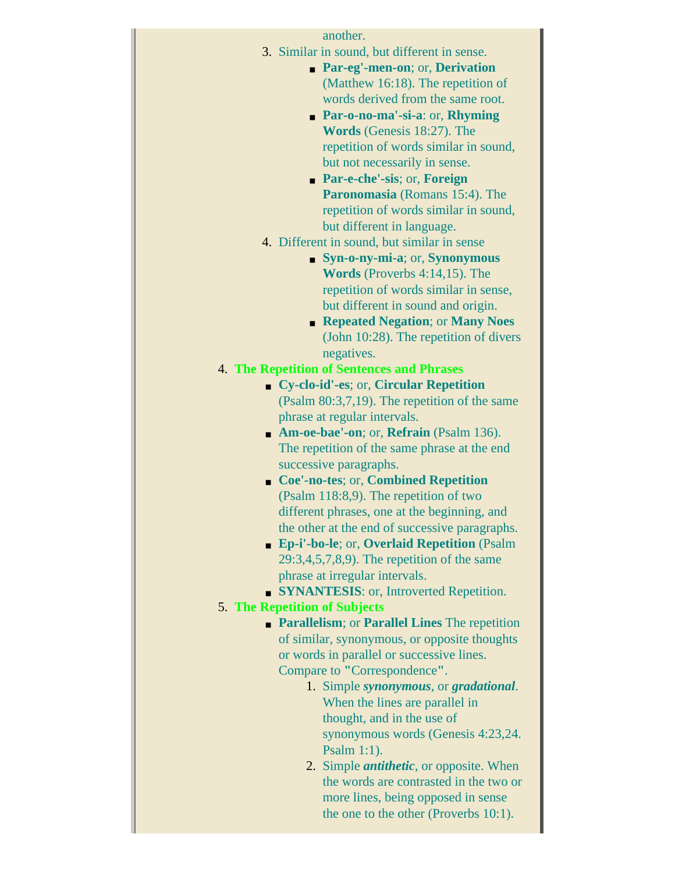| another.<br>3. Similar in sound, but different in sense.<br>• Par-eg'-men-on; or, Derivation<br>(Matthew 16:18). The repetition of<br>words derived from the same root.<br>Par-o-no-ma'-si-a: or, Rhyming<br>Words (Genesis 18:27). The<br>repetition of words similar in sound,<br>but not necessarily in sense.<br><b>Par-e-che'-sis</b> ; or, <b>Foreign</b><br>Paronomasia (Romans 15:4). The<br>repetition of words similar in sound,<br>but different in language.<br>4. Different in sound, but similar in sense<br>• Syn-o-ny-mi-a; or, Synonymous<br><b>Words</b> (Proverbs $4:14,15$ ). The<br>repetition of words similar in sense,<br>but different in sound and origin.<br>• Repeated Negation; or Many Noes<br>(John $10:28$ ). The repetition of divers<br>negatives.<br><b>4. The Repetition of Sentences and Phrases</b><br>• Cy-clo-id'-es; or, Circular Repetition |  |  |
|---------------------------------------------------------------------------------------------------------------------------------------------------------------------------------------------------------------------------------------------------------------------------------------------------------------------------------------------------------------------------------------------------------------------------------------------------------------------------------------------------------------------------------------------------------------------------------------------------------------------------------------------------------------------------------------------------------------------------------------------------------------------------------------------------------------------------------------------------------------------------------------|--|--|
| (Psalm 80:3,7,19). The repetition of the same                                                                                                                                                                                                                                                                                                                                                                                                                                                                                                                                                                                                                                                                                                                                                                                                                                         |  |  |
| phrase at regular intervals.                                                                                                                                                                                                                                                                                                                                                                                                                                                                                                                                                                                                                                                                                                                                                                                                                                                          |  |  |
| • Am-oe-bae'-on; or, Refrain (Psalm 136).                                                                                                                                                                                                                                                                                                                                                                                                                                                                                                                                                                                                                                                                                                                                                                                                                                             |  |  |
| The repetition of the same phrase at the end                                                                                                                                                                                                                                                                                                                                                                                                                                                                                                                                                                                                                                                                                                                                                                                                                                          |  |  |
| successive paragraphs.                                                                                                                                                                                                                                                                                                                                                                                                                                                                                                                                                                                                                                                                                                                                                                                                                                                                |  |  |
| • Coe'-no-tes; or, Combined Repetition                                                                                                                                                                                                                                                                                                                                                                                                                                                                                                                                                                                                                                                                                                                                                                                                                                                |  |  |
| (Psalm 118:8,9). The repetition of two                                                                                                                                                                                                                                                                                                                                                                                                                                                                                                                                                                                                                                                                                                                                                                                                                                                |  |  |
| different phrases, one at the beginning, and<br>the other at the end of successive paragraphs.                                                                                                                                                                                                                                                                                                                                                                                                                                                                                                                                                                                                                                                                                                                                                                                        |  |  |
| • Ep-i'-bo-le; or, Overlaid Repetition (Psalm                                                                                                                                                                                                                                                                                                                                                                                                                                                                                                                                                                                                                                                                                                                                                                                                                                         |  |  |
| $29:3,4,5,7,8,9$ . The repetition of the same                                                                                                                                                                                                                                                                                                                                                                                                                                                                                                                                                                                                                                                                                                                                                                                                                                         |  |  |
| phrase at irregular intervals.                                                                                                                                                                                                                                                                                                                                                                                                                                                                                                                                                                                                                                                                                                                                                                                                                                                        |  |  |
| • SYNANTESIS: or, Introverted Repetition.                                                                                                                                                                                                                                                                                                                                                                                                                                                                                                                                                                                                                                                                                                                                                                                                                                             |  |  |
| <b>5. The Repetition of Subjects</b>                                                                                                                                                                                                                                                                                                                                                                                                                                                                                                                                                                                                                                                                                                                                                                                                                                                  |  |  |
| • Parallelism; or Parallel Lines The repetition                                                                                                                                                                                                                                                                                                                                                                                                                                                                                                                                                                                                                                                                                                                                                                                                                                       |  |  |
| of similar, synonymous, or opposite thoughts<br>or words in parallel or successive lines.                                                                                                                                                                                                                                                                                                                                                                                                                                                                                                                                                                                                                                                                                                                                                                                             |  |  |
| Compare to "Correspondence".                                                                                                                                                                                                                                                                                                                                                                                                                                                                                                                                                                                                                                                                                                                                                                                                                                                          |  |  |
| 1. Simple synonymous, or gradational.                                                                                                                                                                                                                                                                                                                                                                                                                                                                                                                                                                                                                                                                                                                                                                                                                                                 |  |  |
| When the lines are parallel in                                                                                                                                                                                                                                                                                                                                                                                                                                                                                                                                                                                                                                                                                                                                                                                                                                                        |  |  |
| thought, and in the use of                                                                                                                                                                                                                                                                                                                                                                                                                                                                                                                                                                                                                                                                                                                                                                                                                                                            |  |  |
| synonymous words (Genesis 4:23,24.                                                                                                                                                                                                                                                                                                                                                                                                                                                                                                                                                                                                                                                                                                                                                                                                                                                    |  |  |
| Psalm $1:1$ ).                                                                                                                                                                                                                                                                                                                                                                                                                                                                                                                                                                                                                                                                                                                                                                                                                                                                        |  |  |
| 2. Simple <i>antithetic</i> , or opposite. When<br>the words are contrasted in the two or                                                                                                                                                                                                                                                                                                                                                                                                                                                                                                                                                                                                                                                                                                                                                                                             |  |  |
| more lines, being opposed in sense                                                                                                                                                                                                                                                                                                                                                                                                                                                                                                                                                                                                                                                                                                                                                                                                                                                    |  |  |
| the one to the other (Proverbs 10:1).                                                                                                                                                                                                                                                                                                                                                                                                                                                                                                                                                                                                                                                                                                                                                                                                                                                 |  |  |
|                                                                                                                                                                                                                                                                                                                                                                                                                                                                                                                                                                                                                                                                                                                                                                                                                                                                                       |  |  |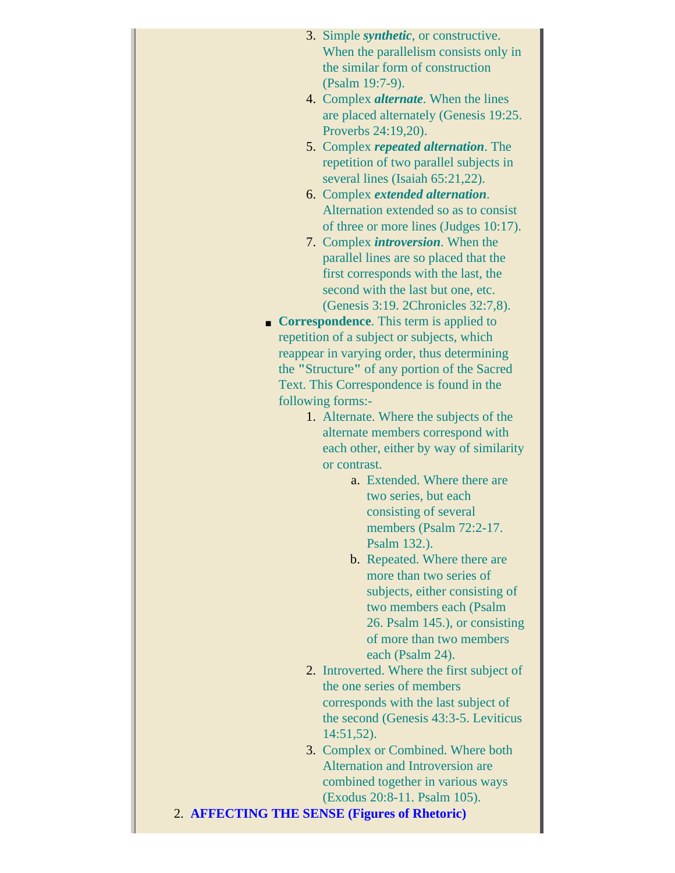| 3. Simple <i>synthetic</i> , or constructive. |
|-----------------------------------------------|
| When the parallelism consists only in         |
| the similar form of construction              |
| (Psalm 19:7-9).                               |
| 4. Complex <i>alternate</i> . When the lines  |
| $\alpha$ m parad elternately (Canadia $10.25$ |

- are placed alternately (Genesis 19:25. Proverbs 24:19,20). 5. Complex *repeated alternation*. The
- repetition of two parallel subjects in several lines (Isaiah 65:21,22).
- 6. Complex *extended alternation*. Alternation extended so as to consist of three or more lines (Judges 10:17).
- 7. Complex *introversion*. When the parallel lines are so placed that the first corresponds with the last, the second with the last but one, etc. (Genesis 3:19. 2Chronicles 32:7,8).
- **Correspondence**. This term is applied to repetition of a subject or subjects, which reappear in varying order, thus determining the **"**Structure**"** of any portion of the Sacred Text. This Correspondence is found in the following forms:-
	- 1. Alternate. Where the subjects of the alternate members correspond with each other, either by way of similarity or contrast.
		- a. Extended. Where there are two series, but each consisting of several members (Psalm 72:2-17. Psalm 132.).
		- b. Repeated. Where there are more than two series of subjects, either consisting of two members each (Psalm 26. Psalm 145.), or consisting of more than two members each (Psalm 24).
	- 2. Introverted. Where the first subject of the one series of members corresponds with the last subject of the second (Genesis 43:3-5. Leviticus 14:51,52).
	- 3. Complex or Combined. Where both Alternation and Introversion are combined together in various ways (Exodus 20:8-11. Psalm 105).
- 2. **AFFECTING THE SENSE (Figures of Rhetoric)**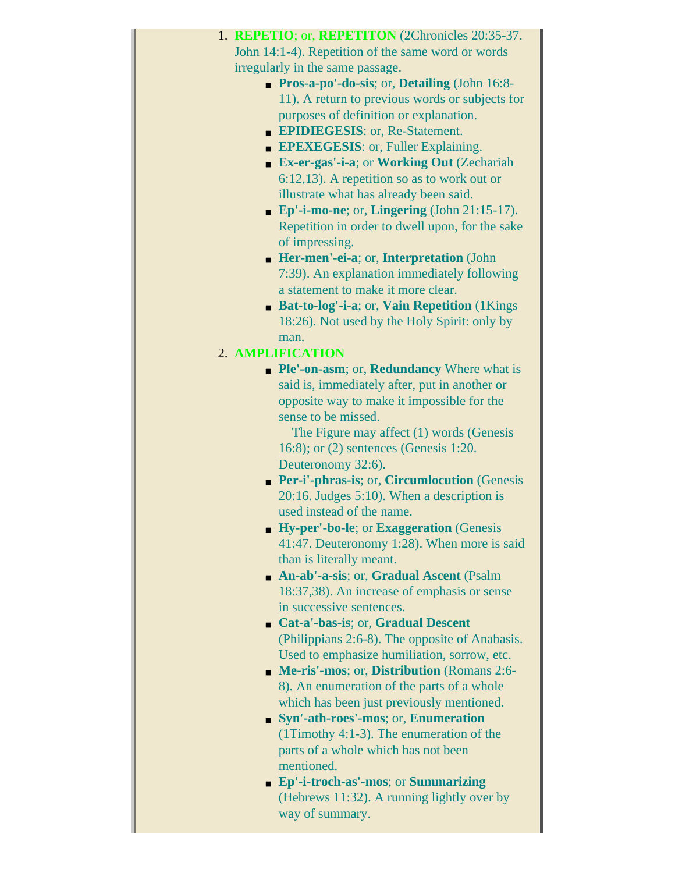| 1. REPETIO; or, REPETITON (2Chronicles 20:35-37.               |
|----------------------------------------------------------------|
| John 14:1-4). Repetition of the same word or words             |
| irregularly in the same passage.                               |
| <b>Pros-a-po'-do-sis</b> ; or, <b>Detailing</b> (John 16:8-    |
| 11). A return to previous words or subjects for                |
| purposes of definition or explanation.                         |
| <b>EPIDIEGESIS: or, Re-Statement.</b>                          |
| <b>EPEXEGESIS:</b> or, Fuller Explaining.                      |
| Ex-er-gas'-i-a; or Working Out (Zechariah<br>$\blacksquare$    |
| $6:12,13$ ). A repetition so as to work out or                 |
| illustrate what has already been said.                         |
| $\blacksquare$ Ep'-i-mo-ne; or, Lingering (John 21:15-17).     |
| Repetition in order to dwell upon, for the sake                |
| of impressing.                                                 |
| • Her-men'-ei-a; or, Interpretation (John                      |
| 7:39). An explanation immediately following                    |
| a statement to make it more clear.                             |
| Bat-to-log'-i-a; or, Vain Repetition (1Kings                   |
| 18:26). Not used by the Holy Spirit: only by                   |
| man.                                                           |
| 2. AMPLIFICATION                                               |
| • Ple'-on-asm; or, Redundancy Where what is                    |
| said is, immediately after, put in another or                  |
| opposite way to make it impossible for the                     |
| sense to be missed.                                            |
| The Figure may affect $(1)$ words (Genesis                     |
| 16:8); or (2) sentences (Genesis 1:20.                         |
| Deuteronomy 32:6).                                             |
| Per-i'-phras-is; or, Circumlocution (Genesis<br>$\blacksquare$ |
| $20:16$ . Judges 5:10). When a description is                  |
| used instead of the name.                                      |
| • Hy-per'-bo-le; or Exaggeration (Genesis                      |
| 41:47. Deuteronomy 1:28). When more is said                    |
| than is literally meant.                                       |
| • An-ab'-a-sis; or, Gradual Ascent (Psalm                      |
| 18:37,38). An increase of emphasis or sense                    |
| in successive sentences.                                       |
| • Cat-a'-bas-is; or, Gradual Descent                           |
| (Philippians 2:6-8). The opposite of Anabasis.                 |
| Used to emphasize humiliation, sorrow, etc.                    |
| • Me-ris'-mos; or, Distribution (Romans 2:6-                   |
| 8). An enumeration of the parts of a whole                     |
| which has been just previously mentioned.                      |
| • Syn'-ath-roes'-mos; or, Enumeration                          |
| $(1Timothy 4:1-3)$ . The enumeration of the                    |
| parts of a whole which has not been                            |
| mentioned.                                                     |
| • Ep'-i-troch-as'-mos; or Summarizing                          |
| (Hebrews 11:32). A running lightly over by                     |
| way of summary.                                                |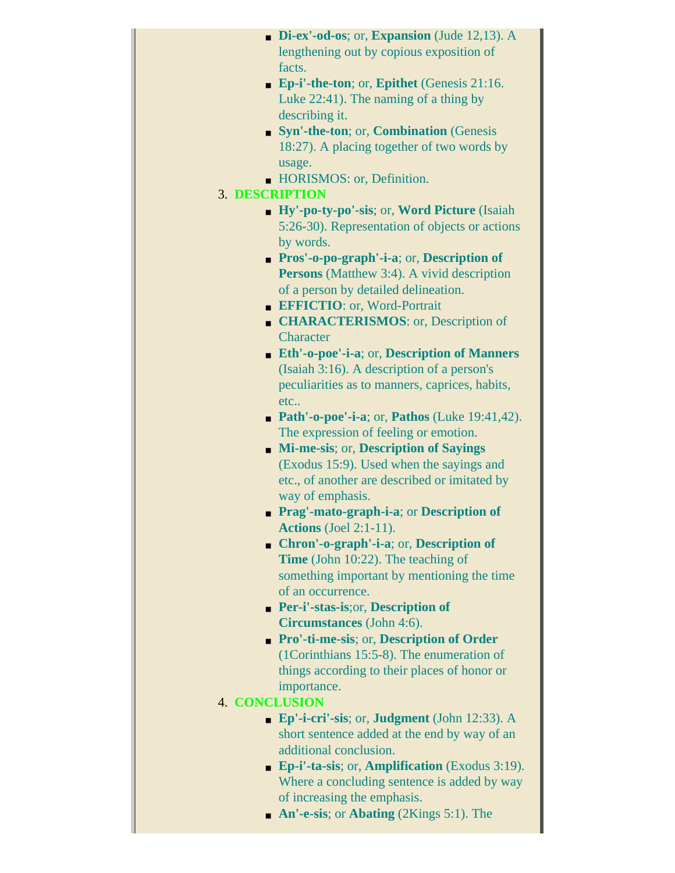| Di-ex'-od-os; or, Expansion (Jude 12,13). A                     |  |  |  |
|-----------------------------------------------------------------|--|--|--|
| lengthening out by copious exposition of                        |  |  |  |
| facts.                                                          |  |  |  |
| • Ep-i'-the-ton; or, Epithet (Genesis 21:16.                    |  |  |  |
| Luke 22:41). The naming of a thing by                           |  |  |  |
| describing it.                                                  |  |  |  |
| • Syn'-the-ton; or, Combination (Genesis                        |  |  |  |
| 18:27). A placing together of two words by                      |  |  |  |
| usage.                                                          |  |  |  |
| • HORISMOS: or, Definition.                                     |  |  |  |
| <b>3. DESCRIPTION</b>                                           |  |  |  |
| • Hy'-po-ty-po'-sis; or, Word Picture (Isaiah                   |  |  |  |
| 5:26-30). Representation of objects or actions                  |  |  |  |
| by words.                                                       |  |  |  |
| <b>Pros'-o-po-graph'-i-a</b> ; or, <b>Description</b> of        |  |  |  |
| <b>Persons</b> (Matthew 3:4). A vivid description               |  |  |  |
| of a person by detailed delineation.                            |  |  |  |
|                                                                 |  |  |  |
| EFFICTIO: or, Word-Portrait                                     |  |  |  |
| <b>CHARACTERISMOS:</b> or, Description of                       |  |  |  |
| Character                                                       |  |  |  |
| <b>Eth'-o-poe'-i-a</b> ; or, Description of Manners             |  |  |  |
| (Isaiah 3:16). A description of a person's                      |  |  |  |
| peculiarities as to manners, caprices, habits,                  |  |  |  |
| etc                                                             |  |  |  |
| <b>Path'-o-poe'-i-a</b> ; or, <b>Pathos</b> (Luke $19:41,42$ ). |  |  |  |
| The expression of feeling or emotion.                           |  |  |  |
| • Mi-me-sis; or, Description of Sayings                         |  |  |  |
| (Exodus 15:9). Used when the sayings and                        |  |  |  |
| etc., of another are described or imitated by                   |  |  |  |
| way of emphasis.                                                |  |  |  |
| <b>Prag'-mato-graph-i-a; or Description of</b>                  |  |  |  |
| Actions $(Joel 2:1-11)$ .                                       |  |  |  |
| $\blacksquare$ Chron'-o-graph'-i-a; or, Description of          |  |  |  |
| <b>Time</b> (John 10:22). The teaching of                       |  |  |  |
| something important by mentioning the time                      |  |  |  |
| of an occurrence.                                               |  |  |  |
| <b>Per-i'-stas-is;or, Description of</b>                        |  |  |  |
| <b>Circumstances</b> (John 4:6).                                |  |  |  |
| Pro'-ti-me-sis; or, Description of Order                        |  |  |  |
| (1Corinthians 15:5-8). The enumeration of                       |  |  |  |
| things according to their places of honor or                    |  |  |  |
| importance.                                                     |  |  |  |
| <b>4. CONCLUSION</b>                                            |  |  |  |
| <b>Ep'-i-cri'-sis</b> ; or, <b>Judgment</b> (John 12:33). A     |  |  |  |
| short sentence added at the end by way of an                    |  |  |  |
| additional conclusion.                                          |  |  |  |
| <b>Ep-i'-ta-sis</b> ; or, <b>Amplification</b> (Exodus 3:19).   |  |  |  |
| Where a concluding sentence is added by way                     |  |  |  |
| of increasing the emphasis.                                     |  |  |  |
| • An'-e-sis; or Abating (2Kings 5:1). The                       |  |  |  |
|                                                                 |  |  |  |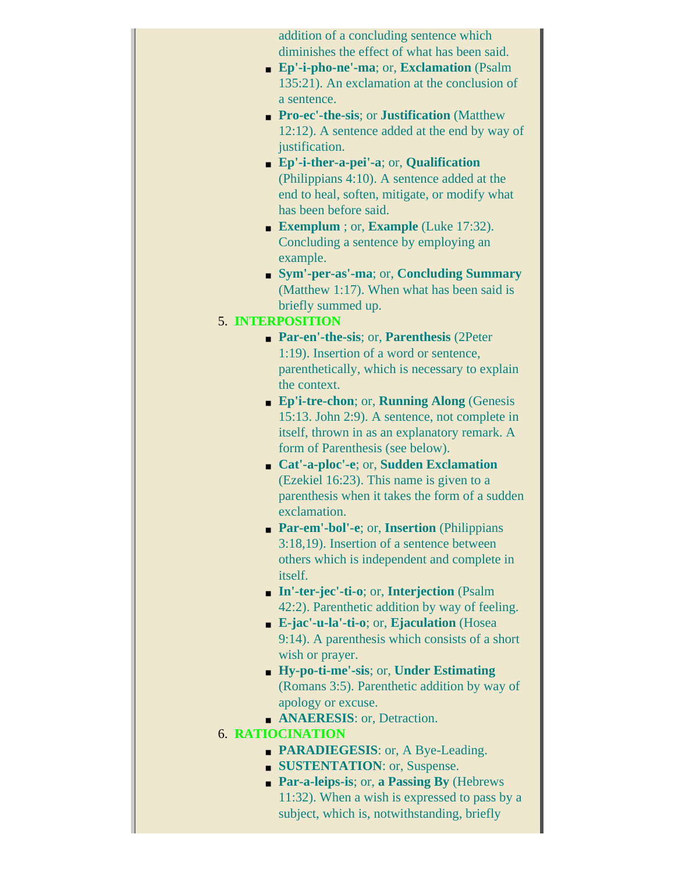addition of a concluding sentence which diminishes the effect of what has been said. ■ **Ep'-i-pho-ne'-ma**; or, **Exclamation** (Psalm 135:21). An exclamation at the conclusion of a sentence. ■ **Pro-ec'-the-sis**; or **Justification** (Matthew 12:12). A sentence added at the end by way of justification. ■ **Ep'-i-ther-a-pei'-a**; or, **Qualification** (Philippians 4:10). A sentence added at the end to heal, soften, mitigate, or modify what has been before said. ■ **Exemplum** ; or, **Example** (Luke 17:32). Concluding a sentence by employing an example. ■ **Sym'-per-as'-ma**; or, **Concluding Summary** (Matthew 1:17). When what has been said is briefly summed up. 5. **INTERPOSITION** ■ **Par-en'-the-sis**; or, **Parenthesis** (2Peter 1:19). Insertion of a word or sentence, parenthetically, which is necessary to explain the context. ■ **Ep'i-tre-chon**; or, **Running Along** (Genesis 15:13. John 2:9). A sentence, not complete in itself, thrown in as an explanatory remark. A form of Parenthesis (see below). ■ **Cat'-a-ploc'-e**; or, **Sudden Exclamation** (Ezekiel 16:23). This name is given to a parenthesis when it takes the form of a sudden exclamation. ■ **Par-em'-bol'-e**; or, **Insertion** (Philippians 3:18,19). Insertion of a sentence between others which is independent and complete in itself. ■ **In'-ter-jec'-ti-o**; or, **Interjection** (Psalm 42:2). Parenthetic addition by way of feeling. ■ **E-jac'-u-la'-ti-o**; or, **Ejaculation** (Hosea 9:14). A parenthesis which consists of a short wish or prayer. ■ **Hy-po-ti-me'-sis**; or, **Under Estimating** (Romans 3:5). Parenthetic addition by way of apology or excuse. ■ **ANAERESIS**: or, Detraction. 6. **RATIOCINATION • PARADIEGESIS**: or, A Bye-Leading. ■ **SUSTENTATION**: or, Suspense.

> ■ **Par-a-leips-is**; or, **a Passing By** (Hebrews 11:32). When a wish is expressed to pass by a subject, which is, notwithstanding, briefly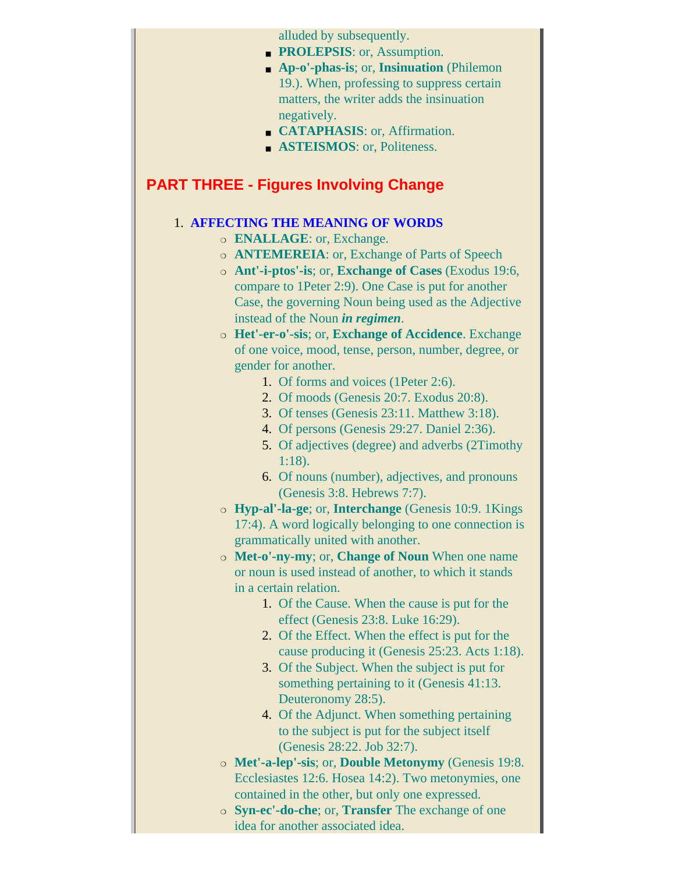alluded by subsequently.

- **PROLEPSIS**: or, Assumption.
- **Ap-o'-phas-is**; or, **Insinuation** (Philemon 19.). When, professing to suppress certain matters, the writer adds the insinuation negatively.
- **CATAPHASIS**: or, Affirmation.
- ASTEISMOS: or, Politeness.

## <span id="page-101-0"></span>**PART THREE - Figures Involving Change**

### 1. **AFFECTING THE MEANING OF WORDS**

- ❍ **ENALLAGE**: or, Exchange.
- ❍ **ANTEMEREIA**: or, Exchange of Parts of Speech
- ❍ **Ant'-i-ptos'-is**; or, **Exchange of Cases** (Exodus 19:6, compare to 1Peter 2:9). One Case is put for another Case, the governing Noun being used as the Adjective instead of the Noun *in regimen*.
- ❍ **Het'-er-o'-sis**; or, **Exchange of Accidence**. Exchange of one voice, mood, tense, person, number, degree, or gender for another.
	- 1. Of forms and voices (1Peter 2:6).
	- 2. Of moods (Genesis 20:7. Exodus 20:8).
	- 3. Of tenses (Genesis 23:11. Matthew 3:18).
	- 4. Of persons (Genesis 29:27. Daniel 2:36).
	- 5. Of adjectives (degree) and adverbs (2Timothy 1:18).
	- 6. Of nouns (number), adjectives, and pronouns (Genesis 3:8. Hebrews 7:7).
- ❍ **Hyp-al'-la-ge**; or, **Interchange** (Genesis 10:9. 1Kings 17:4). A word logically belonging to one connection is grammatically united with another.
- ❍ **Met-o'-ny-my**; or, **Change of Noun** When one name or noun is used instead of another, to which it stands in a certain relation.
	- 1. Of the Cause. When the cause is put for the effect (Genesis 23:8. Luke 16:29).
	- 2. Of the Effect. When the effect is put for the cause producing it (Genesis 25:23. Acts 1:18).
	- 3. Of the Subject. When the subject is put for something pertaining to it (Genesis 41:13. Deuteronomy 28:5).
	- 4. Of the Adjunct. When something pertaining to the subject is put for the subject itself (Genesis 28:22. Job 32:7).
- ❍ **Met'-a-lep'-sis**; or, **Double Metonymy** (Genesis 19:8. Ecclesiastes 12:6. Hosea 14:2). Two metonymies, one contained in the other, but only one expressed.
- ❍ **Syn-ec'-do-che**; or, **Transfer** The exchange of one idea for another associated idea.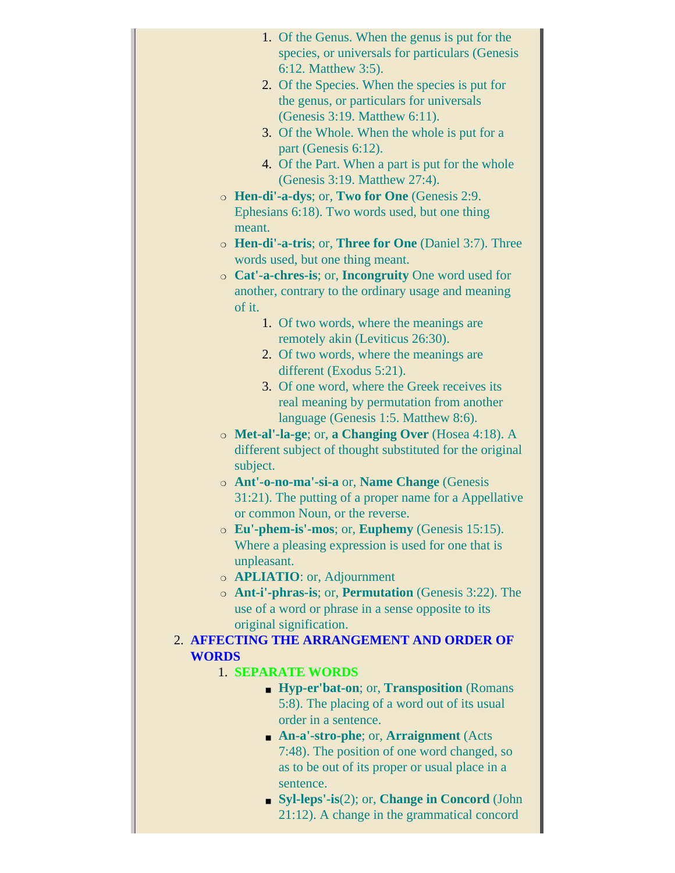- 1. Of the Genus. When the genus is put for the species, or universals for particulars (Genesis 6:12. Matthew 3:5).
- 2. Of the Species. When the species is put for the genus, or particulars for universals (Genesis 3:19. Matthew 6:11).
- 3. Of the Whole. When the whole is put for a part (Genesis 6:12).
- 4. Of the Part. When a part is put for the whole (Genesis 3:19. Matthew 27:4).
- ❍ **Hen-di'-a-dys**; or, **Two for One** (Genesis 2:9. Ephesians 6:18). Two words used, but one thing meant.
- ❍ **Hen-di'-a-tris**; or, **Three for One** (Daniel 3:7). Three words used, but one thing meant.
- ❍ **Cat'-a-chres-is**; or, **Incongruity** One word used for another, contrary to the ordinary usage and meaning of it.
	- 1. Of two words, where the meanings are remotely akin (Leviticus 26:30).
	- 2. Of two words, where the meanings are different (Exodus 5:21).
	- 3. Of one word, where the Greek receives its real meaning by permutation from another language (Genesis 1:5. Matthew 8:6).
- ❍ **Met-al'-la-ge**; or, **a Changing Over** (Hosea 4:18). A different subject of thought substituted for the original subject.
- ❍ **Ant'-o-no-ma'-si-a** or, **Name Change** (Genesis 31:21). The putting of a proper name for a Appellative or common Noun, or the reverse.
- ❍ **Eu'-phem-is'-mos**; or, **Euphemy** (Genesis 15:15). Where a pleasing expression is used for one that is unpleasant.
- ❍ **APLIATIO**: or, Adjournment
- ❍ **Ant-i'-phras-is**; or, **Permutation** (Genesis 3:22). The use of a word or phrase in a sense opposite to its original signification.

## 2. **AFFECTING THE ARRANGEMENT AND ORDER OF WORDS**

## 1. **SEPARATE WORDS**

- **Hyp-er'bat-on**; or, **Transposition** (Romans 5:8). The placing of a word out of its usual order in a sentence.
- **An-a'-stro-phe**; or, **Arraignment** (Acts 7:48). The position of one word changed, so as to be out of its proper or usual place in a sentence.
- **Syl-leps'-is**(2); or, **Change in Concord** (John 21:12). A change in the grammatical concord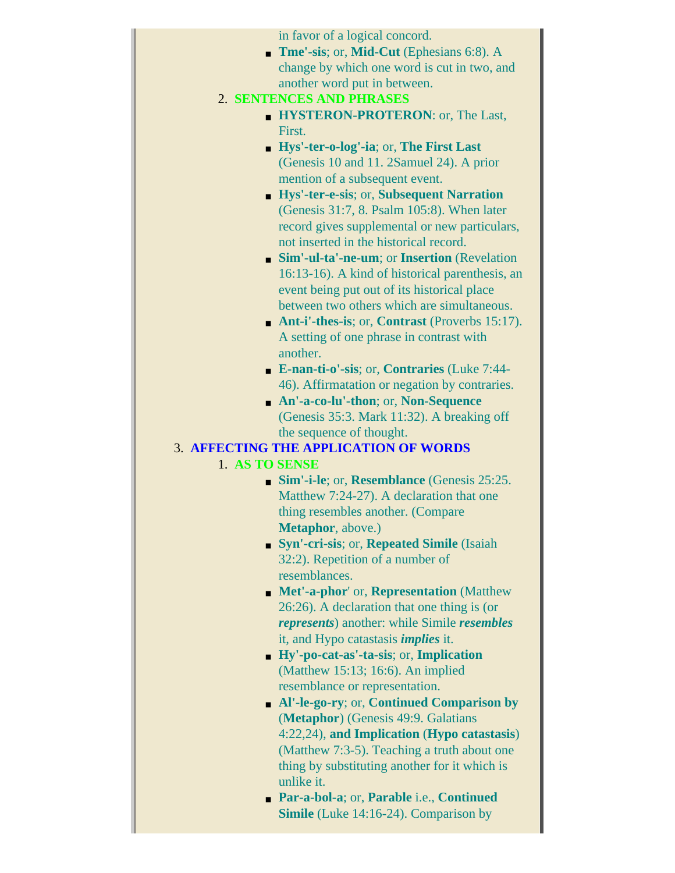|                | in favor of a logical concord.                                                                   |
|----------------|--------------------------------------------------------------------------------------------------|
|                | <b>True'-sis</b> ; or, <b>Mid-Cut</b> (Ephesians 6:8). A                                         |
|                | change by which one word is cut in two, and                                                      |
|                | another word put in between.                                                                     |
|                | 2. SENTENCES AND PHRASES                                                                         |
|                | <b>HYSTERON-PROTERON: or, The Last,</b>                                                          |
|                | First.                                                                                           |
|                | • Hys'-ter-o-log'-ia; or, The First Last                                                         |
|                | (Genesis 10 and 11. 2Samuel 24). A prior                                                         |
|                | mention of a subsequent event.                                                                   |
|                | • Hys'-ter-e-sis; or, Subsequent Narration                                                       |
|                | (Genesis 31:7, 8. Psalm 105:8). When later                                                       |
|                | record gives supplemental or new particulars,                                                    |
|                | not inserted in the historical record.                                                           |
|                | • Sim'-ul-ta'-ne-um; or Insertion (Revelation                                                    |
|                | 16:13-16). A kind of historical parenthesis, an                                                  |
|                | event being put out of its historical place                                                      |
|                | between two others which are simultaneous.                                                       |
|                | $\blacksquare$ Ant-i'-thes-is; or, Contrast (Proverbs 15:17).                                    |
|                | A setting of one phrase in contrast with<br>another.                                             |
|                | <b>E-nan-ti-o'-sis</b> ; or, <b>Contraries</b> (Luke 7:44-                                       |
|                | 46). Affirmatation or negation by contraries.                                                    |
|                | An'-a-co-lu'-thon; or, Non-Sequence                                                              |
|                | (Genesis 35:3. Mark 11:32). A breaking off                                                       |
|                | the sequence of thought.                                                                         |
|                |                                                                                                  |
|                | <b>3. AFFECTING THE APPLICATION OF WORDS</b>                                                     |
| 1. AS TO SENSE |                                                                                                  |
|                | $\blacksquare$ Sim'-i-le; or, Resemblance (Genesis 25:25.                                        |
|                | Matthew 7:24-27). A declaration that one                                                         |
|                | thing resembles another. (Compare                                                                |
|                | <b>Metaphor</b> , above.)                                                                        |
|                | • Syn'-cri-sis; or, Repeated Simile (Isaiah                                                      |
|                | 32:2). Repetition of a number of                                                                 |
|                | resemblances.                                                                                    |
|                | • Met'-a-phor' or, Representation (Matthew                                                       |
|                | $26:26$ ). A declaration that one thing is (or                                                   |
|                | represents) another: while Simile resembles                                                      |
|                | it, and Hypo catastasis <i>implies</i> it.                                                       |
|                | $\blacksquare$ Hy'-po-cat-as'-ta-sis; or, Implication                                            |
|                | (Matthew 15:13; 16:6). An implied                                                                |
|                | resemblance or representation.                                                                   |
|                | • Al'-le-go-ry; or, Continued Comparison by                                                      |
|                | (Metaphor) (Genesis 49:9. Galatians                                                              |
|                | 4:22,24), and Implication (Hypo catastasis)                                                      |
|                | (Matthew 7:3-5). Teaching a truth about one                                                      |
|                | thing by substituting another for it which is                                                    |
|                | unlike it.                                                                                       |
|                | <b>Par-a-bol-a</b> ; or, Parable i.e., Continued<br><b>Simile</b> (Luke 14:16-24). Comparison by |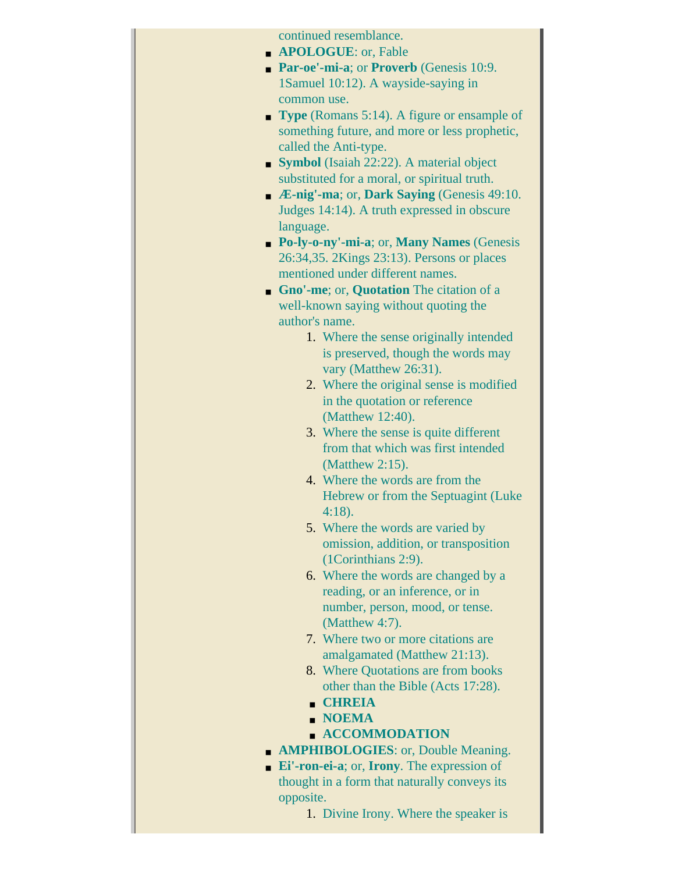continued resemblance.

- **APOLOGUE**: or, Fable
- **Par-oe'-mi-a**; or **Proverb** (Genesis 10:9. 1Samuel 10:12). A wayside-saying in common use.
- **Type** (Romans 5:14). A figure or ensample of something future, and more or less prophetic, called the Anti-type.
- **Symbol** (Isaiah 22:22). A material object substituted for a moral, or spiritual truth.
- **Æ-nig'-ma**; or, **Dark Saying** (Genesis 49:10. Judges 14:14). A truth expressed in obscure language.
- **Po-ly-o-ny'-mi-a**; or, **Many Names** (Genesis 26:34,35. 2Kings 23:13). Persons or places mentioned under different names.
- **Gno'-me**; or, **Quotation** The citation of a well-known saying without quoting the author's name.
	- 1. Where the sense originally intended is preserved, though the words may vary (Matthew 26:31).
	- 2. Where the original sense is modified in the quotation or reference (Matthew 12:40).
	- 3. Where the sense is quite different from that which was first intended (Matthew 2:15).
	- 4. Where the words are from the Hebrew or from the Septuagint (Luke 4:18).
	- 5. Where the words are varied by omission, addition, or transposition (1Corinthians 2:9).
	- 6. Where the words are changed by a reading, or an inference, or in number, person, mood, or tense. (Matthew 4:7).
	- 7. Where two or more citations are amalgamated (Matthew 21:13).
	- 8. Where Quotations are from books other than the Bible (Acts 17:28).
	- **CHREIA**
	- **NOEMA**
	- **ACCOMMODATION**
- **AMPHIBOLOGIES**: or, Double Meaning.
- **Ei'-ron-ei-a**; or, **Irony**. The expression of thought in a form that naturally conveys its opposite.
	- 1. Divine Irony. Where the speaker is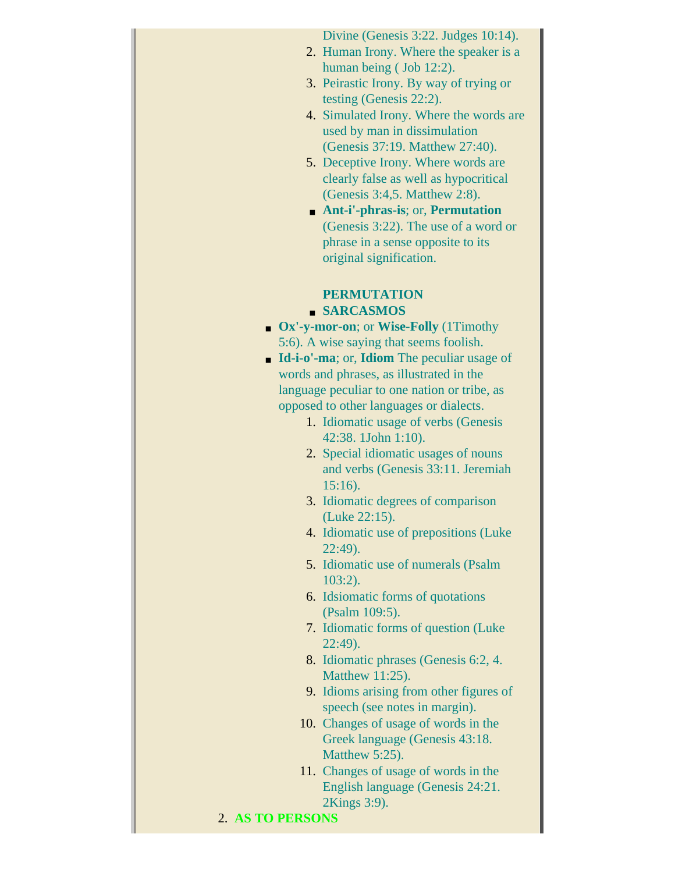Divine (Genesis 3:22. Judges 10:14).

- 2. Human Irony. Where the speaker is a human being ( Job 12:2).
- 3. Peirastic Irony. By way of trying or testing (Genesis 22:2).
- 4. Simulated Irony. Where the words are used by man in dissimulation (Genesis 37:19. Matthew 27:40).
- 5. Deceptive Irony. Where words are clearly false as well as hypocritical (Genesis 3:4,5. Matthew 2:8).
- **Ant-i'-phras-is**; or, **Permutation** (Genesis 3:22). The use of a word or phrase in a sense opposite to its original signification.

#### **PERMUTATION** ■ **SARCASMOS**

- **Ox'-y-mor-on**; or **Wise-Folly** (1Timothy 5:6). A wise saying that seems foolish.
- **Id-i-o'-ma**; or, **Idiom** The peculiar usage of words and phrases, as illustrated in the language peculiar to one nation or tribe, as opposed to other languages or dialects.
	- 1. Idiomatic usage of verbs (Genesis 42:38. 1John 1:10).
	- 2. Special idiomatic usages of nouns and verbs (Genesis 33:11. Jeremiah 15:16).
	- 3. Idiomatic degrees of comparison (Luke 22:15).
	- 4. Idiomatic use of prepositions (Luke 22:49).
	- 5. Idiomatic use of numerals (Psalm 103:2).
	- 6. Idsiomatic forms of quotations (Psalm 109:5).
	- 7. Idiomatic forms of question (Luke 22:49).
	- 8. Idiomatic phrases (Genesis 6:2, 4. Matthew 11:25).
	- 9. Idioms arising from other figures of speech (see notes in margin).
	- 10. Changes of usage of words in the Greek language (Genesis 43:18. Matthew 5:25).
	- 11. Changes of usage of words in the English language (Genesis 24:21. 2Kings 3:9).

### 2. **AS TO PERSONS**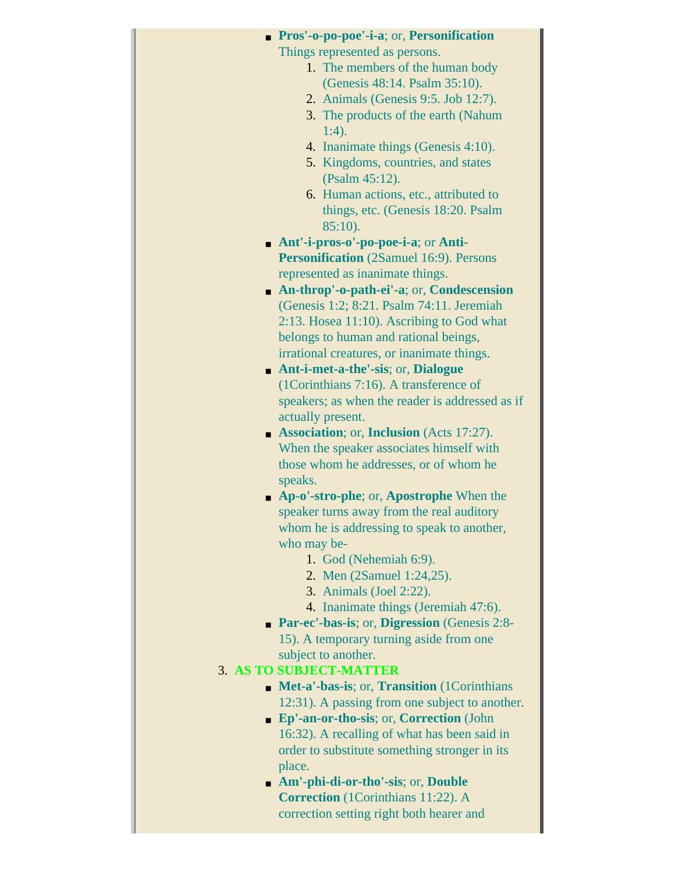| <b>Pros'-o-po-poe'-i-a</b> ; or, <b>Personification</b> |
|---------------------------------------------------------|
| Things represented as persons.                          |
| 1. The members of the human body                        |
| (Genesis 48:14. Psalm 35:10).                           |
| 2. Animals (Genesis 9:5. Job 12:7).                     |
| 3. The products of the earth (Nahum                     |
| $1:4$ ).                                                |
| 4. Inanimate things (Genesis 4:10).                     |
| 5. Kingdoms, countries, and states                      |
| (Psalm 45:12).                                          |
| 6. Human actions, etc., attributed to                   |
| things, etc. (Genesis 18:20. Psalm                      |
| $85:10$ ).                                              |
| $Ant'-i-pros-o'-po-poe-i-a$ ; or Anti-                  |
| <b>Personification</b> (2Samuel 16:9). Persons          |
| represented as inanimate things.                        |
| • An-throp'-o-path-ei'-a; or, Condescension             |
| (Genesis 1:2; 8:21. Psalm 74:11. Jeremiah               |
| $2:13$ . Hosea $11:10$ ). Ascribing to God what         |
| belongs to human and rational beings,                   |
| irrational creatures, or inanimate things.              |
| • Ant-i-met-a-the'-sis; or, Dialogue                    |
| (1Corinthians 7:16). A transference of                  |
| speakers; as when the reader is addressed as if         |
| actually present.                                       |
| Association; or, Inclusion (Acts 17:27).                |
| When the speaker associates himself with                |
| those whom he addresses, or of whom he                  |
| speaks.                                                 |
| • Ap-o'-stro-phe; or, Apostrophe When the               |
| speaker turns away from the real auditory               |
| whom he is addressing to speak to another,              |
| who may be-                                             |
| 1. God (Nehemiah 6:9).                                  |
| 2. Men (2Samuel 1:24,25).                               |
| 3. Animals (Joel 2:22).                                 |
| 4. Inanimate things (Jeremiah 47:6).                    |
| <b>Par-ec'-bas-is; or, Digression (Genesis 2:8-</b>     |
| 15). A temporary turning aside from one                 |
| subject to another.                                     |
| 3. AS TO SUBJECT-MATTER                                 |
| • Met-a'-bas-is; or, Transition (1Corinthians           |
| 12:31). A passing from one subject to another.          |
| • Ep'-an-or-tho-sis; or, Correction (John               |
| 16:32). A recalling of what has been said in            |
| order to substitute something stronger in its           |
| place.                                                  |
| • Am'-phi-di-or-tho'-sis; or, Double                    |
| <b>Correction</b> (1Corinthians 11:22). A               |
| correction setting right both hearer and                |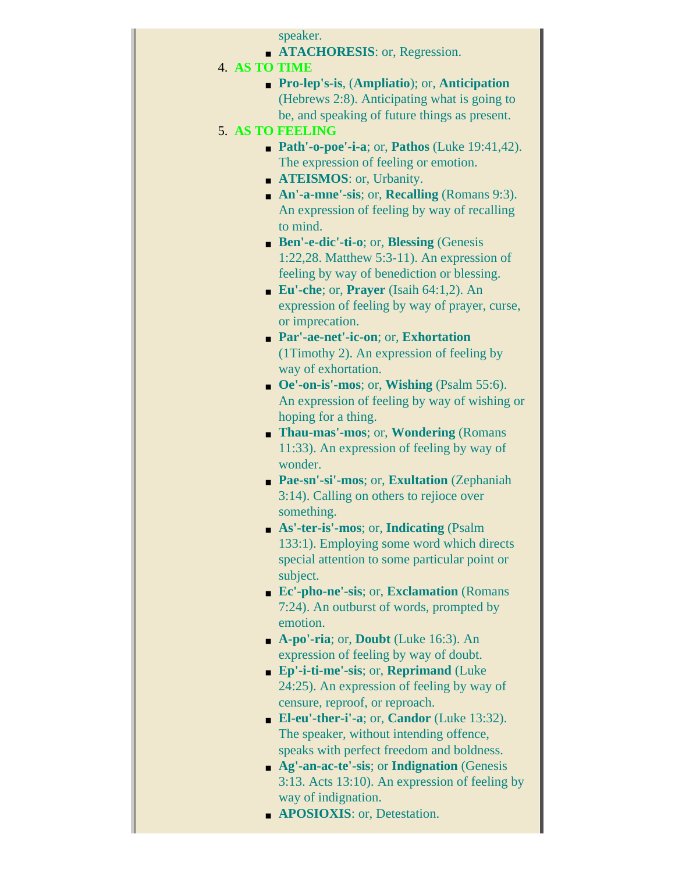speaker.

- **ATACHORESIS**: or, Regression.
- 4. **AS TO TIME**
	- **Pro-lep's-is**, (**Ampliatio**); or, **Anticipation** (Hebrews 2:8). Anticipating what is going to be, and speaking of future things as present.
- 5. **AS TO FEELING**
	- **Path'-o-poe'-i-a**; or, **Pathos** (Luke 19:41,42). The expression of feeling or emotion.
	- **ATEISMOS**: or, Urbanity.
	- **An'-a-mne'-sis**; or, **Recalling** (Romans 9:3). An expression of feeling by way of recalling to mind.
	- **Ben'-e-dic'-ti-o**; or, **Blessing** (Genesis 1:22,28. Matthew 5:3-11). An expression of feeling by way of benediction or blessing.
	- **Eu'-che**; or, **Prayer** (Isaih 64:1,2). An expression of feeling by way of prayer, curse, or imprecation.
	- **Par'-ae-net'-ic-on**; or, **Exhortation** (1Timothy 2). An expression of feeling by way of exhortation.
	- **Oe'-on-is'-mos**; or, **Wishing** (Psalm 55:6). An expression of feeling by way of wishing or hoping for a thing.
	- **Thau-mas'-mos**; or, **Wondering** (Romans 11:33). An expression of feeling by way of wonder.
	- **Pae-sn'-si'-mos**; or, **Exultation** (Zephaniah 3:14). Calling on others to rejioce over something.
	- **As'-ter-is'-mos**; or, **Indicating** (Psalm 133:1). Employing some word which directs special attention to some particular point or subject.
	- **Ec'-pho-ne'-sis**; or, **Exclamation** (Romans 7:24). An outburst of words, prompted by emotion.
	- **A-po'-ria**; or, **Doubt** (Luke 16:3). An expression of feeling by way of doubt.
	- **Ep'-i-ti-me'-sis**; or, **Reprimand** (Luke 24:25). An expression of feeling by way of censure, reproof, or reproach.
	- **El-eu'-ther-i'-a**; or, **Candor** (Luke 13:32). The speaker, without intending offence, speaks with perfect freedom and boldness.
	- **Ag'-an-ac-te'-sis**; or **Indignation** (Genesis 3:13. Acts 13:10). An expression of feeling by way of indignation.
	- **APOSIOXIS**: or, Detestation.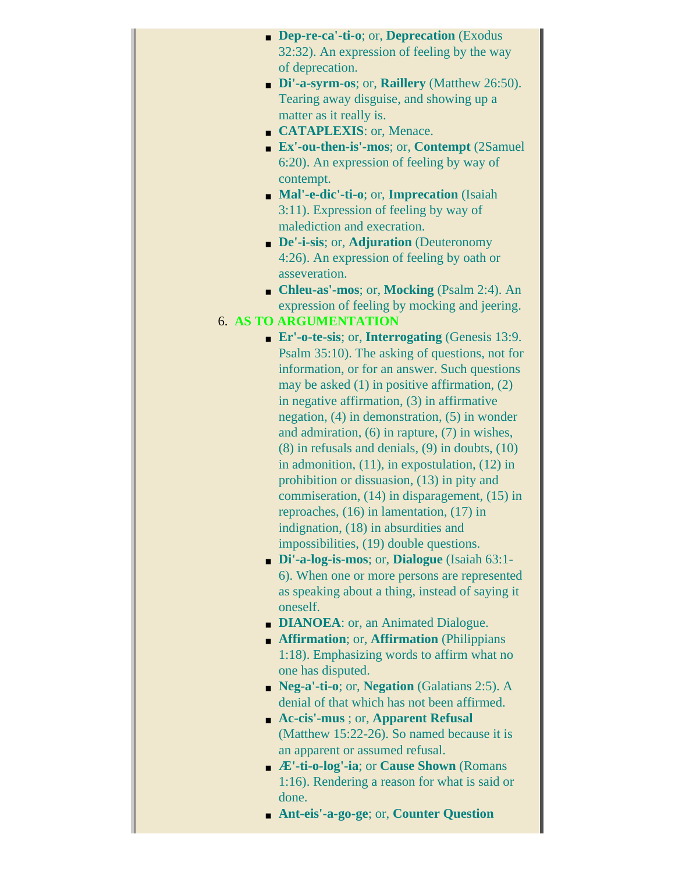| <b>Dep-re-ca'-ti-o</b> ; or, <b>Deprecation</b> (Exodus                       |
|-------------------------------------------------------------------------------|
| 32:32). An expression of feeling by the way                                   |
| of deprecation.                                                               |
| • Di'-a-syrm-os; or, Raillery (Matthew 26:50).                                |
| Tearing away disguise, and showing up a                                       |
| matter as it really is.                                                       |
| CATAPLEXIS: or, Menace.                                                       |
| <b>Ex'-ou-then-is'-mos</b> ; or, <b>Contempt</b> (2Samuel                     |
| 6:20). An expression of feeling by way of                                     |
| contempt.                                                                     |
| • Mal'-e-dic'-ti-o; or, Imprecation (Isaiah                                   |
| 3:11). Expression of feeling by way of                                        |
| malediction and execration.                                                   |
| • De'-i-sis; or, Adjuration (Deuteronomy                                      |
| 4:26). An expression of feeling by oath or                                    |
| asseveration.                                                                 |
| • Chleu-as'-mos; or, Mocking (Psalm 2:4). An                                  |
| expression of feeling by mocking and jeering.                                 |
| <b>6. AS TO ARGUMENTATION</b>                                                 |
| $\blacksquare$ <b>Er'-o-te-sis</b> ; or, <b>Interrogating</b> (Genesis 13:9.  |
| Psalm 35:10). The asking of questions, not for                                |
| information, or for an answer. Such questions                                 |
| may be asked $(1)$ in positive affirmation, $(2)$                             |
| in negative affirmation, $(3)$ in affirmative                                 |
| negation, $(4)$ in demonstration, $(5)$ in wonder                             |
| and admiration, $(6)$ in rapture, $(7)$ in wishes,                            |
| $(8)$ in refusals and denials, $(9)$ in doubts, $(10)$                        |
| in admonition, $(11)$ , in expostulation, $(12)$ in                           |
| prohibition or dissuasion, (13) in pity and                                   |
| commiseration, $(14)$ in disparagement, $(15)$ in                             |
| reproaches, (16) in lamentation, (17) in                                      |
| indignation, (18) in absurdities and                                          |
| impossibilities, (19) double questions.                                       |
| Di'-a-log-is-mos; or, Dialogue (Isaiah 63:1-                                  |
| 6). When one or more persons are represented                                  |
| as speaking about a thing, instead of saying it                               |
| oneself.                                                                      |
| • <b>DIANOEA</b> : or, an Animated Dialogue.                                  |
| • Affirmation; or, Affirmation (Philippians                                   |
| 1:18). Emphasizing words to affirm what no                                    |
| one has disputed.                                                             |
| • Neg-a'-ti-o; or, Negation (Galatians 2:5). A                                |
| denial of that which has not been affirmed.                                   |
| • Ac-cis'-mus; or, Apparent Refusal                                           |
| (Matthew 15:22-26). So named because it is                                    |
| an apparent or assumed refusal.                                               |
| $\blacktriangleright$ $\blacktriangle$ "-ti-o-log"-ia; or Cause Shown (Romans |
| 1:16). Rendering a reason for what is said or                                 |
| done.                                                                         |
| • Ant-eis'-a-go-ge; or, Counter Question                                      |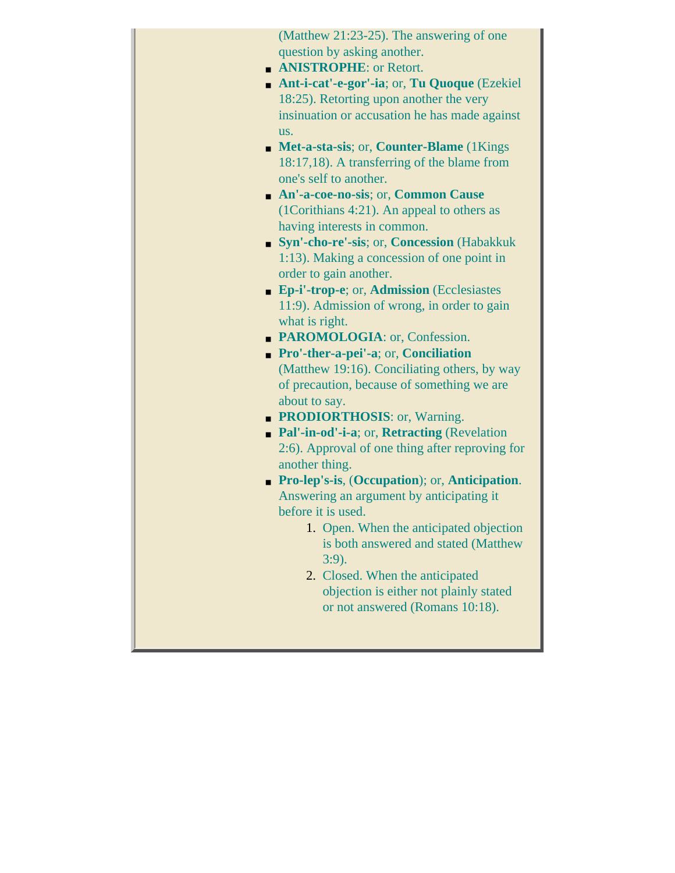| (Matthew 21:23-25). The answering of one            |
|-----------------------------------------------------|
| question by asking another.                         |
| <b>ANISTROPHE: or Retort.</b>                       |
| Ant-i-cat'-e-gor'-ia; or, Tu Quoque (Ezekiel        |
| 18:25). Retorting upon another the very             |
| insinuation or accusation he has made against       |
| us.                                                 |
| • Met-a-sta-sis; or, Counter-Blame (1Kings)         |
| 18:17,18). A transferring of the blame from         |
| one's self to another.                              |
| An'-a-coe-no-sis; or, Common Cause                  |
| (1Corithians 4:21). An appeal to others as          |
| having interests in common.                         |
| • Syn'-cho-re'-sis; or, Concession (Habakkuk        |
| 1:13). Making a concession of one point in          |
| order to gain another.                              |
| • Ep-i'-trop-e; or, Admission (Ecclesiastes         |
| 11:9). Admission of wrong, in order to gain         |
| what is right.                                      |
| • PAROMOLOGIA: or, Confession.                      |
| <b>Pro'-ther-a-pei'-a</b> ; or, <b>Conciliation</b> |
| (Matthew 19:16). Conciliating others, by way        |
| of precaution, because of something we are          |
| about to say.                                       |
| • PRODIORTHOSIS: or, Warning.                       |
| • Pal'-in-od'-i-a; or, Retracting (Revelation       |
| 2:6). Approval of one thing after reproving for     |
| another thing.                                      |
| • Pro-lep's-is, (Occupation); or, Anticipation.     |
| Answering an argument by anticipating it            |
| before it is used.                                  |
| 1. Open. When the anticipated objection             |
| is both answered and stated (Matthew                |
| $3:9$ ).                                            |
| 2. Closed. When the anticipated                     |
| objection is either not plainly stated              |
| or not answered (Romans 10:18).                     |
|                                                     |
|                                                     |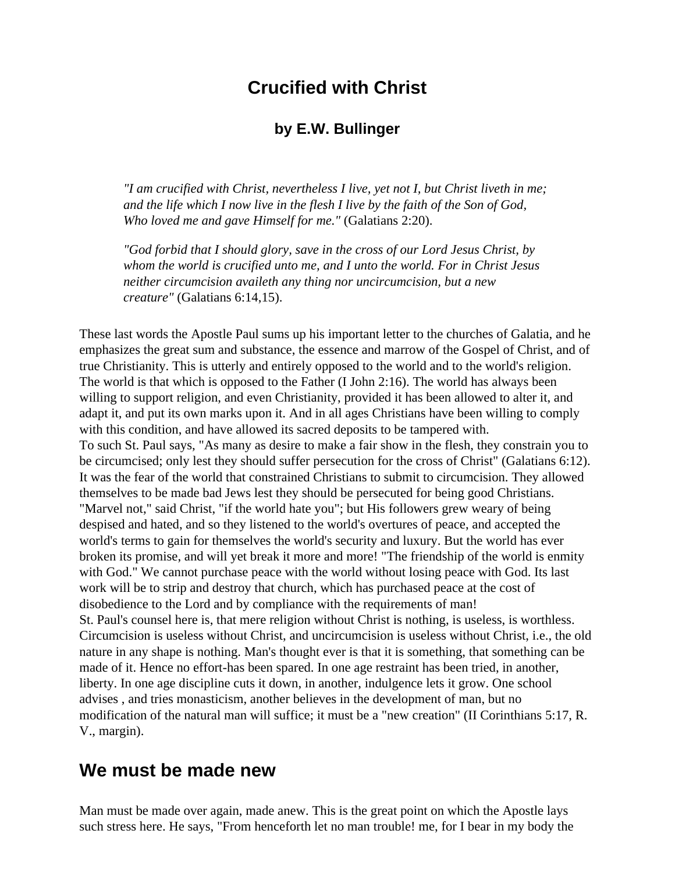### **Crucified with Christ**

#### **by E.W. Bullinger**

*"I am crucified with Christ, nevertheless I live, yet not I, but Christ liveth in me; and the life which I now live in the flesh I live by the faith of the Son of God, Who loved me and gave Himself for me."* (Galatians 2:20).

*"God forbid that I should glory, save in the cross of our Lord Jesus Christ, by whom the world is crucified unto me, and I unto the world. For in Christ Jesus neither circumcision availeth any thing nor uncircumcision, but a new creature"* (Galatians 6:14,15).

These last words the Apostle Paul sums up his important letter to the churches of Galatia, and he emphasizes the great sum and substance, the essence and marrow of the Gospel of Christ, and of true Christianity. This is utterly and entirely opposed to the world and to the world's religion. The world is that which is opposed to the Father (I John 2:16). The world has always been willing to support religion, and even Christianity, provided it has been allowed to alter it, and adapt it, and put its own marks upon it. And in all ages Christians have been willing to comply with this condition, and have allowed its sacred deposits to be tampered with. To such St. Paul says, "As many as desire to make a fair show in the flesh, they constrain you to be circumcised; only lest they should suffer persecution for the cross of Christ" (Galatians 6:12). It was the fear of the world that constrained Christians to submit to circumcision. They allowed themselves to be made bad Jews lest they should be persecuted for being good Christians. "Marvel not," said Christ, "if the world hate you"; but His followers grew weary of being despised and hated, and so they listened to the world's overtures of peace, and accepted the world's terms to gain for themselves the world's security and luxury. But the world has ever broken its promise, and will yet break it more and more! "The friendship of the world is enmity with God." We cannot purchase peace with the world without losing peace with God. Its last work will be to strip and destroy that church, which has purchased peace at the cost of disobedience to the Lord and by compliance with the requirements of man! St. Paul's counsel here is, that mere religion without Christ is nothing, is useless, is worthless. Circumcision is useless without Christ, and uncircumcision is useless without Christ, i.e., the old nature in any shape is nothing. Man's thought ever is that it is something, that something can be made of it. Hence no effort-has been spared. In one age restraint has been tried, in another, liberty. In one age discipline cuts it down, in another, indulgence lets it grow. One school advises , and tries monasticism, another believes in the development of man, but no modification of the natural man will suffice; it must be a "new creation" (II Corinthians 5:17, R. V., margin).

#### **We must be made new**

Man must be made over again, made anew. This is the great point on which the Apostle lays such stress here. He says, "From henceforth let no man trouble! me, for I bear in my body the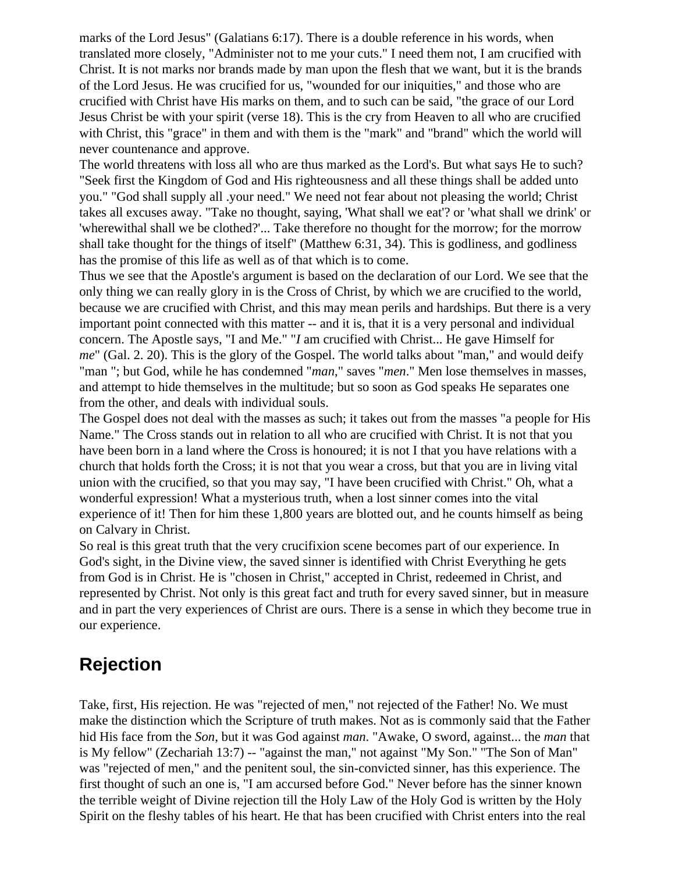marks of the Lord Jesus" (Galatians 6:17). There is a double reference in his words, when translated more closely, "Administer not to me your cuts." I need them not, I am crucified with Christ. It is not marks nor brands made by man upon the flesh that we want, but it is the brands of the Lord Jesus. He was crucified for us, "wounded for our iniquities," and those who are crucified with Christ have His marks on them, and to such can be said, "the grace of our Lord Jesus Christ be with your spirit (verse 18). This is the cry from Heaven to all who are crucified with Christ, this "grace" in them and with them is the "mark" and "brand" which the world will never countenance and approve.

The world threatens with loss all who are thus marked as the Lord's. But what says He to such? "Seek first the Kingdom of God and His righteousness and all these things shall be added unto you." "God shall supply all .your need." We need not fear about not pleasing the world; Christ takes all excuses away. "Take no thought, saying, 'What shall we eat'? or 'what shall we drink' or 'wherewithal shall we be clothed?'... Take therefore no thought for the morrow; for the morrow shall take thought for the things of itself" (Matthew 6:31, 34). This is godliness, and godliness has the promise of this life as well as of that which is to come.

Thus we see that the Apostle's argument is based on the declaration of our Lord. We see that the only thing we can really glory in is the Cross of Christ, by which we are crucified to the world, because we are crucified with Christ, and this may mean perils and hardships. But there is a very important point connected with this matter -- and it is, that it is a very personal and individual concern. The Apostle says, "I and Me." "*I* am crucified with Christ... He gave Himself for *me*" (Gal. 2. 20). This is the glory of the Gospel. The world talks about "man," and would deify "man "; but God, while he has condemned "*man*," saves "*men*." Men lose themselves in masses, and attempt to hide themselves in the multitude; but so soon as God speaks He separates one from the other, and deals with individual souls.

The Gospel does not deal with the masses as such; it takes out from the masses "a people for His Name." The Cross stands out in relation to all who are crucified with Christ. It is not that you have been born in a land where the Cross is honoured; it is not I that you have relations with a church that holds forth the Cross; it is not that you wear a cross, but that you are in living vital union with the crucified, so that you may say, "I have been crucified with Christ." Oh, what a wonderful expression! What a mysterious truth, when a lost sinner comes into the vital experience of it! Then for him these 1,800 years are blotted out, and he counts himself as being on Calvary in Christ.

So real is this great truth that the very crucifixion scene becomes part of our experience. In God's sight, in the Divine view, the saved sinner is identified with Christ Everything he gets from God is in Christ. He is "chosen in Christ," accepted in Christ, redeemed in Christ, and represented by Christ. Not only is this great fact and truth for every saved sinner, but in measure and in part the very experiences of Christ are ours. There is a sense in which they become true in our experience.

# **Rejection**

Take, first, His rejection. He was "rejected of men," not rejected of the Father! No. We must make the distinction which the Scripture of truth makes. Not as is commonly said that the Father hid His face from the *Son*, but it was God against *man*. "Awake, O sword, against... the *man* that is My fellow" (Zechariah 13:7) -- "against the man," not against "My Son." "The Son of Man" was "rejected of men," and the penitent soul, the sin-convicted sinner, has this experience. The first thought of such an one is, "I am accursed before God." Never before has the sinner known the terrible weight of Divine rejection till the Holy Law of the Holy God is written by the Holy Spirit on the fleshy tables of his heart. He that has been crucified with Christ enters into the real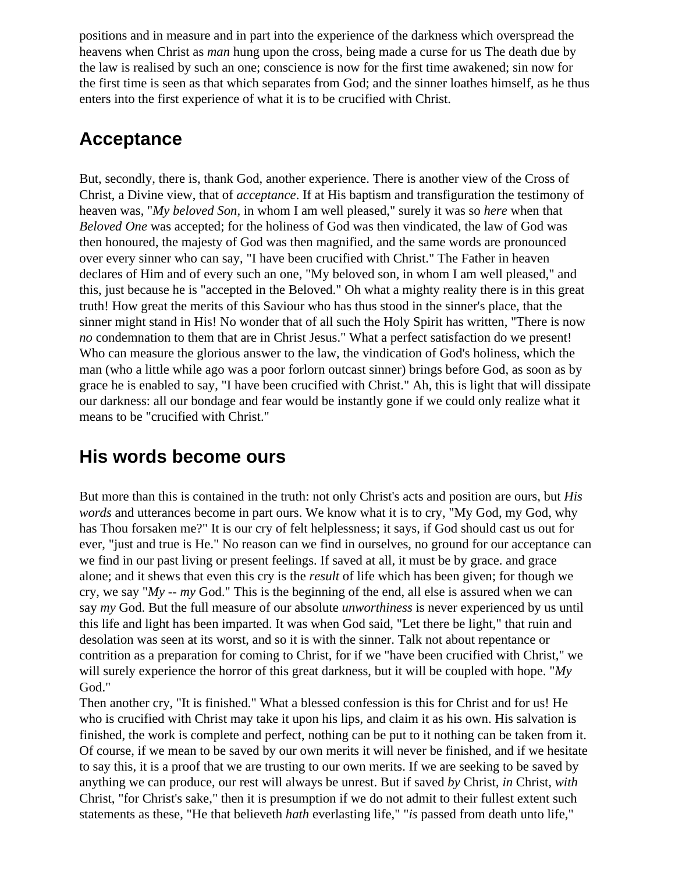positions and in measure and in part into the experience of the darkness which overspread the heavens when Christ as *man* hung upon the cross, being made a curse for us The death due by the law is realised by such an one; conscience is now for the first time awakened; sin now for the first time is seen as that which separates from God; and the sinner loathes himself, as he thus enters into the first experience of what it is to be crucified with Christ.

# **Acceptance**

But, secondly, there is, thank God, another experience. There is another view of the Cross of Christ, a Divine view, that of *acceptance*. If at His baptism and transfiguration the testimony of heaven was, "*My beloved Son,* in whom I am well pleased," surely it was so *here* when that *Beloved One* was accepted; for the holiness of God was then vindicated, the law of God was then honoured, the majesty of God was then magnified, and the same words are pronounced over every sinner who can say, "I have been crucified with Christ." The Father in heaven declares of Him and of every such an one, "My beloved son, in whom I am well pleased," and this, just because he is "accepted in the Beloved." Oh what a mighty reality there is in this great truth! How great the merits of this Saviour who has thus stood in the sinner's place, that the sinner might stand in His! No wonder that of all such the Holy Spirit has written, "There is now *no* condemnation to them that are in Christ Jesus." What a perfect satisfaction do we present! Who can measure the glorious answer to the law, the vindication of God's holiness, which the man (who a little while ago was a poor forlorn outcast sinner) brings before God, as soon as by grace he is enabled to say, "I have been crucified with Christ." Ah, this is light that will dissipate our darkness: all our bondage and fear would be instantly gone if we could only realize what it means to be "crucified with Christ."

### **His words become ours**

But more than this is contained in the truth: not only Christ's acts and position are ours, but *His words* and utterances become in part ours. We know what it is to cry, "My God, my God, why has Thou forsaken me?" It is our cry of felt helplessness; it says, if God should cast us out for ever, "just and true is He." No reason can we find in ourselves, no ground for our acceptance can we find in our past living or present feelings. If saved at all, it must be by grace. and grace alone; and it shews that even this cry is the *result* of life which has been given; for though we cry, we say "*My -- my* God." This is the beginning of the end, all else is assured when we can say *my* God. But the full measure of our absolute *unworthiness* is never experienced by us until this life and light has been imparted. It was when God said, "Let there be light," that ruin and desolation was seen at its worst, and so it is with the sinner. Talk not about repentance or contrition as a preparation for coming to Christ, for if we "have been crucified with Christ," we will surely experience the horror of this great darkness, but it will be coupled with hope. "*My* God."

Then another cry, "It is finished." What a blessed confession is this for Christ and for us! He who is crucified with Christ may take it upon his lips, and claim it as his own. His salvation is finished, the work is complete and perfect, nothing can be put to it nothing can be taken from it. Of course, if we mean to be saved by our own merits it will never be finished, and if we hesitate to say this, it is a proof that we are trusting to our own merits. If we are seeking to be saved by anything we can produce, our rest will always be unrest. But if saved *by* Christ, *in* Christ, *with* Christ, "for Christ's sake," then it is presumption if we do not admit to their fullest extent such statements as these, "He that believeth *hath* everlasting life," "*is* passed from death unto life,"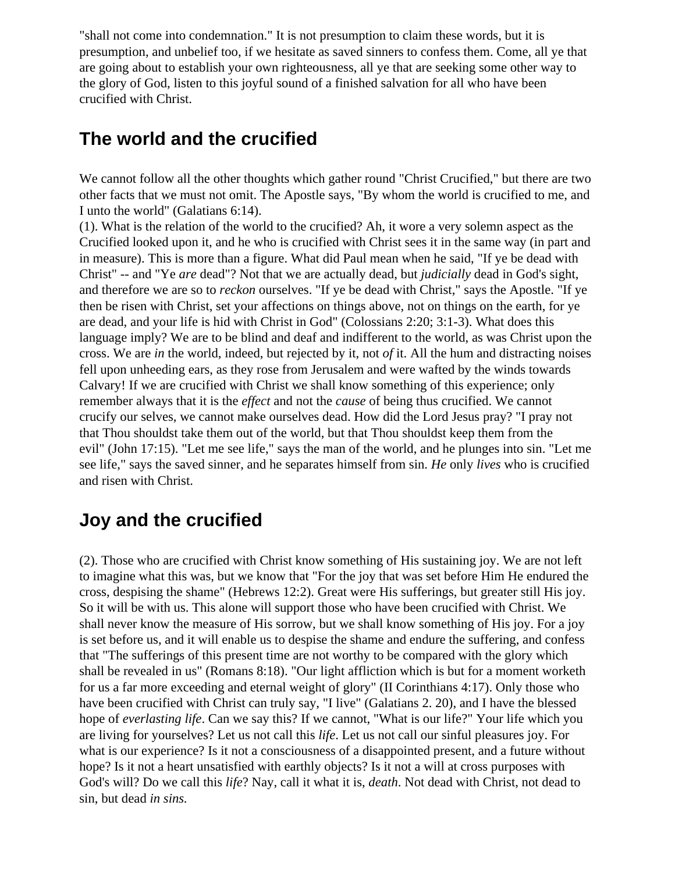"shall not come into condemnation." It is not presumption to claim these words, but it is presumption, and unbelief too, if we hesitate as saved sinners to confess them. Come, all ye that are going about to establish your own righteousness, all ye that are seeking some other way to the glory of God, listen to this joyful sound of a finished salvation for all who have been crucified with Christ.

### **The world and the crucified**

We cannot follow all the other thoughts which gather round "Christ Crucified," but there are two other facts that we must not omit. The Apostle says, "By whom the world is crucified to me, and I unto the world" (Galatians 6:14).

(1). What is the relation of the world to the crucified? Ah, it wore a very solemn aspect as the Crucified looked upon it, and he who is crucified with Christ sees it in the same way (in part and in measure). This is more than a figure. What did Paul mean when he said, "If ye be dead with Christ" -- and "Ye *are* dead"? Not that we are actually dead, but *judicially* dead in God's sight, and therefore we are so to *reckon* ourselves. "If ye be dead with Christ," says the Apostle. "If ye then be risen with Christ, set your affections on things above, not on things on the earth, for ye are dead, and your life is hid with Christ in God" (Colossians 2:20; 3:1-3). What does this language imply? We are to be blind and deaf and indifferent to the world, as was Christ upon the cross. We are *in* the world, indeed, but rejected by it, not *of* it. All the hum and distracting noises fell upon unheeding ears, as they rose from Jerusalem and were wafted by the winds towards Calvary! If we are crucified with Christ we shall know something of this experience; only remember always that it is the *effect* and not the *cause* of being thus crucified. We cannot crucify our selves, we cannot make ourselves dead. How did the Lord Jesus pray? "I pray not that Thou shouldst take them out of the world, but that Thou shouldst keep them from the evil" (John 17:15). "Let me see life," says the man of the world, and he plunges into sin. "Let me see life," says the saved sinner, and he separates himself from sin. *He* only *lives* who is crucified and risen with Christ.

# **Joy and the crucified**

(2). Those who are crucified with Christ know something of His sustaining joy. We are not left to imagine what this was, but we know that "For the joy that was set before Him He endured the cross, despising the shame" (Hebrews 12:2). Great were His sufferings, but greater still His joy. So it will be with us. This alone will support those who have been crucified with Christ. We shall never know the measure of His sorrow, but we shall know something of His joy. For a joy is set before us, and it will enable us to despise the shame and endure the suffering, and confess that "The sufferings of this present time are not worthy to be compared with the glory which shall be revealed in us" (Romans 8:18). "Our light affliction which is but for a moment worketh for us a far more exceeding and eternal weight of glory" (II Corinthians 4:17). Only those who have been crucified with Christ can truly say, "I live" (Galatians 2. 20), and I have the blessed hope of *everlasting life*. Can we say this? If we cannot, "What is our life?" Your life which you are living for yourselves? Let us not call this *life*. Let us not call our sinful pleasures joy. For what is our experience? Is it not a consciousness of a disappointed present, and a future without hope? Is it not a heart unsatisfied with earthly objects? Is it not a will at cross purposes with God's will? Do we call this *life*? Nay, call it what it is, *death*. Not dead with Christ, not dead to sin, but dead *in sins.*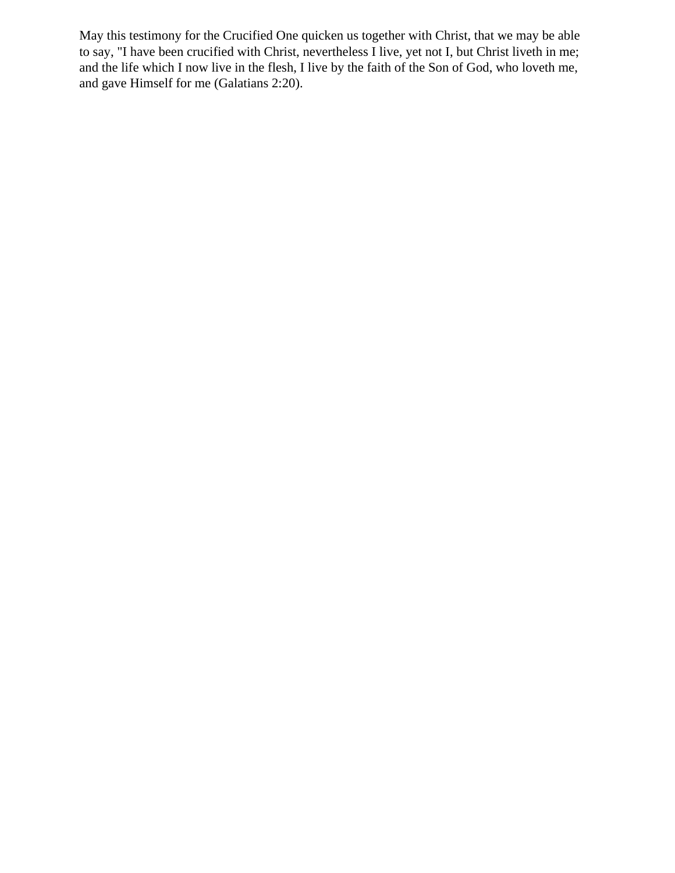May this testimony for the Crucified One quicken us together with Christ, that we may be able to say, "I have been crucified with Christ, nevertheless I live, yet not I, but Christ liveth in me; and the life which I now live in the flesh, I live by the faith of the Son of God, who loveth me, and gave Himself for me (Galatians 2:20).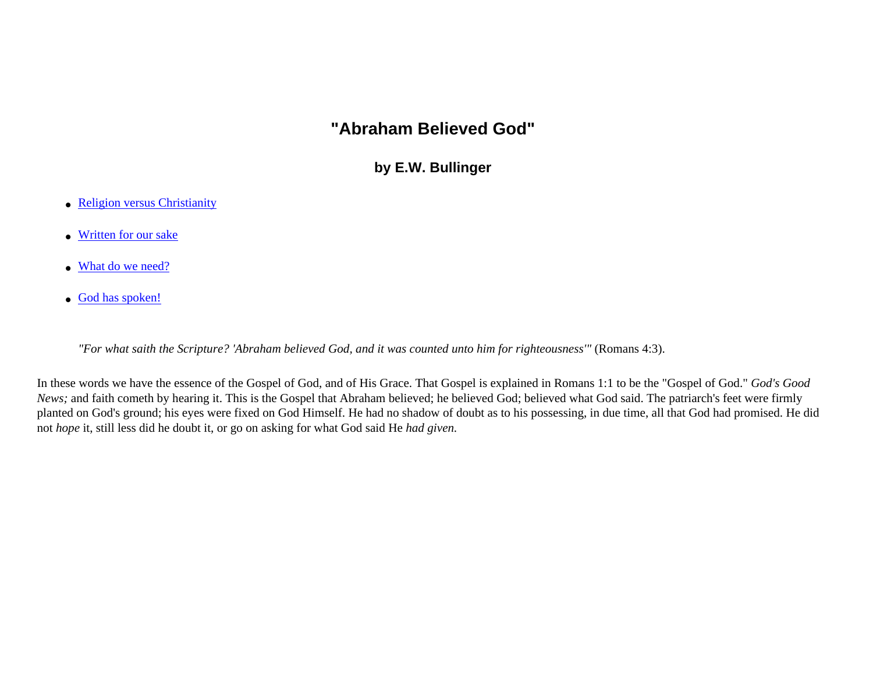### **"Abraham Believed God"**

**by E.W. Bullinger**

- <span id="page-115-0"></span>• [Religion versus Christianity](#page-115-0)
- [Written for our sake](#page-115-0)
- [What do we need?](#page-115-0)
- [God has spoken!](#page-115-0)

*"For what saith the Scripture? 'Abraham believed God, and it was counted unto him for righteousness'"* (Romans 4:3).

In these words we have the essence of the Gospel of God, and of His Grace. That Gospel is explained in Romans 1:1 to be the "Gospel of God." *God's Good News*; and faith cometh by hearing it. This is the Gospel that Abraham believed; he believed God; believed what God said. The patriarch's feet were firmly planted on God's ground; his eyes were fixed on God Himself. He had no shadow of doubt as to his possessing, in due time, all that God had promised. He did not *hope* it, still less did he doubt it, or go on asking for what God said He *had given.*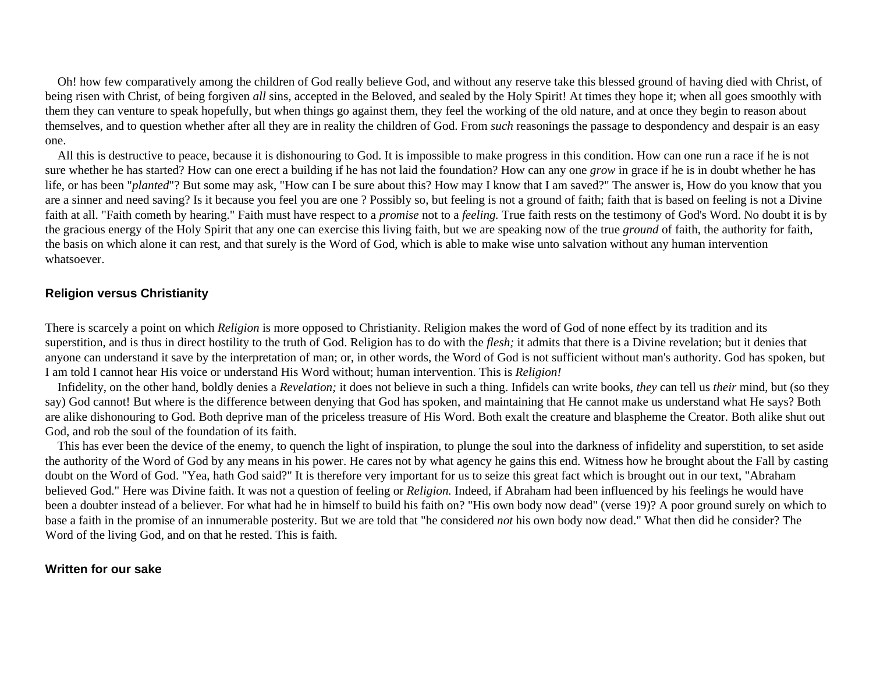Oh! how few comparatively among the children of God really believe God, and without any reserve take this blessed ground of having died with Christ, of being risen with Christ, of being forgiven *all* sins, accepted in the Beloved, and sealed by the Holy Spirit! At times they hope it; when all goes smoothly with them they can venture to speak hopefully, but when things go against them, they feel the working of the old nature, and at once they begin to reason about themselves, and to question whether after all they are in reality the children of God. From *such* reasonings the passage to despondency and despair is an easy one.

 All this is destructive to peace, because it is dishonouring to God. It is impossible to make progress in this condition. How can one run a race if he is not sure whether he has started? How can one erect a building if he has not laid the foundation? How can any one *grow* in grace if he is in doubt whether he has life, or has been "*planted*"? But some may ask, "How can I be sure about this? How may I know that I am saved?" The answer is, How do you know that you are a sinner and need saving? Is it because you feel you are one ? Possibly so, but feeling is not a ground of faith; faith that is based on feeling is not a Divine faith at all. "Faith cometh by hearing." Faith must have respect to a *promise* not to a *feeling.* True faith rests on the testimony of God's Word. No doubt it is by the gracious energy of the Holy Spirit that any one can exercise this living faith, but we are speaking now of the true *ground* of faith, the authority for faith, the basis on which alone it can rest, and that surely is the Word of God, which is able to make wise unto salvation without any human intervention whatsoever.

#### **Religion versus Christianity**

There is scarcely a point on which *Religion* is more opposed to Christianity. Religion makes the word of God of none effect by its tradition and its superstition, and is thus in direct hostility to the truth of God. Religion has to do with the *flesh;* it admits that there is a Divine revelation; but it denies that anyone can understand it save by the interpretation of man; or, in other words, the Word of God is not sufficient without man's authority. God has spoken, but I am told I cannot hear His voice or understand His Word without; human intervention. This is *Religion!*

 Infidelity, on the other hand, boldly denies a *Revelation;* it does not believe in such a thing. Infidels can write books, *they* can tell us *their* mind, but (so they say) God cannot! But where is the difference between denying that God has spoken, and maintaining that He cannot make us understand what He says? Both are alike dishonouring to God. Both deprive man of the priceless treasure of His Word. Both exalt the creature and blaspheme the Creator. Both alike shut out God, and rob the soul of the foundation of its faith.

 This has ever been the device of the enemy, to quench the light of inspiration, to plunge the soul into the darkness of infidelity and superstition, to set aside the authority of the Word of God by any means in his power. He cares not by what agency he gains this end. Witness how he brought about the Fall by casting doubt on the Word of God. "Yea, hath God said?" It is therefore very important for us to seize this great fact which is brought out in our text, "Abraham believed God." Here was Divine faith. It was not a question of feeling or *Religion.* Indeed, if Abraham had been influenced by his feelings he would have been a doubter instead of a believer. For what had he in himself to build his faith on? "His own body now dead" (verse 19)? A poor ground surely on which to base a faith in the promise of an innumerable posterity. But we are told that "he considered *not* his own body now dead." What then did he consider? The Word of the living God, and on that he rested. This is faith.

#### **Written for our sake**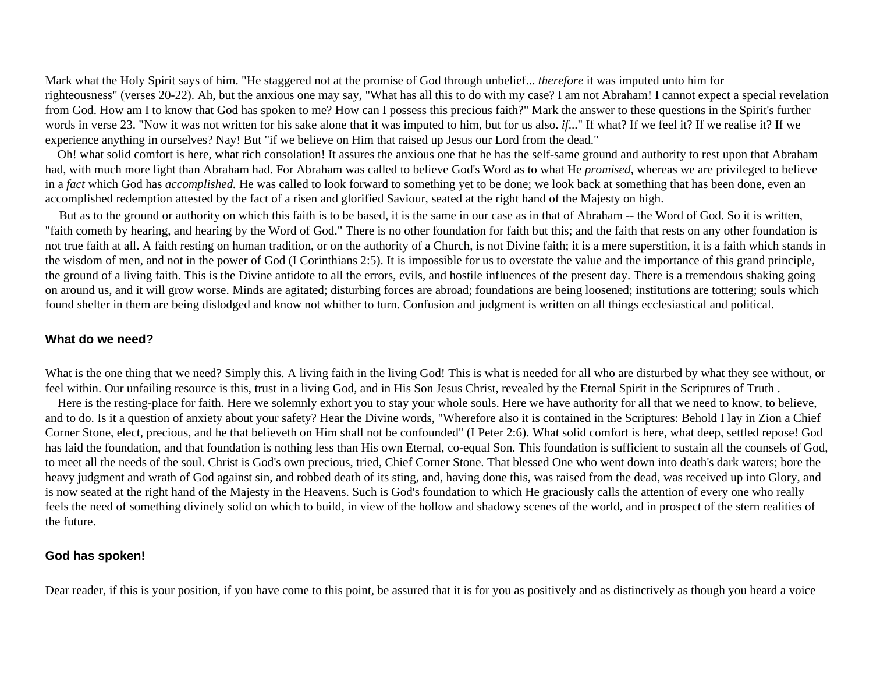Mark what the Holy Spirit says of him. "He staggered not at the promise of God through unbelief... *therefore* it was imputed unto him for righteousness" (verses 20-22). Ah, but the anxious one may say, "What has all this to do with my case? I am not Abraham! I cannot expect a special revelation from God. How am I to know that God has spoken to me? How can I possess this precious faith?" Mark the answer to these questions in the Spirit's further words in verse 23. "Now it was not written for his sake alone that it was imputed to him, but for us also. *if*..." If what? If we feel it? If we realise it? If we experience anything in ourselves? Nay! But "if we believe on Him that raised up Jesus our Lord from the dead."

 Oh! what solid comfort is here, what rich consolation! It assures the anxious one that he has the self-same ground and authority to rest upon that Abraham had, with much more light than Abraham had. For Abraham was called to believe God's Word as to what He *promised,* whereas we are privileged to believe in a *fact* which God has *accomplished.* He was called to look forward to something yet to be done; we look back at something that has been done, even an accomplished redemption attested by the fact of a risen and glorified Saviour, seated at the right hand of the Majesty on high.

 But as to the ground or authority on which this faith is to be based, it is the same in our case as in that of Abraham -- the Word of God. So it is written, "faith cometh by hearing, and hearing by the Word of God." There is no other foundation for faith but this; and the faith that rests on any other foundation is not true faith at all. A faith resting on human tradition, or on the authority of a Church, is not Divine faith; it is a mere superstition, it is a faith which stands in the wisdom of men, and not in the power of God (I Corinthians 2:5). It is impossible for us to overstate the value and the importance of this grand principle, the ground of a living faith. This is the Divine antidote to all the errors, evils, and hostile influences of the present day. There is a tremendous shaking going on around us, and it will grow worse. Minds are agitated; disturbing forces are abroad; foundations are being loosened; institutions are tottering; souls which found shelter in them are being dislodged and know not whither to turn. Confusion and judgment is written on all things ecclesiastical and political.

#### **What do we need?**

What is the one thing that we need? Simply this. A living faith in the living God! This is what is needed for all who are disturbed by what they see without, or feel within. Our unfailing resource is this, trust in a living God, and in His Son Jesus Christ, revealed by the Eternal Spirit in the Scriptures of Truth .

 Here is the resting-place for faith. Here we solemnly exhort you to stay your whole souls. Here we have authority for all that we need to know, to believe, and to do. Is it a question of anxiety about your safety? Hear the Divine words, "Wherefore also it is contained in the Scriptures: Behold I lay in Zion a Chief Corner Stone, elect, precious, and he that believeth on Him shall not be confounded" (I Peter 2:6). What solid comfort is here, what deep, settled repose! God has laid the foundation, and that foundation is nothing less than His own Eternal, co-equal Son. This foundation is sufficient to sustain all the counsels of God, to meet all the needs of the soul. Christ is God's own precious, tried, Chief Corner Stone. That blessed One who went down into death's dark waters; bore the heavy judgment and wrath of God against sin, and robbed death of its sting, and, having done this, was raised from the dead, was received up into Glory, and is now seated at the right hand of the Majesty in the Heavens. Such is God's foundation to which He graciously calls the attention of every one who really feels the need of something divinely solid on which to build, in view of the hollow and shadowy scenes of the world, and in prospect of the stern realities of the future.

#### **God has spoken!**

Dear reader, if this is your position, if you have come to this point, be assured that it is for you as positively and as distinctively as though you heard a voice